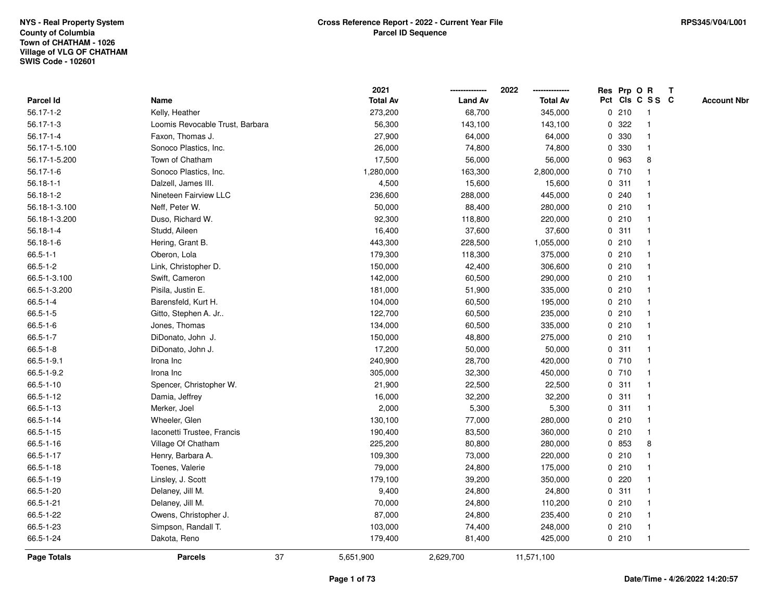|                    |                                 |    | 2021            |                | 2022            |   | Res Prp O R |                 | Т |                    |
|--------------------|---------------------------------|----|-----------------|----------------|-----------------|---|-------------|-----------------|---|--------------------|
| Parcel Id          | Name                            |    | <b>Total Av</b> | <b>Land Av</b> | <b>Total Av</b> |   |             | Pct Cls C S S C |   | <b>Account Nbr</b> |
| 56.17-1-2          | Kelly, Heather                  |    | 273,200         | 68,700         | 345,000         |   | 0210        | $\mathbf{1}$    |   |                    |
| $56.17 - 1 - 3$    | Loomis Revocable Trust, Barbara |    | 56,300          | 143,100        | 143,100         | 0 | 322         | $\mathbf{1}$    |   |                    |
| 56.17-1-4          | Faxon, Thomas J.                |    | 27,900          | 64,000         | 64,000          |   | 0 330       | $\mathbf{1}$    |   |                    |
| 56.17-1-5.100      | Sonoco Plastics, Inc.           |    | 26,000          | 74,800         | 74,800          |   | 0 330       | $\mathbf{1}$    |   |                    |
| 56.17-1-5.200      | Town of Chatham                 |    | 17,500          | 56,000         | 56,000          |   | 0 963       | 8               |   |                    |
| 56.17-1-6          | Sonoco Plastics, Inc.           |    | 1,280,000       | 163,300        | 2,800,000       |   | 0710        |                 |   |                    |
| $56.18 - 1 - 1$    | Dalzell, James III.             |    | 4,500           | 15,600         | 15,600          |   | 0.311       | $\mathbf 1$     |   |                    |
| 56.18-1-2          | Nineteen Fairview LLC           |    | 236,600         | 288,000        | 445,000         |   | 0.240       | $\mathbf{1}$    |   |                    |
| 56.18-1-3.100      | Neff, Peter W.                  |    | 50,000          | 88,400         | 280,000         |   | 0210        | $\mathbf{1}$    |   |                    |
| 56.18-1-3.200      | Duso, Richard W.                |    | 92,300          | 118,800        | 220,000         |   | 0210        | $\mathbf{1}$    |   |                    |
| 56.18-1-4          | Studd, Aileen                   |    | 16,400          | 37,600         | 37,600          |   | 0.311       | $\mathbf 1$     |   |                    |
| $56.18 - 1 - 6$    | Hering, Grant B.                |    | 443,300         | 228,500        | 1,055,000       |   | 0210        | $\mathbf 1$     |   |                    |
| $66.5 - 1 - 1$     | Oberon, Lola                    |    | 179,300         | 118,300        | 375,000         |   | 0210        |                 |   |                    |
| $66.5 - 1 - 2$     | Link, Christopher D.            |    | 150,000         | 42,400         | 306,600         |   | 0210        | $\mathbf 1$     |   |                    |
| 66.5-1-3.100       | Swift, Cameron                  |    | 142,000         | 60,500         | 290,000         |   | 0210        | $\mathbf{1}$    |   |                    |
| 66.5-1-3.200       | Pisila, Justin E.               |    | 181,000         | 51,900         | 335,000         |   | 0210        | $\mathbf{1}$    |   |                    |
| $66.5 - 1 - 4$     | Barensfeld, Kurt H.             |    | 104,000         | 60,500         | 195,000         |   | 0210        | $\mathbf{1}$    |   |                    |
| $66.5 - 1 - 5$     | Gitto, Stephen A. Jr            |    | 122,700         | 60,500         | 235,000         |   | 0210        | $\mathbf{1}$    |   |                    |
| $66.5 - 1 - 6$     | Jones, Thomas                   |    | 134,000         | 60,500         | 335,000         |   | 0210        | $\mathbf 1$     |   |                    |
| $66.5 - 1 - 7$     | DiDonato, John J.               |    | 150,000         | 48,800         | 275,000         |   | 0210        |                 |   |                    |
| $66.5 - 1 - 8$     | DiDonato, John J.               |    | 17,200          | 50,000         | 50,000          |   | 0.311       | $\mathbf{1}$    |   |                    |
| 66.5-1-9.1         | Irona Inc                       |    | 240,900         | 28,700         | 420,000         |   | 0710        | $\mathbf{1}$    |   |                    |
| 66.5-1-9.2         | Irona Inc                       |    | 305,000         | 32,300         | 450,000         |   | 0710        | $\mathbf{1}$    |   |                    |
| 66.5-1-10          | Spencer, Christopher W.         |    | 21,900          | 22,500         | 22,500          |   | 0.311       | $\mathbf{1}$    |   |                    |
| 66.5-1-12          | Damia, Jeffrey                  |    | 16,000          | 32,200         | 32,200          |   | 0.311       | $\mathbf 1$     |   |                    |
| 66.5-1-13          | Merker, Joel                    |    | 2,000           | 5,300          | 5,300           |   | 0.311       | -1              |   |                    |
| 66.5-1-14          | Wheeler, Glen                   |    | 130,100         | 77,000         | 280,000         |   | 0210        | $\mathbf 1$     |   |                    |
| 66.5-1-15          | Iaconetti Trustee, Francis      |    | 190,400         | 83,500         | 360,000         |   | 0210        | $\mathbf{1}$    |   |                    |
| 66.5-1-16          | Village Of Chatham              |    | 225,200         | 80,800         | 280,000         |   | 0 853       | 8               |   |                    |
| 66.5-1-17          | Henry, Barbara A.               |    | 109,300         | 73,000         | 220,000         |   | 0210        | 1               |   |                    |
| 66.5-1-18          | Toenes, Valerie                 |    | 79,000          | 24,800         | 175,000         |   | 0210        | $\mathbf{1}$    |   |                    |
| 66.5-1-19          | Linsley, J. Scott               |    | 179,100         | 39,200         | 350,000         |   | 0220        | $\mathbf 1$     |   |                    |
| 66.5-1-20          | Delaney, Jill M.                |    | 9,400           | 24,800         | 24,800          |   | 0.311       | -1              |   |                    |
| 66.5-1-21          | Delaney, Jill M.                |    | 70,000          | 24,800         | 110,200         |   | 0210        |                 |   |                    |
| 66.5-1-22          | Owens, Christopher J.           |    | 87,000          | 24,800         | 235,400         |   | 0210        | $\mathbf{1}$    |   |                    |
| 66.5-1-23          | Simpson, Randall T.             |    | 103,000         | 74,400         | 248,000         |   | 0210        | $\mathbf{1}$    |   |                    |
| 66.5-1-24          | Dakota, Reno                    |    | 179,400         | 81,400         | 425,000         |   | 0210        | $\mathbf{1}$    |   |                    |
| <b>Page Totals</b> | <b>Parcels</b>                  | 37 | 5,651,900       | 2,629,700      | 11,571,100      |   |             |                 |   |                    |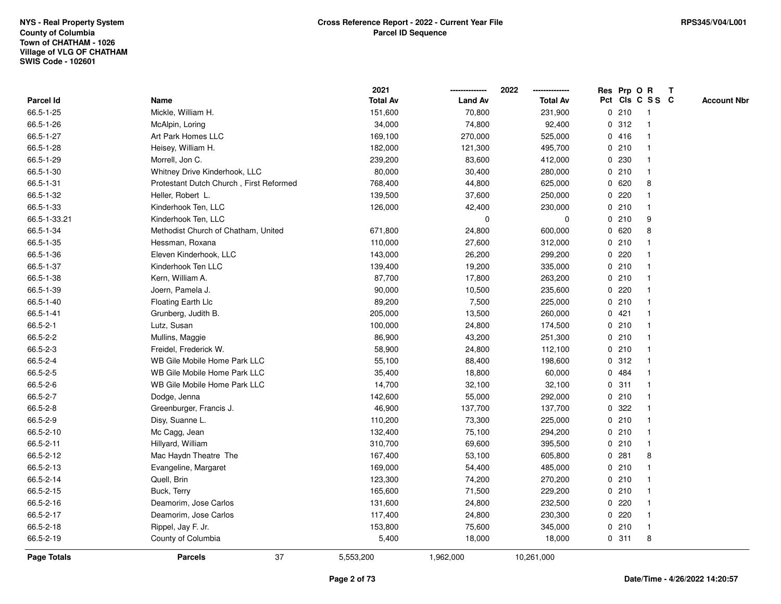|                  |                                         | 2021            |                | 2022            |              |         | Res Prp O R     | Т |                    |
|------------------|-----------------------------------------|-----------------|----------------|-----------------|--------------|---------|-----------------|---|--------------------|
| <b>Parcel Id</b> | Name                                    | <b>Total Av</b> | <b>Land Av</b> | <b>Total Av</b> |              |         | Pct Cls C S S C |   | <b>Account Nbr</b> |
| 66.5-1-25        | Mickle, William H.                      | 151,600         | 70,800         | 231,900         |              | 0210    | $\mathbf{1}$    |   |                    |
| 66.5-1-26        | McAlpin, Loring                         | 34,000          | 74,800         | 92,400          |              | 0.312   | $\mathbf{1}$    |   |                    |
| 66.5-1-27        | Art Park Homes LLC                      | 169,100         | 270,000        | 525,000         |              | 0416    | $\mathbf 1$     |   |                    |
| 66.5-1-28        | Heisey, William H.                      | 182,000         | 121,300        | 495,700         |              | 0210    | -1              |   |                    |
| 66.5-1-29        | Morrell, Jon C.                         | 239,200         | 83,600         | 412,000         |              | 0 230   |                 |   |                    |
| 66.5-1-30        | Whitney Drive Kinderhook, LLC           | 80,000          | 30,400         | 280,000         |              | 0210    |                 |   |                    |
| 66.5-1-31        | Protestant Dutch Church, First Reformed | 768,400         | 44,800         | 625,000         |              | 0620    | 8               |   |                    |
| 66.5-1-32        | Heller, Robert L.                       | 139,500         | 37,600         | 250,000         |              | 0220    | $\mathbf{1}$    |   |                    |
| 66.5-1-33        | Kinderhook Ten, LLC                     | 126,000         | 42,400         | 230,000         |              | 0210    | $\mathbf{1}$    |   |                    |
| 66.5-1-33.21     | Kinderhook Ten, LLC                     |                 | $\mathbf 0$    | $\Omega$        |              | 0210    | 9               |   |                    |
| 66.5-1-34        | Methodist Church of Chatham, United     | 671,800         | 24,800         | 600,000         |              | 0620    | 8               |   |                    |
| 66.5-1-35        | Hessman, Roxana                         | 110,000         | 27,600         | 312,000         |              | 0210    |                 |   |                    |
| 66.5-1-36        | Eleven Kinderhook, LLC                  | 143,000         | 26,200         | 299,200         |              | $0$ 220 |                 |   |                    |
| 66.5-1-37        | Kinderhook Ten LLC                      | 139,400         | 19,200         | 335,000         |              | 0210    | 1               |   |                    |
| 66.5-1-38        | Kern, William A.                        | 87,700          | 17,800         | 263,200         |              | 0210    | $\mathbf 1$     |   |                    |
| 66.5-1-39        | Joern, Pamela J.                        | 90,000          | 10,500         | 235,600         | $\mathbf{0}$ | 220     | $\mathbf{1}$    |   |                    |
| 66.5-1-40        | Floating Earth Llc                      | 89,200          | 7,500          | 225,000         |              | 0210    | $\mathbf{1}$    |   |                    |
| 66.5-1-41        | Grunberg, Judith B.                     | 205,000         | 13,500         | 260,000         |              | 0421    | -1              |   |                    |
| 66.5-2-1         | Lutz, Susan                             | 100,000         | 24,800         | 174,500         |              | 0210    |                 |   |                    |
| 66.5-2-2         | Mullins, Maggie                         | 86,900          | 43,200         | 251,300         |              | 0210    |                 |   |                    |
| 66.5-2-3         | Freidel, Frederick W.                   | 58,900          | 24,800         | 112,100         |              | 0210    | $\mathbf{1}$    |   |                    |
| 66.5-2-4         | WB Gile Mobile Home Park LLC            | 55,100          | 88,400         | 198,600         |              | 0.312   | -1              |   |                    |
| 66.5-2-5         | WB Gile Mobile Home Park LLC            | 35,400          | 18,800         | 60,000          |              | 0 484   | $\mathbf{1}$    |   |                    |
| 66.5-2-6         | WB Gile Mobile Home Park LLC            | 14,700          | 32,100         | 32,100          |              | 0.311   | $\mathbf 1$     |   |                    |
| 66.5-2-7         | Dodge, Jenna                            | 142,600         | 55,000         | 292,000         |              | 0210    | $\mathbf 1$     |   |                    |
| 66.5-2-8         | Greenburger, Francis J.                 | 46,900          | 137,700        | 137,700         |              | 0.322   |                 |   |                    |
| 66.5-2-9         | Disy, Suanne L.                         | 110,200         | 73,300         | 225,000         |              | 0210    |                 |   |                    |
| 66.5-2-10        | Mc Cagg, Jean                           | 132,400         | 75,100         | 294,200         |              | 0210    | $\mathbf 1$     |   |                    |
| 66.5-2-11        | Hillyard, William                       | 310,700         | 69,600         | 395,500         |              | 0210    | $\mathbf{1}$    |   |                    |
| 66.5-2-12        | Mac Haydn Theatre The                   | 167,400         | 53,100         | 605,800         | $\mathbf 0$  | 281     | 8               |   |                    |
| 66.5-2-13        | Evangeline, Margaret                    | 169,000         | 54,400         | 485,000         |              | 0210    | $\mathbf{1}$    |   |                    |
| 66.5-2-14        | Quell, Brin                             | 123,300         | 74,200         | 270,200         |              | 0210    | $\mathbf 1$     |   |                    |
| 66.5-2-15        | Buck, Terry                             | 165,600         | 71,500         | 229,200         |              | 0210    | -1              |   |                    |
| 66.5-2-16        | Deamorim, Jose Carlos                   | 131,600         | 24,800         | 232,500         |              | $0$ 220 |                 |   |                    |
| 66.5-2-17        | Deamorim, Jose Carlos                   | 117,400         | 24,800         | 230,300         |              | $0$ 220 | $\mathbf 1$     |   |                    |
| 66.5-2-18        | Rippel, Jay F. Jr.                      | 153,800         | 75,600         | 345,000         |              | 0210    | $\mathbf{1}$    |   |                    |
| 66.5-2-19        | County of Columbia                      | 5,400           | 18,000         | 18,000          |              | 0.311   | 8               |   |                    |
| Page Totals      | 37<br><b>Parcels</b>                    | 5,553,200       | 1,962,000      | 10,261,000      |              |         |                 |   |                    |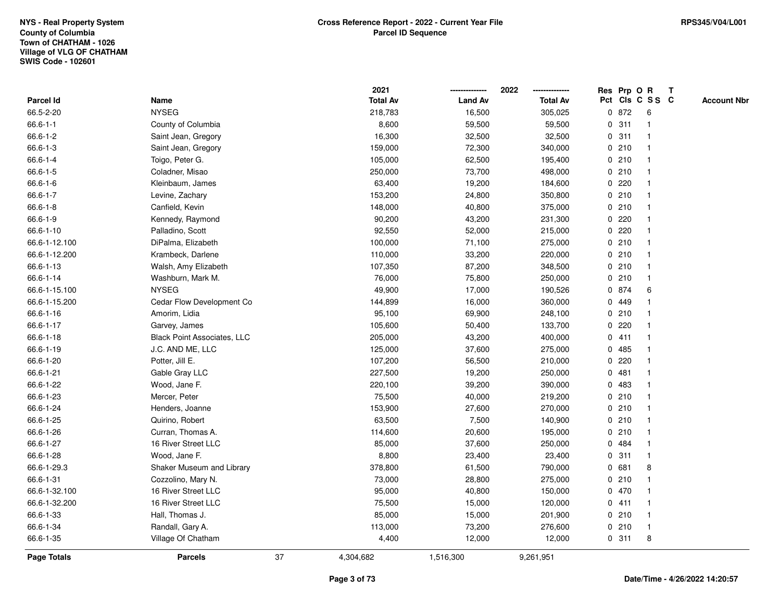|                    |                                    |    | 2021            |                | 2022            |   |       | Res Prp O R     | Т |                    |
|--------------------|------------------------------------|----|-----------------|----------------|-----------------|---|-------|-----------------|---|--------------------|
| Parcel Id          | Name                               |    | <b>Total Av</b> | <b>Land Av</b> | <b>Total Av</b> |   |       | Pct Cls C S S C |   | <b>Account Nbr</b> |
| 66.5-2-20          | <b>NYSEG</b>                       |    | 218,783         | 16,500         | 305,025         |   | 0 872 | 6               |   |                    |
| $66.6 - 1 - 1$     | County of Columbia                 |    | 8,600           | 59,500         | 59,500          | 0 | 311   | $\mathbf{1}$    |   |                    |
| $66.6 - 1 - 2$     | Saint Jean, Gregory                |    | 16,300          | 32,500         | 32,500          |   | 0.311 | $\mathbf{1}$    |   |                    |
| $66.6 - 1 - 3$     | Saint Jean, Gregory                |    | 159,000         | 72,300         | 340,000         |   | 0210  | -1              |   |                    |
| 66.6-1-4           | Toigo, Peter G.                    |    | 105,000         | 62,500         | 195,400         |   | 0210  |                 |   |                    |
| 66.6-1-5           | Coladner, Misao                    |    | 250,000         | 73,700         | 498,000         |   | 0210  |                 |   |                    |
| $66.6 - 1 - 6$     | Kleinbaum, James                   |    | 63,400          | 19,200         | 184,600         |   | 0.220 | $\mathbf 1$     |   |                    |
| $66.6 - 1 - 7$     | Levine, Zachary                    |    | 153,200         | 24,800         | 350,800         |   | 0210  | $\mathbf{1}$    |   |                    |
| $66.6 - 1 - 8$     | Canfield, Kevin                    |    | 148,000         | 40,800         | 375,000         |   | 0210  | $\mathbf{1}$    |   |                    |
| 66.6-1-9           | Kennedy, Raymond                   |    | 90,200          | 43,200         | 231,300         |   | 0.220 | $\mathbf{1}$    |   |                    |
| 66.6-1-10          | Palladino, Scott                   |    | 92,550          | 52,000         | 215,000         |   | 0.220 | $\mathbf 1$     |   |                    |
| 66.6-1-12.100      | DiPalma, Elizabeth                 |    | 100,000         | 71,100         | 275,000         |   | 0210  | 1               |   |                    |
| 66.6-1-12.200      | Krambeck, Darlene                  |    | 110,000         | 33,200         | 220,000         |   | 0210  |                 |   |                    |
| 66.6-1-13          | Walsh, Amy Elizabeth               |    | 107,350         | 87,200         | 348,500         |   | 0210  | $\mathbf 1$     |   |                    |
| 66.6-1-14          | Washburn, Mark M.                  |    | 76,000          | 75,800         | 250,000         |   | 0210  | $\mathbf{1}$    |   |                    |
| 66.6-1-15.100      | <b>NYSEG</b>                       |    | 49,900          | 17,000         | 190,526         |   | 0 874 | 6               |   |                    |
| 66.6-1-15.200      | Cedar Flow Development Co          |    | 144,899         | 16,000         | 360,000         |   | 0 449 | 1               |   |                    |
| 66.6-1-16          | Amorim, Lidia                      |    | 95,100          | 69,900         | 248,100         |   | 0210  | $\mathbf{1}$    |   |                    |
| 66.6-1-17          | Garvey, James                      |    | 105,600         | 50,400         | 133,700         |   | 0.220 |                 |   |                    |
| 66.6-1-18          | <b>Black Point Associates, LLC</b> |    | 205,000         | 43,200         | 400,000         |   | 0411  |                 |   |                    |
| 66.6-1-19          | J.C. AND ME, LLC                   |    | 125,000         | 37,600         | 275,000         |   | 0485  | $\mathbf{1}$    |   |                    |
| 66.6-1-20          | Potter, Jill E.                    |    | 107,200         | 56,500         | 210,000         |   | 0220  | $\mathbf 1$     |   |                    |
| 66.6-1-21          | Gable Gray LLC                     |    | 227,500         | 19,200         | 250,000         | 0 | 481   | $\mathbf{1}$    |   |                    |
| 66.6-1-22          | Wood, Jane F.                      |    | 220,100         | 39,200         | 390,000         | 0 | 483   | $\mathbf{1}$    |   |                    |
| 66.6-1-23          | Mercer, Peter                      |    | 75,500          | 40,000         | 219,200         |   | 0210  | $\mathbf 1$     |   |                    |
| 66.6-1-24          | Henders, Joanne                    |    | 153,900         | 27,600         | 270,000         |   | 0210  | -1              |   |                    |
| 66.6-1-25          | Quirino, Robert                    |    | 63,500          | 7,500          | 140,900         |   | 0210  |                 |   |                    |
| 66.6-1-26          | Curran, Thomas A.                  |    | 114,600         | 20,600         | 195,000         |   | 0210  | 1               |   |                    |
| 66.6-1-27          | 16 River Street LLC                |    | 85,000          | 37,600         | 250,000         | 0 | 484   | $\mathbf{1}$    |   |                    |
| 66.6-1-28          | Wood, Jane F.                      |    | 8,800           | 23,400         | 23,400          | 0 | 311   | $\mathbf{1}$    |   |                    |
| 66.6-1-29.3        | Shaker Museum and Library          |    | 378,800         | 61,500         | 790,000         |   | 0 681 | 8               |   |                    |
| 66.6-1-31          | Cozzolino, Mary N.                 |    | 73,000          | 28,800         | 275,000         |   | 0210  | $\mathbf{1}$    |   |                    |
| 66.6-1-32.100      | 16 River Street LLC                |    | 95,000          | 40,800         | 150,000         |   | 0 470 | -1              |   |                    |
| 66.6-1-32.200      | 16 River Street LLC                |    | 75,500          | 15,000         | 120,000         |   | 0411  |                 |   |                    |
| 66.6-1-33          | Hall, Thomas J.                    |    | 85,000          | 15,000         | 201,900         |   | 0210  | $\mathbf{1}$    |   |                    |
| 66.6-1-34          | Randall, Gary A.                   |    | 113,000         | 73,200         | 276,600         |   | 0210  | $\mathbf{1}$    |   |                    |
| 66.6-1-35          | Village Of Chatham                 |    | 4,400           | 12,000         | 12,000          |   | 0.311 | 8               |   |                    |
| <b>Page Totals</b> | <b>Parcels</b>                     | 37 | 4,304,682       | 1,516,300      | 9,261,951       |   |       |                 |   |                    |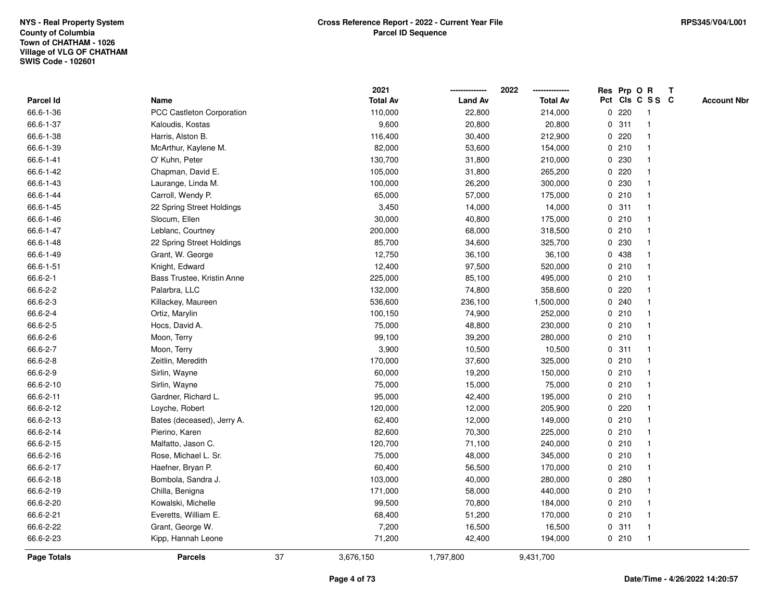|             |                            |    | 2021            |                | 2022            |             |       | Res Prp O R     | T |                    |
|-------------|----------------------------|----|-----------------|----------------|-----------------|-------------|-------|-----------------|---|--------------------|
| Parcel Id   | Name                       |    | <b>Total Av</b> | <b>Land Av</b> | <b>Total Av</b> |             |       | Pct Cls C S S C |   | <b>Account Nbr</b> |
| 66.6-1-36   | PCC Castleton Corporation  |    | 110,000         | 22,800         | 214,000         | 0           | 220   | -1              |   |                    |
| 66.6-1-37   | Kaloudis, Kostas           |    | 9,600           | 20,800         | 20,800          | 0           | 311   | -1              |   |                    |
| 66.6-1-38   | Harris, Alston B.          |    | 116,400         | 30,400         | 212,900         |             | 0.220 | -1              |   |                    |
| 66.6-1-39   | McArthur, Kaylene M.       |    | 82,000          | 53,600         | 154,000         |             | 0210  |                 |   |                    |
| 66.6-1-41   | O' Kuhn, Peter             |    | 130,700         | 31,800         | 210,000         |             | 0 230 |                 |   |                    |
| 66.6-1-42   | Chapman, David E.          |    | 105,000         | 31,800         | 265,200         |             | 0.220 |                 |   |                    |
| 66.6-1-43   | Laurange, Linda M.         |    | 100,000         | 26,200         | 300,000         |             | 0 230 |                 |   |                    |
| 66.6-1-44   | Carroll, Wendy P.          |    | 65,000          | 57,000         | 175,000         | 0           | 210   |                 |   |                    |
| 66.6-1-45   | 22 Spring Street Holdings  |    | 3,450           | 14,000         | 14,000          | 0           | 311   | -1              |   |                    |
| 66.6-1-46   | Slocum, Ellen              |    | 30,000          | 40,800         | 175,000         |             | 0210  | -1              |   |                    |
| 66.6-1-47   | Leblanc, Courtney          |    | 200,000         | 68,000         | 318,500         |             | 0210  |                 |   |                    |
| 66.6-1-48   | 22 Spring Street Holdings  |    | 85,700          | 34,600         | 325,700         |             | 0 230 |                 |   |                    |
| 66.6-1-49   | Grant, W. George           |    | 12,750          | 36,100         | 36,100          |             | 0 438 |                 |   |                    |
| 66.6-1-51   | Knight, Edward             |    | 12,400          | 97,500         | 520,000         |             | 0210  |                 |   |                    |
| 66.6-2-1    | Bass Trustee, Kristin Anne |    | 225,000         | 85,100         | 495,000         | $\mathbf 0$ | 210   |                 |   |                    |
| 66.6-2-2    | Palarbra, LLC              |    | 132,000         | 74,800         | 358,600         | 0           | 220   |                 |   |                    |
| 66.6-2-3    | Killackey, Maureen         |    | 536,600         | 236,100        | 1,500,000       | 0           | 240   |                 |   |                    |
| 66.6-2-4    | Ortiz, Marylin             |    | 100,150         | 74,900         | 252,000         |             | 0210  |                 |   |                    |
| 66.6-2-5    | Hocs, David A.             |    | 75,000          | 48,800         | 230,000         |             | 0210  |                 |   |                    |
| 66.6-2-6    | Moon, Terry                |    | 99,100          | 39,200         | 280,000         |             | 0210  |                 |   |                    |
| 66.6-2-7    | Moon, Terry                |    | 3,900           | 10,500         | 10,500          |             | 0.311 |                 |   |                    |
| 66.6-2-8    | Zeitlin, Meredith          |    | 170,000         | 37,600         | 325,000         |             | 0210  |                 |   |                    |
| 66.6-2-9    | Sirlin, Wayne              |    | 60,000          | 19,200         | 150,000         | 0           | 210   | -1              |   |                    |
| 66.6-2-10   | Sirlin, Wayne              |    | 75,000          | 15,000         | 75,000          | $\mathbf 0$ | 210   | $\mathbf{1}$    |   |                    |
| 66.6-2-11   | Gardner, Richard L.        |    | 95,000          | 42,400         | 195,000         |             | 0210  |                 |   |                    |
| 66.6-2-12   | Loyche, Robert             |    | 120,000         | 12,000         | 205,900         |             | 0.220 |                 |   |                    |
| 66.6-2-13   | Bates (deceased), Jerry A. |    | 62,400          | 12,000         | 149,000         |             | 0210  |                 |   |                    |
| 66.6-2-14   | Pierino, Karen             |    | 82,600          | 70,300         | 225,000         |             | 0210  |                 |   |                    |
| 66.6-2-15   | Malfatto, Jason C.         |    | 120,700         | 71,100         | 240,000         |             | 0210  |                 |   |                    |
| 66.6-2-16   | Rose, Michael L. Sr.       |    | 75,000          | 48,000         | 345,000         | 0           | 210   | -1              |   |                    |
| 66.6-2-17   | Haefner, Bryan P.          |    | 60,400          | 56,500         | 170,000         |             | 0210  | -1              |   |                    |
| 66.6-2-18   | Bombola, Sandra J.         |    | 103,000         | 40,000         | 280,000         |             | 0.280 | $\mathbf 1$     |   |                    |
| 66.6-2-19   | Chilla, Benigna            |    | 171,000         | 58,000         | 440,000         |             | 0210  |                 |   |                    |
| 66.6-2-20   | Kowalski, Michelle         |    | 99,500          | 70,800         | 184,000         |             | 0210  |                 |   |                    |
| 66.6-2-21   | Everetts, William E.       |    | 68,400          | 51,200         | 170,000         |             | 0210  | $\mathbf{1}$    |   |                    |
| 66.6-2-22   | Grant, George W.           |    | 7,200           | 16,500         | 16,500          | 0           | 311   | $\mathbf{1}$    |   |                    |
| 66.6-2-23   | Kipp, Hannah Leone         |    | 71,200          | 42,400         | 194,000         |             | 0210  | $\mathbf{1}$    |   |                    |
| Page Totals | <b>Parcels</b>             | 37 | 3,676,150       | 1,797,800      | 9,431,700       |             |       |                 |   |                    |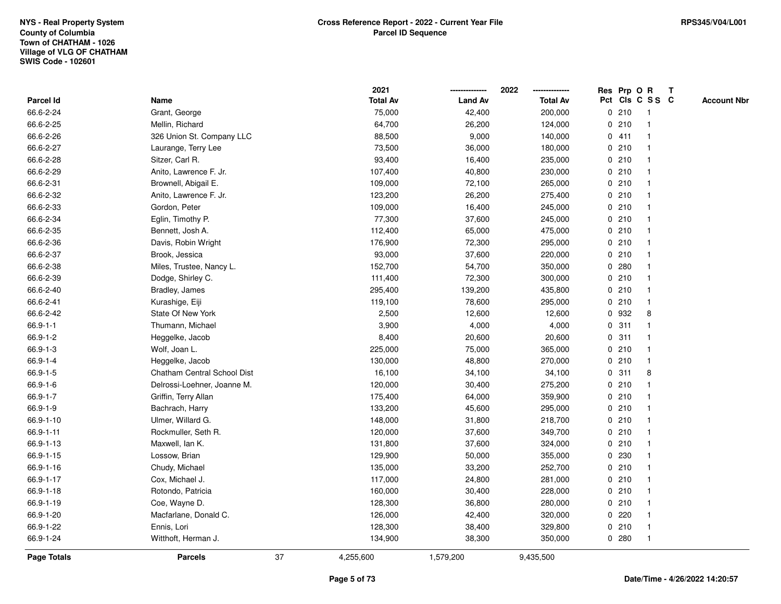|                |                             |    | 2021            |                | 2022            |              |         | Res Prp O R     | Т |                    |
|----------------|-----------------------------|----|-----------------|----------------|-----------------|--------------|---------|-----------------|---|--------------------|
| Parcel Id      | Name                        |    | <b>Total Av</b> | <b>Land Av</b> | <b>Total Av</b> |              |         | Pct Cls C S S C |   | <b>Account Nbr</b> |
| 66.6-2-24      | Grant, George               |    | 75,000          | 42,400         | 200,000         |              | 0210    | -1              |   |                    |
| 66.6-2-25      | Mellin, Richard             |    | 64,700          | 26,200         | 124,000         |              | 0210    | $\mathbf{1}$    |   |                    |
| 66.6-2-26      | 326 Union St. Company LLC   |    | 88,500          | 9,000          | 140,000         |              | 0411    | $\mathbf{1}$    |   |                    |
| 66.6-2-27      | Laurange, Terry Lee         |    | 73,500          | 36,000         | 180,000         |              | 0210    | $\mathbf{1}$    |   |                    |
| 66.6-2-28      | Sitzer, Carl R.             |    | 93,400          | 16,400         | 235,000         |              | 0210    | 1               |   |                    |
| 66.6-2-29      | Anito, Lawrence F. Jr.      |    | 107,400         | 40,800         | 230,000         |              | 0210    | $\mathbf{1}$    |   |                    |
| 66.6-2-31      | Brownell, Abigail E.        |    | 109,000         | 72,100         | 265,000         |              | 0210    | $\mathbf{1}$    |   |                    |
| 66.6-2-32      | Anito, Lawrence F. Jr.      |    | 123,200         | 26,200         | 275,400         |              | 0210    | $\mathbf{1}$    |   |                    |
| 66.6-2-33      | Gordon, Peter               |    | 109,000         | 16,400         | 245,000         |              | 0210    | $\mathbf{1}$    |   |                    |
| 66.6-2-34      | Eglin, Timothy P.           |    | 77,300          | 37,600         | 245,000         |              | 0210    | $\mathbf{1}$    |   |                    |
| 66.6-2-35      | Bennett, Josh A.            |    | 112,400         | 65,000         | 475,000         |              | 0210    | $\mathbf{1}$    |   |                    |
| 66.6-2-36      | Davis, Robin Wright         |    | 176,900         | 72,300         | 295,000         |              | 0210    | 1               |   |                    |
| 66.6-2-37      | Brook, Jessica              |    | 93,000          | 37,600         | 220,000         |              | 0210    | 1               |   |                    |
| 66.6-2-38      | Miles, Trustee, Nancy L.    |    | 152,700         | 54,700         | 350,000         |              | 0.280   | $\mathbf{1}$    |   |                    |
| 66.6-2-39      | Dodge, Shirley C.           |    | 111,400         | 72,300         | 300,000         |              | 0210    | $\mathbf{1}$    |   |                    |
| 66.6-2-40      | Bradley, James              |    | 295,400         | 139,200        | 435,800         |              | 0210    | $\mathbf{1}$    |   |                    |
| 66.6-2-41      | Kurashige, Eiji             |    | 119,100         | 78,600         | 295,000         |              | 0210    | $\mathbf{1}$    |   |                    |
| 66.6-2-42      | State Of New York           |    | 2,500           | 12,600         | 12,600          |              | 0 932   | 8               |   |                    |
| $66.9 - 1 - 1$ | Thumann, Michael            |    | 3,900           | 4,000          | 4,000           |              | 0.311   | 1               |   |                    |
| 66.9-1-2       | Heggelke, Jacob             |    | 8,400           | 20,600         | 20,600          |              | 0.311   | $\mathbf{1}$    |   |                    |
| 66.9-1-3       | Wolf, Joan L.               |    | 225,000         | 75,000         | 365,000         |              | 0210    | $\mathbf{1}$    |   |                    |
| 66.9-1-4       | Heggelke, Jacob             |    | 130,000         | 48,800         | 270,000         |              | 0210    | $\mathbf{1}$    |   |                    |
| 66.9-1-5       | Chatham Central School Dist |    | 16,100          | 34,100         | 34,100          | $\mathbf{0}$ | 311     | 8               |   |                    |
| 66.9-1-6       | Delrossi-Loehner, Joanne M. |    | 120,000         | 30,400         | 275,200         |              | 0210    | $\mathbf{1}$    |   |                    |
| 66.9-1-7       | Griffin, Terry Allan        |    | 175,400         | 64,000         | 359,900         |              | 0210    | $\mathbf{1}$    |   |                    |
| 66.9-1-9       | Bachrach, Harry             |    | 133,200         | 45,600         | 295,000         |              | 0210    | 1               |   |                    |
| 66.9-1-10      | Ulmer, Willard G.           |    | 148,000         | 31,800         | 218,700         |              | 0210    | 1               |   |                    |
| 66.9-1-11      | Rockmuller, Seth R.         |    | 120,000         | 37,600         | 349,700         |              | 0210    | 1               |   |                    |
| 66.9-1-13      | Maxwell, Ian K.             |    | 131,800         | 37,600         | 324,000         |              | 0210    | $\mathbf{1}$    |   |                    |
| 66.9-1-15      | Lossow, Brian               |    | 129,900         | 50,000         | 355,000         |              | 0 230   | 1               |   |                    |
| 66.9-1-16      | Chudy, Michael              |    | 135,000         | 33,200         | 252,700         |              | 0210    | $\mathbf{1}$    |   |                    |
| 66.9-1-17      | Cox, Michael J.             |    | 117,000         | 24,800         | 281,000         |              | 0210    | $\mathbf{1}$    |   |                    |
| 66.9-1-18      | Rotondo, Patricia           |    | 160,000         | 30,400         | 228,000         |              | 0210    | $\mathbf{1}$    |   |                    |
| 66.9-1-19      | Coe, Wayne D.               |    | 128,300         | 36,800         | 280,000         |              | 0210    | $\mathbf{1}$    |   |                    |
| 66.9-1-20      | Macfarlane, Donald C.       |    | 126,000         | 42,400         | 320,000         |              | $0$ 220 | $\mathbf{1}$    |   |                    |
| 66.9-1-22      | Ennis, Lori                 |    | 128,300         | 38,400         | 329,800         |              | 0210    | $\mathbf{1}$    |   |                    |
| 66.9-1-24      | Witthoft, Herman J.         |    | 134,900         | 38,300         | 350,000         |              | 0.280   | $\mathbf{1}$    |   |                    |
| Page Totals    | <b>Parcels</b>              | 37 | 4,255,600       | 1,579,200      | 9,435,500       |              |         |                 |   |                    |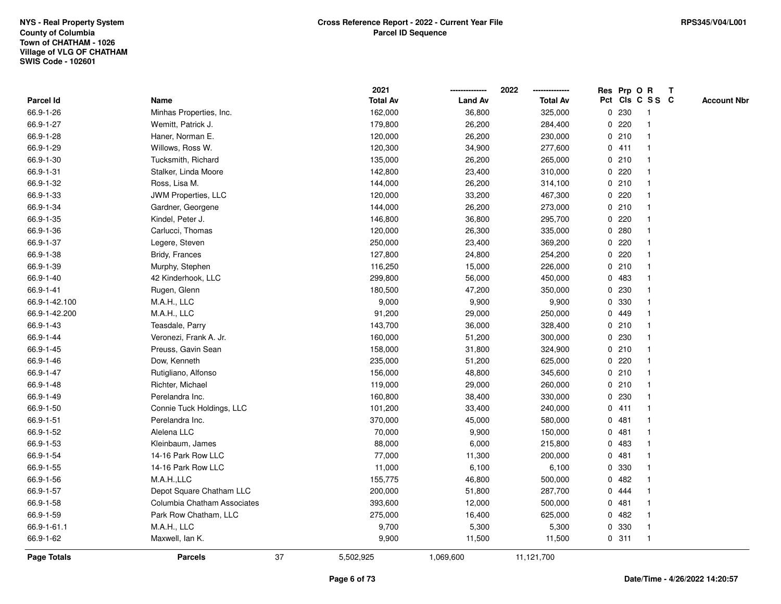|                    |                             |    | 2021            |                | 2022            |             | Res Prp O R |                 | T |                    |
|--------------------|-----------------------------|----|-----------------|----------------|-----------------|-------------|-------------|-----------------|---|--------------------|
| Parcel Id          | Name                        |    | <b>Total Av</b> | <b>Land Av</b> | <b>Total Av</b> |             |             | Pct Cls C S S C |   | <b>Account Nbr</b> |
| 66.9-1-26          | Minhas Properties, Inc.     |    | 162,000         | 36,800         | 325,000         | 0           | 230         | -1              |   |                    |
| 66.9-1-27          | Wemitt, Patrick J.          |    | 179,800         | 26,200         | 284,400         | 0           | 220         | -1              |   |                    |
| 66.9-1-28          | Haner, Norman E.            |    | 120,000         | 26,200         | 230,000         |             | 0210        | -1              |   |                    |
| 66.9-1-29          | Willows, Ross W.            |    | 120,300         | 34,900         | 277,600         |             | 0411        |                 |   |                    |
| 66.9-1-30          | Tucksmith, Richard          |    | 135,000         | 26,200         | 265,000         |             | 0210        |                 |   |                    |
| 66.9-1-31          | Stalker, Linda Moore        |    | 142,800         | 23,400         | 310,000         |             | 0.220       |                 |   |                    |
| 66.9-1-32          | Ross, Lisa M.               |    | 144,000         | 26,200         | 314,100         |             | 0210        |                 |   |                    |
| 66.9-1-33          | JWM Properties, LLC         |    | 120,000         | 33,200         | 467,300         | 0           | 220         |                 |   |                    |
| 66.9-1-34          | Gardner, Georgene           |    | 144,000         | 26,200         | 273,000         |             | 0210        |                 |   |                    |
| 66.9-1-35          | Kindel, Peter J.            |    | 146,800         | 36,800         | 295,700         |             | 0.220       |                 |   |                    |
| 66.9-1-36          | Carlucci, Thomas            |    | 120,000         | 26,300         | 335,000         |             | 0.280       |                 |   |                    |
| 66.9-1-37          | Legere, Steven              |    | 250,000         | 23,400         | 369,200         |             | 0.220       |                 |   |                    |
| 66.9-1-38          | Bridy, Frances              |    | 127,800         | 24,800         | 254,200         | 0           | 220         |                 |   |                    |
| 66.9-1-39          | Murphy, Stephen             |    | 116,250         | 15,000         | 226,000         |             | 0210        |                 |   |                    |
| 66.9-1-40          | 42 Kinderhook, LLC          |    | 299,800         | 56,000         | 450,000         | 0           | 483         |                 |   |                    |
| 66.9-1-41          | Rugen, Glenn                |    | 180,500         | 47,200         | 350,000         | 0           | 230         |                 |   |                    |
| 66.9-1-42.100      | M.A.H., LLC                 |    | 9,000           | 9,900          | 9,900           | $\mathbf 0$ | 330         |                 |   |                    |
| 66.9-1-42.200      | M.A.H., LLC                 |    | 91,200          | 29,000         | 250,000         |             | 0 449       |                 |   |                    |
| 66.9-1-43          | Teasdale, Parry             |    | 143,700         | 36,000         | 328,400         |             | 0210        |                 |   |                    |
| 66.9-1-44          | Veronezi, Frank A. Jr.      |    | 160,000         | 51,200         | 300,000         |             | 0 230       |                 |   |                    |
| 66.9-1-45          | Preuss, Gavin Sean          |    | 158,000         | 31,800         | 324,900         |             | 0210        |                 |   |                    |
| 66.9-1-46          | Dow, Kenneth                |    | 235,000         | 51,200         | 625,000         | 0           | 220         |                 |   |                    |
| 66.9-1-47          | Rutigliano, Alfonso         |    | 156,000         | 48,800         | 345,600         |             | 0210        | -1              |   |                    |
| 66.9-1-48          | Richter, Michael            |    | 119,000         | 29,000         | 260,000         | $\mathbf 0$ | 210         |                 |   |                    |
| 66.9-1-49          | Perelandra Inc.             |    | 160,800         | 38,400         | 330,000         |             | 0 230       |                 |   |                    |
| 66.9-1-50          | Connie Tuck Holdings, LLC   |    | 101,200         | 33,400         | 240,000         |             | 0411        |                 |   |                    |
| 66.9-1-51          | Perelandra Inc.             |    | 370,000         | 45,000         | 580,000         |             | 0481        |                 |   |                    |
| 66.9-1-52          | Alelena LLC                 |    | 70,000          | 9,900          | 150,000         |             | 0481        |                 |   |                    |
| 66.9-1-53          | Kleinbaum, James            |    | 88,000          | 6,000          | 215,800         | 0           | 483         |                 |   |                    |
| 66.9-1-54          | 14-16 Park Row LLC          |    | 77,000          | 11,300         | 200,000         | 0           | 481         |                 |   |                    |
| 66.9-1-55          | 14-16 Park Row LLC          |    | 11,000          | 6,100          | 6,100           | 0           | 330         | -1              |   |                    |
| 66.9-1-56          | M.A.H.,LLC                  |    | 155,775         | 46,800         | 500,000         |             | 0.482       |                 |   |                    |
| 66.9-1-57          | Depot Square Chatham LLC    |    | 200,000         | 51,800         | 287,700         |             | 0 444       |                 |   |                    |
| 66.9-1-58          | Columbia Chatham Associates |    | 393,600         | 12,000         | 500,000         |             | 0481        |                 |   |                    |
| 66.9-1-59          | Park Row Chatham, LLC       |    | 275,000         | 16,400         | 625,000         |             | 0.482       |                 |   |                    |
| 66.9-1-61.1        | M.A.H., LLC                 |    | 9,700           | 5,300          | 5,300           | 0           | 330         |                 |   |                    |
| 66.9-1-62          | Maxwell, Ian K.             |    | 9,900           | 11,500         | 11,500          |             | 0.311       | $\overline{1}$  |   |                    |
| <b>Page Totals</b> | <b>Parcels</b>              | 37 | 5,502,925       | 1,069,600      | 11,121,700      |             |             |                 |   |                    |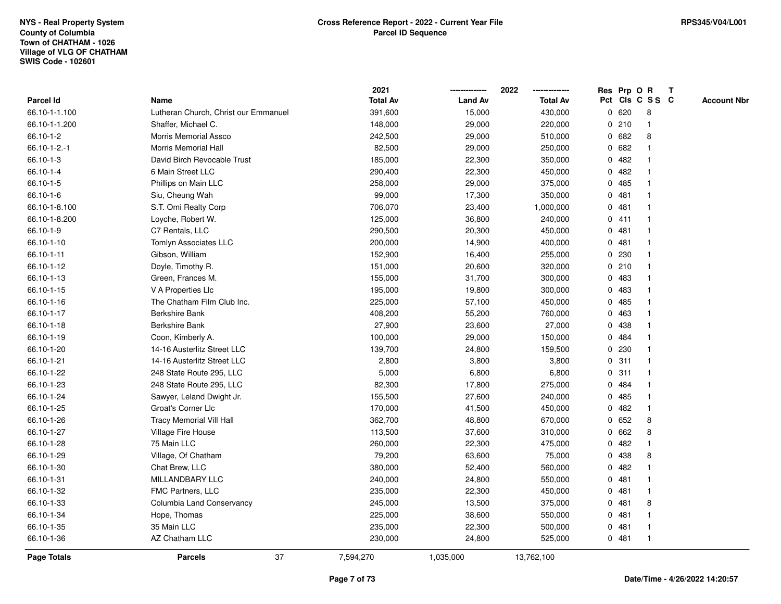|                    |                                      |    | 2021            |                | 2022            |              |       | Res Prp O R     | Т |                    |
|--------------------|--------------------------------------|----|-----------------|----------------|-----------------|--------------|-------|-----------------|---|--------------------|
| <b>Parcel Id</b>   | Name                                 |    | <b>Total Av</b> | <b>Land Av</b> | <b>Total Av</b> |              |       | Pct Cls C S S C |   | <b>Account Nbr</b> |
| 66.10-1-1.100      | Lutheran Church, Christ our Emmanuel |    | 391,600         | 15,000         | 430,000         | $\mathbf 0$  | 620   | 8               |   |                    |
| 66.10-1-1.200      | Shaffer, Michael C.                  |    | 148,000         | 29,000         | 220,000         | 0            | 210   | $\mathbf{1}$    |   |                    |
| 66.10-1-2          | <b>Morris Memorial Assco</b>         |    | 242,500         | 29,000         | 510,000         |              | 0682  | 8               |   |                    |
| 66.10-1-2.-1       | Morris Memorial Hall                 |    | 82,500          | 29,000         | 250,000         |              | 0682  |                 |   |                    |
| 66.10-1-3          | David Birch Revocable Trust          |    | 185,000         | 22,300         | 350,000         |              | 0.482 |                 |   |                    |
| 66.10-1-4          | 6 Main Street LLC                    |    | 290,400         | 22,300         | 450,000         | $\mathbf{0}$ | 482   |                 |   |                    |
| 66.10-1-5          | Phillips on Main LLC                 |    | 258,000         | 29,000         | 375,000         | 0            | 485   |                 |   |                    |
| 66.10-1-6          | Siu, Cheung Wah                      |    | 99,000          | 17,300         | 350,000         | 0            | 481   | $\mathbf{1}$    |   |                    |
| 66.10-1-8.100      | S.T. Omi Realty Corp                 |    | 706,070         | 23,400         | 1,000,000       | 0            | 481   | $\mathbf 1$     |   |                    |
| 66.10-1-8.200      | Loyche, Robert W.                    |    | 125,000         | 36,800         | 240,000         |              | 0411  | $\mathbf 1$     |   |                    |
| 66.10-1-9          | C7 Rentals, LLC                      |    | 290,500         | 20,300         | 450,000         |              | 0481  |                 |   |                    |
| 66.10-1-10         | Tomlyn Associates LLC                |    | 200,000         | 14,900         | 400,000         |              | 0.481 |                 |   |                    |
| 66.10-1-11         | Gibson, William                      |    | 152,900         | 16,400         | 255,000         | $\mathbf{0}$ | 230   |                 |   |                    |
| 66.10-1-12         | Doyle, Timothy R.                    |    | 151,000         | 20,600         | 320,000         |              | 0210  |                 |   |                    |
| 66.10-1-13         | Green, Frances M.                    |    | 155,000         | 31,700         | 300,000         | 0            | 483   | $\mathbf 1$     |   |                    |
| 66.10-1-15         | V A Properties Llc                   |    | 195,000         | 19,800         | 300,000         | $\mathbf{0}$ | 483   |                 |   |                    |
| 66.10-1-16         | The Chatham Film Club Inc.           |    | 225,000         | 57,100         | 450,000         | $\mathbf 0$  | 485   | $\mathbf{1}$    |   |                    |
| 66.10-1-17         | Berkshire Bank                       |    | 408,200         | 55,200         | 760,000         |              | 0 463 |                 |   |                    |
| 66.10-1-18         | Berkshire Bank                       |    | 27,900          | 23,600         | 27,000          |              | 0 438 |                 |   |                    |
| 66.10-1-19         | Coon, Kimberly A.                    |    | 100,000         | 29,000         | 150,000         | $\mathbf{0}$ | 484   |                 |   |                    |
| 66.10-1-20         | 14-16 Austerlitz Street LLC          |    | 139,700         | 24,800         | 159,500         | 0            | 230   |                 |   |                    |
| 66.10-1-21         | 14-16 Austerlitz Street LLC          |    | 2,800           | 3,800          | 3,800           | 0            | 311   | 1               |   |                    |
| 66.10-1-22         | 248 State Route 295, LLC             |    | 5,000           | 6,800          | 6,800           | 0            | 311   | 1               |   |                    |
| 66.10-1-23         | 248 State Route 295, LLC             |    | 82,300          | 17,800         | 275,000         | $\mathbf{0}$ | 484   | 1               |   |                    |
| 66.10-1-24         | Sawyer, Leland Dwight Jr.            |    | 155,500         | 27,600         | 240,000         |              | 0 485 | 1               |   |                    |
| 66.10-1-25         | Groat's Corner Llc                   |    | 170,000         | 41,500         | 450,000         |              | 0.482 |                 |   |                    |
| 66.10-1-26         | <b>Tracy Memorial Vill Hall</b>      |    | 362,700         | 48,800         | 670,000         |              | 0652  | 8               |   |                    |
| 66.10-1-27         | Village Fire House                   |    | 113,500         | 37,600         | 310,000         | 0            | 662   | 8               |   |                    |
| 66.10-1-28         | 75 Main LLC                          |    | 260,000         | 22,300         | 475,000         | $\mathbf 0$  | 482   |                 |   |                    |
| 66.10-1-29         | Village, Of Chatham                  |    | 79,200          | 63,600         | 75,000          | 0            | 438   | 8               |   |                    |
| 66.10-1-30         | Chat Brew, LLC                       |    | 380,000         | 52,400         | 560,000         | 0            | 482   | 1               |   |                    |
| 66.10-1-31         | MILLANDBARY LLC                      |    | 240,000         | 24,800         | 550,000         |              | 0481  | $\mathbf{1}$    |   |                    |
| 66.10-1-32         | FMC Partners, LLC                    |    | 235,000         | 22,300         | 450,000         |              | 0481  | $\mathbf 1$     |   |                    |
| 66.10-1-33         | Columbia Land Conservancy            |    | 245,000         | 13,500         | 375,000         |              | 0.481 | 8               |   |                    |
| 66.10-1-34         | Hope, Thomas                         |    | 225,000         | 38,600         | 550,000         |              | 0.481 |                 |   |                    |
| 66.10-1-35         | 35 Main LLC                          |    | 235,000         | 22,300         | 500,000         | $\mathbf{0}$ | 481   | $\mathbf 1$     |   |                    |
| 66.10-1-36         | AZ Chatham LLC                       |    | 230,000         | 24,800         | 525,000         |              | 0481  | $\overline{1}$  |   |                    |
| <b>Page Totals</b> | <b>Parcels</b>                       | 37 | 7,594,270       | 1,035,000      | 13,762,100      |              |       |                 |   |                    |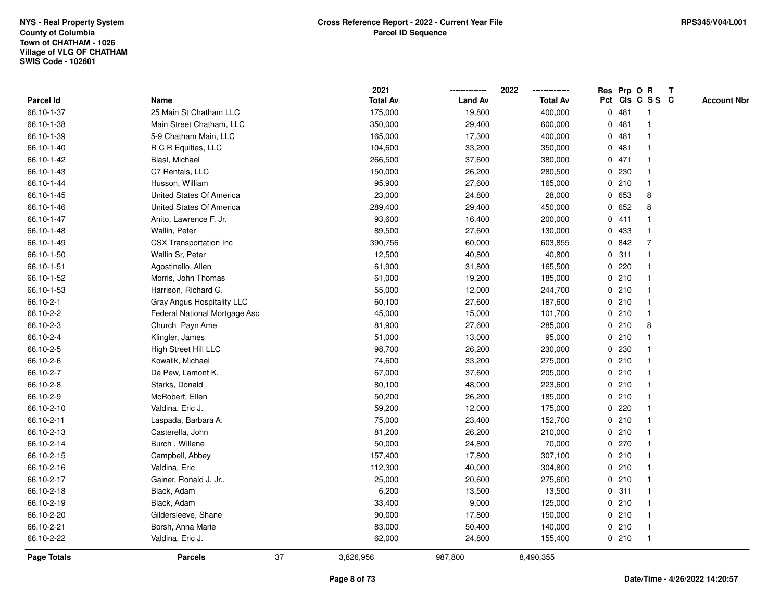|                    |                               |    | 2021            |                | 2022            |              |         | Res Prp O R     | Т |                    |
|--------------------|-------------------------------|----|-----------------|----------------|-----------------|--------------|---------|-----------------|---|--------------------|
| Parcel Id          | Name                          |    | <b>Total Av</b> | <b>Land Av</b> | <b>Total Av</b> |              |         | Pct Cls C S S C |   | <b>Account Nbr</b> |
| 66.10-1-37         | 25 Main St Chatham LLC        |    | 175,000         | 19,800         | 400,000         | 0            | 481     | -1              |   |                    |
| 66.10-1-38         | Main Street Chatham, LLC      |    | 350,000         | 29,400         | 600,000         | 0            | 481     | -1              |   |                    |
| 66.10-1-39         | 5-9 Chatham Main, LLC         |    | 165,000         | 17,300         | 400,000         |              | 0481    | $\mathbf 1$     |   |                    |
| 66.10-1-40         | R C R Equities, LLC           |    | 104,600         | 33,200         | 350,000         |              | 0481    |                 |   |                    |
| 66.10-1-42         | Blasl, Michael                |    | 266,500         | 37,600         | 380,000         |              | 0471    |                 |   |                    |
| 66.10-1-43         | C7 Rentals, LLC               |    | 150,000         | 26,200         | 280,500         |              | 0 230   |                 |   |                    |
| 66.10-1-44         | Husson, William               |    | 95,900          | 27,600         | 165,000         |              | 0210    |                 |   |                    |
| 66.10-1-45         | United States Of America      |    | 23,000          | 24,800         | 28,000          | 0            | 653     | 8               |   |                    |
| 66.10-1-46         | United States Of America      |    | 289,400         | 29,400         | 450,000         | $\mathbf{0}$ | 652     | 8               |   |                    |
| 66.10-1-47         | Anito, Lawrence F. Jr.        |    | 93,600          | 16,400         | 200,000         |              | 0411    | -1              |   |                    |
| 66.10-1-48         | Wallin, Peter                 |    | 89,500          | 27,600         | 130,000         |              | 0 433   | $\mathbf 1$     |   |                    |
| 66.10-1-49         | CSX Transportation Inc        |    | 390,756         | 60,000         | 603,855         |              | 0842    | $\overline{7}$  |   |                    |
| 66.10-1-50         | Wallin Sr, Peter              |    | 12,500          | 40,800         | 40,800          |              | 0.311   |                 |   |                    |
| 66.10-1-51         | Agostinello, Allen            |    | 61,900          | 31,800         | 165,500         |              | 0220    |                 |   |                    |
| 66.10-1-52         | Morris, John Thomas           |    | 61,000          | 19,200         | 185,000         |              | 0210    |                 |   |                    |
| 66.10-1-53         | Harrison, Richard G.          |    | 55,000          | 12,000         | 244,700         |              | 0210    | -1              |   |                    |
| 66.10-2-1          | Gray Angus Hospitality LLC    |    | 60,100          | 27,600         | 187,600         |              | 0210    | -1              |   |                    |
| 66.10-2-2          | Federal National Mortgage Asc |    | 45,000          | 15,000         | 101,700         |              | 0210    | -1              |   |                    |
| 66.10-2-3          | Church Payn Ame               |    | 81,900          | 27,600         | 285,000         |              | 0210    | 8               |   |                    |
| 66.10-2-4          | Klingler, James               |    | 51,000          | 13,000         | 95,000          |              | 0210    |                 |   |                    |
| 66.10-2-5          | High Street Hill LLC          |    | 98,700          | 26,200         | 230,000         |              | 0 230   |                 |   |                    |
| 66.10-2-6          | Kowalik, Michael              |    | 74,600          | 33,200         | 275,000         |              | 0210    |                 |   |                    |
| 66.10-2-7          | De Pew, Lamont K.             |    | 67,000          | 37,600         | 205,000         |              | 0210    | -1              |   |                    |
| 66.10-2-8          | Starks, Donald                |    | 80,100          | 48,000         | 223,600         |              | 0210    | -1              |   |                    |
| 66.10-2-9          | McRobert, Ellen               |    | 50,200          | 26,200         | 185,000         |              | 0210    | -1              |   |                    |
| 66.10-2-10         | Valdina, Eric J.              |    | 59,200          | 12,000         | 175,000         |              | $0$ 220 |                 |   |                    |
| 66.10-2-11         | Laspada, Barbara A.           |    | 75,000          | 23,400         | 152,700         |              | 0210    |                 |   |                    |
| 66.10-2-13         | Casterella, John              |    | 81,200          | 26,200         | 210,000         |              | 0210    |                 |   |                    |
| 66.10-2-14         | Burch, Willene                |    | 50,000          | 24,800         | 70,000          |              | 0270    | -1              |   |                    |
| 66.10-2-15         | Campbell, Abbey               |    | 157,400         | 17,800         | 307,100         |              | 0210    | -1              |   |                    |
| 66.10-2-16         | Valdina, Eric                 |    | 112,300         | 40,000         | 304,800         |              | 0210    | -1              |   |                    |
| 66.10-2-17         | Gainer, Ronald J. Jr          |    | 25,000          | 20,600         | 275,600         |              | 0210    | -1              |   |                    |
| 66.10-2-18         | Black, Adam                   |    | 6,200           | 13,500         | 13,500          |              | 0.311   |                 |   |                    |
| 66.10-2-19         | Black, Adam                   |    | 33,400          | 9,000          | 125,000         |              | 0210    |                 |   |                    |
| 66.10-2-20         | Gildersleeve, Shane           |    | 90,000          | 17,800         | 150,000         |              | 0210    | -1              |   |                    |
| 66.10-2-21         | Borsh, Anna Marie             |    | 83,000          | 50,400         | 140,000         |              | 0210    | -1              |   |                    |
| 66.10-2-22         | Valdina, Eric J.              |    | 62,000          | 24,800         | 155,400         |              | 0210    | $\mathbf{1}$    |   |                    |
| <b>Page Totals</b> | <b>Parcels</b>                | 37 | 3,826,956       | 987,800        | 8,490,355       |              |         |                 |   |                    |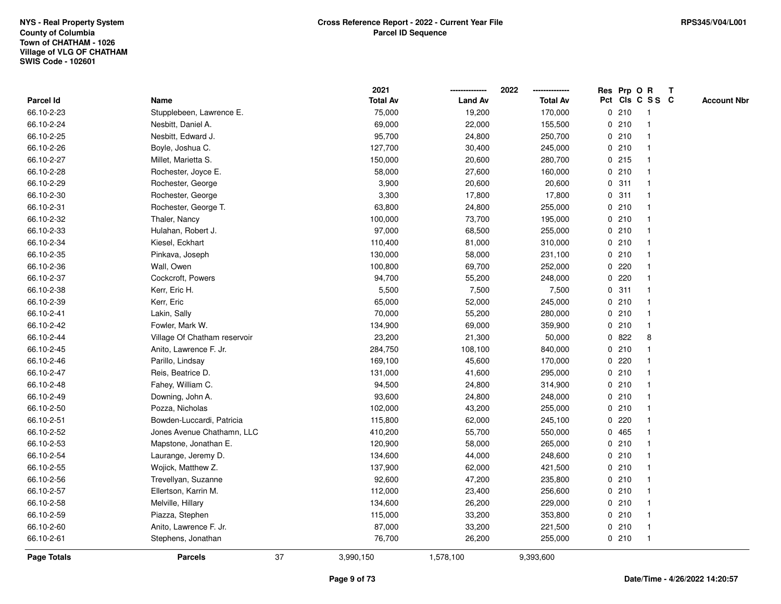|                    |                              |    | 2021            |                | 2022            |   | Res Prp O R |                 | Т |                    |
|--------------------|------------------------------|----|-----------------|----------------|-----------------|---|-------------|-----------------|---|--------------------|
| Parcel Id          | Name                         |    | <b>Total Av</b> | <b>Land Av</b> | <b>Total Av</b> |   |             | Pct Cls C S S C |   | <b>Account Nbr</b> |
| 66.10-2-23         | Stupplebeen, Lawrence E.     |    | 75,000          | 19,200         | 170,000         |   | 0210        | $\mathbf{1}$    |   |                    |
| 66.10-2-24         | Nesbitt, Daniel A.           |    | 69,000          | 22,000         | 155,500         |   | 0210        | $\mathbf{1}$    |   |                    |
| 66.10-2-25         | Nesbitt, Edward J.           |    | 95,700          | 24,800         | 250,700         |   | 0210        | $\mathbf{1}$    |   |                    |
| 66.10-2-26         | Boyle, Joshua C.             |    | 127,700         | 30,400         | 245,000         |   | 0210        | -1              |   |                    |
| 66.10-2-27         | Millet, Marietta S.          |    | 150,000         | 20,600         | 280,700         |   | 0215        |                 |   |                    |
| 66.10-2-28         | Rochester, Joyce E.          |    | 58,000          | 27,600         | 160,000         |   | 0210        |                 |   |                    |
| 66.10-2-29         | Rochester, George            |    | 3,900           | 20,600         | 20,600          |   | 0.311       | $\mathbf{1}$    |   |                    |
| 66.10-2-30         | Rochester, George            |    | 3,300           | 17,800         | 17,800          | 0 | 311         | $\mathbf{1}$    |   |                    |
| 66.10-2-31         | Rochester, George T.         |    | 63,800          | 24,800         | 255,000         |   | 0210        | $\mathbf{1}$    |   |                    |
| 66.10-2-32         | Thaler, Nancy                |    | 100,000         | 73,700         | 195,000         |   | 0210        | $\mathbf{1}$    |   |                    |
| 66.10-2-33         | Hulahan, Robert J.           |    | 97,000          | 68,500         | 255,000         |   | 0210        | $\mathbf 1$     |   |                    |
| 66.10-2-34         | Kiesel, Eckhart              |    | 110,400         | 81,000         | 310,000         |   | 0210        | 1               |   |                    |
| 66.10-2-35         | Pinkava, Joseph              |    | 130,000         | 58,000         | 231,100         |   | 0210        |                 |   |                    |
| 66.10-2-36         | Wall, Owen                   |    | 100,800         | 69,700         | 252,000         |   | $0$ 220     | $\mathbf 1$     |   |                    |
| 66.10-2-37         | Cockcroft, Powers            |    | 94,700          | 55,200         | 248,000         | 0 | 220         | $\mathbf{1}$    |   |                    |
| 66.10-2-38         | Kerr, Eric H.                |    | 5,500           | 7,500          | 7,500           | 0 | 311         | $\mathbf{1}$    |   |                    |
| 66.10-2-39         | Kerr, Eric                   |    | 65,000          | 52,000         | 245,000         |   | 0210        | $\mathbf{1}$    |   |                    |
| 66.10-2-41         | Lakin, Sally                 |    | 70,000          | 55,200         | 280,000         |   | 0210        | $\mathbf{1}$    |   |                    |
| 66.10-2-42         | Fowler, Mark W.              |    | 134,900         | 69,000         | 359,900         |   | 0210        | $\mathbf{1}$    |   |                    |
| 66.10-2-44         | Village Of Chatham reservoir |    | 23,200          | 21,300         | 50,000          |   | 0822        | 8               |   |                    |
| 66.10-2-45         | Anito, Lawrence F. Jr.       |    | 284,750         | 108,100        | 840,000         |   | 0210        | $\mathbf{1}$    |   |                    |
| 66.10-2-46         | Parillo, Lindsay             |    | 169,100         | 45,600         | 170,000         |   | 0220        | $\mathbf 1$     |   |                    |
| 66.10-2-47         | Reis, Beatrice D.            |    | 131,000         | 41,600         | 295,000         |   | 0210        | $\mathbf{1}$    |   |                    |
| 66.10-2-48         | Fahey, William C.            |    | 94,500          | 24,800         | 314,900         |   | 0210        | $\mathbf{1}$    |   |                    |
| 66.10-2-49         | Downing, John A.             |    | 93,600          | 24,800         | 248,000         |   | 0210        | $\mathbf 1$     |   |                    |
| 66.10-2-50         | Pozza, Nicholas              |    | 102,000         | 43,200         | 255,000         |   | 0210        | -1              |   |                    |
| 66.10-2-51         | Bowden-Luccardi, Patricia    |    | 115,800         | 62,000         | 245,100         |   | 0220        |                 |   |                    |
| 66.10-2-52         | Jones Avenue Chathamn, LLC   |    | 410,200         | 55,700         | 550,000         |   | 0 465       | $\mathbf 1$     |   |                    |
| 66.10-2-53         | Mapstone, Jonathan E.        |    | 120,900         | 58,000         | 265,000         |   | 0210        | $\mathbf{1}$    |   |                    |
| 66.10-2-54         | Laurange, Jeremy D.          |    | 134,600         | 44,000         | 248,600         |   | 0210        | $\mathbf{1}$    |   |                    |
| 66.10-2-55         | Wojick, Matthew Z.           |    | 137,900         | 62,000         | 421,500         |   | 0210        | $\mathbf{1}$    |   |                    |
| 66.10-2-56         | Trevellyan, Suzanne          |    | 92,600          | 47,200         | 235,800         |   | 0210        | $\mathbf{1}$    |   |                    |
| 66.10-2-57         | Ellertson, Karrin M.         |    | 112,000         | 23,400         | 256,600         |   | 0210        | $\mathbf 1$     |   |                    |
| 66.10-2-58         | Melville, Hillary            |    | 134,600         | 26,200         | 229,000         |   | 0210        |                 |   |                    |
| 66.10-2-59         | Piazza, Stephen              |    | 115,000         | 33,200         | 353,800         |   | 0210        | $\mathbf{1}$    |   |                    |
| 66.10-2-60         | Anito, Lawrence F. Jr.       |    | 87,000          | 33,200         | 221,500         |   | 0210        | $\mathbf{1}$    |   |                    |
| 66.10-2-61         | Stephens, Jonathan           |    | 76,700          | 26,200         | 255,000         |   | 0210        | $\mathbf{1}$    |   |                    |
| <b>Page Totals</b> | <b>Parcels</b>               | 37 | 3,990,150       | 1,578,100      | 9,393,600       |   |             |                 |   |                    |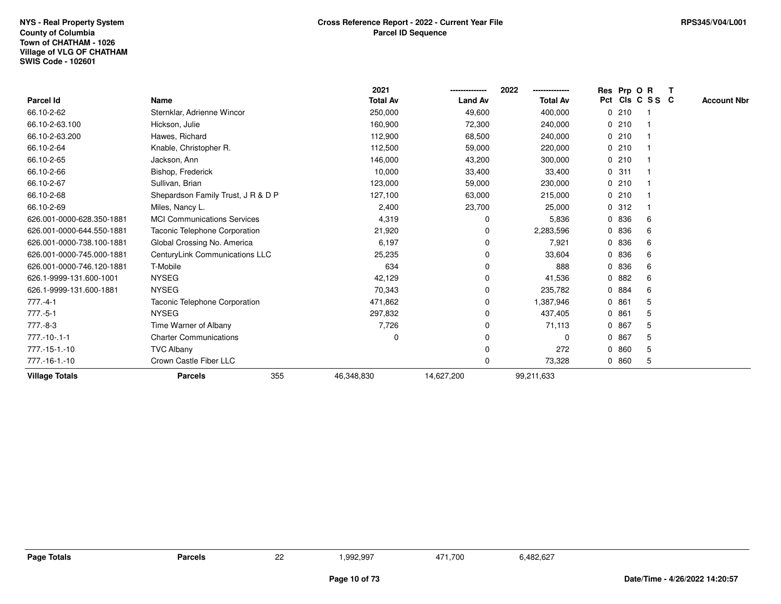|                           |                                    |     | 2021            |                | 2022<br>-------------- | Res Prp O R |                 |     |                    |
|---------------------------|------------------------------------|-----|-----------------|----------------|------------------------|-------------|-----------------|-----|--------------------|
| Parcel Id                 | Name                               |     | <b>Total Av</b> | <b>Land Av</b> | <b>Total Av</b>        |             | Pct Cls C S S C |     | <b>Account Nbr</b> |
| 66.10-2-62                | Sternklar, Adrienne Wincor         |     | 250,000         | 49,600         | 400,000                |             | 0210            | - 1 |                    |
| 66.10-2-63.100            | Hickson, Julie                     |     | 160,900         | 72,300         | 240,000                | 0210        |                 |     |                    |
| 66.10-2-63.200            | Hawes, Richard                     |     | 112,900         | 68,500         | 240,000                | 0210        |                 |     |                    |
| 66.10-2-64                | Knable, Christopher R.             |     | 112,500         | 59,000         | 220,000                | 0210        |                 |     |                    |
| 66.10-2-65                | Jackson, Ann                       |     | 146,000         | 43,200         | 300,000                | 0210        |                 |     |                    |
| 66.10-2-66                | Bishop, Frederick                  |     | 10,000          | 33,400         | 33,400                 | 0.311       |                 |     |                    |
| 66.10-2-67                | Sullivan, Brian                    |     | 123,000         | 59,000         | 230,000                | 0210        |                 |     |                    |
| 66.10-2-68                | Shepardson Family Trust, J R & D P |     | 127,100         | 63,000         | 215,000                | 0210        |                 |     |                    |
| 66.10-2-69                | Miles, Nancy L.                    |     | 2,400           | 23,700         | 25,000                 | 0.312       |                 |     |                    |
| 626.001-0000-628.350-1881 | <b>MCI Communications Services</b> |     | 4,319           | 0              | 5,836                  | 0 836       |                 | 6   |                    |
| 626.001-0000-644.550-1881 | Taconic Telephone Corporation      |     | 21,920          | 0              | 2,283,596              | 0 836       |                 | 6   |                    |
| 626.001-0000-738.100-1881 | Global Crossing No. America        |     | 6,197           | 0              | 7,921                  | 0 836       |                 | 6   |                    |
| 626.001-0000-745.000-1881 | CenturyLink Communications LLC     |     | 25,235          | 0              | 33,604                 | 0 836       |                 | 6   |                    |
| 626.001-0000-746.120-1881 | T-Mobile                           |     | 634             | 0              | 888                    | 0 836       |                 | 6   |                    |
| 626.1-9999-131.600-1001   | <b>NYSEG</b>                       |     | 42,129          | 0              | 41,536                 | 0.882       |                 | 6   |                    |
| 626.1-9999-131.600-1881   | <b>NYSEG</b>                       |     | 70,343          | 0              | 235,782                | 0 884       |                 | 6   |                    |
| $777.-4-1$                | Taconic Telephone Corporation      |     | 471,862         | 0              | 1,387,946              | 0861        |                 | 5   |                    |
| $777.-5-1$                | <b>NYSEG</b>                       |     | 297,832         | 0              | 437,405                | 0861        |                 | 5   |                    |
| 777.-8-3                  | Time Warner of Albany              |     | 7,726           | 0              | 71,113                 | 0 867       |                 | 5   |                    |
| $777. - 10 - .1 - 1$      | <b>Charter Communications</b>      |     | 0               | 0              | 0                      | 0 867       |                 | 5   |                    |
| 777.-15-1.-10             | <b>TVC Albany</b>                  |     |                 | $\Omega$       | 272                    | 0860        |                 | 5   |                    |
| 777.-16-1.-10             | Crown Castle Fiber LLC             |     |                 | 0              | 73,328                 | 0860        |                 | 5   |                    |
| <b>Village Totals</b>     | <b>Parcels</b>                     | 355 | 46,348,830      | 14,627,200     | 99,211,633             |             |                 |     |                    |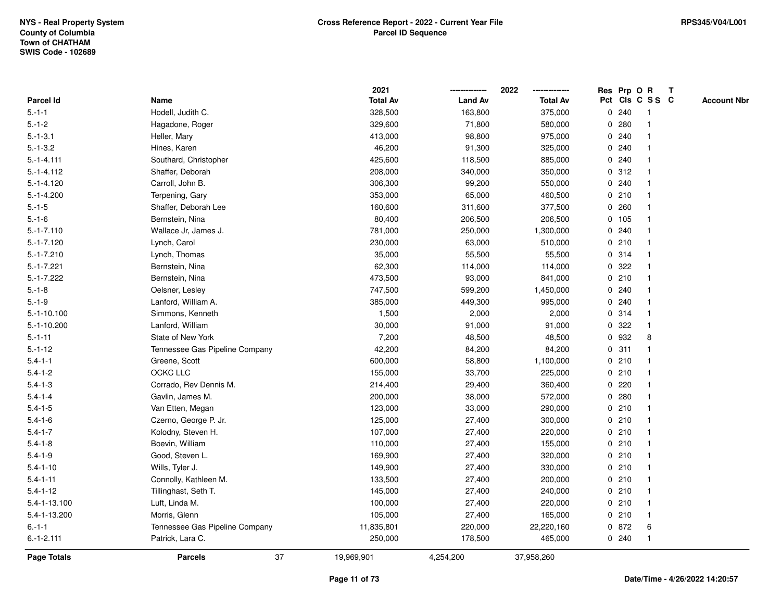|                  |                                | 2021            |                | 2022            |   |        | Res Prp O R     | $\mathbf{T}$ |                    |
|------------------|--------------------------------|-----------------|----------------|-----------------|---|--------|-----------------|--------------|--------------------|
| <b>Parcel Id</b> | Name                           | <b>Total Av</b> | <b>Land Av</b> | <b>Total Av</b> |   |        | Pct Cls C S S C |              | <b>Account Nbr</b> |
| $5 - 1 - 1$      | Hodell, Judith C.              | 328,500         | 163,800        | 375,000         |   | 0.240  |                 |              |                    |
| $5.-1-2$         | Hagadone, Roger                | 329,600         | 71,800         | 580,000         | 0 | 280    |                 |              |                    |
| $5.-1-3.1$       | Heller, Mary                   | 413,000         | 98,800         | 975,000         |   | 0.240  |                 |              |                    |
| $5.-1-3.2$       | Hines, Karen                   | 46,200          | 91,300         | 325,000         | 0 | 240    |                 |              |                    |
| $5.-1-4.111$     | Southard, Christopher          | 425,600         | 118,500        | 885,000         | 0 | 240    |                 |              |                    |
| $5.-1-4.112$     | Shaffer, Deborah               | 208,000         | 340,000        | 350,000         |   | 0.312  |                 |              |                    |
| $5.-1-4.120$     | Carroll, John B.               | 306,300         | 99,200         | 550,000         |   | 0.240  |                 |              |                    |
| $5.-1-4.200$     | Terpening, Gary                | 353,000         | 65,000         | 460,500         |   | 0210   |                 |              |                    |
| $5.-1-5$         | Shaffer, Deborah Lee           | 160,600         | 311,600        | 377,500         | 0 | 260    |                 |              |                    |
| $5.-1-6$         | Bernstein, Nina                | 80,400          | 206,500        | 206,500         |   | 0, 105 |                 |              |                    |
| $5.-1-7.110$     | Wallace Jr, James J.           | 781,000         | 250,000        | 1,300,000       | 0 | 240    |                 |              |                    |
| $5.-1-7.120$     | Lynch, Carol                   | 230,000         | 63,000         | 510,000         |   | 0210   | $\mathbf 1$     |              |                    |
| $5.-1-7.210$     | Lynch, Thomas                  | 35,000          | 55,500         | 55,500          |   | 0 314  |                 |              |                    |
| $5.-1-7.221$     | Bernstein, Nina                | 62,300          | 114,000        | 114,000         |   | 0.322  |                 |              |                    |
| $5.-1-7.222$     | Bernstein, Nina                | 473,500         | 93,000         | 841,000         |   | 0210   |                 |              |                    |
| $5.-1-8$         | Oelsner, Lesley                | 747,500         | 599,200        | 1,450,000       |   | 0.240  |                 |              |                    |
| $5.-1-9$         | Lanford, William A.            | 385,000         | 449,300        | 995,000         | 0 | 240    |                 |              |                    |
| $5.-1-10.100$    | Simmons, Kenneth               | 1,500           | 2,000          | 2,000           |   | 0.314  | -1              |              |                    |
| $5.-1-10.200$    | Lanford, William               | 30,000          | 91,000         | 91,000          | 0 | 322    |                 |              |                    |
| $5 - 1 - 11$     | State of New York              | 7,200           | 48,500         | 48,500          |   | 0 932  | 8               |              |                    |
| $5 - 1 - 12$     | Tennessee Gas Pipeline Company | 42,200          | 84,200         | 84,200          |   | 0.311  |                 |              |                    |
| $5.4 - 1 - 1$    | Greene, Scott                  | 600,000         | 58,800         | 1,100,000       |   | 0210   |                 |              |                    |
| $5.4 - 1 - 2$    | OCKC LLC                       | 155,000         | 33,700         | 225,000         |   | 0210   |                 |              |                    |
| $5.4 - 1 - 3$    | Corrado, Rev Dennis M.         | 214,400         | 29,400         | 360,400         | 0 | 220    |                 |              |                    |
| $5.4 - 1 - 4$    | Gavlin, James M.               | 200,000         | 38,000         | 572,000         | 0 | 280    | -1              |              |                    |
| $5.4 - 1 - 5$    | Van Etten, Megan               | 123,000         | 33,000         | 290,000         |   | 0210   |                 |              |                    |
| $5.4 - 1 - 6$    | Czerno, George P. Jr.          | 125,000         | 27,400         | 300,000         |   | 0210   |                 |              |                    |
| $5.4 - 1 - 7$    | Kolodny, Steven H.             | 107,000         | 27,400         | 220,000         |   | 0210   |                 |              |                    |
| $5.4 - 1 - 8$    | Boevin, William                | 110,000         | 27,400         | 155,000         |   | 0210   |                 |              |                    |
| $5.4 - 1 - 9$    | Good, Steven L.                | 169,900         | 27,400         | 320,000         |   | 0210   |                 |              |                    |
| $5.4 - 1 - 10$   | Wills, Tyler J.                | 149,900         | 27,400         | 330,000         |   | 0210   | -1              |              |                    |
| $5.4 - 1 - 11$   | Connolly, Kathleen M.          | 133,500         | 27,400         | 200,000         |   | 0210   |                 |              |                    |
| $5.4 - 1 - 12$   | Tillinghast, Seth T.           | 145,000         | 27,400         | 240,000         |   | 0210   |                 |              |                    |
| 5.4-1-13.100     | Luft, Linda M.                 | 100,000         | 27,400         | 220,000         |   | 0210   |                 |              |                    |
| 5.4-1-13.200     | Morris, Glenn                  | 105,000         | 27,400         | 165,000         |   | 0210   |                 |              |                    |
| $6.-1-1$         | Tennessee Gas Pipeline Company | 11,835,801      | 220,000        | 22,220,160      |   | 0 872  | 6               |              |                    |
| $6.-1-2.111$     | Patrick, Lara C.               | 250,000         | 178,500        | 465,000         |   | 0.240  | $\mathbf 1$     |              |                    |
| Page Totals      | 37<br><b>Parcels</b>           | 19,969,901      | 4,254,200      | 37,958,260      |   |        |                 |              |                    |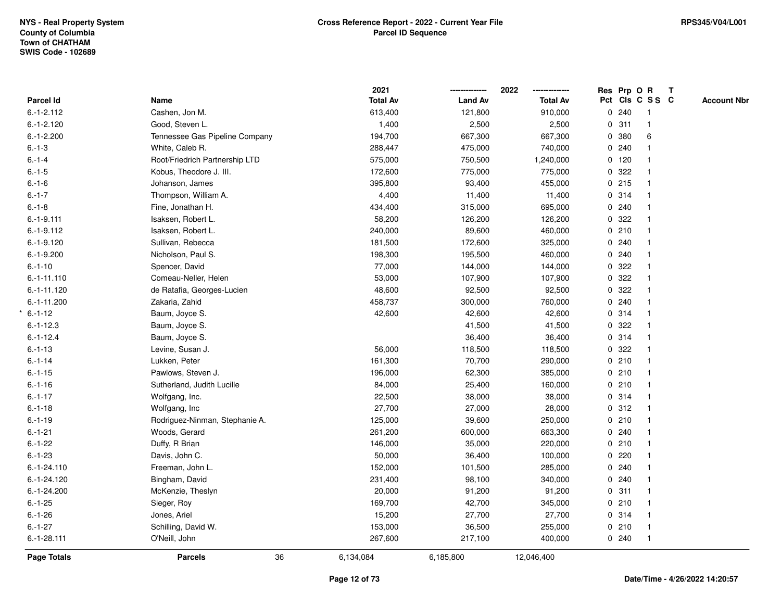| Parcel Id<br>Name<br>$6.-1-2.112$<br>Cashen, Jon M. | <b>Total Av</b><br>613,400 | <b>Land Av</b> | <b>Total Av</b> |         | Pct Cls C S S C         | <b>Account Nbr</b> |
|-----------------------------------------------------|----------------------------|----------------|-----------------|---------|-------------------------|--------------------|
|                                                     |                            |                |                 |         |                         |                    |
|                                                     |                            | 121,800        | 910,000         | 0.240   | $\overline{1}$          |                    |
| $6.-1-2.120$<br>Good, Steven L.                     | 1,400                      | 2,500          | 2,500           | 0.311   | $\mathbf{1}$            |                    |
| Tennessee Gas Pipeline Company<br>$6.-1-2.200$      | 194,700                    | 667,300        | 667,300         | 0 380   | 6                       |                    |
| $6.-1-3$<br>White, Caleb R.                         | 288,447                    | 475,000        | 740,000         | 0.240   |                         |                    |
| $6 - 1 - 4$<br>Root/Friedrich Partnership LTD       | 575,000                    | 750,500        | 1,240,000       | $0$ 120 |                         |                    |
| $6.-1-5$<br>Kobus, Theodore J. III.                 | 172,600                    | 775,000        | 775,000         | 0.322   |                         |                    |
| Johanson, James<br>$6.-1-6$                         | 395,800                    | 93,400         | 455,000         | 0215    |                         |                    |
| $6.-1-7$<br>Thompson, William A.                    | 4,400                      | 11,400         | 11,400          | 0.314   | $\mathbf{1}$            |                    |
| $6 - 1 - 8$<br>Fine, Jonathan H.                    | 434,400                    | 315,000        | 695,000         | 0.240   |                         |                    |
| $6.-1-9.111$<br>Isaksen, Robert L.                  | 58,200                     | 126,200        | 126,200         | 0.322   |                         |                    |
| $6.-1-9.112$<br>Isaksen, Robert L.                  | 240,000                    | 89,600         | 460,000         | 0210    |                         |                    |
| $6.-1-9.120$<br>Sullivan, Rebecca                   | 181,500                    | 172,600        | 325,000         | 0.240   |                         |                    |
| $6.-1-9.200$<br>Nicholson, Paul S.                  | 198,300                    | 195,500        | 460,000         | 0.240   |                         |                    |
| $6.-1-10$<br>Spencer, David                         | 77,000                     | 144,000        | 144,000         | 0 322   |                         |                    |
| Comeau-Neller, Helen<br>$6.-1-11.110$               | 53,000                     | 107,900        | 107,900         | 0 322   |                         |                    |
| de Ratafia, Georges-Lucien<br>$6 - 1 - 11.120$      | 48,600                     | 92,500         | 92,500          | 0.322   |                         |                    |
| $6.-1-11.200$<br>Zakaria, Zahid                     | 458,737                    | 300,000        | 760,000         | 0.240   |                         |                    |
| $6 - 1 - 12$<br>Baum, Joyce S.                      | 42,600                     | 42,600         | 42,600          | 0.314   |                         |                    |
| $6.-1-12.3$<br>Baum, Joyce S.                       |                            | 41,500         | 41,500          | 0.322   |                         |                    |
| $6.-1-12.4$<br>Baum, Joyce S.                       |                            | 36,400         | 36,400          | 0.314   |                         |                    |
| Levine, Susan J.<br>$6.-1-13$                       | 56,000                     | 118,500        | 118,500         | 0.322   |                         |                    |
| $6.-1-14$<br>Lukken, Peter                          | 161,300                    | 70,700         | 290,000         | 0 210   | $\mathbf{1}$            |                    |
| $6 - 1 - 15$<br>Pawlows, Steven J.                  | 196,000                    | 62,300         | 385,000         | 0210    | $\mathbf{1}$            |                    |
| $6 - 1 - 16$<br>Sutherland, Judith Lucille          | 84,000                     | 25,400         | 160,000         | 0210    | $\mathbf{1}$            |                    |
| $6.-1-17$<br>Wolfgang, Inc.                         | 22,500                     | 38,000         | 38,000          | 0.314   |                         |                    |
| $6 - 1 - 18$<br>Wolfgang, Inc.                      | 27,700                     | 27,000         | 28,000          | 0.312   |                         |                    |
| $6.-1-19$<br>Rodriguez-Ninman, Stephanie A.         | 125,000                    | 39,600         | 250,000         | 0210    |                         |                    |
| Woods, Gerard<br>$6.-1-21$                          | 261,200                    | 600,000        | 663,300         | 0.240   |                         |                    |
| $6.-1-22$<br>Duffy, R Brian                         | 146,000                    | 35,000         | 220,000         | 0 210   | $\mathbf{1}$            |                    |
| $6 - 1 - 23$<br>Davis, John C.                      | 50,000                     | 36,400         | 100,000         | 0220    |                         |                    |
| $6.-1-24.110$<br>Freeman, John L.                   | 152,000                    | 101,500        | 285,000         | 0.240   | $\mathbf{1}$            |                    |
| $6.-1-24.120$<br>Bingham, David                     | 231,400                    | 98,100         | 340,000         | 0.240   |                         |                    |
| $6.-1-24.200$<br>McKenzie, Theslyn                  | 20,000                     | 91,200         | 91,200          | 0.311   |                         |                    |
| $6.-1-25$<br>Sieger, Roy                            | 169,700                    | 42,700         | 345,000         | 0210    |                         |                    |
| $6.-1-26$<br>Jones, Ariel                           | 15,200                     | 27,700         | 27,700          | 0.314   | $\overline{\mathbf{1}}$ |                    |
| $6.-1-27$<br>Schilling, David W.                    | 153,000                    | 36,500         | 255,000         | 0210    | $\overline{1}$          |                    |
| $6.-1-28.111$<br>O'Neill, John                      | 267,600                    | 217,100        | 400,000         | 0.240   | $\mathbf{1}$            |                    |
| 36<br>Page Totals<br><b>Parcels</b>                 | 6,134,084                  | 6,185,800      | 12,046,400      |         |                         |                    |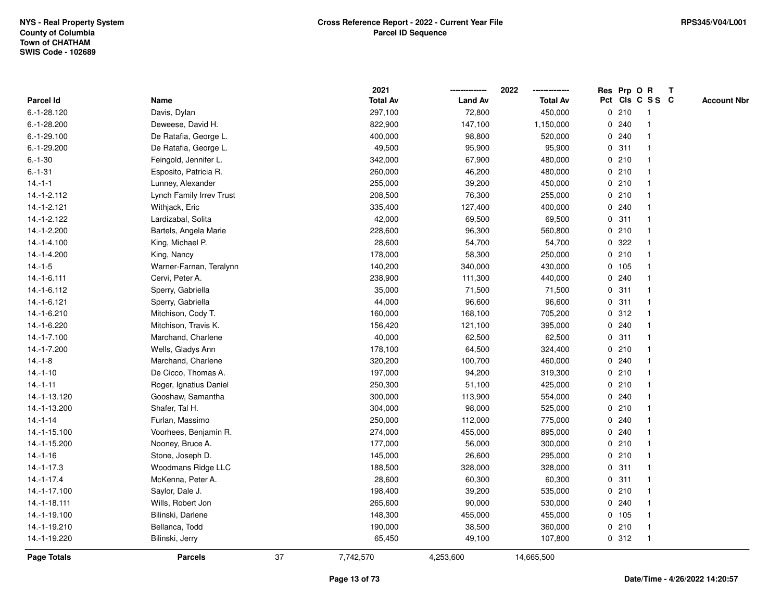|                    |                                 |    | 2021            |                | 2022            |             |       | Res Prp O R     | $\mathbf{T}$ |                    |
|--------------------|---------------------------------|----|-----------------|----------------|-----------------|-------------|-------|-----------------|--------------|--------------------|
| Parcel Id          | Name                            |    | <b>Total Av</b> | <b>Land Av</b> | <b>Total Av</b> |             |       | Pct Cls C S S C |              | <b>Account Nbr</b> |
| $6.-1-28.120$      | Davis, Dylan                    |    | 297,100         | 72,800         | 450,000         |             | 0210  | -1              |              |                    |
| $6.-1-28.200$      | Deweese, David H.               |    | 822,900         | 147,100        | 1,150,000       | 0           | 240   |                 |              |                    |
| $6.-1-29.100$      | De Ratafia, George L.           |    | 400,000         | 98,800         | 520,000         |             | 0.240 |                 |              |                    |
| $6.-1-29.200$      | De Ratafia, George L.           |    | 49,500          | 95,900         | 95,900          | $\mathbf 0$ | 311   | -1              |              |                    |
| $6.-1-30$          | Feingold, Jennifer L.           |    | 342,000         | 67,900         | 480,000         | $\mathbf 0$ | 210   | -1              |              |                    |
| $6 - 1 - 31$       | Esposito, Patricia R.           |    | 260,000         | 46,200         | 480,000         |             | 0210  | -1              |              |                    |
| $14.-1-1$          | Lunney, Alexander               |    | 255,000         | 39,200         | 450,000         |             | 0210  |                 |              |                    |
| 14.-1-2.112        | <b>Lynch Family Irrev Trust</b> |    | 208,500         | 76,300         | 255,000         |             | 0210  |                 |              |                    |
| 14.-1-2.121        | Withjack, Eric                  |    | 335,400         | 127,400        | 400,000         |             | 0.240 |                 |              |                    |
| 14.-1-2.122        | Lardizabal, Solita              |    | 42,000          | 69,500         | 69,500          | 0           | 311   |                 |              |                    |
| 14.-1-2.200        | Bartels, Angela Marie           |    | 228,600         | 96,300         | 560,800         | 0           | 210   | $\overline{1}$  |              |                    |
| 14.-1-4.100        | King, Michael P.                |    | 28,600          | 54,700         | 54,700          |             | 0 322 | -1              |              |                    |
| 14.-1-4.200        | King, Nancy                     |    | 178,000         | 58,300         | 250,000         |             | 0210  |                 |              |                    |
| $14.-1-5$          | Warner-Farnan, Teralynn         |    | 140,200         | 340,000        | 430,000         |             | 0 105 |                 |              |                    |
| 14.-1-6.111        | Cervi, Peter A.                 |    | 238,900         | 111,300        | 440,000         | 0           | 240   |                 |              |                    |
| 14.-1-6.112        | Sperry, Gabriella               |    | 35,000          | 71,500         | 71,500          |             | 0.311 | $\mathbf{1}$    |              |                    |
| 14.-1-6.121        | Sperry, Gabriella               |    | 44,000          | 96,600         | 96,600          | 0           | 311   | -1              |              |                    |
| 14.-1-6.210        | Mitchison, Cody T.              |    | 160,000         | 168,100        | 705,200         | $\mathbf 0$ | 312   | $\mathbf{1}$    |              |                    |
| 14.-1-6.220        | Mitchison, Travis K.            |    | 156,420         | 121,100        | 395,000         |             | 0.240 | -1              |              |                    |
| 14.-1-7.100        | Marchand, Charlene              |    | 40,000          | 62,500         | 62,500          |             | 0.311 |                 |              |                    |
| 14.-1-7.200        | Wells, Gladys Ann               |    | 178,100         | 64,500         | 324,400         |             | 0210  |                 |              |                    |
| $14.-1-8$          | Marchand, Charlene              |    | 320,200         | 100,700        | 460,000         |             | 0.240 |                 |              |                    |
| $14.-1-10$         | De Cicco, Thomas A.             |    | 197,000         | 94,200         | 319,300         |             | 0210  |                 |              |                    |
| $14.-1-11$         | Roger, Ignatius Daniel          |    | 250,300         | 51,100         | 425,000         |             | 0210  | -1              |              |                    |
| 14.-1-13.120       | Gooshaw, Samantha               |    | 300,000         | 113,900        | 554,000         | $\mathbf 0$ | 240   | $\mathbf{1}$    |              |                    |
| 14.-1-13.200       | Shafer, Tal H.                  |    | 304,000         | 98,000         | 525,000         |             | 0210  |                 |              |                    |
| $14.-1-14$         | Furlan, Massimo                 |    | 250,000         | 112,000        | 775,000         |             | 0.240 |                 |              |                    |
| 14.-1-15.100       | Voorhees, Benjamin R.           |    | 274,000         | 455,000        | 895,000         |             | 0.240 |                 |              |                    |
| 14.-1-15.200       | Nooney, Bruce A.                |    | 177,000         | 56,000         | 300,000         |             | 0210  |                 |              |                    |
| $14.-1-16$         | Stone, Joseph D.                |    | 145,000         | 26,600         | 295,000         | 0           | 210   | $\overline{1}$  |              |                    |
| $14.-1-17.3$       | Woodmans Ridge LLC              |    | 188,500         | 328,000        | 328,000         | 0           | 311   | $\overline{1}$  |              |                    |
| $14.-1-17.4$       | McKenna, Peter A.               |    | 28,600          | 60,300         | 60,300          |             | 0.311 | $\mathbf{1}$    |              |                    |
| 14.-1-17.100       | Saylor, Dale J.                 |    | 198,400         | 39,200         | 535,000         |             | 0210  |                 |              |                    |
| 14.-1-18.111       | Wills, Robert Jon               |    | 265,600         | 90,000         | 530,000         |             | 0.240 |                 |              |                    |
| 14.-1-19.100       | Bilinski, Darlene               |    | 148,300         | 455,000        | 455,000         |             | 0 105 |                 |              |                    |
| 14.-1-19.210       | Bellanca, Todd                  |    | 190,000         | 38,500         | 360,000         |             | 0210  | $\overline{1}$  |              |                    |
| 14.-1-19.220       | Bilinski, Jerry                 |    | 65,450          | 49,100         | 107,800         |             | 0.312 | -1              |              |                    |
| <b>Page Totals</b> | <b>Parcels</b>                  | 37 | 7,742,570       | 4,253,600      | 14,665,500      |             |       |                 |              |                    |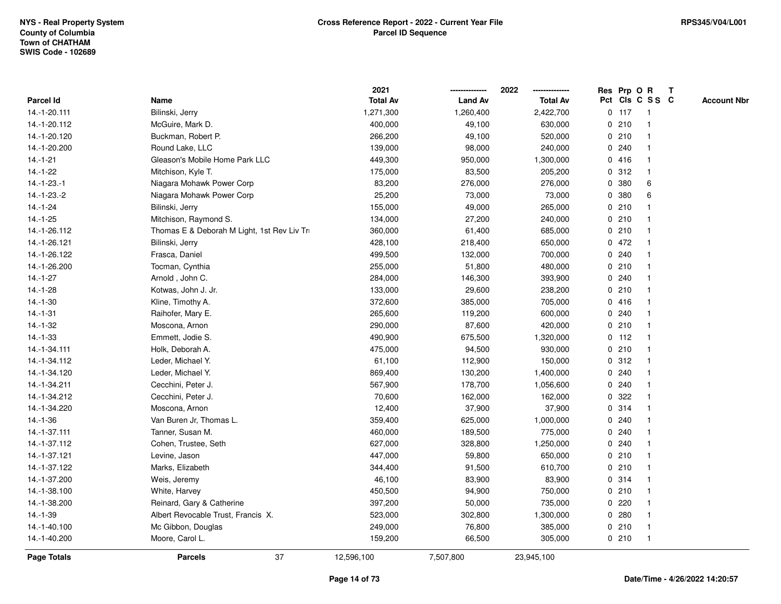|                    |                                             | 2021            |                | 2022            | Res Prp O R |         |                 | $\mathbf{T}$ |                    |
|--------------------|---------------------------------------------|-----------------|----------------|-----------------|-------------|---------|-----------------|--------------|--------------------|
| Parcel Id          | Name                                        | <b>Total Av</b> | <b>Land Av</b> | <b>Total Av</b> |             |         | Pct Cls C S S C |              | <b>Account Nbr</b> |
| 14.-1-20.111       | Bilinski, Jerry                             | 1,271,300       | 1,260,400      | 2,422,700       |             | $0$ 117 | -1              |              |                    |
| 14.-1-20.112       | McGuire, Mark D.                            | 400,000         | 49,100         | 630,000         |             | 0210    |                 |              |                    |
| 14.-1-20.120       | Buckman, Robert P.                          | 266,200         | 49,100         | 520,000         |             | 0210    | $\mathbf 1$     |              |                    |
| 14.-1-20.200       | Round Lake, LLC                             | 139,000         | 98,000         | 240,000         |             | 0.240   | $\mathbf{1}$    |              |                    |
| $14.-1-21$         | Gleason's Mobile Home Park LLC              | 449,300         | 950,000        | 1,300,000       |             | 0416    | $\mathbf{1}$    |              |                    |
| $14.-1-22$         | Mitchison, Kyle T.                          | 175,000         | 83,500         | 205,200         |             | 0.312   | $\mathbf{1}$    |              |                    |
| $14.-1-23.-1$      | Niagara Mohawk Power Corp                   | 83,200          | 276,000        | 276,000         |             | 0 380   | 6               |              |                    |
| 14.-1-23.-2        | Niagara Mohawk Power Corp                   | 25,200          | 73,000         | 73,000          |             | 0 380   | 6               |              |                    |
| $14.-1-24$         | Bilinski, Jerry                             | 155,000         | 49,000         | 265,000         |             | 0210    | $\mathbf 1$     |              |                    |
| $14.-1-25$         | Mitchison, Raymond S.                       | 134,000         | 27,200         | 240,000         |             | 0210    | $\mathbf{1}$    |              |                    |
| 14.-1-26.112       | Thomas E & Deborah M Light, 1st Rev Liv Tri | 360,000         | 61,400         | 685,000         |             | 0210    | $\mathbf{1}$    |              |                    |
| 14.-1-26.121       | Bilinski, Jerry                             | 428,100         | 218,400        | 650,000         |             | 0 472   | $\mathbf{1}$    |              |                    |
| 14.-1-26.122       | Frasca, Daniel                              | 499,500         | 132,000        | 700,000         |             | 0.240   | $\mathbf{1}$    |              |                    |
| 14.-1-26.200       | Tocman, Cynthia                             | 255,000         | 51,800         | 480,000         |             | 0210    |                 |              |                    |
| $14.-1-27$         | Arnold, John C.                             | 284,000         | 146,300        | 393,900         |             | 0.240   |                 |              |                    |
| 14.-1-28           | Kotwas, John J. Jr.                         | 133,000         | 29,600         | 238,200         |             | 0210    | $\mathbf 1$     |              |                    |
| $14.-1-30$         | Kline, Timothy A.                           | 372,600         | 385,000        | 705,000         |             | 0416    | $\mathbf{1}$    |              |                    |
| 14.-1-31           | Raihofer, Mary E.                           | 265,600         | 119,200        | 600,000         |             | 0.240   | $\mathbf{1}$    |              |                    |
| $14.-1-32$         | Moscona, Arnon                              | 290,000         | 87,600         | 420,000         |             | 0210    | $\mathbf{1}$    |              |                    |
| $14.-1-33$         | Emmett, Jodie S.                            | 490,900         | 675,500        | 1,320,000       |             | $0$ 112 |                 |              |                    |
| 14.-1-34.111       | Holk, Deborah A.                            | 475,000         | 94,500         | 930,000         |             | 0210    |                 |              |                    |
| 14.-1-34.112       | Leder, Michael Y.                           | 61,100          | 112,900        | 150,000         |             | 0.312   |                 |              |                    |
| 14.-1-34.120       | Leder, Michael Y.                           | 869,400         | 130,200        | 1,400,000       |             | 0.240   | $\mathbf 1$     |              |                    |
| 14.-1-34.211       | Cecchini, Peter J.                          | 567,900         | 178,700        | 1,056,600       |             | 0.240   | $\mathbf{1}$    |              |                    |
| 14.-1-34.212       | Cecchini, Peter J.                          | 70,600          | 162,000        | 162,000         | 0           | 322     | $\mathbf{1}$    |              |                    |
| 14.-1-34.220       | Moscona, Arnon                              | 12,400          | 37,900         | 37,900          |             | 0.314   | $\mathbf 1$     |              |                    |
| $14.-1-36$         | Van Buren Jr, Thomas L.                     | 359,400         | 625,000        | 1,000,000       |             | 0.240   | -1              |              |                    |
| 14.-1-37.111       | Tanner, Susan M.                            | 460,000         | 189,500        | 775,000         |             | 0.240   |                 |              |                    |
| 14.-1-37.112       | Cohen, Trustee, Seth                        | 627,000         | 328,800        | 1,250,000       |             | 0.240   | $\mathbf{1}$    |              |                    |
| 14.-1-37.121       | Levine, Jason                               | 447,000         | 59,800         | 650,000         |             | 0210    | $\mathbf 1$     |              |                    |
| 14.-1-37.122       | Marks, Elizabeth                            | 344,400         | 91,500         | 610,700         |             | 0210    | $\mathbf{1}$    |              |                    |
| 14.-1-37.200       | Weis, Jeremy                                | 46,100          | 83,900         | 83,900          |             | 0.314   | 1               |              |                    |
| 14.-1-38.100       | White, Harvey                               | 450,500         | 94,900         | 750,000         |             | 0210    | $\mathbf{1}$    |              |                    |
| 14.-1-38.200       | Reinard, Gary & Catherine                   | 397,200         | 50,000         | 735,000         |             | $0$ 220 |                 |              |                    |
| 14.-1-39           | Albert Revocable Trust, Francis X.          | 523,000         | 302,800        | 1,300,000       |             | 0.280   | $\mathbf 1$     |              |                    |
| 14.-1-40.100       | Mc Gibbon, Douglas                          | 249,000         | 76,800         | 385,000         |             | 0210    | $\mathbf{1}$    |              |                    |
| 14.-1-40.200       | Moore, Carol L.                             | 159,200         | 66,500         | 305,000         |             | 0210    | $\mathbf{1}$    |              |                    |
| <b>Page Totals</b> | 37<br><b>Parcels</b>                        | 12,596,100      | 7,507,800      | 23,945,100      |             |         |                 |              |                    |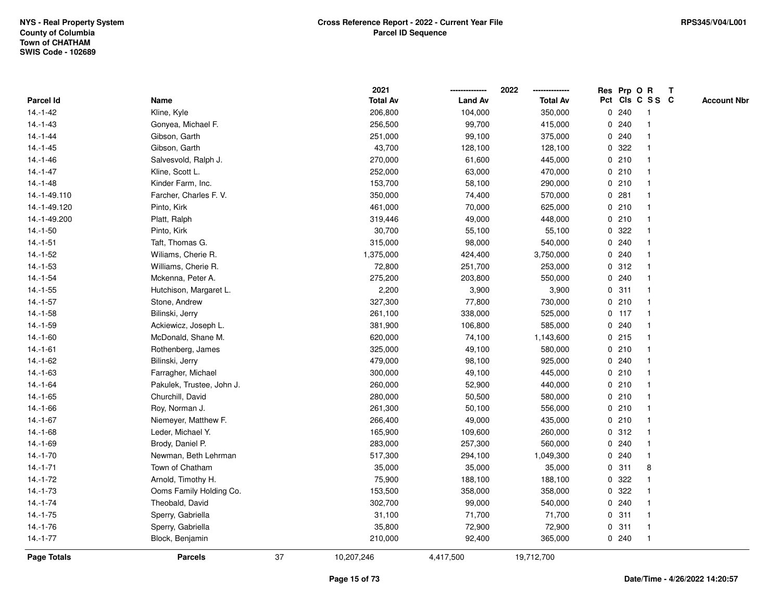|                    |                           |    | 2021            |                | 2022            |             | Res Prp O R |                 | T |                    |
|--------------------|---------------------------|----|-----------------|----------------|-----------------|-------------|-------------|-----------------|---|--------------------|
| Parcel Id          | Name                      |    | <b>Total Av</b> | <b>Land Av</b> | <b>Total Av</b> |             |             | Pct Cls C S S C |   | <b>Account Nbr</b> |
| $14.-1-42$         | Kline, Kyle               |    | 206,800         | 104,000        | 350,000         | 0           | 240         | -1              |   |                    |
| $14.-1-43$         | Gonyea, Michael F.        |    | 256,500         | 99,700         | 415,000         | 0           | 240         | -1              |   |                    |
| $14.-1-44$         | Gibson, Garth             |    | 251,000         | 99,100         | 375,000         |             | 0.240       | -1              |   |                    |
| $14.-1-45$         | Gibson, Garth             |    | 43,700          | 128,100        | 128,100         |             | 0 322       |                 |   |                    |
| $14.-1-46$         | Salvesvold, Ralph J.      |    | 270,000         | 61,600         | 445,000         |             | 0210        |                 |   |                    |
| $14.-1-47$         | Kline, Scott L.           |    | 252,000         | 63,000         | 470,000         |             | 0210        |                 |   |                    |
| $14.-1-48$         | Kinder Farm, Inc.         |    | 153,700         | 58,100         | 290,000         |             | 0210        |                 |   |                    |
| 14.-1-49.110       | Farcher, Charles F. V.    |    | 350,000         | 74,400         | 570,000         | 0           | 281         |                 |   |                    |
| 14.-1-49.120       | Pinto, Kirk               |    | 461,000         | 70,000         | 625,000         | $\mathbf 0$ | 210         | $\mathbf{1}$    |   |                    |
| 14.-1-49.200       | Platt, Ralph              |    | 319,446         | 49,000         | 448,000         |             | 0210        | -1              |   |                    |
| $14.-1-50$         | Pinto, Kirk               |    | 30,700          | 55,100         | 55,100          |             | 0 322       |                 |   |                    |
| $14.-1-51$         | Taft, Thomas G.           |    | 315,000         | 98,000         | 540,000         |             | 0.240       |                 |   |                    |
| $14.-1-52$         | Wiliams, Cherie R.        |    | 1,375,000       | 424,400        | 3,750,000       | 0           | 240         |                 |   |                    |
| 14.-1-53           | Williams, Cherie R.       |    | 72,800          | 251,700        | 253,000         |             | 0.312       |                 |   |                    |
| $14.-1-54$         | Mckenna, Peter A.         |    | 275,200         | 203,800        | 550,000         | 0           | 240         |                 |   |                    |
| $14.-1-55$         | Hutchison, Margaret L.    |    | 2,200           | 3,900          | 3,900           | $\mathbf 0$ | 311         | $\overline{1}$  |   |                    |
| $14.-1-57$         | Stone, Andrew             |    | 327,300         | 77,800         | 730,000         |             | 0210        | -1              |   |                    |
| $14.-1-58$         | Bilinski, Jerry           |    | 261,100         | 338,000        | 525,000         |             | $0$ 117     |                 |   |                    |
| $14.-1-59$         | Ackiewicz, Joseph L.      |    | 381,900         | 106,800        | 585,000         |             | 0.240       |                 |   |                    |
| $14.-1-60$         | McDonald, Shane M.        |    | 620,000         | 74,100         | 1,143,600       |             | 0.215       |                 |   |                    |
| $14.-1-61$         | Rothenberg, James         |    | 325,000         | 49,100         | 580,000         |             | 0210        |                 |   |                    |
| $14.-1-62$         | Bilinski, Jerry           |    | 479,000         | 98,100         | 925,000         | 0           | 240         |                 |   |                    |
| $14.-1-63$         | Farragher, Michael        |    | 300,000         | 49,100         | 445,000         |             | 0210        |                 |   |                    |
| $14.-1-64$         | Pakulek, Trustee, John J. |    | 260,000         | 52,900         | 440,000         |             | 0210        | -1              |   |                    |
| $14.-1-65$         | Churchill, David          |    | 280,000         | 50,500         | 580,000         |             | 0210        |                 |   |                    |
| $14.-1-66$         | Roy, Norman J.            |    | 261,300         | 50,100         | 556,000         |             | 0210        |                 |   |                    |
| $14.-1-67$         | Niemeyer, Matthew F.      |    | 266,400         | 49,000         | 435,000         |             | 0210        |                 |   |                    |
| 14.-1-68           | Leder, Michael Y.         |    | 165,900         | 109,600        | 260,000         |             | 0.312       |                 |   |                    |
| $14.-1-69$         | Brody, Daniel P.          |    | 283,000         | 257,300        | 560,000         | 0           | 240         |                 |   |                    |
| $14.-1-70$         | Newman, Beth Lehrman      |    | 517,300         | 294,100        | 1,049,300       | 0           | 240         | $\mathbf{1}$    |   |                    |
| $14.-1-71$         | Town of Chatham           |    | 35,000          | 35,000         | 35,000          |             | 0.311       | 8               |   |                    |
| $14.-1-72$         | Arnold, Timothy H.        |    | 75,900          | 188,100        | 188,100         |             | 0.322       |                 |   |                    |
| $14.-1-73$         | Ooms Family Holding Co.   |    | 153,500         | 358,000        | 358,000         |             | 0 322       |                 |   |                    |
| $14.-1-74$         | Theobald, David           |    | 302,700         | 99,000         | 540,000         |             | 0.240       |                 |   |                    |
| $14.-1-75$         | Sperry, Gabriella         |    | 31,100          | 71,700         | 71,700          |             | 0.311       |                 |   |                    |
| 14.-1-76           | Sperry, Gabriella         |    | 35,800          | 72,900         | 72,900          | 0           | 311         | $\mathbf{1}$    |   |                    |
| $14.-1-77$         | Block, Benjamin           |    | 210,000         | 92,400         | 365,000         |             | 0.240       | $\mathbf{1}$    |   |                    |
| <b>Page Totals</b> | <b>Parcels</b>            | 37 | 10,207,246      | 4,417,500      | 19,712,700      |             |             |                 |   |                    |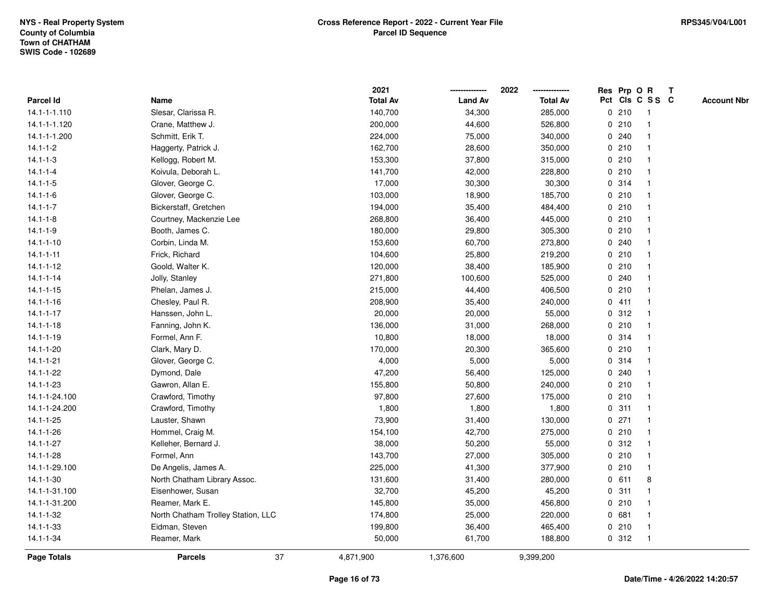|                    |                                    | 2021            |                | 2022            |   |         | Res Prp O R     | $\mathsf{T}$ |                    |
|--------------------|------------------------------------|-----------------|----------------|-----------------|---|---------|-----------------|--------------|--------------------|
| Parcel Id          | Name                               | <b>Total Av</b> | <b>Land Av</b> | <b>Total Av</b> |   |         | Pct Cls C S S C |              | <b>Account Nbr</b> |
| 14.1-1-1.110       | Slesar, Clarissa R.                | 140,700         | 34,300         | 285,000         |   | 0210    | -1              |              |                    |
| 14.1-1-1.120       | Crane, Matthew J.                  | 200,000         | 44,600         | 526,800         |   | 0210    |                 |              |                    |
| 14.1-1-1.200       | Schmitt, Erik T.                   | 224,000         | 75,000         | 340,000         |   | 0.240   | -1              |              |                    |
| $14.1 - 1 - 2$     | Haggerty, Patrick J.               | 162,700         | 28,600         | 350,000         |   | 0210    | $\mathbf{1}$    |              |                    |
| $14.1 - 1 - 3$     | Kellogg, Robert M.                 | 153,300         | 37,800         | 315,000         |   | 0210    | $\mathbf{1}$    |              |                    |
| $14.1 - 1 - 4$     | Koivula, Deborah L.                | 141,700         | 42,000         | 228,800         |   | 0210    | -1              |              |                    |
| $14.1 - 1 - 5$     | Glover, George C.                  | 17,000          | 30,300         | 30,300          |   | 0.314   |                 |              |                    |
| $14.1 - 1 - 6$     | Glover, George C.                  | 103,000         | 18,900         | 185,700         |   | 0210    |                 |              |                    |
| $14.1 - 1 - 7$     | Bickerstaff, Gretchen              | 194,000         | 35,400         | 484,400         |   | 0210    | -1              |              |                    |
| $14.1 - 1 - 8$     | Courtney, Mackenzie Lee            | 268,800         | 36,400         | 445,000         |   | 0210    |                 |              |                    |
| $14.1 - 1 - 9$     | Booth, James C.                    | 180,000         | 29,800         | 305,300         |   | 0210    | $\mathbf{1}$    |              |                    |
| $14.1 - 1 - 10$    | Corbin, Linda M.                   | 153,600         | 60,700         | 273,800         |   | 0.240   | -1              |              |                    |
| $14.1 - 1 - 11$    | Frick, Richard                     | 104,600         | 25,800         | 219,200         |   | 0210    | $\mathbf 1$     |              |                    |
| $14.1 - 1 - 12$    | Goold, Walter K.                   | 120,000         | 38,400         | 185,900         |   | 0210    |                 |              |                    |
| $14.1 - 1 - 14$    | Jolly, Stanley                     | 271,800         | 100,600        | 525,000         |   | 0.240   |                 |              |                    |
| $14.1 - 1 - 15$    | Phelan, James J.                   | 215,000         | 44,400         | 406,500         |   | 0210    |                 |              |                    |
| $14.1 - 1 - 16$    | Chesley, Paul R.                   | 208,900         | 35,400         | 240,000         |   | 0411    | $\mathbf{1}$    |              |                    |
| $14.1 - 1 - 17$    | Hanssen, John L.                   | 20,000          | 20,000         | 55,000          | 0 | 312     | -1              |              |                    |
| $14.1 - 1 - 18$    | Fanning, John K.                   | 136,000         | 31,000         | 268,000         |   | 0210    | $\mathbf{1}$    |              |                    |
| $14.1 - 1 - 19$    | Formel, Ann F.                     | 10,800          | 18,000         | 18,000          |   | 0.314   |                 |              |                    |
| $14.1 - 1 - 20$    | Clark, Mary D.                     | 170,000         | 20,300         | 365,600         |   | 0210    |                 |              |                    |
| $14.1 - 1 - 21$    | Glover, George C.                  | 4,000           | 5,000          | 5,000           |   | 0.314   |                 |              |                    |
| $14.1 - 1 - 22$    | Dymond, Dale                       | 47,200          | 56,400         | 125,000         |   | 0.240   | -1              |              |                    |
| $14.1 - 1 - 23$    | Gawron, Allan E.                   | 155,800         | 50,800         | 240,000         |   | 0210    | $\mathbf{1}$    |              |                    |
| 14.1-1-24.100      | Crawford, Timothy                  | 97,800          | 27,600         | 175,000         |   | 0210    | $\mathbf 1$     |              |                    |
| 14.1-1-24.200      | Crawford, Timothy                  | 1,800           | 1,800          | 1,800           |   | 0.311   | -1              |              |                    |
| $14.1 - 1 - 25$    | Lauster, Shawn                     | 73,900          | 31,400         | 130,000         |   | $0$ 271 |                 |              |                    |
| 14.1-1-26          | Hommel, Craig M.                   | 154,100         | 42,700         | 275,000         |   | 0210    |                 |              |                    |
| $14.1 - 1 - 27$    | Kelleher, Bernard J.               | 38,000          | 50,200         | 55,000          |   | 0.312   | $\overline{1}$  |              |                    |
| $14.1 - 1 - 28$    | Formel, Ann                        | 143,700         | 27,000         | 305,000         |   | 0210    | -1              |              |                    |
| 14.1-1-29.100      | De Angelis, James A.               | 225,000         | 41,300         | 377,900         |   | 0210    | $\mathbf{1}$    |              |                    |
| $14.1 - 1 - 30$    | North Chatham Library Assoc.       | 131,600         | 31,400         | 280,000         |   | 0 611   | 8               |              |                    |
| 14.1-1-31.100      | Eisenhower, Susan                  | 32,700          | 45,200         | 45,200          |   | 0.311   | -1              |              |                    |
| 14.1-1-31.200      | Reamer, Mark E.                    | 145,800         | 35,000         | 456,800         |   | 0210    |                 |              |                    |
| 14.1-1-32          | North Chatham Trolley Station, LLC | 174,800         | 25,000         | 220,000         |   | 0 681   |                 |              |                    |
| $14.1 - 1 - 33$    | Eidman, Steven                     | 199,800         | 36,400         | 465,400         |   | 0210    | $\mathbf{1}$    |              |                    |
| 14.1-1-34          | Reamer, Mark                       | 50,000          | 61,700         | 188,800         |   | 0.312   | $\mathbf{1}$    |              |                    |
| <b>Page Totals</b> | 37<br><b>Parcels</b>               | 4,871,900       | 1,376,600      | 9,399,200       |   |         |                 |              |                    |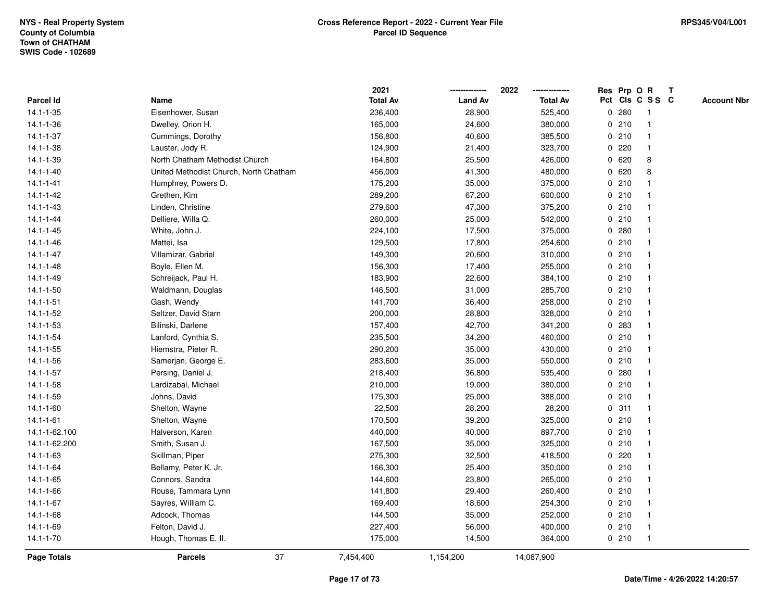|                 |                                        | 2021            |                | 2022<br>-------------- | Res Prp O R |                         | Т |                    |
|-----------------|----------------------------------------|-----------------|----------------|------------------------|-------------|-------------------------|---|--------------------|
| Parcel Id       | Name                                   | <b>Total Av</b> | <b>Land Av</b> | <b>Total Av</b>        |             | Pct Cls C S S C         |   | <b>Account Nbr</b> |
| $14.1 - 1 - 35$ | Eisenhower, Susan                      | 236,400         | 28,900         | 525,400                | 0.280       | $\overline{1}$          |   |                    |
| $14.1 - 1 - 36$ | Dwelley, Orion H.                      | 165,000         | 24,600         | 380,000                | 0210        | $\overline{1}$          |   |                    |
| $14.1 - 1 - 37$ | Cummings, Dorothy                      | 156,800         | 40,600         | 385,500                | 0210        | -1                      |   |                    |
| $14.1 - 1 - 38$ | Lauster, Jody R.                       | 124,900         | 21,400         | 323,700                | 0.220       | -1                      |   |                    |
| 14.1-1-39       | North Chatham Methodist Church         | 164,800         | 25,500         | 426,000                | 0620        | 8                       |   |                    |
| $14.1 - 1 - 40$ | United Methodist Church, North Chatham | 456,000         | 41,300         | 480,000                | 0620        | 8                       |   |                    |
| $14.1 - 1 - 41$ | Humphrey, Powers D.                    | 175,200         | 35,000         | 375,000                | 0210        |                         |   |                    |
| $14.1 - 1 - 42$ | Grethen, Kim                           | 289,200         | 67,200         | 600,000                | 0210        | -1                      |   |                    |
| $14.1 - 1 - 43$ | Linden, Christine                      | 279,600         | 47,300         | 375,200                | 0210        | $\overline{\mathbf{1}}$ |   |                    |
| $14.1 - 1 - 44$ | Delliere, Willa Q.                     | 260,000         | 25,000         | 542,000                | 0210        | $\mathbf{1}$            |   |                    |
| $14.1 - 1 - 45$ | White, John J.                         | 224,100         | 17,500         | 375,000                | 0.280       |                         |   |                    |
| $14.1 - 1 - 46$ | Mattei, Isa                            | 129,500         | 17,800         | 254,600                | 0210        |                         |   |                    |
| 14.1-1-47       | Villamizar, Gabriel                    | 149,300         | 20,600         | 310,000                | 0210        |                         |   |                    |
| $14.1 - 1 - 48$ | Boyle, Ellen M.                        | 156,300         | 17,400         | 255,000                | 0210        |                         |   |                    |
| $14.1 - 1 - 49$ | Schreijack, Paul H.                    | 183,900         | 22,600         | 384,100                | 0210        | $\overline{\mathbf{1}}$ |   |                    |
| $14.1 - 1 - 50$ | Waldmann, Douglas                      | 146,500         | 31,000         | 285,700                | 0210        | $\overline{\mathbf{1}}$ |   |                    |
| $14.1 - 1 - 51$ | Gash, Wendy                            | 141,700         | 36,400         | 258,000                | 0210        | -1                      |   |                    |
| $14.1 - 1 - 52$ | Seltzer, David Starn                   | 200,000         | 28,800         | 328,000                | 0210        |                         |   |                    |
| $14.1 - 1 - 53$ | Bilinski, Darlene                      | 157,400         | 42,700         | 341,200                | 0 283       |                         |   |                    |
| 14.1-1-54       | Lanford, Cynthia S.                    | 235,500         | 34,200         | 460,000                | 0210        |                         |   |                    |
| 14.1-1-55       | Hiemstra, Pieter R.                    | 290,200         | 35,000         | 430,000                | 0210        | -1                      |   |                    |
| $14.1 - 1 - 56$ | Samerjan, George E.                    | 283,600         | 35,000         | 550,000                | 0210        |                         |   |                    |
| $14.1 - 1 - 57$ | Persing, Daniel J.                     | 218,400         | 36,800         | 535,400                | 0.280       | $\overline{\mathbf{1}}$ |   |                    |
| $14.1 - 1 - 58$ | Lardizabal, Michael                    | 210,000         | 19,000         | 380,000                | 0210        | -1                      |   |                    |
| $14.1 - 1 - 59$ | Johns, David                           | 175,300         | 25,000         | 388,000                | 0210        | -1                      |   |                    |
| $14.1 - 1 - 60$ | Shelton, Wayne                         | 22,500          | 28,200         | 28,200                 | 0.311       |                         |   |                    |
| $14.1 - 1 - 61$ | Shelton, Wayne                         | 170,500         | 39,200         | 325,000                | 0210        |                         |   |                    |
| 14.1-1-62.100   | Halverson, Karen                       | 440,000         | 40,000         | 897,700                | 0210        |                         |   |                    |
| 14.1-1-62.200   | Smith, Susan J.                        | 167,500         | 35,000         | 325,000                | 0210        | -1                      |   |                    |
| $14.1 - 1 - 63$ | Skillman, Piper                        | 275,300         | 32,500         | 418,500                | 0220        | -1                      |   |                    |
| $14.1 - 1 - 64$ | Bellamy, Peter K. Jr.                  | 166,300         | 25,400         | 350,000                | 0210        | $\overline{1}$          |   |                    |
| 14.1-1-65       | Connors, Sandra                        | 144,600         | 23,800         | 265,000                | 0210        |                         |   |                    |
| $14.1 - 1 - 66$ | Rouse, Tammara Lynn                    | 141,800         | 29,400         | 260,400                | 0210        |                         |   |                    |
| $14.1 - 1 - 67$ | Sayres, William C.                     | 169,400         | 18,600         | 254,300                | 0210        |                         |   |                    |
| $14.1 - 1 - 68$ | Adcock, Thomas                         | 144,500         | 35,000         | 252,000                | 0210        | $\overline{1}$          |   |                    |
| 14.1-1-69       | Felton, David J.                       | 227,400         | 56,000         | 400,000                | 0210        | $\overline{1}$          |   |                    |
| $14.1 - 1 - 70$ | Hough, Thomas E. II.                   | 175,000         | 14,500         | 364,000                | 0210        | $\overline{1}$          |   |                    |
| Page Totals     | 37<br><b>Parcels</b>                   | 7,454,400       | 1,154,200      | 14,087,900             |             |                         |   |                    |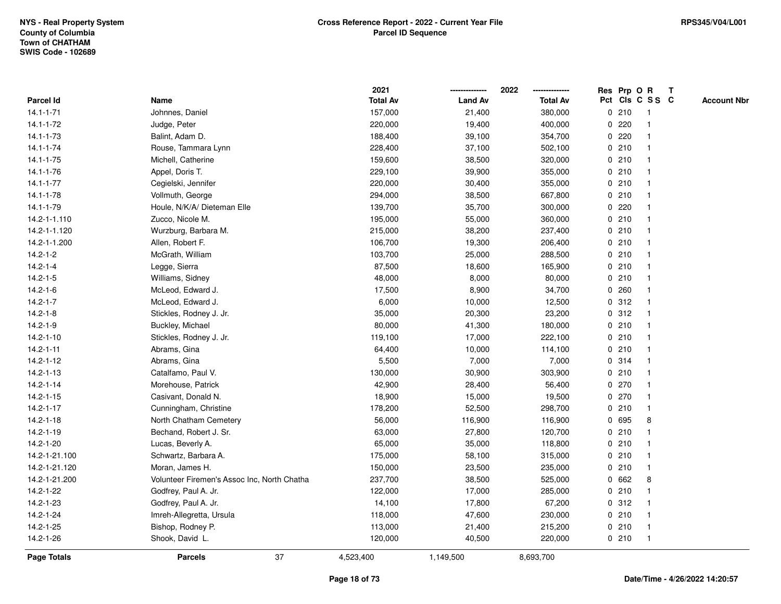|                 |                                             | 2021            |                | 2022<br>-------------- | Res Prp O R |                 |                         | $\mathbf{T}$ |                    |
|-----------------|---------------------------------------------|-----------------|----------------|------------------------|-------------|-----------------|-------------------------|--------------|--------------------|
| Parcel Id       | Name                                        | <b>Total Av</b> | <b>Land Av</b> | <b>Total Av</b>        |             | Pct Cls C S S C |                         |              | <b>Account Nbr</b> |
| $14.1 - 1 - 71$ | Johnnes, Daniel                             | 157,000         | 21,400         | 380,000                |             | 0210            | -1                      |              |                    |
| $14.1 - 1 - 72$ | Judge, Peter                                | 220,000         | 19,400         | 400,000                |             | 0220            |                         |              |                    |
| 14.1-1-73       | Balint, Adam D.                             | 188,400         | 39,100         | 354,700                |             | 0220            | -1                      |              |                    |
| $14.1 - 1 - 74$ | Rouse, Tammara Lynn                         | 228,400         | 37,100         | 502,100                |             | 0210            | $\overline{1}$          |              |                    |
| $14.1 - 1 - 75$ | Michell, Catherine                          | 159,600         | 38,500         | 320,000                |             | 0210            | $\overline{1}$          |              |                    |
| $14.1 - 1 - 76$ | Appel, Doris T.                             | 229,100         | 39,900         | 355,000                |             | 0210            | -1                      |              |                    |
| $14.1 - 1 - 77$ | Cegielski, Jennifer                         | 220,000         | 30,400         | 355,000                |             | 0210            |                         |              |                    |
| $14.1 - 1 - 78$ | Vollmuth, George                            | 294,000         | 38,500         | 667,800                |             | 0210            |                         |              |                    |
| 14.1-1-79       | Houle, N/K/A/ Dieteman Elle                 | 139,700         | 35,700         | 300,000                |             | 0.220           | -1                      |              |                    |
| 14.2-1-1.110    | Zucco, Nicole M.                            | 195,000         | 55,000         | 360,000                |             | 0210            | $\overline{1}$          |              |                    |
| 14.2-1-1.120    | Wurzburg, Barbara M.                        | 215,000         | 38,200         | 237,400                |             | 0210            | $\overline{\mathbf{1}}$ |              |                    |
| 14.2-1-1.200    | Allen, Robert F.                            | 106,700         | 19,300         | 206,400                |             | 0210            | -1                      |              |                    |
| $14.2 - 1 - 2$  | McGrath, William                            | 103,700         | 25,000         | 288,500                |             | 0210            |                         |              |                    |
| $14.2 - 1 - 4$  | Legge, Sierra                               | 87,500          | 18,600         | 165,900                |             | 0210            |                         |              |                    |
| $14.2 - 1 - 5$  | Williams, Sidney                            | 48,000          | 8,000          | 80,000                 |             | 0210            |                         |              |                    |
| $14.2 - 1 - 6$  | McLeod, Edward J.                           | 17,500          | 8,900          | 34,700                 |             | 0.260           |                         |              |                    |
| $14.2 - 1 - 7$  | McLeod, Edward J.                           | 6,000           | 10,000         | 12,500                 |             | 0.312           | $\overline{1}$          |              |                    |
| $14.2 - 1 - 8$  | Stickles, Rodney J. Jr.                     | 35,000          | 20,300         | 23,200                 |             | 0.312           | $\overline{\mathbf{1}}$ |              |                    |
| $14.2 - 1 - 9$  | Buckley, Michael                            | 80,000          | 41,300         | 180,000                |             | 0210            | -1                      |              |                    |
| $14.2 - 1 - 10$ | Stickles, Rodney J. Jr.                     | 119,100         | 17,000         | 222,100                |             | 0210            |                         |              |                    |
| $14.2 - 1 - 11$ | Abrams, Gina                                | 64,400          | 10,000         | 114,100                |             | 0210            |                         |              |                    |
| $14.2 - 1 - 12$ | Abrams, Gina                                | 5,500           | 7,000          | 7,000                  |             | 0.314           |                         |              |                    |
| $14.2 - 1 - 13$ | Catalfamo, Paul V.                          | 130,000         | 30,900         | 303,900                |             | 0210            | $\overline{\mathbf{1}}$ |              |                    |
| $14.2 - 1 - 14$ | Morehouse, Patrick                          | 42,900          | 28,400         | 56,400                 |             | 0270            | $\overline{\mathbf{1}}$ |              |                    |
| $14.2 - 1 - 15$ | Casivant, Donald N.                         | 18,900          | 15,000         | 19,500                 |             | 0 270           | -1                      |              |                    |
| $14.2 - 1 - 17$ | Cunningham, Christine                       | 178,200         | 52,500         | 298,700                |             | 0210            |                         |              |                    |
| $14.2 - 1 - 18$ | North Chatham Cemetery                      | 56,000          | 116,900        | 116,900                |             | 0 695           | 8                       |              |                    |
| 14.2-1-19       | Bechand, Robert J. Sr.                      | 63,000          | 27,800         | 120,700                |             | 0210            |                         |              |                    |
| 14.2-1-20       | Lucas, Beverly A.                           | 65,000          | 35,000         | 118,800                |             | 0210            |                         |              |                    |
| 14.2-1-21.100   | Schwartz, Barbara A.                        | 175,000         | 58,100         | 315,000                |             | 0210            | $\overline{\mathbf{1}}$ |              |                    |
| 14.2-1-21.120   | Moran, James H.                             | 150,000         | 23,500         | 235,000                |             | 0210            | $\overline{1}$          |              |                    |
| 14.2-1-21.200   | Volunteer Firemen's Assoc Inc, North Chatha | 237,700         | 38,500         | 525,000                |             | 0 662           | 8                       |              |                    |
| 14.2-1-22       | Godfrey, Paul A. Jr.                        | 122,000         | 17,000         | 285,000                |             | 0210            |                         |              |                    |
| 14.2-1-23       | Godfrey, Paul A. Jr.                        | 14,100          | 17,800         | 67,200                 |             | 0.312           |                         |              |                    |
| $14.2 - 1 - 24$ | Imreh-Allegretta, Ursula                    | 118,000         | 47,600         | 230,000                |             | 0210            | -1                      |              |                    |
| 14.2-1-25       | Bishop, Rodney P.                           | 113,000         | 21,400         | 215,200                |             | 0210            | $\overline{1}$          |              |                    |
| 14.2-1-26       | Shook, David L.                             | 120,000         | 40,500         | 220,000                |             | 0210            | $\overline{1}$          |              |                    |
| Page Totals     | 37<br><b>Parcels</b>                        | 4,523,400       | 1,149,500      | 8,693,700              |             |                 |                         |              |                    |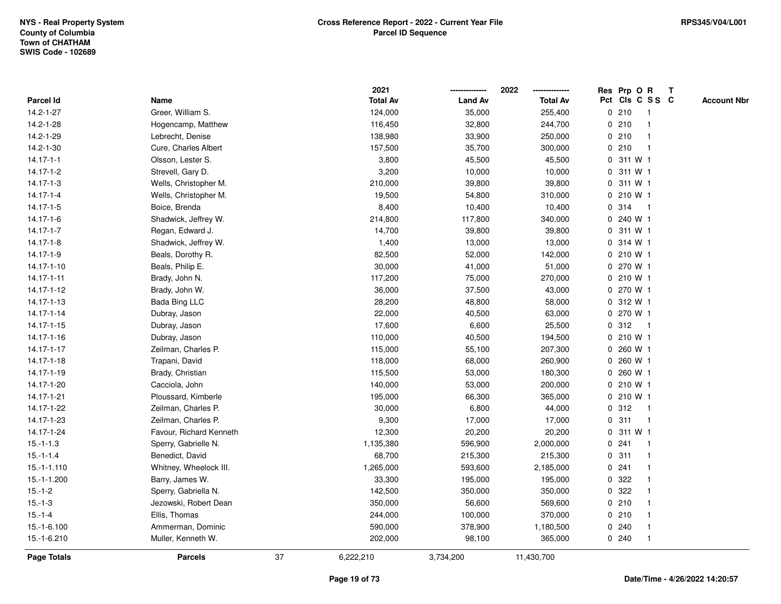|                    |                         |    | 2021            |                | 2022            | Res Prp O R<br>T                      |  |
|--------------------|-------------------------|----|-----------------|----------------|-----------------|---------------------------------------|--|
| Parcel Id          | Name                    |    | <b>Total Av</b> | <b>Land Av</b> | <b>Total Av</b> | Pct Cls C S S C<br><b>Account Nbr</b> |  |
| $14.2 - 1 - 27$    | Greer, William S.       |    | 124,000         | 35,000         | 255,400         | 0210<br>$\mathbf{1}$                  |  |
| 14.2-1-28          | Hogencamp, Matthew      |    | 116,450         | 32,800         | 244,700         | 0210<br>$\mathbf 1$                   |  |
| 14.2-1-29          | Lebrecht, Denise        |    | 138,980         | 33,900         | 250,000         | 0210<br>$\mathbf 1$                   |  |
| 14.2-1-30          | Cure, Charles Albert    |    | 157,500         | 35,700         | 300,000         | 0210                                  |  |
| $14.17 - 1 - 1$    | Olsson, Lester S.       |    | 3,800           | 45,500         | 45,500          | 0 311 W 1                             |  |
| $14.17 - 1 - 2$    | Strevell, Gary D.       |    | 3,200           | 10,000         | 10,000          | 0 311 W 1                             |  |
| $14.17 - 1 - 3$    | Wells, Christopher M.   |    | 210,000         | 39,800         | 39,800          | 311 W 1<br>0                          |  |
| $14.17 - 1 - 4$    | Wells, Christopher M.   |    | 19,500          | 54,800         | 310,000         | 210 W 1<br>0                          |  |
| 14.17-1-5          | Boice, Brenda           |    | 8,400           | 10,400         | 10,400          | 314<br>0<br>$\overline{1}$            |  |
| 14.17-1-6          | Shadwick, Jeffrey W.    |    | 214,800         | 117,800        | 340,000         | 0 240 W 1                             |  |
| $14.17 - 1 - 7$    | Regan, Edward J.        |    | 14,700          | 39,800         | 39,800          | 0 311 W 1                             |  |
| 14.17-1-8          | Shadwick, Jeffrey W.    |    | 1,400           | 13,000         | 13,000          | 0.314 W1                              |  |
| 14.17-1-9          | Beals, Dorothy R.       |    | 82,500          | 52,000         | 142,000         | 0 210 W 1                             |  |
| 14.17-1-10         | Beals, Philip E.        |    | 30,000          | 41,000         | 51,000          | 0 270 W 1                             |  |
| 14.17-1-11         | Brady, John N.          |    | 117,200         | 75,000         | 270,000         | 0 210 W 1                             |  |
| 14.17-1-12         | Brady, John W.          |    | 36,000          | 37,500         | 43,000          | 270 W 1<br>$\mathbf{0}$               |  |
| 14.17-1-13         | <b>Bada Bing LLC</b>    |    | 28,200          | 48,800         | 58,000          | 0 312 W 1                             |  |
| 14.17-1-14         | Dubray, Jason           |    | 22,000          | 40,500         | 63,000          | 0 270 W 1                             |  |
| 14.17-1-15         | Dubray, Jason           |    | 17,600          | 6,600          | 25,500          | 0.312<br>-1                           |  |
| 14.17-1-16         | Dubray, Jason           |    | 110,000         | 40,500         | 194,500         | 0 210 W 1                             |  |
| 14.17-1-17         | Zeilman, Charles P.     |    | 115,000         | 55,100         | 207,300         | 0 260 W 1                             |  |
| 14.17-1-18         | Trapani, David          |    | 118,000         | 68,000         | 260,900         | 260 W 1<br>0                          |  |
| 14.17-1-19         | Brady, Christian        |    | 115,500         | 53,000         | 180,300         | 260 W 1<br>0                          |  |
| 14.17-1-20         | Cacciola, John          |    | 140,000         | 53,000         | 200,000         | 0 210 W 1                             |  |
| 14.17-1-21         | Ploussard, Kimberle     |    | 195,000         | 66,300         | 365,000         | 0 210 W 1                             |  |
| 14.17-1-22         | Zeilman, Charles P.     |    | 30,000          | 6,800          | 44,000          | 0.312<br>-1                           |  |
| 14.17-1-23         | Zeilman, Charles P.     |    | 9,300           | 17,000         | 17,000          | 0.311                                 |  |
| 14.17-1-24         | Favour, Richard Kenneth |    | 12,300          | 20,200         | 20,200          | 0 311 W 1                             |  |
| $15.-1-1.3$        | Sperry, Gabrielle N.    |    | 1,135,380       | 596,900        | 2,000,000       | 0.241<br>-1                           |  |
| $15.-1-1.4$        | Benedict, David         |    | 68,700          | 215,300        | 215,300         | $\mathbf 0$<br>311<br>$\mathbf{1}$    |  |
| $15.-1-1.110$      | Whitney, Wheelock III.  |    | 1,265,000       | 593,600        | 2,185,000       | 0.241<br>-1                           |  |
| 15.-1-1.200        | Barry, James W.         |    | 33,300          | 195,000        | 195,000         | 0.322                                 |  |
| $15.-1-2$          | Sperry, Gabriella N.    |    | 142,500         | 350,000        | 350,000         | 0 322                                 |  |
| $15.-1-3$          | Jezowski, Robert Dean   |    | 350,000         | 56,600         | 569,600         | 0210                                  |  |
| $15.-1-4$          | Ellis, Thomas           |    | 244,000         | 100,000        | 370,000         | 0210                                  |  |
| 15.-1-6.100        | Ammerman, Dominic       |    | 590,000         | 378,900        | 1,180,500       | 0.240<br>$\mathbf 1$                  |  |
| 15.-1-6.210        | Muller, Kenneth W.      |    | 202,000         | 98,100         | 365,000         | 0.240<br>$\mathbf{1}$                 |  |
| <b>Page Totals</b> | <b>Parcels</b>          | 37 | 6,222,210       | 3,734,200      | 11,430,700      |                                       |  |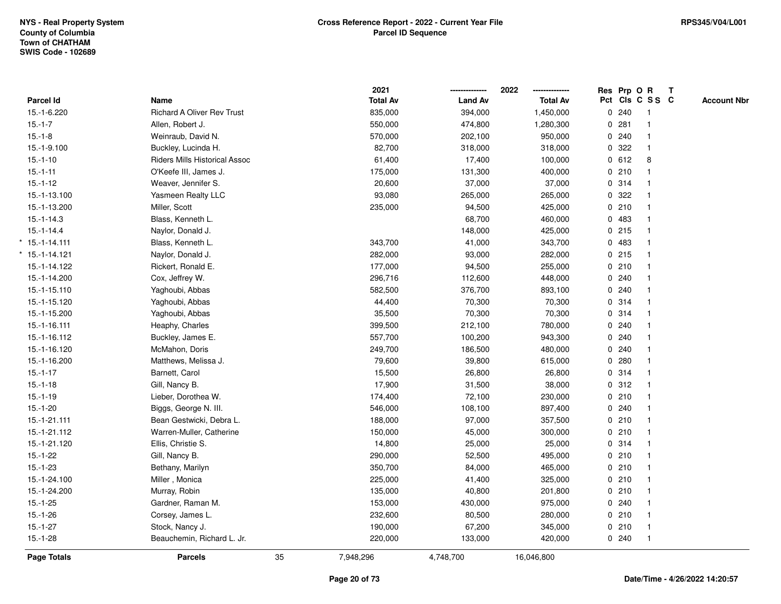|                  |                                      |    | 2021            |                | 2022<br>-------------- |   | Res Prp O R |                 | $\mathbf{T}$ |                    |
|------------------|--------------------------------------|----|-----------------|----------------|------------------------|---|-------------|-----------------|--------------|--------------------|
| <b>Parcel Id</b> | Name                                 |    | <b>Total Av</b> | <b>Land Av</b> | <b>Total Av</b>        |   |             | Pct Cls C S S C |              | <b>Account Nbr</b> |
| 15.-1-6.220      | <b>Richard A Oliver Rev Trust</b>    |    | 835,000         | 394,000        | 1,450,000              |   | 0.240       |                 |              |                    |
| $15.-1-7$        | Allen, Robert J.                     |    | 550,000         | 474,800        | 1,280,300              |   | 0.281       |                 |              |                    |
| $15.-1-8$        | Weinraub, David N.                   |    | 570,000         | 202,100        | 950,000                |   | 0.240       |                 |              |                    |
| 15.-1-9.100      | Buckley, Lucinda H.                  |    | 82,700          | 318,000        | 318,000                |   | 0.322       | $\mathbf{1}$    |              |                    |
| $15.-1-10$       | <b>Riders Mills Historical Assoc</b> |    | 61,400          | 17,400         | 100,000                |   | 0 612       | 8               |              |                    |
| $15.-1-11$       | O'Keefe III, James J.                |    | 175,000         | 131,300        | 400,000                |   | 0210        |                 |              |                    |
| $15.-1-12$       | Weaver, Jennifer S.                  |    | 20,600          | 37,000         | 37,000                 |   | 0.314       |                 |              |                    |
| 15.-1-13.100     | Yasmeen Realty LLC                   |    | 93,080          | 265,000        | 265,000                |   | 0.322       |                 |              |                    |
| 15.-1-13.200     | Miller, Scott                        |    | 235,000         | 94,500         | 425,000                |   | 0210        |                 |              |                    |
| $15.-1-14.3$     | Blass, Kenneth L.                    |    |                 | 68,700         | 460,000                |   | 0 483       |                 |              |                    |
| $15 - 1 - 14.4$  | Naylor, Donald J.                    |    |                 | 148,000        | 425,000                |   | 0.215       | $\mathbf{1}$    |              |                    |
| $*$ 15.-1-14.111 | Blass, Kenneth L.                    |    | 343,700         | 41,000         | 343,700                |   | 0 483       |                 |              |                    |
| $*$ 15.-1-14.121 | Naylor, Donald J.                    |    | 282,000         | 93,000         | 282,000                |   | $0$ 215     |                 |              |                    |
| 15.-1-14.122     | Rickert, Ronald E.                   |    | 177,000         | 94,500         | 255,000                |   | 0210        |                 |              |                    |
| 15.-1-14.200     | Cox, Jeffrey W.                      |    | 296,716         | 112,600        | 448,000                |   | 0.240       |                 |              |                    |
| 15.-1-15.110     | Yaghoubi, Abbas                      |    | 582,500         | 376,700        | 893,100                |   | 0.240       |                 |              |                    |
| 15.-1-15.120     | Yaghoubi, Abbas                      |    | 44,400          | 70,300         | 70,300                 | 0 | 314         |                 |              |                    |
| 15.-1-15.200     | Yaghoubi, Abbas                      |    | 35,500          | 70,300         | 70,300                 |   | 0 314       |                 |              |                    |
| 15.-1-16.111     | Heaphy, Charles                      |    | 399,500         | 212,100        | 780,000                |   | 0.240       |                 |              |                    |
| 15.-1-16.112     | Buckley, James E.                    |    | 557,700         | 100,200        | 943,300                |   | 0.240       |                 |              |                    |
| 15.-1-16.120     | McMahon, Doris                       |    | 249,700         | 186,500        | 480,000                |   | 0.240       |                 |              |                    |
| 15.-1-16.200     | Matthews, Melissa J.                 |    | 79,600          | 39,800         | 615,000                |   | 0.280       |                 |              |                    |
| $15.-1-17$       | Barnett, Carol                       |    | 15,500          | 26,800         | 26,800                 |   | 0.314       |                 |              |                    |
| $15.-1-18$       | Gill, Nancy B.                       |    | 17,900          | 31,500         | 38,000                 |   | 0.312       | $\mathbf{1}$    |              |                    |
| $15.-1-19$       | Lieber, Dorothea W.                  |    | 174,400         | 72,100         | 230,000                |   | 0210        |                 |              |                    |
| $15.-1-20$       | Biggs, George N. III.                |    | 546,000         | 108,100        | 897,400                |   | 0.240       |                 |              |                    |
| 15.-1-21.111     | Bean Gestwicki, Debra L.             |    | 188,000         | 97,000         | 357,500                |   | 0210        |                 |              |                    |
| 15.-1-21.112     | Warren-Muller, Catherine             |    | 150,000         | 45,000         | 300,000                |   | 0210        |                 |              |                    |
| 15.-1-21.120     | Ellis, Christie S.                   |    | 14,800          | 25,000         | 25,000                 |   | 0.314       |                 |              |                    |
| $15.-1-22$       | Gill, Nancy B.                       |    | 290,000         | 52,500         | 495,000                |   | 0210        |                 |              |                    |
| $15.-1-23$       | Bethany, Marilyn                     |    | 350,700         | 84,000         | 465,000                |   | 0210        | $\mathbf{1}$    |              |                    |
| 15.-1-24.100     | Miller, Monica                       |    | 225,000         | 41,400         | 325,000                |   | 0210        | $\mathbf{1}$    |              |                    |
| 15.-1-24.200     | Murray, Robin                        |    | 135,000         | 40,800         | 201,800                |   | 0210        |                 |              |                    |
| $15.-1-25$       | Gardner, Raman M.                    |    | 153,000         | 430,000        | 975,000                |   | 0.240       |                 |              |                    |
| $15.-1-26$       | Corsey, James L.                     |    | 232,600         | 80,500         | 280,000                |   | 0210        |                 |              |                    |
| $15.-1-27$       | Stock, Nancy J.                      |    | 190,000         | 67,200         | 345,000                |   | 0210        | $\mathbf{1}$    |              |                    |
| $15.-1-28$       | Beauchemin, Richard L. Jr.           |    | 220,000         | 133,000        | 420,000                |   | 0.240       | $\mathbf{1}$    |              |                    |
| Page Totals      | <b>Parcels</b>                       | 35 | 7,948,296       | 4,748,700      | 16,046,800             |   |             |                 |              |                    |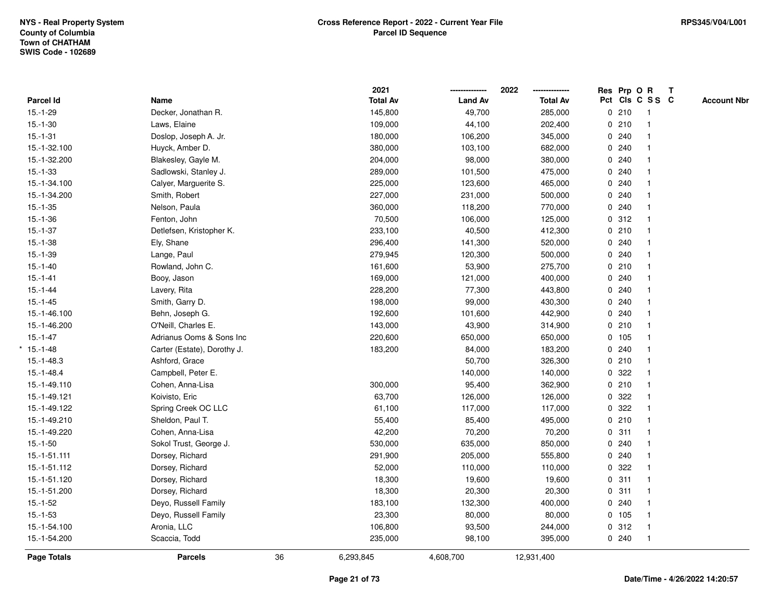|              |                             |    | 2021            |                | 2022<br>-------------- | Res Prp O R |                 | $\mathbf{T}$ |                    |
|--------------|-----------------------------|----|-----------------|----------------|------------------------|-------------|-----------------|--------------|--------------------|
| Parcel Id    | Name                        |    | <b>Total Av</b> | <b>Land Av</b> | <b>Total Av</b>        |             | Pct Cls C S S C |              | <b>Account Nbr</b> |
| $15.-1-29$   | Decker, Jonathan R.         |    | 145,800         | 49,700         | 285,000                | 0210        | -1              |              |                    |
| $15.-1-30$   | Laws, Elaine                |    | 109,000         | 44,100         | 202,400                | 0210        |                 |              |                    |
| $15.-1-31$   | Doslop, Joseph A. Jr.       |    | 180,000         | 106,200        | 345,000                | 0.240       | 1               |              |                    |
| 15.-1-32.100 | Huyck, Amber D.             |    | 380,000         | 103,100        | 682,000                | 0.240       | $\overline{1}$  |              |                    |
| 15.-1-32.200 | Blakesley, Gayle M.         |    | 204,000         | 98,000         | 380,000                | 0.240       | $\mathbf{1}$    |              |                    |
| $15.-1-33$   | Sadlowski, Stanley J.       |    | 289,000         | 101,500        | 475,000                | 0.240       | 1               |              |                    |
| 15.-1-34.100 | Calyer, Marguerite S.       |    | 225,000         | 123,600        | 465,000                | 0.240       |                 |              |                    |
| 15.-1-34.200 | Smith, Robert               |    | 227,000         | 231,000        | 500,000                | 0.240       |                 |              |                    |
| $15.-1-35$   | Nelson, Paula               |    | 360,000         | 118,200        | 770,000                | 0.240       |                 |              |                    |
| $15.-1-36$   | Fenton, John                |    | 70,500          | 106,000        | 125,000                | 0.312       |                 |              |                    |
| $15.-1-37$   | Detlefsen, Kristopher K.    |    | 233,100         | 40,500         | 412,300                | 0210        | $\mathbf{1}$    |              |                    |
| $15.-1-38$   | Ely, Shane                  |    | 296,400         | 141,300        | 520,000                | 0.240       | $\mathbf{1}$    |              |                    |
| $15.-1-39$   | Lange, Paul                 |    | 279,945         | 120,300        | 500,000                | 0.240       |                 |              |                    |
| $15.-1-40$   | Rowland, John C.            |    | 161,600         | 53,900         | 275,700                | 0210        |                 |              |                    |
| $15.-1-41$   | Booy, Jason                 |    | 169,000         | 121,000        | 400,000                | 0.240       |                 |              |                    |
| $15.-1-44$   | Lavery, Rita                |    | 228,200         | 77,300         | 443,800                | 0.240       |                 |              |                    |
| $15.-1-45$   | Smith, Garry D.             |    | 198,000         | 99,000         | 430,300                | 0.240       | $\mathbf{1}$    |              |                    |
| 15.-1-46.100 | Behn, Joseph G.             |    | 192,600         | 101,600        | 442,900                | 0.240       | $\overline{1}$  |              |                    |
| 15.-1-46.200 | O'Neill, Charles E.         |    | 143,000         | 43,900         | 314,900                | 0210        | $\mathbf{1}$    |              |                    |
| $15.-1-47$   | Adrianus Ooms & Sons Inc    |    | 220,600         | 650,000        | 650,000                | 0 105       |                 |              |                    |
| $*15.-1-48$  | Carter (Estate), Dorothy J. |    | 183,200         | 84,000         | 183,200                | 0.240       |                 |              |                    |
| $15.-1-48.3$ | Ashford, Grace              |    |                 | 50,700         | 326,300                | 0210        |                 |              |                    |
| $15.-1-48.4$ | Campbell, Peter E.          |    |                 | 140,000        | 140,000                | 0.322       |                 |              |                    |
| 15.-1-49.110 | Cohen, Anna-Lisa            |    | 300,000         | 95,400         | 362,900                | 0210        | $\mathbf{1}$    |              |                    |
| 15.-1-49.121 | Koivisto, Eric              |    | 63,700          | 126,000        | 126,000                | 0.322       | $\mathbf{1}$    |              |                    |
| 15.-1-49.122 | Spring Creek OC LLC         |    | 61,100          | 117,000        | 117,000                | 0.322       |                 |              |                    |
| 15.-1-49.210 | Sheldon, Paul T.            |    | 55,400          | 85,400         | 495,000                | 0210        |                 |              |                    |
| 15.-1-49.220 | Cohen, Anna-Lisa            |    | 42,200          | 70,200         | 70,200                 | 0.311       |                 |              |                    |
| $15.-1-50$   | Sokol Trust, George J.      |    | 530,000         | 635,000        | 850,000                | 0.240       | $\mathbf{1}$    |              |                    |
| 15.-1-51.111 | Dorsey, Richard             |    | 291,900         | 205,000        | 555,800                | 0.240       |                 |              |                    |
| 15.-1-51.112 | Dorsey, Richard             |    | 52,000          | 110,000        | 110,000                | 0.322       | $\overline{1}$  |              |                    |
| 15.-1-51.120 | Dorsey, Richard             |    | 18,300          | 19,600         | 19,600                 | 0.311       | $\mathbf{1}$    |              |                    |
| 15.-1-51.200 | Dorsey, Richard             |    | 18,300          | 20,300         | 20,300                 | 0.311       |                 |              |                    |
| $15.-1-52$   | Deyo, Russell Family        |    | 183,100         | 132,300        | 400,000                | 0.240       |                 |              |                    |
| $15.-1-53$   | Deyo, Russell Family        |    | 23,300          | 80,000         | 80,000                 | 0 105       | $\mathbf{1}$    |              |                    |
| 15.-1-54.100 | Aronia, LLC                 |    | 106,800         | 93,500         | 244,000                | 0.312       | $\mathbf{1}$    |              |                    |
| 15.-1-54.200 | Scaccia, Todd               |    | 235,000         | 98,100         | 395,000                | 0.240       | $\mathbf{1}$    |              |                    |
| Page Totals  | <b>Parcels</b>              | 36 | 6,293,845       | 4,608,700      | 12,931,400             |             |                 |              |                    |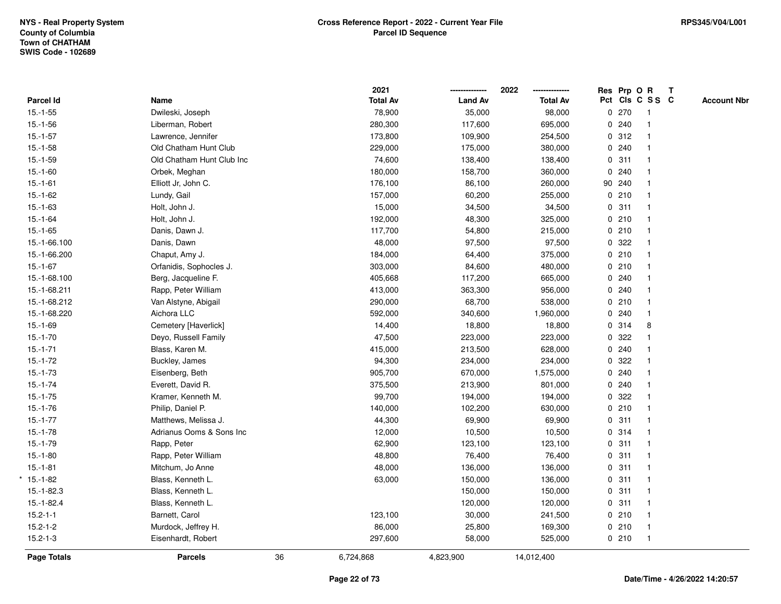|                |                           |    | 2021            |                | 2022            |        | Res Prp O R     | $\mathbf{T}$ |                    |
|----------------|---------------------------|----|-----------------|----------------|-----------------|--------|-----------------|--------------|--------------------|
| Parcel Id      | Name                      |    | <b>Total Av</b> | <b>Land Av</b> | <b>Total Av</b> |        | Pct Cls C S S C |              | <b>Account Nbr</b> |
| $15.-1-55$     | Dwileski, Joseph          |    | 78,900          | 35,000         | 98,000          | 0270   |                 |              |                    |
| $15.-1-56$     | Liberman, Robert          |    | 280,300         | 117,600        | 695,000         | 0.240  |                 |              |                    |
| $15.-1-57$     | Lawrence, Jennifer        |    | 173,800         | 109,900        | 254,500         | 0.312  |                 |              |                    |
| $15.-1-58$     | Old Chatham Hunt Club     |    | 229,000         | 175,000        | 380,000         | 0.240  |                 |              |                    |
| $15.-1-59$     | Old Chatham Hunt Club Inc |    | 74,600          | 138,400        | 138,400         | 0.311  |                 |              |                    |
| $15.-1-60$     | Orbek, Meghan             |    | 180,000         | 158,700        | 360,000         | 0.240  |                 |              |                    |
| $15.-1-61$     | Elliott Jr, John C.       |    | 176,100         | 86,100         | 260,000         | 90 240 |                 |              |                    |
| $15.-1-62$     | Lundy, Gail               |    | 157,000         | 60,200         | 255,000         | 0210   |                 |              |                    |
| $15.-1-63$     | Holt, John J.             |    | 15,000          | 34,500         | 34,500          | 0.311  |                 |              |                    |
| $15.-1-64$     | Holt, John J.             |    | 192,000         | 48,300         | 325,000         | 0210   |                 |              |                    |
| $15.-1-65$     | Danis, Dawn J.            |    | 117,700         | 54,800         | 215,000         | 0210   | $\mathbf 1$     |              |                    |
| 15.-1-66.100   | Danis, Dawn               |    | 48,000          | 97,500         | 97,500          | 0.322  |                 |              |                    |
| 15.-1-66.200   | Chaput, Amy J.            |    | 184,000         | 64,400         | 375,000         | 0210   |                 |              |                    |
| $15.-1-67$     | Orfanidis, Sophocles J.   |    | 303,000         | 84,600         | 480,000         | 0210   |                 |              |                    |
| 15.-1-68.100   | Berg, Jacqueline F.       |    | 405,668         | 117,200        | 665,000         | 0.240  |                 |              |                    |
| 15.-1-68.211   | Rapp, Peter William       |    | 413,000         | 363,300        | 956,000         | 0.240  |                 |              |                    |
| 15.-1-68.212   | Van Alstyne, Abigail      |    | 290,000         | 68,700         | 538,000         | 0210   |                 |              |                    |
| 15.-1-68.220   | Aichora LLC               |    | 592,000         | 340,600        | 1,960,000       | 0.240  |                 |              |                    |
| $15.-1-69$     | Cemetery [Haverlick]      |    | 14,400          | 18,800         | 18,800          | 0.314  | 8               |              |                    |
| $15.-1-70$     | Deyo, Russell Family      |    | 47,500          | 223,000        | 223,000         | 0.322  |                 |              |                    |
| $15.-1-71$     | Blass, Karen M.           |    | 415,000         | 213,500        | 628,000         | 0.240  |                 |              |                    |
| $15.-1-72$     | Buckley, James            |    | 94,300          | 234,000        | 234,000         | 0.322  |                 |              |                    |
| $15.-1-73$     | Eisenberg, Beth           |    | 905,700         | 670,000        | 1,575,000       | 0240   |                 |              |                    |
| $15.-1-74$     | Everett, David R.         |    | 375,500         | 213,900        | 801,000         | 0.240  |                 |              |                    |
| $15.-1-75$     | Kramer, Kenneth M.        |    | 99,700          | 194,000        | 194,000         | 0 322  |                 |              |                    |
| $15.-1-76$     | Philip, Daniel P.         |    | 140,000         | 102,200        | 630,000         | 0210   |                 |              |                    |
| $15.-1-77$     | Matthews, Melissa J.      |    | 44,300          | 69,900         | 69,900          | 0.311  |                 |              |                    |
| $15.-1-78$     | Adrianus Ooms & Sons Inc  |    | 12,000          | 10,500         | 10,500          | 0.314  |                 |              |                    |
| $15.-1-79$     | Rapp, Peter               |    | 62,900          | 123,100        | 123,100         | 0.311  |                 |              |                    |
| $15.-1-80$     | Rapp, Peter William       |    | 48,800          | 76,400         | 76,400          | 0.311  |                 |              |                    |
| $15.-1-81$     | Mitchum, Jo Anne          |    | 48,000          | 136,000        | 136,000         | 0.311  | $\mathbf{1}$    |              |                    |
| $*15.-1-82$    | Blass, Kenneth L.         |    | 63,000          | 150,000        | 136,000         | 0.311  | $\mathbf{1}$    |              |                    |
| $15.-1-82.3$   | Blass, Kenneth L.         |    |                 | 150,000        | 150,000         | 0.311  |                 |              |                    |
| $15.-1-82.4$   | Blass, Kenneth L.         |    |                 | 120,000        | 120,000         | 0.311  |                 |              |                    |
| $15.2 - 1 - 1$ | Barnett, Carol            |    | 123,100         | 30,000         | 241,500         | 0210   |                 |              |                    |
| $15.2 - 1 - 2$ | Murdock, Jeffrey H.       |    | 86,000          | 25,800         | 169,300         | 0210   | $\mathbf{1}$    |              |                    |
| $15.2 - 1 - 3$ | Eisenhardt, Robert        |    | 297,600         | 58,000         | 525,000         | 0210   | $\overline{1}$  |              |                    |
| Page Totals    | <b>Parcels</b>            | 36 | 6,724,868       | 4,823,900      | 14,012,400      |        |                 |              |                    |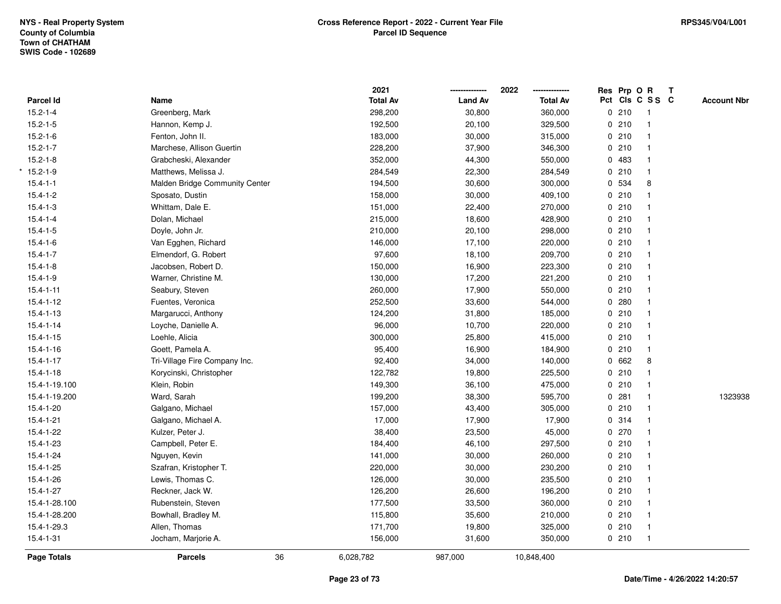|                 |                                | 2021            |                | 2022            | Res Prp O R |                 | Т |                    |
|-----------------|--------------------------------|-----------------|----------------|-----------------|-------------|-----------------|---|--------------------|
| Parcel Id       | Name                           | <b>Total Av</b> | <b>Land Av</b> | <b>Total Av</b> |             | Pct Cls C S S C |   | <b>Account Nbr</b> |
| $15.2 - 1 - 4$  | Greenberg, Mark                | 298,200         | 30,800         | 360,000         | 0210        | $\mathbf{1}$    |   |                    |
| $15.2 - 1 - 5$  | Hannon, Kemp J.                | 192,500         | 20,100         | 329,500         | 0210        | $\mathbf{1}$    |   |                    |
| $15.2 - 1 - 6$  | Fenton, John II.               | 183,000         | 30,000         | 315,000         | 0210        | $\mathbf{1}$    |   |                    |
| $15.2 - 1 - 7$  | Marchese, Allison Guertin      | 228,200         | 37,900         | 346,300         | 0210        | $\mathbf{1}$    |   |                    |
| $15.2 - 1 - 8$  | Grabcheski, Alexander          | 352,000         | 44,300         | 550,000         | 0 483       | $\mathbf{1}$    |   |                    |
| $*15.2 - 1 - 9$ | Matthews, Melissa J.           | 284,549         | 22,300         | 284,549         | 0210        | $\overline{1}$  |   |                    |
| $15.4 - 1 - 1$  | Malden Bridge Community Center | 194,500         | 30,600         | 300,000         | 0 534       | 8               |   |                    |
| $15.4 - 1 - 2$  | Sposato, Dustin                | 158,000         | 30,000         | 409,100         | 0210        | $\mathbf{1}$    |   |                    |
| $15.4 - 1 - 3$  | Whittam, Dale E.               | 151,000         | 22,400         | 270,000         | 0210        | $\mathbf{1}$    |   |                    |
| $15.4 - 1 - 4$  | Dolan, Michael                 | 215,000         | 18,600         | 428,900         | 0210        | $\mathbf{1}$    |   |                    |
| $15.4 - 1 - 5$  | Doyle, John Jr.                | 210,000         | 20,100         | 298,000         | 0210        | $\mathbf{1}$    |   |                    |
| $15.4 - 1 - 6$  | Van Egghen, Richard            | 146,000         | 17,100         | 220,000         | 0210        | $\mathbf{1}$    |   |                    |
| $15.4 - 1 - 7$  | Elmendorf, G. Robert           | 97,600          | 18,100         | 209,700         | 0210        |                 |   |                    |
| $15.4 - 1 - 8$  | Jacobsen, Robert D.            | 150,000         | 16,900         | 223,300         | 0210        | $\mathbf{1}$    |   |                    |
| $15.4 - 1 - 9$  | Warner, Christine M.           | 130,000         | 17,200         | 221,200         | 0210        | $\mathbf{1}$    |   |                    |
| $15.4 - 1 - 11$ | Seabury, Steven                | 260,000         | 17,900         | 550,000         | 0210        | $\mathbf{1}$    |   |                    |
| $15.4 - 1 - 12$ | Fuentes, Veronica              | 252,500         | 33,600         | 544,000         | 0.280       | $\mathbf{1}$    |   |                    |
| $15.4 - 1 - 13$ | Margarucci, Anthony            | 124,200         | 31,800         | 185,000         | 0210        | $\mathbf{1}$    |   |                    |
| $15.4 - 1 - 14$ | Loyche, Danielle A.            | 96,000          | 10,700         | 220,000         | 0210        | $\mathbf{1}$    |   |                    |
| $15.4 - 1 - 15$ | Loehle, Alicia                 | 300,000         | 25,800         | 415,000         | 0210        | $\mathbf{1}$    |   |                    |
| $15.4 - 1 - 16$ | Goett, Pamela A.               | 95,400          | 16,900         | 184,900         | 0 210       | $\mathbf{1}$    |   |                    |
| $15.4 - 1 - 17$ | Tri-Village Fire Company Inc.  | 92,400          | 34,000         | 140,000         | 0 662       | 8               |   |                    |
| $15.4 - 1 - 18$ | Korycinski, Christopher        | 122,782         | 19,800         | 225,500         | 0210        | $\mathbf{1}$    |   |                    |
| 15.4-1-19.100   | Klein, Robin                   | 149,300         | 36,100         | 475,000         | 0210        | $\mathbf{1}$    |   |                    |
| 15.4-1-19.200   | Ward, Sarah                    | 199,200         | 38,300         | 595,700         | 0.281       | $\mathbf{1}$    |   | 1323938            |
| $15.4 - 1 - 20$ | Galgano, Michael               | 157,000         | 43,400         | 305,000         | 0210        | $\mathbf{1}$    |   |                    |
| $15.4 - 1 - 21$ | Galgano, Michael A.            | 17,000          | 17,900         | 17,900          | 0 314       | $\mathbf{1}$    |   |                    |
| 15.4-1-22       | Kulzer, Peter J.               | 38,400          | 23,500         | 45,000          | 0270        | $\mathbf{1}$    |   |                    |
| 15.4-1-23       | Campbell, Peter E.             | 184,400         | 46,100         | 297,500         | 0210        | $\mathbf{1}$    |   |                    |
| $15.4 - 1 - 24$ | Nguyen, Kevin                  | 141,000         | 30,000         | 260,000         | 0210        | $\mathbf{1}$    |   |                    |
| 15.4-1-25       | Szafran, Kristopher T.         | 220,000         | 30,000         | 230,200         | 0210        | $\mathbf{1}$    |   |                    |
| 15.4-1-26       | Lewis, Thomas C.               | 126,000         | 30,000         | 235,500         | 0210        | $\mathbf{1}$    |   |                    |
| $15.4 - 1 - 27$ | Reckner, Jack W.               | 126,200         | 26,600         | 196,200         | 0210        | $\mathbf{1}$    |   |                    |
| 15.4-1-28.100   | Rubenstein, Steven             | 177,500         | 33,500         | 360,000         | 0210        | $\mathbf{1}$    |   |                    |
| 15.4-1-28.200   | Bowhall, Bradley M.            | 115,800         | 35,600         | 210,000         | 0210        | $\mathbf{1}$    |   |                    |
| 15.4-1-29.3     | Allen, Thomas                  | 171,700         | 19,800         | 325,000         | 0210        | $\mathbf{1}$    |   |                    |
| $15.4 - 1 - 31$ | Jocham, Marjorie A.            | 156,000         | 31,600         | 350,000         | 0210        | $\mathbf{1}$    |   |                    |
| Page Totals     | <b>Parcels</b><br>36           | 6,028,782       | 987,000        | 10,848,400      |             |                 |   |                    |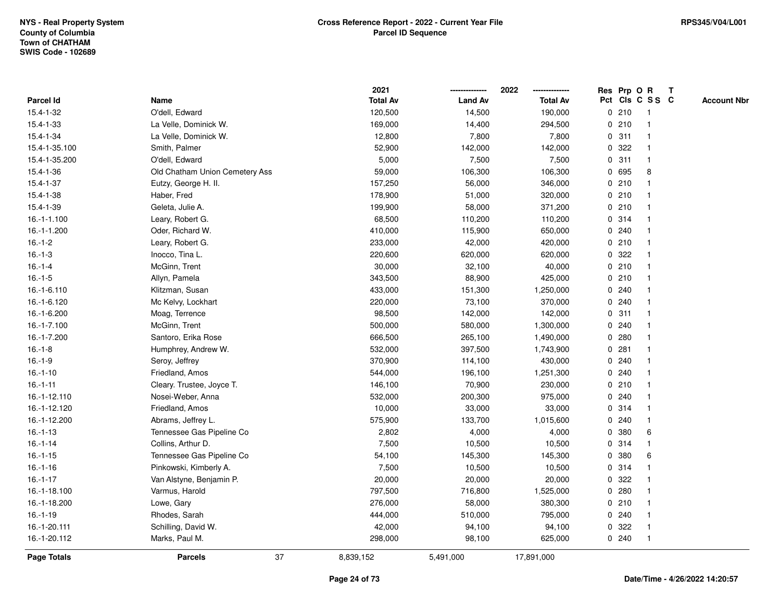|                    |                                | 2021            |                | 2022            |   |       | Res Prp O R     | Т |                    |
|--------------------|--------------------------------|-----------------|----------------|-----------------|---|-------|-----------------|---|--------------------|
| Parcel Id          | Name                           | <b>Total Av</b> | <b>Land Av</b> | <b>Total Av</b> |   |       | Pct Cls C S S C |   | <b>Account Nbr</b> |
| 15.4-1-32          | O'dell, Edward                 | 120,500         | 14,500         | 190,000         |   | 0210  | $\mathbf{1}$    |   |                    |
| 15.4-1-33          | La Velle, Dominick W.          | 169,000         | 14,400         | 294,500         |   | 0210  | $\mathbf{1}$    |   |                    |
| 15.4-1-34          | La Velle, Dominick W.          | 12,800          | 7,800          | 7,800           |   | 0.311 | $\mathbf 1$     |   |                    |
| 15.4-1-35.100      | Smith, Palmer                  | 52,900          | 142,000        | 142,000         |   | 0 322 | -1              |   |                    |
| 15.4-1-35.200      | O'dell, Edward                 | 5,000           | 7,500          | 7,500           |   | 0.311 |                 |   |                    |
| 15.4-1-36          | Old Chatham Union Cemetery Ass | 59,000          | 106,300        | 106,300         |   | 0 695 | 8               |   |                    |
| 15.4-1-37          | Eutzy, George H. II.           | 157,250         | 56,000         | 346,000         |   | 0210  | $\mathbf 1$     |   |                    |
| 15.4-1-38          | Haber, Fred                    | 178,900         | 51,000         | 320,000         |   | 0210  | $\mathbf{1}$    |   |                    |
| 15.4-1-39          | Geleta, Julie A.               | 199,900         | 58,000         | 371,200         |   | 0210  | $\mathbf{1}$    |   |                    |
| 16.-1-1.100        | Leary, Robert G.               | 68,500          | 110,200        | 110,200         |   | 0.314 | $\mathbf{1}$    |   |                    |
| 16.-1-1.200        | Oder, Richard W.               | 410,000         | 115,900        | 650,000         |   | 0.240 | 1               |   |                    |
| $16.-1-2$          | Leary, Robert G.               | 233,000         | 42,000         | 420,000         |   | 0210  |                 |   |                    |
| $16.-1-3$          | Inocco, Tina L.                | 220,600         | 620,000        | 620,000         |   | 0 322 |                 |   |                    |
| $16.-1-4$          | McGinn, Trent                  | 30,000          | 32,100         | 40,000          |   | 0210  | $\mathbf 1$     |   |                    |
| $16.-1-5$          | Allyn, Pamela                  | 343,500         | 88,900         | 425,000         |   | 0210  | $\mathbf{1}$    |   |                    |
| 16.-1-6.110        | Klitzman, Susan                | 433,000         | 151,300        | 1,250,000       |   | 0.240 | $\mathbf{1}$    |   |                    |
| 16.-1-6.120        | Mc Kelvy, Lockhart             | 220,000         | 73,100         | 370,000         |   | 0.240 | $\mathbf{1}$    |   |                    |
| 16.-1-6.200        | Moag, Terrence                 | 98,500          | 142,000        | 142,000         |   | 0.311 | -1              |   |                    |
| 16.-1-7.100        | McGinn, Trent                  | 500,000         | 580,000        | 1,300,000       |   | 0.240 |                 |   |                    |
| 16.-1-7.200        | Santoro, Erika Rose            | 666,500         | 265,100        | 1,490,000       |   | 0.280 |                 |   |                    |
| $16.-1-8$          | Humphrey, Andrew W.            | 532,000         | 397,500        | 1,743,900       |   | 0.281 |                 |   |                    |
| $16.-1-9$          | Seroy, Jeffrey                 | 370,900         | 114,100        | 430,000         |   | 0.240 | 1               |   |                    |
| $16.-1-10$         | Friedland, Amos                | 544,000         | 196,100        | 1,251,300       |   | 0.240 | $\mathbf{1}$    |   |                    |
| $16.-1-11$         | Cleary. Trustee, Joyce T.      | 146,100         | 70,900         | 230,000         |   | 0210  | $\mathbf 1$     |   |                    |
| 16.-1-12.110       | Nosei-Weber, Anna              | 532,000         | 200,300        | 975,000         |   | 0.240 | $\mathbf 1$     |   |                    |
| 16.-1-12.120       | Friedland, Amos                | 10,000          | 33,000         | 33,000          |   | 0.314 |                 |   |                    |
| 16.-1-12.200       | Abrams, Jeffrey L.             | 575,900         | 133,700        | 1,015,600       |   | 0.240 |                 |   |                    |
| $16.-1-13$         | Tennessee Gas Pipeline Co      | 2,802           | 4,000          | 4,000           |   | 0 380 | 6               |   |                    |
| $16.-1-14$         | Collins, Arthur D.             | 7,500           | 10,500         | 10,500          |   | 0.314 | $\mathbf{1}$    |   |                    |
| $16.-1-15$         | Tennessee Gas Pipeline Co      | 54,100          | 145,300        | 145,300         | 0 | 380   | 6               |   |                    |
| $16.-1-16$         | Pinkowski, Kimberly A.         | 7,500           | 10,500         | 10,500          |   | 0.314 | $\mathbf{1}$    |   |                    |
| $16.-1-17$         | Van Alstyne, Benjamin P.       | 20,000          | 20,000         | 20,000          |   | 0.322 |                 |   |                    |
| 16.-1-18.100       | Varmus, Harold                 | 797,500         | 716,800        | 1,525,000       |   | 0.280 |                 |   |                    |
| 16.-1-18.200       | Lowe, Gary                     | 276,000         | 58,000         | 380,300         |   | 0210  |                 |   |                    |
| $16.-1-19$         | Rhodes, Sarah                  | 444,000         | 510,000        | 795,000         |   | 0.240 | $\mathbf 1$     |   |                    |
| 16.-1-20.111       | Schilling, David W.            | 42,000          | 94,100         | 94,100          |   | 0.322 | $\mathbf{1}$    |   |                    |
| 16.-1-20.112       | Marks, Paul M.                 | 298,000         | 98,100         | 625,000         |   | 0.240 | $\mathbf{1}$    |   |                    |
| <b>Page Totals</b> | 37<br><b>Parcels</b>           | 8,839,152       | 5,491,000      | 17,891,000      |   |       |                 |   |                    |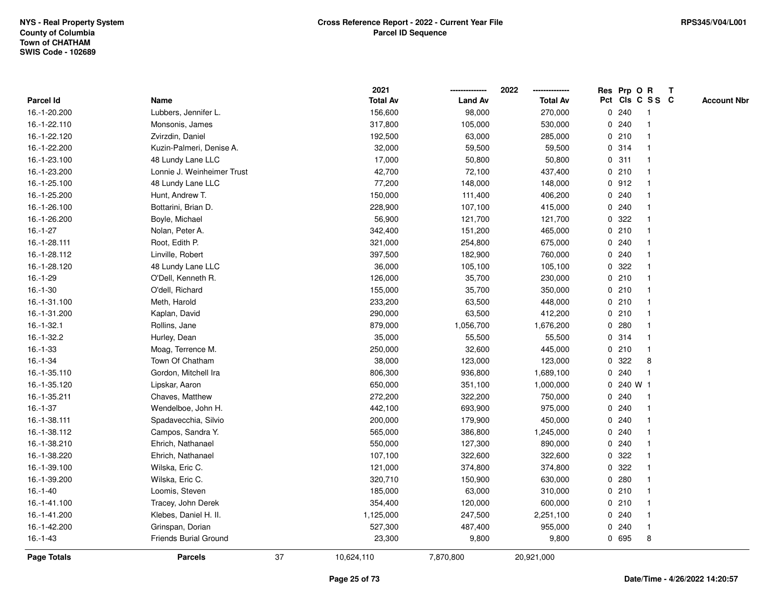|                |                            |    | 2021            |                | 2022            |   |       | Res Prp O R     | $\mathbf{T}$ |                    |
|----------------|----------------------------|----|-----------------|----------------|-----------------|---|-------|-----------------|--------------|--------------------|
| Parcel Id      | Name                       |    | <b>Total Av</b> | <b>Land Av</b> | <b>Total Av</b> |   |       | Pct Cls C S S C |              | <b>Account Nbr</b> |
| 16.-1-20.200   | Lubbers, Jennifer L.       |    | 156,600         | 98,000         | 270,000         |   | 0.240 |                 |              |                    |
| 16.-1-22.110   | Monsonis, James            |    | 317,800         | 105,000        | 530,000         |   | 0.240 |                 |              |                    |
| 16.-1-22.120   | Zvirzdin, Daniel           |    | 192,500         | 63,000         | 285,000         |   | 0210  | $\mathbf 1$     |              |                    |
| 16.-1-22.200   | Kuzin-Palmeri, Denise A.   |    | 32,000          | 59,500         | 59,500          |   | 0.314 | $\mathbf{1}$    |              |                    |
| 16.-1-23.100   | 48 Lundy Lane LLC          |    | 17,000          | 50,800         | 50,800          | 0 | 311   | $\mathbf{1}$    |              |                    |
| 16.-1-23.200   | Lonnie J. Weinheimer Trust |    | 42,700          | 72,100         | 437,400         |   | 0210  | $\mathbf 1$     |              |                    |
| 16.-1-25.100   | 48 Lundy Lane LLC          |    | 77,200          | 148,000        | 148,000         |   | 0.912 |                 |              |                    |
| 16.-1-25.200   | Hunt, Andrew T.            |    | 150,000         | 111,400        | 406,200         |   | 0.240 |                 |              |                    |
| 16.-1-26.100   | Bottarini, Brian D.        |    | 228,900         | 107,100        | 415,000         |   | 0.240 | $\mathbf{1}$    |              |                    |
| 16.-1-26.200   | Boyle, Michael             |    | 56,900          | 121,700        | 121,700         |   | 0.322 | $\mathbf{1}$    |              |                    |
| $16.-1-27$     | Nolan, Peter A.            |    | 342,400         | 151,200        | 465,000         |   | 0210  | $\mathbf{1}$    |              |                    |
| 16.-1-28.111   | Root, Edith P.             |    | 321,000         | 254,800        | 675,000         |   | 0.240 | $\mathbf{1}$    |              |                    |
| 16.-1-28.112   | Linville, Robert           |    | 397,500         | 182,900        | 760,000         |   | 0.240 | 1               |              |                    |
| 16.-1-28.120   | 48 Lundy Lane LLC          |    | 36,000          | 105,100        | 105,100         |   | 0.322 |                 |              |                    |
| $16.-1-29$     | O'Dell, Kenneth R.         |    | 126,000         | 35,700         | 230,000         |   | 0210  |                 |              |                    |
| $16.-1-30$     | O'dell, Richard            |    | 155,000         | 35,700         | 350,000         |   | 0210  | 1               |              |                    |
| 16.-1-31.100   | Meth, Harold               |    | 233,200         | 63,500         | 448,000         |   | 0210  | $\mathbf{1}$    |              |                    |
| 16.-1-31.200   | Kaplan, David              |    | 290,000         | 63,500         | 412,200         |   | 0210  | 1               |              |                    |
| $16.-1-32.1$   | Rollins, Jane              |    | 879,000         | 1,056,700      | 1,676,200       |   | 0.280 | $\mathbf{1}$    |              |                    |
| 16.-1-32.2     | Hurley, Dean               |    | 35,000          | 55,500         | 55,500          |   | 0.314 |                 |              |                    |
| $16. - 1 - 33$ | Moag, Terrence M.          |    | 250,000         | 32,600         | 445,000         |   | 0210  |                 |              |                    |
| $16.-1-34$     | Town Of Chatham            |    | 38,000          | 123,000        | 123,000         | 0 | 322   | 8               |              |                    |
| 16.-1-35.110   | Gordon, Mitchell Ira       |    | 806,300         | 936,800        | 1,689,100       |   | 0.240 | $\mathbf{1}$    |              |                    |
| 16.-1-35.120   | Lipskar, Aaron             |    | 650,000         | 351,100        | 1,000,000       | 0 |       | 240 W 1         |              |                    |
| 16.-1-35.211   | Chaves, Matthew            |    | 272,200         | 322,200        | 750,000         |   | 0.240 | 1               |              |                    |
| $16.-1-37$     | Wendelboe, John H.         |    | 442,100         | 693,900        | 975,000         |   | 0.240 | $\mathbf 1$     |              |                    |
| 16.-1-38.111   | Spadavecchia, Silvio       |    | 200,000         | 179,900        | 450,000         |   | 0.240 | -1              |              |                    |
| 16.-1-38.112   | Campos, Sandra Y.          |    | 565,000         | 386,800        | 1,245,000       |   | 0.240 |                 |              |                    |
| 16.-1-38.210   | Ehrich, Nathanael          |    | 550,000         | 127,300        | 890,000         |   | 0.240 | $\mathbf{1}$    |              |                    |
| 16.-1-38.220   | Ehrich, Nathanael          |    | 107,100         | 322,600        | 322,600         | 0 | 322   | $\mathbf 1$     |              |                    |
| 16.-1-39.100   | Wilska, Eric C.            |    | 121,000         | 374,800        | 374,800         | 0 | 322   | $\mathbf{1}$    |              |                    |
| 16.-1-39.200   | Wilska, Eric C.            |    | 320,710         | 150,900        | 630,000         |   | 0.280 | 1               |              |                    |
| $16.-1-40$     | Loomis, Steven             |    | 185,000         | 63,000         | 310,000         |   | 0210  | $\mathbf 1$     |              |                    |
| 16.-1-41.100   | Tracey, John Derek         |    | 354,400         | 120,000        | 600,000         |   | 0210  |                 |              |                    |
| 16.-1-41.200   | Klebes, Daniel H. II.      |    | 1,125,000       | 247,500        | 2,251,100       |   | 0.240 | $\mathbf 1$     |              |                    |
| 16.-1-42.200   | Grinspan, Dorian           |    | 527,300         | 487,400        | 955,000         |   | 0.240 | $\mathbf{1}$    |              |                    |
| $16.-1-43$     | Friends Burial Ground      |    | 23,300          | 9,800          | 9,800           |   | 0 695 | 8               |              |                    |
| Page Totals    | <b>Parcels</b>             | 37 | 10,624,110      | 7,870,800      | 20,921,000      |   |       |                 |              |                    |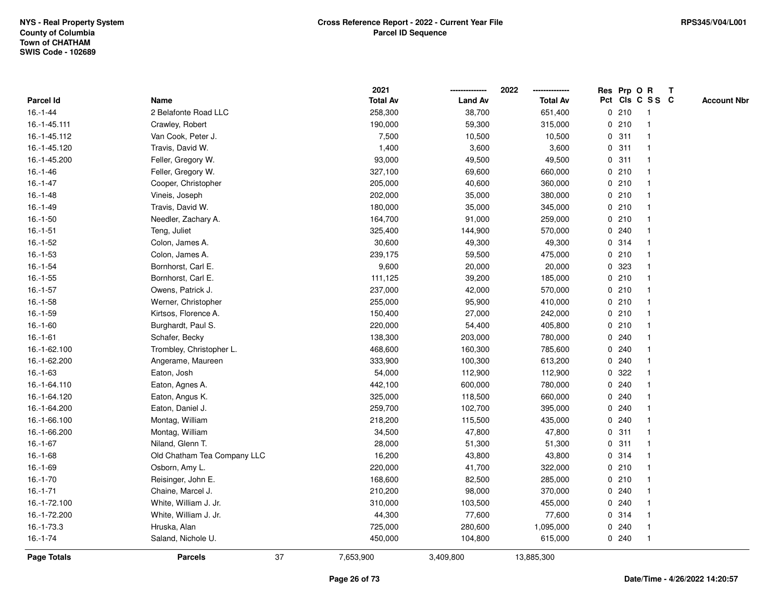|                |                             |    | 2021            |                | 2022            |              |       | Res Prp O R     | T |                    |
|----------------|-----------------------------|----|-----------------|----------------|-----------------|--------------|-------|-----------------|---|--------------------|
| Parcel Id      | Name                        |    | <b>Total Av</b> | <b>Land Av</b> | <b>Total Av</b> |              |       | Pct Cls C S S C |   | <b>Account Nbr</b> |
| $16. - 1 - 44$ | 2 Belafonte Road LLC        |    | 258,300         | 38,700         | 651,400         |              | 0210  | -1              |   |                    |
| 16.-1-45.111   | Crawley, Robert             |    | 190,000         | 59,300         | 315,000         | 0            | 210   | -1              |   |                    |
| 16.-1-45.112   | Van Cook, Peter J.          |    | 7,500           | 10,500         | 10,500          |              | 0.311 | $\mathbf 1$     |   |                    |
| 16.-1-45.120   | Travis, David W.            |    | 1,400           | 3,600          | 3,600           |              | 0.311 |                 |   |                    |
| 16.-1-45.200   | Feller, Gregory W.          |    | 93,000          | 49,500         | 49,500          |              | 0.311 |                 |   |                    |
| $16.-1-46$     | Feller, Gregory W.          |    | 327,100         | 69,600         | 660,000         |              | 0210  |                 |   |                    |
| $16. - 1 - 47$ | Cooper, Christopher         |    | 205,000         | 40,600         | 360,000         |              | 0210  |                 |   |                    |
| $16.-1-48$     | Vineis, Joseph              |    | 202,000         | 35,000         | 380,000         | 0            | 210   | $\overline{1}$  |   |                    |
| $16.-1-49$     | Travis, David W.            |    | 180,000         | 35,000         | 345,000         |              | 0210  | -1              |   |                    |
| $16.-1-50$     | Needler, Zachary A.         |    | 164,700         | 91,000         | 259,000         |              | 0210  | $\mathbf 1$     |   |                    |
| $16.-1-51$     | Teng, Juliet                |    | 325,400         | 144,900        | 570,000         |              | 0.240 |                 |   |                    |
| $16.-1-52$     | Colon, James A.             |    | 30,600          | 49,300         | 49,300          |              | 0.314 |                 |   |                    |
| $16.-1-53$     | Colon, James A.             |    | 239,175         | 59,500         | 475,000         |              | 0210  |                 |   |                    |
| $16.-1-54$     | Bornhorst, Carl E.          |    | 9,600           | 20,000         | 20,000          |              | 0 323 |                 |   |                    |
| $16.-1-55$     | Bornhorst, Carl E.          |    | 111,125         | 39,200         | 185,000         | $\mathbf 0$  | 210   |                 |   |                    |
| $16.-1-57$     | Owens, Patrick J.           |    | 237,000         | 42,000         | 570,000         | 0            | 210   | $\overline{1}$  |   |                    |
| $16.-1-58$     | Werner, Christopher         |    | 255,000         | 95,900         | 410,000         |              | 0210  | $\mathbf{1}$    |   |                    |
| $16.-1-59$     | Kirtsos, Florence A.        |    | 150,400         | 27,000         | 242,000         |              | 0210  |                 |   |                    |
| $16.-1-60$     | Burghardt, Paul S.          |    | 220,000         | 54,400         | 405,800         |              | 0210  |                 |   |                    |
| $16.-1-61$     | Schafer, Becky              |    | 138,300         | 203,000        | 780,000         |              | 0.240 |                 |   |                    |
| 16.-1-62.100   | Trombley, Christopher L.    |    | 468,600         | 160,300        | 785,600         |              | 0.240 |                 |   |                    |
| 16.-1-62.200   | Angerame, Maureen           |    | 333,900         | 100,300        | 613,200         | 0            | 240   |                 |   |                    |
| $16.-1-63$     | Eaton, Josh                 |    | 54,000          | 112,900        | 112,900         | 0            | 322   |                 |   |                    |
| 16.-1-64.110   | Eaton, Agnes A.             |    | 442,100         | 600,000        | 780,000         | $\mathbf{0}$ | 240   |                 |   |                    |
| 16.-1-64.120   | Eaton, Angus K.             |    | 325,000         | 118,500        | 660,000         |              | 0.240 |                 |   |                    |
| 16.-1-64.200   | Eaton, Daniel J.            |    | 259,700         | 102,700        | 395,000         |              | 0.240 |                 |   |                    |
| 16.-1-66.100   | Montag, William             |    | 218,200         | 115,500        | 435,000         |              | 0.240 |                 |   |                    |
| 16.-1-66.200   | Montag, William             |    | 34,500          | 47,800         | 47,800          |              | 0.311 |                 |   |                    |
| $16.-1-67$     | Niland, Glenn T.            |    | 28,000          | 51,300         | 51,300          | $\mathbf 0$  | 311   |                 |   |                    |
| $16.-1-68$     | Old Chatham Tea Company LLC |    | 16,200          | 43,800         | 43,800          | 0            | 314   | 1               |   |                    |
| 16.-1-69       | Osborn, Amy L.              |    | 220,000         | 41,700         | 322,000         |              | 0210  | -1              |   |                    |
| $16.-1-70$     | Reisinger, John E.          |    | 168,600         | 82,500         | 285,000         |              | 0210  | $\mathbf 1$     |   |                    |
| $16.-1-71$     | Chaine, Marcel J.           |    | 210,200         | 98,000         | 370,000         |              | 0.240 |                 |   |                    |
| 16.-1-72.100   | White, William J. Jr.       |    | 310,000         | 103,500        | 455,000         |              | 0.240 |                 |   |                    |
| 16.-1-72.200   | White, William J. Jr.       |    | 44,300          | 77,600         | 77,600          |              | 0.314 |                 |   |                    |
| 16.-1-73.3     | Hruska, Alan                |    | 725,000         | 280,600        | 1,095,000       | 0            | 240   |                 |   |                    |
| $16.-1-74$     | Saland, Nichole U.          |    | 450,000         | 104,800        | 615,000         |              | 0.240 | $\overline{1}$  |   |                    |
| Page Totals    | <b>Parcels</b>              | 37 | 7,653,900       | 3,409,800      | 13,885,300      |              |       |                 |   |                    |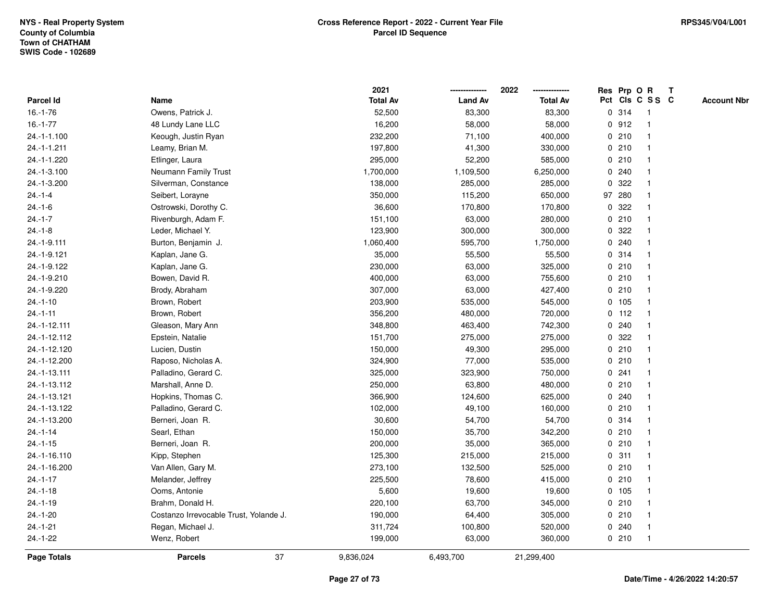|               |                                        | 2021            |                | 2022            | Res Prp O R |         |                         | $\mathbf{T}$ |                    |
|---------------|----------------------------------------|-----------------|----------------|-----------------|-------------|---------|-------------------------|--------------|--------------------|
| Parcel Id     | Name                                   | <b>Total Av</b> | <b>Land Av</b> | <b>Total Av</b> |             |         | Pct Cls C S S C         |              | <b>Account Nbr</b> |
| $16.-1-76$    | Owens, Patrick J.                      | 52,500          | 83,300         | 83,300          |             | 0 314   | -1                      |              |                    |
| $16.-1-77$    | 48 Lundy Lane LLC                      | 16,200          | 58,000         | 58,000          |             | 0.912   |                         |              |                    |
| 24.-1-1.100   | Keough, Justin Ryan                    | 232,200         | 71,100         | 400,000         |             | 0210    | -1                      |              |                    |
| 24.-1-1.211   | Leamy, Brian M.                        | 197,800         | 41,300         | 330,000         |             | 0210    | -1                      |              |                    |
| 24.-1-1.220   | Etlinger, Laura                        | 295,000         | 52,200         | 585,000         |             | 0210    | $\mathbf 1$             |              |                    |
| 24.-1-3.100   | Neumann Family Trust                   | 1,700,000       | 1,109,500      | 6,250,000       |             | 0.240   |                         |              |                    |
| 24.-1-3.200   | Silverman, Constance                   | 138,000         | 285,000        | 285,000         |             | 0 322   |                         |              |                    |
| $24 - 1 - 4$  | Seibert, Lorayne                       | 350,000         | 115,200        | 650,000         |             | 97 280  |                         |              |                    |
| $24.-1-6$     | Ostrowski, Dorothy C.                  | 36,600          | 170,800        | 170,800         |             | 0.322   |                         |              |                    |
| $24 - 1 - 7$  | Rivenburgh, Adam F.                    | 151,100         | 63,000         | 280,000         | 0           | 210     | $\mathbf{1}$            |              |                    |
| $24.-1-8$     | Leder, Michael Y.                      | 123,900         | 300,000        | 300,000         | 0           | 322     |                         |              |                    |
| 24.-1-9.111   | Burton, Benjamin J.                    | 1,060,400       | 595,700        | 1,750,000       |             | 0.240   | -1                      |              |                    |
| 24.-1-9.121   | Kaplan, Jane G.                        | 35,000          | 55,500         | 55,500          |             | 0.314   |                         |              |                    |
| 24.-1-9.122   | Kaplan, Jane G.                        | 230,000         | 63,000         | 325,000         |             | 0210    |                         |              |                    |
| 24.-1-9.210   | Bowen, David R.                        | 400,000         | 63,000         | 755,600         |             | 0210    |                         |              |                    |
| 24.-1-9.220   | Brody, Abraham                         | 307,000         | 63,000         | 427,400         |             | 0210    | -1                      |              |                    |
| $24.-1-10$    | Brown, Robert                          | 203,900         | 535,000        | 545,000         | $\mathbf 0$ | 105     | $\mathbf{1}$            |              |                    |
| $24.-1-11$    | Brown, Robert                          | 356,200         | 480,000        | 720,000         |             | $0$ 112 | $\mathbf 1$             |              |                    |
| 24.-1-12.111  | Gleason, Mary Ann                      | 348,800         | 463,400        | 742,300         |             | 0.240   | -1                      |              |                    |
| 24.-1-12.112  | Epstein, Natalie                       | 151,700         | 275,000        | 275,000         |             | 0.322   |                         |              |                    |
| 24.-1-12.120  | Lucien, Dustin                         | 150,000         | 49,300         | 295,000         |             | 0210    |                         |              |                    |
| 24.-1-12.200  | Raposo, Nicholas A.                    | 324,900         | 77,000         | 535,000         |             | 0210    | $\overline{\mathbf{1}}$ |              |                    |
| 24.-1-13.111  | Palladino, Gerard C.                   | 325,000         | 323,900        | 750,000         |             | 0.241   |                         |              |                    |
| 24.-1-13.112  | Marshall, Anne D.                      | 250,000         | 63,800         | 480,000         |             | 0210    | $\mathbf{1}$            |              |                    |
| 24.-1-13.121  | Hopkins, Thomas C.                     | 366,900         | 124,600        | 625,000         |             | 0.240   | -1                      |              |                    |
| 24.-1-13.122  | Palladino, Gerard C.                   | 102,000         | 49,100         | 160,000         |             | 0210    | -1                      |              |                    |
| 24.-1-13.200  | Berneri, Joan R.                       | 30,600          | 54,700         | 54,700          |             | 0.314   |                         |              |                    |
| $24.-1-14$    | Searl, Ethan                           | 150,000         | 35,700         | 342,200         |             | 0210    |                         |              |                    |
| $24 - 1 - 15$ | Berneri, Joan R.                       | 200,000         | 35,000         | 365,000         |             | 0210    | -1                      |              |                    |
| 24.-1-16.110  | Kipp, Stephen                          | 125,300         | 215,000        | 215,000         | $\mathbf 0$ | 311     | -1                      |              |                    |
| 24.-1-16.200  | Van Allen, Gary M.                     | 273,100         | 132,500        | 525,000         |             | 0210    | -1                      |              |                    |
| $24.-1-17$    | Melander, Jeffrey                      | 225,500         | 78,600         | 415,000         |             | 0210    | $\mathbf 1$             |              |                    |
| $24.-1-18$    | Ooms, Antonie                          | 5,600           | 19,600         | 19,600          |             | 0, 105  |                         |              |                    |
| $24.-1-19$    | Brahm, Donald H.                       | 220,100         | 63,700         | 345,000         |             | 0210    |                         |              |                    |
| $24.-1-20$    | Costanzo Irrevocable Trust, Yolande J. | 190,000         | 64,400         | 305,000         |             | 0210    |                         |              |                    |
| $24.-1-21$    | Regan, Michael J.                      | 311,724         | 100,800        | 520,000         |             | 0.240   | $\mathbf{1}$            |              |                    |
| $24.-1-22$    | Wenz, Robert                           | 199,000         | 63,000         | 360,000         |             | 0210    | $\mathbf{1}$            |              |                    |
| Page Totals   | 37<br><b>Parcels</b>                   | 9,836,024       | 6,493,700      | 21,299,400      |             |         |                         |              |                    |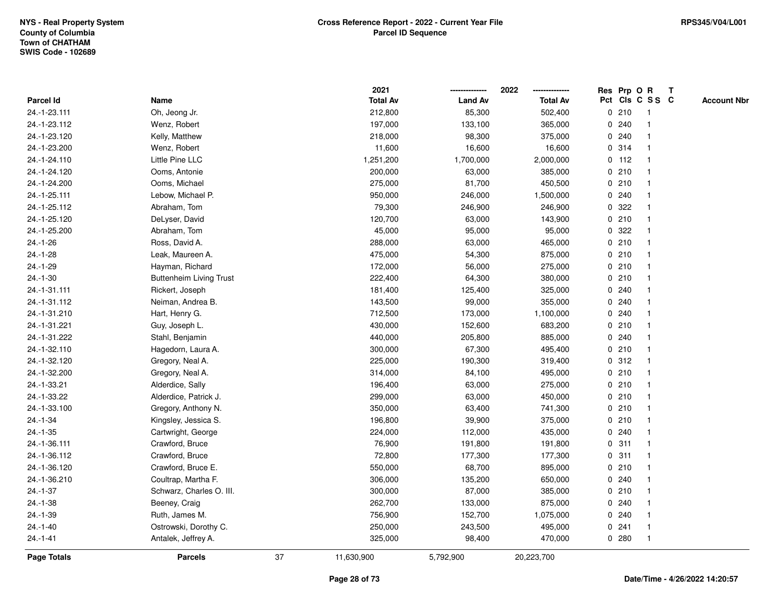|                    |                                |    | 2021            |                | 2022            |             |         | Res Prp O R     | $\mathbf{T}$       |
|--------------------|--------------------------------|----|-----------------|----------------|-----------------|-------------|---------|-----------------|--------------------|
| Parcel Id          | Name                           |    | <b>Total Av</b> | <b>Land Av</b> | <b>Total Av</b> |             |         | Pct Cls C S S C | <b>Account Nbr</b> |
| 24.-1-23.111       | Oh, Jeong Jr.                  |    | 212,800         | 85,300         | 502,400         |             | 0210    | 1               |                    |
| 24.-1-23.112       | Wenz, Robert                   |    | 197,000         | 133,100        | 365,000         | 0           | 240     |                 |                    |
| 24.-1-23.120       | Kelly, Matthew                 |    | 218,000         | 98,300         | 375,000         |             | 0.240   |                 |                    |
| 24.-1-23.200       | Wenz, Robert                   |    | 11,600          | 16,600         | 16,600          | $\mathbf 0$ | 314     | $\mathbf{1}$    |                    |
| 24.-1-24.110       | Little Pine LLC                |    | 1,251,200       | 1,700,000      | 2,000,000       |             | $0$ 112 | $\mathbf{1}$    |                    |
| 24.-1-24.120       | Ooms, Antonie                  |    | 200,000         | 63,000         | 385,000         |             | 0210    | $\mathbf 1$     |                    |
| 24.-1-24.200       | Ooms, Michael                  |    | 275,000         | 81,700         | 450,500         |             | 0210    |                 |                    |
| 24.-1-25.111       | Lebow, Michael P.              |    | 950,000         | 246,000        | 1,500,000       |             | 0.240   |                 |                    |
| 24.-1-25.112       | Abraham, Tom                   |    | 79,300          | 246,900        | 246,900         |             | 0.322   |                 |                    |
| 24.-1-25.120       | DeLyser, David                 |    | 120,700         | 63,000         | 143,900         |             | 0210    |                 |                    |
| 24.-1-25.200       | Abraham, Tom                   |    | 45,000          | 95,000         | 95,000          | $\mathbf 0$ | 322     | -1              |                    |
| $24.-1-26$         | Ross, David A.                 |    | 288,000         | 63,000         | 465,000         |             | 0210    | $\overline{1}$  |                    |
| $24.-1-28$         | Leak, Maureen A.               |    | 475,000         | 54,300         | 875,000         |             | 0210    |                 |                    |
| 24.-1-29           | Hayman, Richard                |    | 172,000         | 56,000         | 275,000         |             | 0210    |                 |                    |
| $24.-1-30$         | <b>Buttenheim Living Trust</b> |    | 222,400         | 64,300         | 380,000         |             | 0210    |                 |                    |
| 24.-1-31.111       | Rickert, Joseph                |    | 181,400         | 125,400        | 325,000         |             | 0.240   |                 |                    |
| 24.-1-31.112       | Neiman, Andrea B.              |    | 143,500         | 99,000         | 355,000         | 0           | 240     |                 |                    |
| 24.-1-31.210       | Hart, Henry G.                 |    | 712,500         | 173,000        | 1,100,000       | 0           | 240     |                 |                    |
| 24.-1-31.221       | Guy, Joseph L.                 |    | 430,000         | 152,600        | 683,200         |             | 0210    | $\mathbf 1$     |                    |
| 24.-1-31.222       | Stahl, Benjamin                |    | 440,000         | 205,800        | 885,000         |             | 0.240   |                 |                    |
| 24.-1-32.110       | Hagedorn, Laura A.             |    | 300,000         | 67,300         | 495,400         |             | 0210    |                 |                    |
| 24.-1-32.120       | Gregory, Neal A.               |    | 225,000         | 190,300        | 319,400         |             | 0.312   |                 |                    |
| 24.-1-32.200       | Gregory, Neal A.               |    | 314,000         | 84,100         | 495,000         |             | 0210    |                 |                    |
| 24.-1-33.21        | Alderdice, Sally               |    | 196,400         | 63,000         | 275,000         |             | 0210    | $\overline{1}$  |                    |
| 24.-1-33.22        | Alderdice, Patrick J.          |    | 299,000         | 63,000         | 450,000         |             | 0210    | $\overline{1}$  |                    |
| 24.-1-33.100       | Gregory, Anthony N.            |    | 350,000         | 63,400         | 741,300         |             | 0210    | 1               |                    |
| 24.-1-34           | Kingsley, Jessica S.           |    | 196,800         | 39,900         | 375,000         |             | 0210    |                 |                    |
| $24.-1-35$         | Cartwright, George             |    | 224,000         | 112,000        | 435,000         |             | 0.240   |                 |                    |
| 24.-1-36.111       | Crawford, Bruce                |    | 76,900          | 191,800        | 191,800         |             | 0.311   |                 |                    |
| 24.-1-36.112       | Crawford, Bruce                |    | 72,800          | 177,300        | 177,300         | $\mathbf 0$ | 311     | 1               |                    |
| 24.-1-36.120       | Crawford, Bruce E.             |    | 550,000         | 68,700         | 895,000         | 0           | 210     | $\mathbf{1}$    |                    |
| 24.-1-36.210       | Coultrap, Martha F.            |    | 306,000         | 135,200        | 650,000         |             | 0.240   | $\mathbf 1$     |                    |
| $24.-1-37$         | Schwarz, Charles O. III.       |    | 300,000         | 87,000         | 385,000         |             | 0210    |                 |                    |
| $24.-1-38$         | Beeney, Craig                  |    | 262,700         | 133,000        | 875,000         |             | 0.240   |                 |                    |
| 24.-1-39           | Ruth, James M.                 |    | 756,900         | 152,700        | 1,075,000       |             | 0.240   |                 |                    |
| $24.-1-40$         | Ostrowski, Dorothy C.          |    | 250,000         | 243,500        | 495,000         |             | 0.241   | $\overline{1}$  |                    |
| $24 - 1 - 41$      | Antalek, Jeffrey A.            |    | 325,000         | 98,400         | 470,000         |             | 0.280   | $\overline{1}$  |                    |
| <b>Page Totals</b> | <b>Parcels</b>                 | 37 | 11,630,900      | 5,792,900      | 20,223,700      |             |         |                 |                    |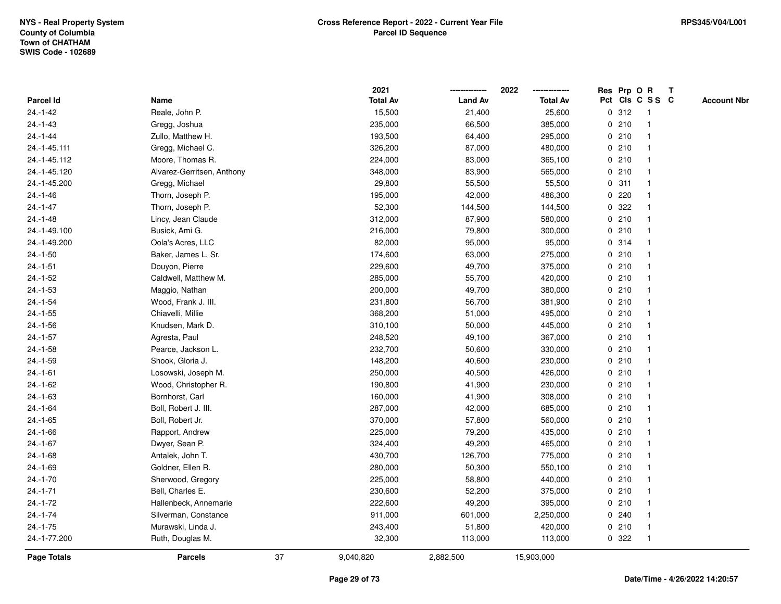|                    |                            |    | 2021            |                | 2022            |             |       | Res Prp O R     | T |                    |
|--------------------|----------------------------|----|-----------------|----------------|-----------------|-------------|-------|-----------------|---|--------------------|
| Parcel Id          | Name                       |    | <b>Total Av</b> | <b>Land Av</b> | <b>Total Av</b> |             |       | Pct Cls C S S C |   | <b>Account Nbr</b> |
| $24 - 1 - 42$      | Reale, John P.             |    | 15,500          | 21,400         | 25,600          |             | 0.312 | $\mathbf{1}$    |   |                    |
| $24. - 1 - 43$     | Gregg, Joshua              |    | 235,000         | 66,500         | 385,000         | 0           | 210   | -1              |   |                    |
| $24 - 1 - 44$      | Zullo, Matthew H.          |    | 193,500         | 64,400         | 295,000         |             | 0210  | -1              |   |                    |
| 24.-1-45.111       | Gregg, Michael C.          |    | 326,200         | 87,000         | 480,000         |             | 0210  |                 |   |                    |
| 24.-1-45.112       | Moore, Thomas R.           |    | 224,000         | 83,000         | 365,100         |             | 0210  |                 |   |                    |
| 24.-1-45.120       | Alvarez-Gerritsen, Anthony |    | 348,000         | 83,900         | 565,000         |             | 0210  |                 |   |                    |
| 24.-1-45.200       | Gregg, Michael             |    | 29,800          | 55,500         | 55,500          |             | 0.311 |                 |   |                    |
| $24.-1-46$         | Thorn, Joseph P.           |    | 195,000         | 42,000         | 486,300         | 0           | 220   |                 |   |                    |
| $24 - 1 - 47$      | Thorn, Joseph P.           |    | 52,300          | 144,500        | 144,500         | 0           | 322   |                 |   |                    |
| $24. - 1 - 48$     | Lincy, Jean Claude         |    | 312,000         | 87,900         | 580,000         |             | 0210  | -1              |   |                    |
| 24.-1-49.100       | Busick, Ami G.             |    | 216,000         | 79,800         | 300,000         |             | 0210  |                 |   |                    |
| 24.-1-49.200       | Oola's Acres, LLC          |    | 82,000          | 95,000         | 95,000          |             | 0 314 |                 |   |                    |
| $24.-1-50$         | Baker, James L. Sr.        |    | 174,600         | 63,000         | 275,000         |             | 0210  |                 |   |                    |
| $24.-1-51$         | Douyon, Pierre             |    | 229,600         | 49,700         | 375,000         |             | 0210  |                 |   |                    |
| $24 - 1 - 52$      | Caldwell, Matthew M.       |    | 285,000         | 55,700         | 420,000         | $\mathbf 0$ | 210   |                 |   |                    |
| $24. - 1 - 53$     | Maggio, Nathan             |    | 200,000         | 49,700         | 380,000         |             | 0210  | $\overline{1}$  |   |                    |
| $24.-1-54$         | Wood, Frank J. III.        |    | 231,800         | 56,700         | 381,900         |             | 0210  | $\overline{1}$  |   |                    |
| $24.-1-55$         | Chiavelli, Millie          |    | 368,200         | 51,000         | 495,000         |             | 0210  |                 |   |                    |
| $24.-1-56$         | Knudsen, Mark D.           |    | 310,100         | 50,000         | 445,000         |             | 0210  |                 |   |                    |
| $24.-1-57$         | Agresta, Paul              |    | 248,520         | 49,100         | 367,000         |             | 0210  |                 |   |                    |
| $24.-1-58$         | Pearce, Jackson L.         |    | 232,700         | 50,600         | 330,000         |             | 0210  |                 |   |                    |
| $24.-1-59$         | Shook, Gloria J.           |    | 148,200         | 40,600         | 230,000         |             | 0210  |                 |   |                    |
| $24.-1-61$         | Losowski, Joseph M.        |    | 250,000         | 40,500         | 426,000         |             | 0210  | -1              |   |                    |
| $24 - 1 - 62$      | Wood, Christopher R.       |    | 190,800         | 41,900         | 230,000         | $\mathbf 0$ | 210   | $\overline{1}$  |   |                    |
| $24.-1-63$         | Bornhorst, Carl            |    | 160,000         | 41,900         | 308,000         |             | 0210  |                 |   |                    |
| 24.-1-64           | Boll, Robert J. III.       |    | 287,000         | 42,000         | 685,000         |             | 0210  |                 |   |                    |
| $24.-1-65$         | Boll, Robert Jr.           |    | 370,000         | 57,800         | 560,000         |             | 0210  |                 |   |                    |
| $24.-1-66$         | Rapport, Andrew            |    | 225,000         | 79,200         | 435,000         |             | 0210  |                 |   |                    |
| $24.-1-67$         | Dwyer, Sean P.             |    | 324,400         | 49,200         | 465,000         |             | 0210  |                 |   |                    |
| $24.-1-68$         | Antalek, John T.           |    | 430,700         | 126,700        | 775,000         | 0           | 210   |                 |   |                    |
| 24.-1-69           | Goldner, Ellen R.          |    | 280,000         | 50,300         | 550,100         |             | 0210  | -1              |   |                    |
| $24.-1-70$         | Sherwood, Gregory          |    | 225,000         | 58,800         | 440,000         |             | 0210  | -1              |   |                    |
| $24.-1-71$         | Bell, Charles E.           |    | 230,600         | 52,200         | 375,000         |             | 0210  |                 |   |                    |
| $24.-1-72$         | Hallenbeck, Annemarie      |    | 222,600         | 49,200         | 395,000         |             | 0210  |                 |   |                    |
| $24 - 1 - 74$      | Silverman, Constance       |    | 911,000         | 601,000        | 2,250,000       |             | 0.240 |                 |   |                    |
| $24.-1-75$         | Murawski, Linda J.         |    | 243,400         | 51,800         | 420,000         |             | 0210  |                 |   |                    |
| 24.-1-77.200       | Ruth, Douglas M.           |    | 32,300          | 113,000        | 113,000         |             | 0 322 | $\overline{1}$  |   |                    |
| <b>Page Totals</b> | <b>Parcels</b>             | 37 | 9,040,820       | 2,882,500      | 15,903,000      |             |       |                 |   |                    |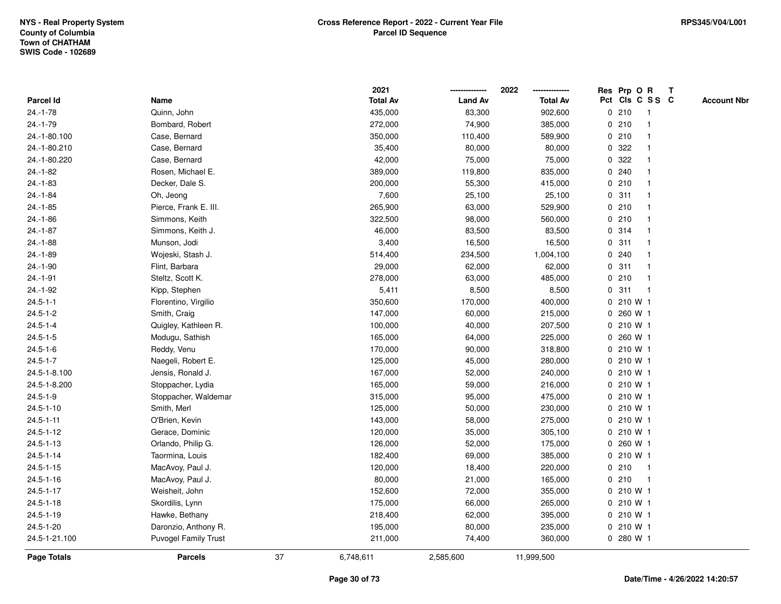|                 |                             |    | 2021            |                | 2022            |              | Res Prp O R |                 | Т |                    |
|-----------------|-----------------------------|----|-----------------|----------------|-----------------|--------------|-------------|-----------------|---|--------------------|
| Parcel Id       | Name                        |    | <b>Total Av</b> | <b>Land Av</b> | <b>Total Av</b> |              |             | Pct Cls C S S C |   | <b>Account Nbr</b> |
| $24.-1-78$      | Quinn, John                 |    | 435,000         | 83,300         | 902,600         |              | 0210        | -1              |   |                    |
| $24.-1-79$      | Bombard, Robert             |    | 272,000         | 74,900         | 385,000         | 0            | 210         | $\overline{1}$  |   |                    |
| 24.-1-80.100    | Case, Bernard               |    | 350,000         | 110,400        | 589,900         |              | 0210        | $\mathbf 1$     |   |                    |
| 24.-1-80.210    | Case, Bernard               |    | 35,400          | 80,000         | 80,000          |              | 0.322       |                 |   |                    |
| 24.-1-80.220    | Case, Bernard               |    | 42,000          | 75,000         | 75,000          |              | 0 322       |                 |   |                    |
| $24 - 1 - 82$   | Rosen, Michael E.           |    | 389,000         | 119,800        | 835,000         |              | 0.240       |                 |   |                    |
| 24.-1-83        | Decker, Dale S.             |    | 200,000         | 55,300         | 415,000         |              | 0210        |                 |   |                    |
| $24.-1-84$      | Oh, Jeong                   |    | 7,600           | 25,100         | 25,100          | $\mathbf 0$  | 311         | -1              |   |                    |
| $24.-1-85$      | Pierce, Frank E. III.       |    | 265,900         | 63,000         | 529,900         | $\mathbf 0$  | 210         | -1              |   |                    |
| $24.-1-86$      | Simmons, Keith              |    | 322,500         | 98,000         | 560,000         |              | 0210        | -1              |   |                    |
| $24.-1-87$      | Simmons, Keith J.           |    | 46,000          | 83,500         | 83,500          |              | 0.314       |                 |   |                    |
| $24.-1-88$      | Munson, Jodi                |    | 3,400           | 16,500         | 16,500          |              | 0.311       |                 |   |                    |
| 24.-1-89        | Wojeski, Stash J.           |    | 514,400         | 234,500        | 1,004,100       | 0            | 240         |                 |   |                    |
| $24.-1-90$      | Flint, Barbara              |    | 29,000          | 62,000         | 62,000          | $\mathbf 0$  | 311         |                 |   |                    |
| $24.-1-91$      | Steltz, Scott K.            |    | 278,000         | 63,000         | 485,000         | 0            | 210         | $\overline{1}$  |   |                    |
| 24.-1-92        | Kipp, Stephen               |    | 5,411           | 8,500          | 8,500           | 0            | 311         | $\overline{1}$  |   |                    |
| $24.5 - 1 - 1$  | Florentino, Virgilio        |    | 350,600         | 170,000        | 400,000         |              | 0 210 W 1   |                 |   |                    |
| $24.5 - 1 - 2$  | Smith, Craig                |    | 147,000         | 60,000         | 215,000         |              | 0 260 W 1   |                 |   |                    |
| $24.5 - 1 - 4$  | Quigley, Kathleen R.        |    | 100,000         | 40,000         | 207,500         |              | 0 210 W 1   |                 |   |                    |
| $24.5 - 1 - 5$  | Modugu, Sathish             |    | 165,000         | 64,000         | 225,000         |              | 0 260 W 1   |                 |   |                    |
| $24.5 - 1 - 6$  | Reddy, Venu                 |    | 170,000         | 90,000         | 318,800         | 0            | 210 W 1     |                 |   |                    |
| $24.5 - 1 - 7$  | Naegeli, Robert E.          |    | 125,000         | 45,000         | 280,000         |              | 0 210 W 1   |                 |   |                    |
| 24.5-1-8.100    | Jensis, Ronald J.           |    | 167,000         | 52,000         | 240,000         | $\mathbf{0}$ | 210 W 1     |                 |   |                    |
| 24.5-1-8.200    | Stoppacher, Lydia           |    | 165,000         | 59,000         | 216,000         |              | 0 210 W 1   |                 |   |                    |
| $24.5 - 1 - 9$  | Stoppacher, Waldemar        |    | 315,000         | 95,000         | 475,000         |              | 0 210 W 1   |                 |   |                    |
| $24.5 - 1 - 10$ | Smith, Merl                 |    | 125,000         | 50,000         | 230,000         |              | 0210 W1     |                 |   |                    |
| $24.5 - 1 - 11$ | O'Brien, Kevin              |    | 143,000         | 58,000         | 275,000         |              | 0210W1      |                 |   |                    |
| $24.5 - 1 - 12$ | Gerace, Dominic             |    | 120,000         | 35,000         | 305,100         |              | 0 210 W 1   |                 |   |                    |
| $24.5 - 1 - 13$ | Orlando, Philip G.          |    | 126,000         | 52,000         | 175,000         | 0            | 260 W 1     |                 |   |                    |
| $24.5 - 1 - 14$ | Taormina, Louis             |    | 182,400         | 69,000         | 385,000         | 0            | 210 W 1     |                 |   |                    |
| $24.5 - 1 - 15$ | MacAvoy, Paul J.            |    | 120,000         | 18,400         | 220,000         |              | 0210        | -1              |   |                    |
| $24.5 - 1 - 16$ | MacAvoy, Paul J.            |    | 80,000          | 21,000         | 165,000         |              | 0210        |                 |   |                    |
| $24.5 - 1 - 17$ | Weisheit, John              |    | 152,600         | 72,000         | 355,000         |              | 0 210 W 1   |                 |   |                    |
| $24.5 - 1 - 18$ | Skordilis, Lynn             |    | 175,000         | 66,000         | 265,000         |              | 0 210 W 1   |                 |   |                    |
| $24.5 - 1 - 19$ | Hawke, Bethany              |    | 218,400         | 62,000         | 395,000         |              | 0 210 W 1   |                 |   |                    |
| 24.5-1-20       | Daronzio, Anthony R.        |    | 195,000         | 80,000         | 235,000         |              | 0210W1      |                 |   |                    |
| 24.5-1-21.100   | <b>Puvogel Family Trust</b> |    | 211,000         | 74,400         | 360,000         |              | 0 280 W 1   |                 |   |                    |
| Page Totals     | <b>Parcels</b>              | 37 | 6,748,611       | 2,585,600      | 11,999,500      |              |             |                 |   |                    |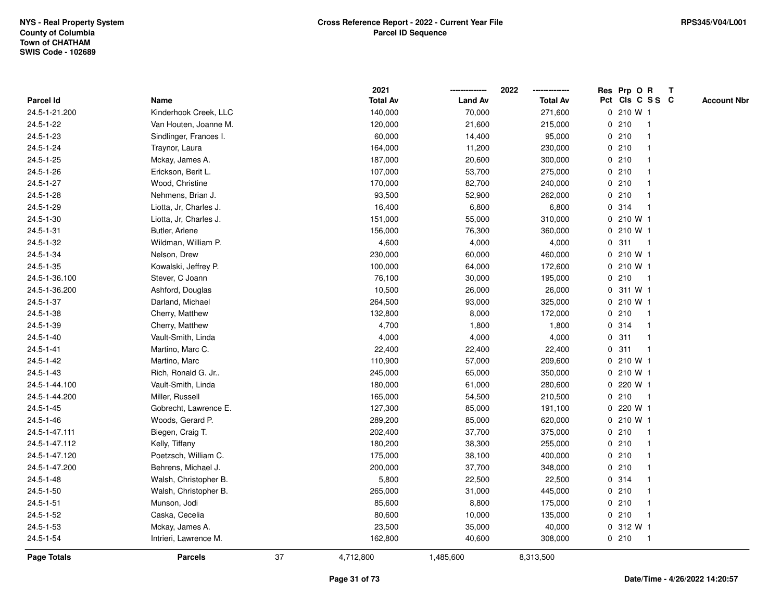|                 |                        | 2021            |                | 2022            |   | Res Prp O R     |              | Т |                    |
|-----------------|------------------------|-----------------|----------------|-----------------|---|-----------------|--------------|---|--------------------|
| Parcel Id       | Name                   | <b>Total Av</b> | <b>Land Av</b> | <b>Total Av</b> |   | Pct Cls C S S C |              |   | <b>Account Nbr</b> |
| 24.5-1-21.200   | Kinderhook Creek, LLC  | 140,000         | 70,000         | 271,600         |   | 0 210 W 1       |              |   |                    |
| 24.5-1-22       | Van Houten, Joanne M.  | 120,000         | 21,600         | 215,000         | 0 | 210             | $\mathbf 1$  |   |                    |
| 24.5-1-23       | Sindlinger, Frances I. | 60,000          | 14,400         | 95,000          |   | 0210            | $\mathbf 1$  |   |                    |
| 24.5-1-24       | Traynor, Laura         | 164,000         | 11,200         | 230,000         |   | 0210            |              |   |                    |
| 24.5-1-25       | Mckay, James A.        | 187,000         | 20,600         | 300,000         |   | 0210            |              |   |                    |
| 24.5-1-26       | Erickson, Berit L.     | 107,000         | 53,700         | 275,000         |   | 0210            |              |   |                    |
| 24.5-1-27       | Wood, Christine        | 170,000         | 82,700         | 240,000         |   | 0210            |              |   |                    |
| 24.5-1-28       | Nehmens, Brian J.      | 93,500          | 52,900         | 262,000         | 0 | 210             | -1           |   |                    |
| 24.5-1-29       | Liotta, Jr. Charles J. | 16,400          | 6,800          | 6,800           |   | 0.314           | $\mathbf 1$  |   |                    |
| $24.5 - 1 - 30$ | Liotta, Jr, Charles J. | 151,000         | 55,000         | 310,000         |   | 0 210 W 1       |              |   |                    |
| $24.5 - 1 - 31$ | Butler, Arlene         | 156,000         | 76,300         | 360,000         |   | 0 210 W 1       |              |   |                    |
| 24.5-1-32       | Wildman, William P.    | 4,600           | 4,000          | 4,000           |   | 0.311           | -1           |   |                    |
| $24.5 - 1 - 34$ | Nelson, Drew           | 230,000         | 60,000         | 460,000         |   | 0 210 W 1       |              |   |                    |
| 24.5-1-35       | Kowalski, Jeffrey P.   | 100,000         | 64,000         | 172,600         |   | 0 210 W 1       |              |   |                    |
| 24.5-1-36.100   | Stever, C Joann        | 76,100          | 30,000         | 195,000         |   | 0210            | $\mathbf{1}$ |   |                    |
| 24.5-1-36.200   | Ashford, Douglas       | 10,500          | 26,000         | 26,000          |   | 0 311 W 1       |              |   |                    |
| 24.5-1-37       | Darland, Michael       | 264,500         | 93,000         | 325,000         |   | 0 210 W 1       |              |   |                    |
| 24.5-1-38       | Cherry, Matthew        | 132,800         | 8,000          | 172,000         |   | 0210            | -1           |   |                    |
| 24.5-1-39       | Cherry, Matthew        | 4,700           | 1,800          | 1,800           |   | 0 314           |              |   |                    |
| $24.5 - 1 - 40$ | Vault-Smith, Linda     | 4,000           | 4,000          | 4,000           |   | 0.311           | -1           |   |                    |
| $24.5 - 1 - 41$ | Martino, Marc C.       | 22,400          | 22,400         | 22,400          | 0 | 311             | $\mathbf{1}$ |   |                    |
| 24.5-1-42       | Martino, Marc          | 110,900         | 57,000         | 209,600         | 0 | 210 W 1         |              |   |                    |
| $24.5 - 1 - 43$ | Rich, Ronald G. Jr     | 245,000         | 65,000         | 350,000         |   | 0 210 W 1       |              |   |                    |
| 24.5-1-44.100   | Vault-Smith, Linda     | 180,000         | 61,000         | 280,600         |   | 0 220 W 1       |              |   |                    |
| 24.5-1-44.200   | Miller, Russell        | 165,000         | 54,500         | 210,500         |   | 0210            | -1           |   |                    |
| 24.5-1-45       | Gobrecht, Lawrence E.  | 127,300         | 85,000         | 191,100         |   | 0 220 W 1       |              |   |                    |
| 24.5-1-46       | Woods, Gerard P.       | 289,200         | 85,000         | 620,000         |   | 0 210 W 1       |              |   |                    |
| 24.5-1-47.111   | Biegen, Craig T.       | 202,400         | 37,700         | 375,000         |   | 0210            | $\mathbf{1}$ |   |                    |
| 24.5-1-47.112   | Kelly, Tiffany         | 180,200         | 38,300         | 255,000         |   | 0210            | $\mathbf{1}$ |   |                    |
| 24.5-1-47.120   | Poetzsch, William C.   | 175,000         | 38,100         | 400,000         |   | 0210            | $\mathbf 1$  |   |                    |
| 24.5-1-47.200   | Behrens, Michael J.    | 200,000         | 37,700         | 348,000         |   | 0210            |              |   |                    |
| 24.5-1-48       | Walsh, Christopher B.  | 5,800           | 22,500         | 22,500          |   | 0.314           |              |   |                    |
| $24.5 - 1 - 50$ | Walsh, Christopher B.  | 265,000         | 31,000         | 445,000         |   | 0210            |              |   |                    |
| $24.5 - 1 - 51$ | Munson, Jodi           | 85,600          | 8,800          | 175,000         |   | 0210            | $\mathbf{1}$ |   |                    |
| $24.5 - 1 - 52$ | Caska, Cecelia         | 80,600          | 10,000         | 135,000         |   | 0210            | $\mathbf{1}$ |   |                    |
| 24.5-1-53       | Mckay, James A.        | 23,500          | 35,000         | 40,000          |   | 0 312 W 1       |              |   |                    |
| 24.5-1-54       |                        |                 |                |                 |   |                 |              |   |                    |
|                 | Intrieri, Lawrence M.  | 162,800         | 40,600         | 308,000         |   | 0210            | $\mathbf{1}$ |   |                    |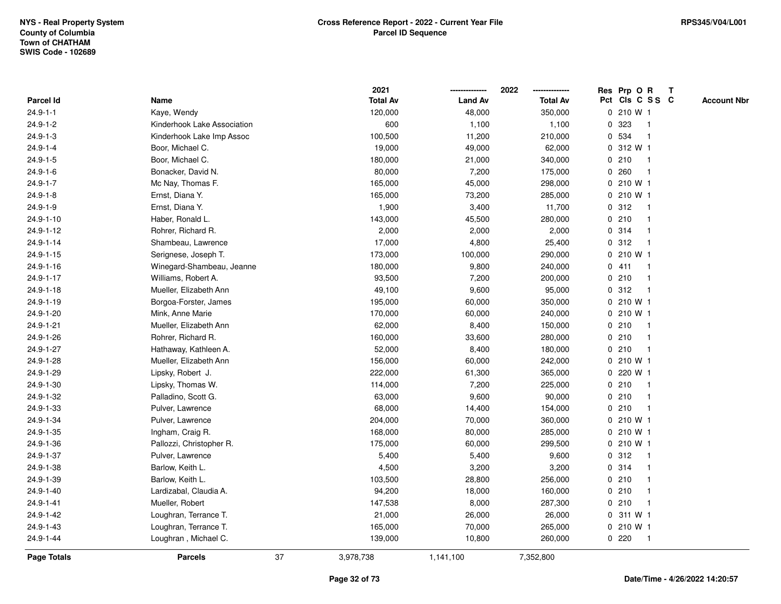|                  |                             |    | 2021            |                | 2022            |              | Res Prp O R     |                         | Т |                    |
|------------------|-----------------------------|----|-----------------|----------------|-----------------|--------------|-----------------|-------------------------|---|--------------------|
| <b>Parcel Id</b> | Name                        |    | <b>Total Av</b> | <b>Land Av</b> | <b>Total Av</b> |              | Pct Cls C S S C |                         |   | <b>Account Nbr</b> |
| $24.9 - 1 - 1$   | Kaye, Wendy                 |    | 120,000         | 48,000         | 350,000         |              | 0 210 W 1       |                         |   |                    |
| $24.9 - 1 - 2$   | Kinderhook Lake Association |    | 600             | 1,100          | 1,100           | 0            | 323             | -1                      |   |                    |
| $24.9 - 1 - 3$   | Kinderhook Lake Imp Assoc   |    | 100,500         | 11,200         | 210,000         |              | 0 534           |                         |   |                    |
| $24.9 - 1 - 4$   | Boor, Michael C.            |    | 19,000          | 49,000         | 62,000          |              | 0 312 W 1       |                         |   |                    |
| $24.9 - 1 - 5$   | Boor, Michael C.            |    | 180,000         | 21,000         | 340,000         |              | 0210            |                         |   |                    |
| $24.9 - 1 - 6$   | Bonacker, David N.          |    | 80,000          | 7,200          | 175,000         | 0            | 260             |                         |   |                    |
| $24.9 - 1 - 7$   | Mc Nay, Thomas F.           |    | 165,000         | 45,000         | 298,000         |              | 0 210 W 1       |                         |   |                    |
| $24.9 - 1 - 8$   | Ernst, Diana Y.             |    | 165,000         | 73,200         | 285,000         |              | 0 210 W 1       |                         |   |                    |
| $24.9 - 1 - 9$   | Ernst, Diana Y.             |    | 1,900           | 3,400          | 11,700          |              | 0.312           | $\mathbf 1$             |   |                    |
| 24.9-1-10        | Haber, Ronald L.            |    | 143,000         | 45,500         | 280,000         |              | 0210            |                         |   |                    |
| 24.9-1-12        | Rohrer, Richard R.          |    | 2,000           | 2,000          | 2,000           |              | 0.314           |                         |   |                    |
| $24.9 - 1 - 14$  | Shambeau, Lawrence          |    | 17,000          | 4,800          | 25,400          |              | 0.312           |                         |   |                    |
| 24.9-1-15        | Serignese, Joseph T.        |    | 173,000         | 100,000        | 290,000         |              | 0 210 W 1       |                         |   |                    |
| 24.9-1-16        | Winegard-Shambeau, Jeanne   |    | 180,000         | 9,800          | 240,000         |              | 0411            | -1                      |   |                    |
| 24.9-1-17        | Williams, Robert A.         |    | 93,500          | 7,200          | 200,000         | 0            | 210             | -1                      |   |                    |
| 24.9-1-18        | Mueller, Elizabeth Ann      |    | 49,100          | 9,600          | 95,000          | $\mathbf{0}$ | 312             | $\mathbf{1}$            |   |                    |
| 24.9-1-19        | Borgoa-Forster, James       |    | 195,000         | 60,000         | 350,000         |              | 0 210 W 1       |                         |   |                    |
| 24.9-1-20        | Mink, Anne Marie            |    | 170,000         | 60,000         | 240,000         |              | 0 210 W 1       |                         |   |                    |
| 24.9-1-21        | Mueller, Elizabeth Ann      |    | 62,000          | 8,400          | 150,000         |              | 0210            |                         |   |                    |
| 24.9-1-26        | Rohrer, Richard R.          |    | 160,000         | 33,600         | 280,000         |              | 0210            |                         |   |                    |
| 24.9-1-27        | Hathaway, Kathleen A.       |    | 52,000          | 8,400          | 180,000         |              | 0210            | $\overline{\mathbf{1}}$ |   |                    |
| 24.9-1-28        | Mueller, Elizabeth Ann      |    | 156,000         | 60,000         | 242,000         |              | 0 210 W 1       |                         |   |                    |
| 24.9-1-29        | Lipsky, Robert J.           |    | 222,000         | 61,300         | 365,000         | $\mathbf 0$  | 220 W 1         |                         |   |                    |
| 24.9-1-30        | Lipsky, Thomas W.           |    | 114,000         | 7,200          | 225,000         |              | 0210            | $\mathbf 1$             |   |                    |
| 24.9-1-32        | Palladino, Scott G.         |    | 63,000          | 9,600          | 90,000          |              | 0210            | $\mathbf 1$             |   |                    |
| 24.9-1-33        | Pulver, Lawrence            |    | 68,000          | 14,400         | 154,000         |              | 0210            |                         |   |                    |
| 24.9-1-34        | Pulver, Lawrence            |    | 204,000         | 70,000         | 360,000         |              | 0 210 W 1       |                         |   |                    |
| 24.9-1-35        | Ingham, Craig R.            |    | 168,000         | 80,000         | 285,000         |              | 0 210 W 1       |                         |   |                    |
| 24.9-1-36        | Pallozzi, Christopher R.    |    | 175,000         | 60,000         | 299,500         |              | 0 210 W 1       |                         |   |                    |
| 24.9-1-37        | Pulver, Lawrence            |    | 5,400           | 5,400          | 9,600           | 0            | 312             | $\mathbf 1$             |   |                    |
| 24.9-1-38        | Barlow, Keith L.            |    | 4,500           | 3,200          | 3,200           |              | 0 314           | -1                      |   |                    |
| 24.9-1-39        | Barlow, Keith L.            |    | 103,500         | 28,800         | 256,000         |              | 0210            |                         |   |                    |
| 24.9-1-40        | Lardizabal, Claudia A.      |    | 94,200          | 18,000         | 160,000         |              | 0210            |                         |   |                    |
| 24.9-1-41        | Mueller, Robert             |    | 147,538         | 8,000          | 287,300         |              | 0210            |                         |   |                    |
| 24.9-1-42        | Loughran, Terrance T.       |    | 21,000          | 26,000         | 26,000          |              | 0 311 W 1       |                         |   |                    |
| 24.9-1-43        | Loughran, Terrance T.       |    | 165,000         | 70,000         | 265,000         |              | 0 210 W 1       |                         |   |                    |
| 24.9-1-44        | Loughran, Michael C.        |    | 139,000         | 10,800         | 260,000         |              | 0220            | $\overline{1}$          |   |                    |
| Page Totals      | <b>Parcels</b>              | 37 | 3,978,738       | 1,141,100      | 7,352,800       |              |                 |                         |   |                    |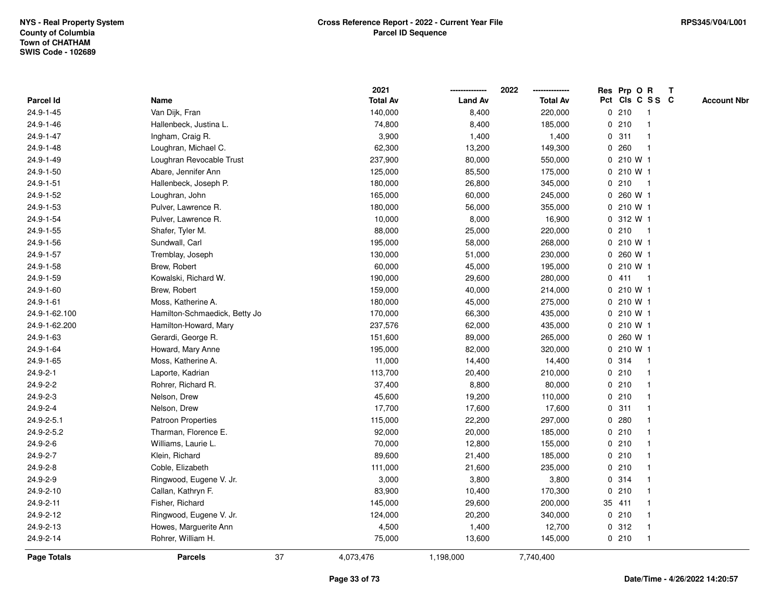|                  |                               |    | 2021            |                | 2022            |   | Res Prp O R  |                 | $\mathbf{T}$ |                    |
|------------------|-------------------------------|----|-----------------|----------------|-----------------|---|--------------|-----------------|--------------|--------------------|
| Parcel Id        | Name                          |    | <b>Total Av</b> | <b>Land Av</b> | <b>Total Av</b> |   |              | Pct Cls C S S C |              | <b>Account Nbr</b> |
| 24.9-1-45        | Van Dijk, Fran                |    | 140,000         | 8,400          | 220,000         |   | 0210         | -1              |              |                    |
| 24.9-1-46        | Hallenbeck, Justina L.        |    | 74,800          | 8,400          | 185,000         |   | 0210         |                 |              |                    |
| 24.9-1-47        | Ingham, Craig R.              |    | 3,900           | 1,400          | 1,400           |   | 0.311        | -1              |              |                    |
| 24.9-1-48        | Loughran, Michael C.          |    | 62,300          | 13,200         | 149,300         | 0 | 260          | $\mathbf{1}$    |              |                    |
| 24.9-1-49        | Loughran Revocable Trust      |    | 237,900         | 80,000         | 550,000         |   | 0 210 W 1    |                 |              |                    |
| 24.9-1-50        | Abare, Jennifer Ann           |    | 125,000         | 85,500         | 175,000         |   | 0 210 W 1    |                 |              |                    |
| 24.9-1-51        | Hallenbeck, Joseph P.         |    | 180,000         | 26,800         | 345,000         |   | 0210         | -1              |              |                    |
| 24.9-1-52        | Loughran, John                |    | 165,000         | 60,000         | 245,000         |   | 0 260 W 1    |                 |              |                    |
| 24.9-1-53        | Pulver, Lawrence R.           |    | 180,000         | 56,000         | 355,000         |   | $0, 210$ W 1 |                 |              |                    |
| 24.9-1-54        | Pulver, Lawrence R.           |    | 10,000          | 8,000          | 16,900          |   | 0 312 W 1    |                 |              |                    |
| 24.9-1-55        | Shafer, Tyler M.              |    | 88,000          | 25,000         | 220,000         |   | 0210         | $\overline{1}$  |              |                    |
| 24.9-1-56        | Sundwall, Carl                |    | 195,000         | 58,000         | 268,000         |   | 0 210 W 1    |                 |              |                    |
| 24.9-1-57        | Tremblay, Joseph              |    | 130,000         | 51,000         | 230,000         |   | 0 260 W 1    |                 |              |                    |
| 24.9-1-58        | Brew, Robert                  |    | 60,000          | 45,000         | 195,000         |   | $0, 210$ W 1 |                 |              |                    |
| 24.9-1-59        | Kowalski, Richard W.          |    | 190,000         | 29,600         | 280,000         |   | 0411         | -1              |              |                    |
| 24.9-1-60        | Brew, Robert                  |    | 159,000         | 40,000         | 214,000         |   | $0, 210$ W 1 |                 |              |                    |
| 24.9-1-61        | Moss, Katherine A.            |    | 180,000         | 45,000         | 275,000         |   | 0 210 W 1    |                 |              |                    |
| 24.9-1-62.100    | Hamilton-Schmaedick, Betty Jo |    | 170,000         | 66,300         | 435,000         |   | 0 210 W 1    |                 |              |                    |
| 24.9-1-62.200    | Hamilton-Howard, Mary         |    | 237,576         | 62,000         | 435,000         |   | 0 210 W 1    |                 |              |                    |
| 24.9-1-63        | Gerardi, George R.            |    | 151,600         | 89,000         | 265,000         |   | 0 260 W 1    |                 |              |                    |
| 24.9-1-64        | Howard, Mary Anne             |    | 195,000         | 82,000         | 320,000         |   | 0 210 W 1    |                 |              |                    |
| 24.9-1-65        | Moss, Katherine A.            |    | 11,000          | 14,400         | 14,400          |   | 0 314        | -1              |              |                    |
| 24.9-2-1         | Laporte, Kadrian              |    | 113,700         | 20,400         | 210,000         |   | 0210         | -1              |              |                    |
| 24.9-2-2         | Rohrer, Richard R.            |    | 37,400          | 8,800          | 80,000          |   | 0210         | $\mathbf{1}$    |              |                    |
| 24.9-2-3         | Nelson, Drew                  |    | 45,600          | 19,200         | 110,000         |   | 0210         | -1              |              |                    |
| $24.9 - 2 - 4$   | Nelson, Drew                  |    | 17,700          | 17,600         | 17,600          |   | 0.311        | $\mathbf 1$     |              |                    |
| $24.9 - 2 - 5.1$ | <b>Patroon Properties</b>     |    | 115,000         | 22,200         | 297,000         |   | 0.280        |                 |              |                    |
| 24.9-2-5.2       | Tharman, Florence E.          |    | 92,000          | 20,000         | 185,000         |   | 0210         |                 |              |                    |
| 24.9-2-6         | Williams, Laurie L.           |    | 70,000          | 12,800         | 155,000         |   | 0210         |                 |              |                    |
| 24.9-2-7         | Klein, Richard                |    | 89,600          | 21,400         | 185,000         |   | 0210         | -1              |              |                    |
| 24.9-2-8         | Coble, Elizabeth              |    | 111,000         | 21,600         | 235,000         |   | 0210         | -1              |              |                    |
| 24.9-2-9         | Ringwood, Eugene V. Jr.       |    | 3,000           | 3,800          | 3,800           |   | 0.314        | $\mathbf 1$     |              |                    |
| 24.9-2-10        | Callan, Kathryn F.            |    | 83,900          | 10,400         | 170,300         |   | 0210         | -1              |              |                    |
| 24.9-2-11        | Fisher, Richard               |    | 145,000         | 29,600         | 200,000         |   | 35 411       |                 |              |                    |
| 24.9-2-12        | Ringwood, Eugene V. Jr.       |    | 124,000         | 20,200         | 340,000         |   | 0210         |                 |              |                    |
| 24.9-2-13        | Howes, Marguerite Ann         |    | 4,500           | 1,400          | 12,700          |   | 0.312        | $\mathbf{1}$    |              |                    |
| 24.9-2-14        | Rohrer, William H.            |    | 75,000          | 13,600         | 145,000         |   | 0210         | $\mathbf{1}$    |              |                    |
| Page Totals      | <b>Parcels</b>                | 37 | 4,073,476       | 1,198,000      | 7,740,400       |   |              |                 |              |                    |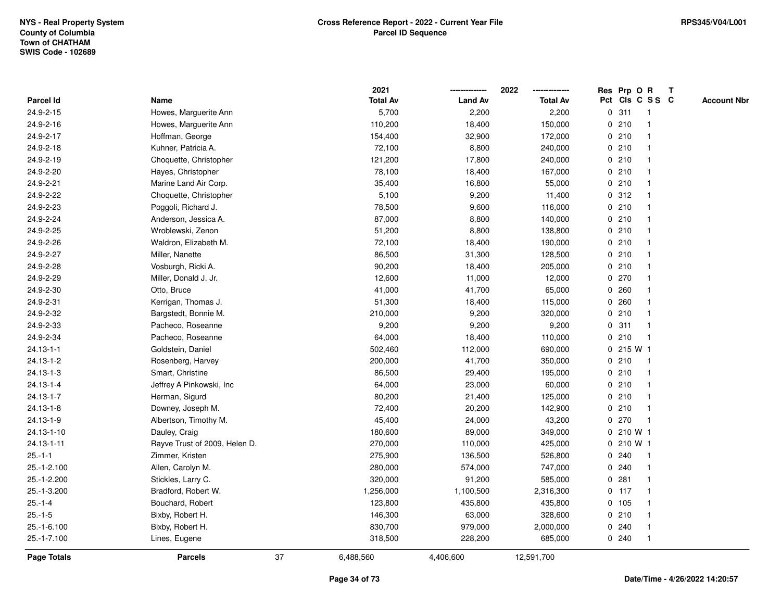|                    |                               |    | 2021            |                | 2022            |   | Res Prp O R |                 | T |                    |
|--------------------|-------------------------------|----|-----------------|----------------|-----------------|---|-------------|-----------------|---|--------------------|
| <b>Parcel Id</b>   | Name                          |    | <b>Total Av</b> | <b>Land Av</b> | <b>Total Av</b> |   |             | Pct Cls C S S C |   | <b>Account Nbr</b> |
| 24.9-2-15          | Howes, Marguerite Ann         |    | 5,700           | 2,200          | 2,200           | 0 | 311         | -1              |   |                    |
| 24.9-2-16          | Howes, Marguerite Ann         |    | 110,200         | 18,400         | 150,000         |   | 0210        |                 |   |                    |
| 24.9-2-17          | Hoffman, George               |    | 154,400         | 32,900         | 172,000         |   | 0210        |                 |   |                    |
| 24.9-2-18          | Kuhner, Patricia A.           |    | 72,100          | 8,800          | 240,000         |   | 0210        |                 |   |                    |
| 24.9-2-19          | Choquette, Christopher        |    | 121,200         | 17,800         | 240,000         |   | 0210        |                 |   |                    |
| 24.9-2-20          | Hayes, Christopher            |    | 78,100          | 18,400         | 167,000         |   | 0210        |                 |   |                    |
| 24.9-2-21          | Marine Land Air Corp.         |    | 35,400          | 16,800         | 55,000          |   | 0210        |                 |   |                    |
| 24.9-2-22          | Choquette, Christopher        |    | 5,100           | 9,200          | 11,400          |   | 0.312       |                 |   |                    |
| 24.9-2-23          | Poggoli, Richard J.           |    | 78,500          | 9,600          | 116,000         |   | 0210        |                 |   |                    |
| 24.9-2-24          | Anderson, Jessica A.          |    | 87,000          | 8,800          | 140,000         |   | 0210        |                 |   |                    |
| 24.9-2-25          | Wroblewski, Zenon             |    | 51,200          | 8,800          | 138,800         |   | 0210        |                 |   |                    |
| 24.9-2-26          | Waldron, Elizabeth M.         |    | 72,100          | 18,400         | 190,000         |   | 0210        |                 |   |                    |
| 24.9-2-27          | Miller, Nanette               |    | 86,500          | 31,300         | 128,500         |   | 0210        |                 |   |                    |
| 24.9-2-28          | Vosburgh, Ricki A.            |    | 90,200          | 18,400         | 205,000         |   | 0210        |                 |   |                    |
| 24.9-2-29          | Miller, Donald J. Jr.         |    | 12,600          | 11,000         | 12,000          | 0 | 270         |                 |   |                    |
| 24.9-2-30          | Otto, Bruce                   |    | 41,000          | 41,700         | 65,000          | 0 | 260         |                 |   |                    |
| 24.9-2-31          | Kerrigan, Thomas J.           |    | 51,300          | 18,400         | 115,000         |   | 0.260       |                 |   |                    |
| 24.9-2-32          | Bargstedt, Bonnie M.          |    | 210,000         | 9,200          | 320,000         |   | 0210        |                 |   |                    |
| 24.9-2-33          | Pacheco, Roseanne             |    | 9,200           | 9,200          | 9,200           |   | 0.311       |                 |   |                    |
| 24.9-2-34          | Pacheco, Roseanne             |    | 64,000          | 18,400         | 110,000         |   | 0210        |                 |   |                    |
| $24.13 - 1 - 1$    | Goldstein, Daniel             |    | 502,460         | 112,000        | 690,000         |   | 0 215 W 1   |                 |   |                    |
| $24.13 - 1 - 2$    | Rosenberg, Harvey             |    | 200,000         | 41,700         | 350,000         | 0 | 210         |                 |   |                    |
| $24.13 - 1 - 3$    | Smart, Christine              |    | 86,500          | 29,400         | 195,000         |   | 0210        |                 |   |                    |
| 24.13-1-4          | Jeffrey A Pinkowski, Inc      |    | 64,000          | 23,000         | 60,000          |   | 0210        |                 |   |                    |
| $24.13 - 1 - 7$    | Herman, Sigurd                |    | 80,200          | 21,400         | 125,000         |   | 0210        |                 |   |                    |
| $24.13 - 1 - 8$    | Downey, Joseph M.             |    | 72,400          | 20,200         | 142,900         |   | 0210        |                 |   |                    |
| 24.13-1-9          | Albertson, Timothy M.         |    | 45,400          | 24,000         | 43,200          |   | 0270        |                 |   |                    |
| 24.13-1-10         | Dauley, Craig                 |    | 180,600         | 89,000         | 349,000         |   | 0 210 W 1   |                 |   |                    |
| 24.13-1-11         | Rayve Trust of 2009, Helen D. |    | 270,000         | 110,000        | 425,000         |   | 0 210 W 1   |                 |   |                    |
| $25.-1-1$          | Zimmer, Kristen               |    | 275,900         | 136,500        | 526,800         |   | 0.240       | -1              |   |                    |
| 25.-1-2.100        | Allen, Carolyn M.             |    | 280,000         | 574,000        | 747,000         |   | 0.240       |                 |   |                    |
| 25.-1-2.200        | Stickles, Larry C.            |    | 320,000         | 91,200         | 585,000         |   | 0.281       |                 |   |                    |
| 25.-1-3.200        | Bradford, Robert W.           |    | 1,256,000       | 1,100,500      | 2,316,300       |   | $0$ 117     |                 |   |                    |
| $25.-1-4$          | Bouchard, Robert              |    | 123,800         | 435,800        | 435,800         |   | 0 105       |                 |   |                    |
| $25.-1-5$          | Bixby, Robert H.              |    | 146,300         | 63,000         | 328,600         |   | 0210        |                 |   |                    |
| 25.-1-6.100        | Bixby, Robert H.              |    | 830,700         | 979,000        | 2,000,000       |   | 0.240       |                 |   |                    |
| 25.-1-7.100        | Lines, Eugene                 |    | 318,500         | 228,200        | 685,000         |   | 0.240       | $\mathbf{1}$    |   |                    |
| <b>Page Totals</b> | <b>Parcels</b>                | 37 | 6,488,560       | 4,406,600      | 12,591,700      |   |             |                 |   |                    |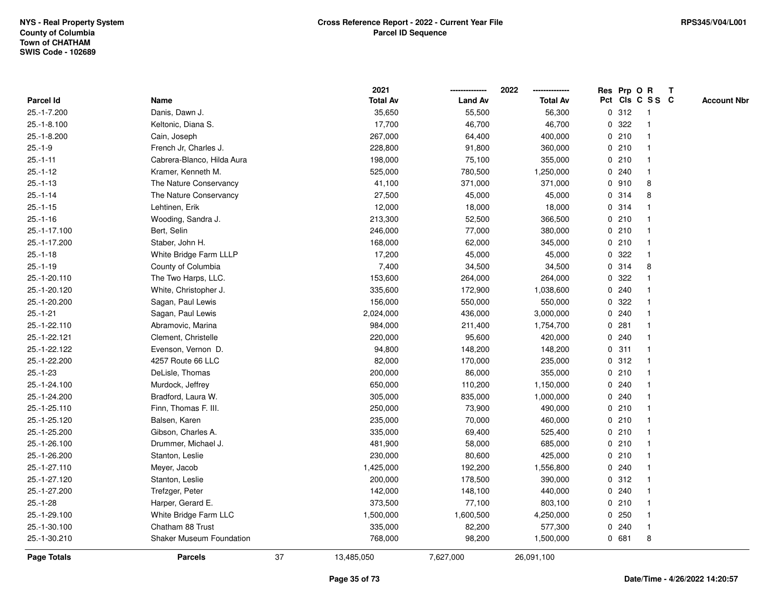|                    |                                 |    | 2021            |                | 2022            |              |       | Res Prp O R             | $\mathbf{T}$ |                    |
|--------------------|---------------------------------|----|-----------------|----------------|-----------------|--------------|-------|-------------------------|--------------|--------------------|
| Parcel Id          | Name                            |    | <b>Total Av</b> | <b>Land Av</b> | <b>Total Av</b> |              |       | Pct Cls C S S C         |              | <b>Account Nbr</b> |
| 25.-1-7.200        | Danis, Dawn J.                  |    | 35,650          | 55,500         | 56,300          |              | 0.312 | -1                      |              |                    |
| 25.-1-8.100        | Keltonic, Diana S.              |    | 17,700          | 46,700         | 46,700          | 0            | 322   |                         |              |                    |
| 25.-1-8.200        | Cain, Joseph                    |    | 267,000         | 64,400         | 400,000         |              | 0210  | -1                      |              |                    |
| $25.-1-9$          | French Jr. Charles J.           |    | 228,800         | 91,800         | 360,000         |              | 0210  | $\mathbf{1}$            |              |                    |
| $25.-1-11$         | Cabrera-Blanco, Hilda Aura      |    | 198,000         | 75,100         | 355,000         |              | 0210  | $\mathbf 1$             |              |                    |
| $25.-1-12$         | Kramer, Kenneth M.              |    | 525,000         | 780,500        | 1,250,000       |              | 0.240 | $\mathbf 1$             |              |                    |
| $25.-1-13$         | The Nature Conservancy          |    | 41,100          | 371,000        | 371,000         |              | 0.910 | 8                       |              |                    |
| $25.-1-14$         | The Nature Conservancy          |    | 27,500          | 45,000         | 45,000          |              | 0.314 | 8                       |              |                    |
| $25.-1-15$         | Lehtinen, Erik                  |    | 12,000          | 18,000         | 18,000          |              | 0.314 |                         |              |                    |
| $25.-1-16$         | Wooding, Sandra J.              |    | 213,300         | 52,500         | 366,500         |              | 0210  |                         |              |                    |
| 25.-1-17.100       | Bert, Selin                     |    | 246,000         | 77,000         | 380,000         |              | 0210  | $\mathbf{1}$            |              |                    |
| 25.-1-17.200       | Staber, John H.                 |    | 168,000         | 62,000         | 345,000         |              | 0210  | $\mathbf 1$             |              |                    |
| $25.-1-18$         | White Bridge Farm LLLP          |    | 17,200          | 45,000         | 45,000          |              | 0.322 | -1                      |              |                    |
| $25.-1-19$         | County of Columbia              |    | 7,400           | 34,500         | 34,500          |              | 0.314 | 8                       |              |                    |
| 25.-1-20.110       | The Two Harps, LLC.             |    | 153,600         | 264,000        | 264,000         | $\mathbf{0}$ | 322   |                         |              |                    |
| 25.-1-20.120       | White, Christopher J.           |    | 335,600         | 172,900        | 1,038,600       |              | 0.240 |                         |              |                    |
| 25.-1-20.200       | Sagan, Paul Lewis               |    | 156,000         | 550,000        | 550,000         | 0            | 322   | -1                      |              |                    |
| $25.-1-21$         | Sagan, Paul Lewis               |    | 2,024,000       | 436,000        | 3,000,000       | 0            | 240   | -1                      |              |                    |
| 25.-1-22.110       | Abramovic, Marina               |    | 984,000         | 211,400        | 1,754,700       |              | 0.281 | -1                      |              |                    |
| 25.-1-22.121       | Clement, Christelle             |    | 220,000         | 95,600         | 420,000         |              | 0.240 |                         |              |                    |
| 25.-1-22.122       | Evenson, Vernon D.              |    | 94,800          | 148,200        | 148,200         |              | 0.311 |                         |              |                    |
| 25.-1-22.200       | 4257 Route 66 LLC               |    | 82,000          | 170,000        | 235,000         |              | 0.312 | -1                      |              |                    |
| $25.-1-23$         | DeLisle, Thomas                 |    | 200,000         | 86,000         | 355,000         |              | 0210  |                         |              |                    |
| 25.-1-24.100       | Murdock, Jeffrey                |    | 650,000         | 110,200        | 1,150,000       |              | 0.240 | -1                      |              |                    |
| 25.-1-24.200       | Bradford, Laura W.              |    | 305,000         | 835,000        | 1,000,000       |              | 0.240 | $\mathbf 1$             |              |                    |
| 25.-1-25.110       | Finn, Thomas F. III.            |    | 250,000         | 73,900         | 490,000         |              | 0210  | -1                      |              |                    |
| 25.-1-25.120       | Balsen, Karen                   |    | 235,000         | 70,000         | 460,000         |              | 0210  |                         |              |                    |
| 25.-1-25.200       | Gibson, Charles A.              |    | 335,000         | 69,400         | 525,400         |              | 0210  |                         |              |                    |
| 25.-1-26.100       | Drummer, Michael J.             |    | 481,900         | 58,000         | 685,000         |              | 0210  | -1                      |              |                    |
| 25.-1-26.200       | Stanton, Leslie                 |    | 230,000         | 80,600         | 425,000         | $\mathbf 0$  | 210   | $\overline{\mathbf{1}}$ |              |                    |
| 25.-1-27.110       | Meyer, Jacob                    |    | 1,425,000       | 192,200        | 1,556,800       | 0            | 240   | -1                      |              |                    |
| 25.-1-27.120       | Stanton, Leslie                 |    | 200,000         | 178,500        | 390,000         |              | 0.312 | -1                      |              |                    |
| 25.-1-27.200       | Trefzger, Peter                 |    | 142,000         | 148,100        | 440,000         |              | 0.240 |                         |              |                    |
| $25.-1-28$         | Harper, Gerard E.               |    | 373,500         | 77,100         | 803,100         |              | 0210  |                         |              |                    |
| 25.-1-29.100       | White Bridge Farm LLC           |    | 1,500,000       | 1,600,500      | 4,250,000       |              | 0.250 | -1                      |              |                    |
| 25.-1-30.100       | Chatham 88 Trust                |    | 335,000         | 82,200         | 577,300         |              | 0.240 | $\mathbf{1}$            |              |                    |
| 25.-1-30.210       | <b>Shaker Museum Foundation</b> |    | 768,000         | 98,200         | 1,500,000       |              | 0681  | 8                       |              |                    |
| <b>Page Totals</b> | <b>Parcels</b>                  | 37 | 13,485,050      | 7,627,000      | 26,091,100      |              |       |                         |              |                    |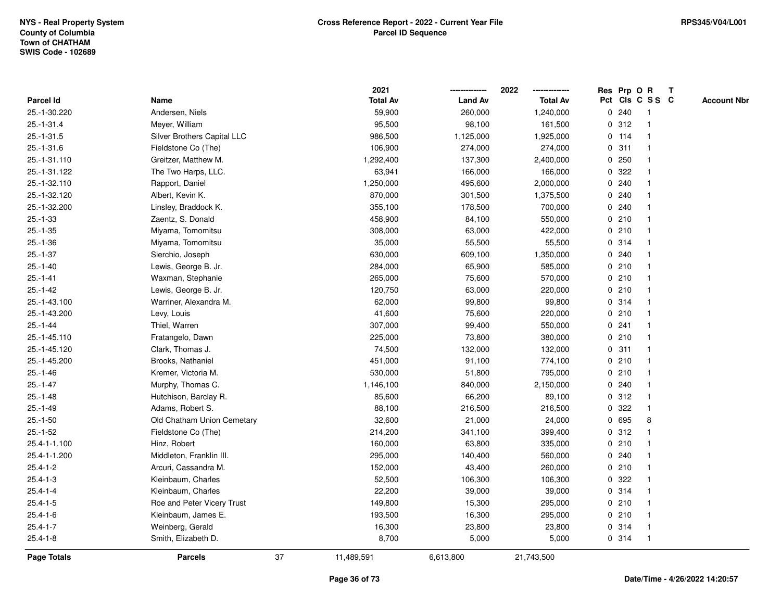|                    |                             |    | 2021            |                | 2022            |             |         | Res Prp O R     | $\mathbf{T}$ |                    |
|--------------------|-----------------------------|----|-----------------|----------------|-----------------|-------------|---------|-----------------|--------------|--------------------|
| Parcel Id          | Name                        |    | <b>Total Av</b> | <b>Land Av</b> | <b>Total Av</b> |             |         | Pct Cls C S S C |              | <b>Account Nbr</b> |
| 25.-1-30.220       | Andersen, Niels             |    | 59,900          | 260,000        | 1,240,000       |             | 0.240   | -1              |              |                    |
| 25.-1-31.4         | Meyer, William              |    | 95,500          | 98,100         | 161,500         |             | 0.312   |                 |              |                    |
| $25.-1-31.5$       | Silver Brothers Capital LLC |    | 986,500         | 1,125,000      | 1,925,000       |             | $0$ 114 | -1              |              |                    |
| $25.-1-31.6$       | Fieldstone Co (The)         |    | 106,900         | 274,000        | 274,000         | $\mathbf 0$ | 311     | $\mathbf{1}$    |              |                    |
| 25.-1-31.110       | Greitzer, Matthew M.        |    | 1,292,400       | 137,300        | 2,400,000       | 0           | 250     | $\mathbf{1}$    |              |                    |
| 25.-1-31.122       | The Two Harps, LLC.         |    | 63,941          | 166,000        | 166,000         |             | 0.322   | -1              |              |                    |
| 25.-1-32.110       | Rapport, Daniel             |    | 1,250,000       | 495,600        | 2,000,000       |             | 0.240   |                 |              |                    |
| 25.-1-32.120       | Albert, Kevin K.            |    | 870,000         | 301,500        | 1,375,500       |             | 0.240   |                 |              |                    |
| 25.-1-32.200       | Linsley, Braddock K.        |    | 355,100         | 178,500        | 700,000         |             | 0.240   | -1              |              |                    |
| $25.-1-33$         | Zaentz, S. Donald           |    | 458,900         | 84,100         | 550,000         |             | 0210    |                 |              |                    |
| $25.-1-35$         | Miyama, Tomomitsu           |    | 308,000         | 63,000         | 422,000         |             | 0210    | $\mathbf{1}$    |              |                    |
| $25.-1-36$         | Miyama, Tomomitsu           |    | 35,000          | 55,500         | 55,500          |             | 0.314   | $\mathbf{1}$    |              |                    |
| $25.-1-37$         | Sierchio, Joseph            |    | 630,000         | 609,100        | 1,350,000       |             | 0.240   | $\mathbf 1$     |              |                    |
| $25.-1-40$         | Lewis, George B. Jr.        |    | 284,000         | 65,900         | 585,000         |             | 0210    |                 |              |                    |
| $25.-1-41$         | Waxman, Stephanie           |    | 265,000         | 75,600         | 570,000         |             | 0210    |                 |              |                    |
| $25.-1-42$         | Lewis, George B. Jr.        |    | 120,750         | 63,000         | 220,000         |             | 0210    | -1              |              |                    |
| 25.-1-43.100       | Warriner, Alexandra M.      |    | 62,000          | 99,800         | 99,800          | $\mathbf 0$ | 314     | $\overline{1}$  |              |                    |
| 25.-1-43.200       | Levy, Louis                 |    | 41,600          | 75,600         | 220,000         |             | 0210    | -1              |              |                    |
| $25.-1-44$         | Thiel, Warren               |    | 307,000         | 99,400         | 550,000         |             | 0.241   | $\mathbf 1$     |              |                    |
| 25.-1-45.110       | Fratangelo, Dawn            |    | 225,000         | 73,800         | 380,000         |             | 0210    |                 |              |                    |
| 25.-1-45.120       | Clark, Thomas J.            |    | 74,500          | 132,000        | 132,000         |             | 0.311   |                 |              |                    |
| 25.-1-45.200       | Brooks, Nathaniel           |    | 451,000         | 91,100         | 774,100         |             | 0210    |                 |              |                    |
| $25.-1-46$         | Kremer, Victoria M.         |    | 530,000         | 51,800         | 795,000         |             | 0210    | -1              |              |                    |
| $25.-1-47$         | Murphy, Thomas C.           |    | 1,146,100       | 840,000        | 2,150,000       |             | 0.240   | $\mathbf{1}$    |              |                    |
| $25.-1-48$         | Hutchison, Barclay R.       |    | 85,600          | 66,200         | 89,100          |             | 0.312   | $\mathbf 1$     |              |                    |
| $25.-1-49$         | Adams, Robert S.            |    | 88,100          | 216,500        | 216,500         |             | 0.322   | $\mathbf 1$     |              |                    |
| $25.-1-50$         | Old Chatham Union Cemetary  |    | 32,600          | 21,000         | 24,000          |             | 0 695   | 8               |              |                    |
| $25.-1-52$         | Fieldstone Co (The)         |    | 214,200         | 341,100        | 399,400         |             | 0.312   |                 |              |                    |
| 25.4-1-1.100       | Hinz, Robert                |    | 160,000         | 63,800         | 335,000         |             | 0210    | -1              |              |                    |
| 25.4-1-1.200       | Middleton, Franklin III.    |    | 295,000         | 140,400        | 560,000         |             | 0.240   |                 |              |                    |
| $25.4 - 1 - 2$     | Arcuri, Cassandra M.        |    | 152,000         | 43,400         | 260,000         |             | 0210    | $\mathbf{1}$    |              |                    |
| $25.4 - 1 - 3$     | Kleinbaum, Charles          |    | 52,500          | 106,300        | 106,300         |             | 0 322   | -1              |              |                    |
| $25.4 - 1 - 4$     | Kleinbaum, Charles          |    | 22,200          | 39,000         | 39,000          |             | 0.314   | -1              |              |                    |
| $25.4 - 1 - 5$     | Roe and Peter Vicery Trust  |    | 149,800         | 15,300         | 295,000         |             | 0210    |                 |              |                    |
| $25.4 - 1 - 6$     | Kleinbaum, James E.         |    | 193,500         | 16,300         | 295,000         |             | 0210    |                 |              |                    |
| $25.4 - 1 - 7$     | Weinberg, Gerald            |    | 16,300          | 23,800         | 23,800          |             | 0.314   | $\mathbf{1}$    |              |                    |
| $25.4 - 1 - 8$     | Smith, Elizabeth D.         |    | 8,700           | 5,000          | 5,000           |             | 0.314   | -1              |              |                    |
| <b>Page Totals</b> | <b>Parcels</b>              | 37 | 11,489,591      | 6,613,800      | 21,743,500      |             |         |                 |              |                    |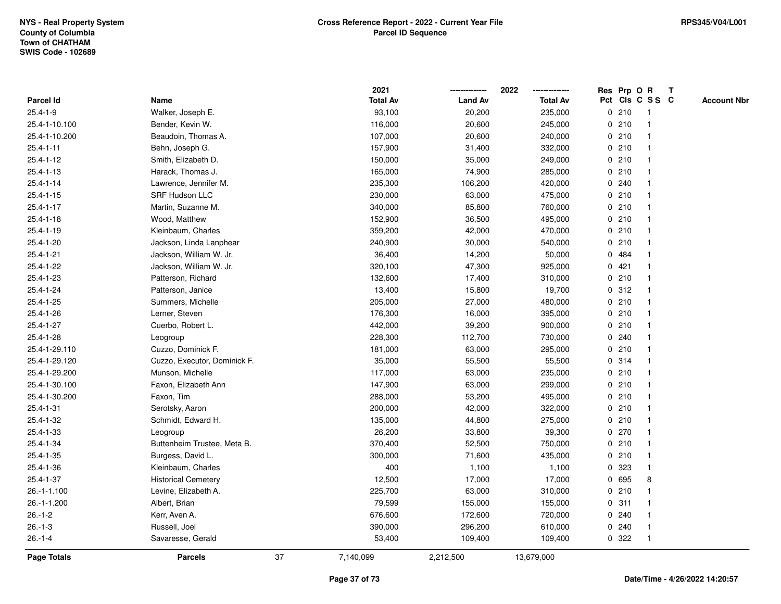|                 |                              |    | 2021            |                | 2022<br>-------------- | Res Prp O R  |       |                 | $\mathbf{T}$ |                    |
|-----------------|------------------------------|----|-----------------|----------------|------------------------|--------------|-------|-----------------|--------------|--------------------|
| Parcel Id       | Name                         |    | <b>Total Av</b> | <b>Land Av</b> | <b>Total Av</b>        |              |       | Pct Cls C S S C |              | <b>Account Nbr</b> |
| $25.4 - 1 - 9$  | Walker, Joseph E.            |    | 93,100          | 20,200         | 235,000                |              | 0210  | -1              |              |                    |
| 25.4-1-10.100   | Bender, Kevin W.             |    | 116,000         | 20,600         | 245,000                | 0            | 210   |                 |              |                    |
| 25.4-1-10.200   | Beaudoin, Thomas A.          |    | 107,000         | 20,600         | 240,000                |              | 0210  |                 |              |                    |
| $25.4 - 1 - 11$ | Behn, Joseph G.              |    | 157,900         | 31,400         | 332,000                | $\mathbf 0$  | 210   | $\mathbf{1}$    |              |                    |
| $25.4 - 1 - 12$ | Smith, Elizabeth D.          |    | 150,000         | 35,000         | 249,000                |              | 0210  | -1              |              |                    |
| $25.4 - 1 - 13$ | Harack, Thomas J.            |    | 165,000         | 74,900         | 285,000                |              | 0210  | -1              |              |                    |
| $25.4 - 1 - 14$ | Lawrence, Jennifer M.        |    | 235,300         | 106,200        | 420,000                |              | 0.240 |                 |              |                    |
| $25.4 - 1 - 15$ | <b>SRF Hudson LLC</b>        |    | 230,000         | 63,000         | 475,000                |              | 0210  |                 |              |                    |
| $25.4 - 1 - 17$ | Martin, Suzanne M.           |    | 340,000         | 85,800         | 760,000                |              | 0210  |                 |              |                    |
| $25.4 - 1 - 18$ | Wood, Matthew                |    | 152,900         | 36,500         | 495,000                |              | 0210  |                 |              |                    |
| $25.4 - 1 - 19$ | Kleinbaum, Charles           |    | 359,200         | 42,000         | 470,000                |              | 0210  | $\overline{1}$  |              |                    |
| $25.4 - 1 - 20$ | Jackson, Linda Lanphear      |    | 240,900         | 30,000         | 540,000                |              | 0210  | -1              |              |                    |
| 25.4-1-21       | Jackson, William W. Jr.      |    | 36,400          | 14,200         | 50,000                 |              | 0 484 |                 |              |                    |
| 25.4-1-22       | Jackson, William W. Jr.      |    | 320,100         | 47,300         | 925,000                |              | 0421  |                 |              |                    |
| 25.4-1-23       | Patterson, Richard           |    | 132,600         | 17,400         | 310,000                |              | 0210  |                 |              |                    |
| 25.4-1-24       | Patterson, Janice            |    | 13,400          | 15,800         | 19,700                 |              | 0.312 |                 |              |                    |
| 25.4-1-25       | Summers, Michelle            |    | 205,000         | 27,000         | 480,000                | 0            | 210   |                 |              |                    |
| 25.4-1-26       | Lerner, Steven               |    | 176,300         | 16,000         | 395,000                | $\mathbf{0}$ | 210   | $\mathbf{1}$    |              |                    |
| 25.4-1-27       | Cuerbo, Robert L.            |    | 442,000         | 39,200         | 900,000                |              | 0210  | -1              |              |                    |
| 25.4-1-28       | Leogroup                     |    | 228,300         | 112,700        | 730,000                |              | 0.240 |                 |              |                    |
| 25.4-1-29.110   | Cuzzo, Dominick F.           |    | 181,000         | 63,000         | 295,000                |              | 0210  |                 |              |                    |
| 25.4-1-29.120   | Cuzzo, Executor, Dominick F. |    | 35,000          | 55,500         | 55,500                 |              | 0.314 |                 |              |                    |
| 25.4-1-29.200   | Munson, Michelle             |    | 117,000         | 63,000         | 235,000                |              | 0210  |                 |              |                    |
| 25.4-1-30.100   | Faxon, Elizabeth Ann         |    | 147,900         | 63,000         | 299,000                |              | 0210  | -1              |              |                    |
| 25.4-1-30.200   | Faxon, Tim                   |    | 288,000         | 53,200         | 495,000                |              | 0210  | $\mathbf{1}$    |              |                    |
| 25.4-1-31       | Serotsky, Aaron              |    | 200,000         | 42,000         | 322,000                |              | 0210  |                 |              |                    |
| 25.4-1-32       | Schmidt, Edward H.           |    | 135,000         | 44,800         | 275,000                |              | 0210  |                 |              |                    |
| 25.4-1-33       | Leogroup                     |    | 26,200          | 33,800         | 39,300                 |              | 0270  |                 |              |                    |
| 25.4-1-34       | Buttenheim Trustee, Meta B.  |    | 370,400         | 52,500         | 750,000                |              | 0210  |                 |              |                    |
| $25.4 - 1 - 35$ | Burgess, David L.            |    | 300,000         | 71,600         | 435,000                | 0            | 210   | $\overline{1}$  |              |                    |
| 25.4-1-36       | Kleinbaum, Charles           |    | 400             | 1,100          | 1,100                  | 0            | 323   | $\overline{1}$  |              |                    |
| $25.4 - 1 - 37$ | <b>Historical Cemetery</b>   |    | 12,500          | 17,000         | 17,000                 |              | 0 695 | 8               |              |                    |
| 26.-1-1.100     | Levine, Elizabeth A.         |    | 225,700         | 63,000         | 310,000                |              | 0210  |                 |              |                    |
| 26.-1-1.200     | Albert, Brian                |    | 79,599          | 155,000        | 155,000                |              | 0.311 |                 |              |                    |
| $26.-1-2$       | Kerr, Aven A.                |    | 676,600         | 172,600        | 720,000                |              | 0.240 |                 |              |                    |
| $26.-1-3$       | Russell, Joel                |    | 390,000         | 296,200        | 610,000                |              | 0.240 |                 |              |                    |
| $26.-1-4$       | Savaresse, Gerald            |    | 53,400          | 109,400        | 109,400                |              | 0 322 | -1              |              |                    |
| Page Totals     | <b>Parcels</b>               | 37 | 7,140,099       | 2,212,500      | 13,679,000             |              |       |                 |              |                    |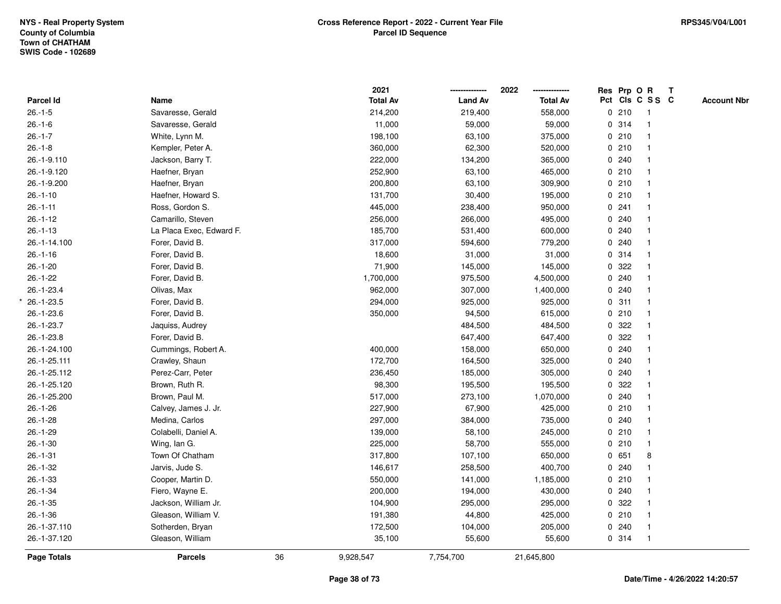|                    |                          |    | 2021            |                | 2022            | Res Prp O R |                 | T |                    |
|--------------------|--------------------------|----|-----------------|----------------|-----------------|-------------|-----------------|---|--------------------|
| Parcel Id          | Name                     |    | <b>Total Av</b> | <b>Land Av</b> | <b>Total Av</b> |             | Pct Cls C S S C |   | <b>Account Nbr</b> |
| $26.-1-5$          | Savaresse, Gerald        |    | 214,200         | 219,400        | 558,000         | 0210        | $\overline{1}$  |   |                    |
| $26.-1-6$          | Savaresse, Gerald        |    | 11,000          | 59,000         | 59,000          | 0.314       | $\mathbf{1}$    |   |                    |
| $26.-1-7$          | White, Lynn M.           |    | 198,100         | 63,100         | 375,000         | 0210        |                 |   |                    |
| $26.-1-8$          | Kempler, Peter A.        |    | 360,000         | 62,300         | 520,000         | 0210        |                 |   |                    |
| 26.-1-9.110        | Jackson, Barry T.        |    | 222,000         | 134,200        | 365,000         | 0.240       |                 |   |                    |
| 26.-1-9.120        | Haefner, Bryan           |    | 252,900         | 63,100         | 465,000         | 0210        |                 |   |                    |
| 26.-1-9.200        | Haefner, Bryan           |    | 200,800         | 63,100         | 309,900         | 0210        |                 |   |                    |
| $26.-1-10$         | Haefner, Howard S.       |    | 131,700         | 30,400         | 195,000         | 0210        | $\mathbf{1}$    |   |                    |
| $26.-1-11$         | Ross, Gordon S.          |    | 445,000         | 238,400        | 950,000         | 0.241       |                 |   |                    |
| $26.-1-12$         | Camarillo, Steven        |    | 256,000         | 266,000        | 495,000         | 0.240       |                 |   |                    |
| $26.-1-13$         | La Placa Exec, Edward F. |    | 185,700         | 531,400        | 600,000         | 0.240       |                 |   |                    |
| 26.-1-14.100       | Forer, David B.          |    | 317,000         | 594,600        | 779,200         | 0.240       |                 |   |                    |
| $26.-1-16$         | Forer, David B.          |    | 18,600          | 31,000         | 31,000          | 0.314       |                 |   |                    |
| $26.-1-20$         | Forer, David B.          |    | 71,900          | 145,000        | 145,000         | 0.322       |                 |   |                    |
| $26.-1-22$         | Forer, David B.          |    | 1,700,000       | 975,500        | 4,500,000       | 0.240       |                 |   |                    |
| 26.-1-23.4         | Olivas, Max              |    | 962,000         | 307,000        | 1,400,000       | 0.240       |                 |   |                    |
| $26.-1-23.5$       | Forer, David B.          |    | 294,000         | 925,000        | 925,000         | 0.311       |                 |   |                    |
| 26.-1-23.6         | Forer, David B.          |    | 350,000         | 94,500         | 615,000         | 0210        |                 |   |                    |
| 26.-1-23.7         | Jaquiss, Audrey          |    |                 | 484,500        | 484,500         | 0.322       |                 |   |                    |
| $26. - 1 - 23.8$   | Forer, David B.          |    |                 | 647,400        | 647,400         | 0.322       |                 |   |                    |
| 26.-1-24.100       | Cummings, Robert A.      |    | 400,000         | 158,000        | 650,000         | 0.240       |                 |   |                    |
| 26.-1-25.111       | Crawley, Shaun           |    | 172,700         | 164,500        | 325,000         | 0.240       |                 |   |                    |
| 26.-1-25.112       | Perez-Carr, Peter        |    | 236,450         | 185,000        | 305,000         | 0.240       |                 |   |                    |
| 26.-1-25.120       | Brown, Ruth R.           |    | 98,300          | 195,500        | 195,500         | 0.322       |                 |   |                    |
| 26.-1-25.200       | Brown, Paul M.           |    | 517,000         | 273,100        | 1,070,000       | 0.240       |                 |   |                    |
| $26.-1-26$         | Calvey, James J. Jr.     |    | 227,900         | 67,900         | 425,000         | 0210        |                 |   |                    |
| $26.-1-28$         | Medina, Carlos           |    | 297,000         | 384,000        | 735,000         | 0.240       |                 |   |                    |
| $26.-1-29$         | Colabelli, Daniel A.     |    | 139,000         | 58,100         | 245,000         | 0210        |                 |   |                    |
| $26.-1-30$         | Wing, Ian G.             |    | 225,000         | 58,700         | 555,000         | 0210        | $\mathbf{1}$    |   |                    |
| $26.-1-31$         | Town Of Chatham          |    | 317,800         | 107,100        | 650,000         | 0651        | 8               |   |                    |
| $26.-1-32$         | Jarvis, Jude S.          |    | 146,617         | 258,500        | 400,700         | 0.240       |                 |   |                    |
| $26. - 1 - 33$     | Cooper, Martin D.        |    | 550,000         | 141,000        | 1,185,000       | 0210        |                 |   |                    |
| $26.-1-34$         | Fiero, Wayne E.          |    | 200,000         | 194,000        | 430,000         | 0.240       |                 |   |                    |
| $26.-1-35$         | Jackson, William Jr.     |    | 104,900         | 295,000        | 295,000         | 0.322       |                 |   |                    |
| $26.-1-36$         | Gleason, William V.      |    | 191,380         | 44,800         | 425,000         | 0210        |                 |   |                    |
| 26.-1-37.110       | Sotherden, Bryan         |    | 172,500         | 104,000        | 205,000         | 0.240       | $\mathbf{1}$    |   |                    |
| 26.-1-37.120       | Gleason, William         |    | 35,100          | 55,600         | 55,600          | 0.314       | $\overline{1}$  |   |                    |
| <b>Page Totals</b> | <b>Parcels</b>           | 36 | 9,928,547       | 7,754,700      | 21,645,800      |             |                 |   |                    |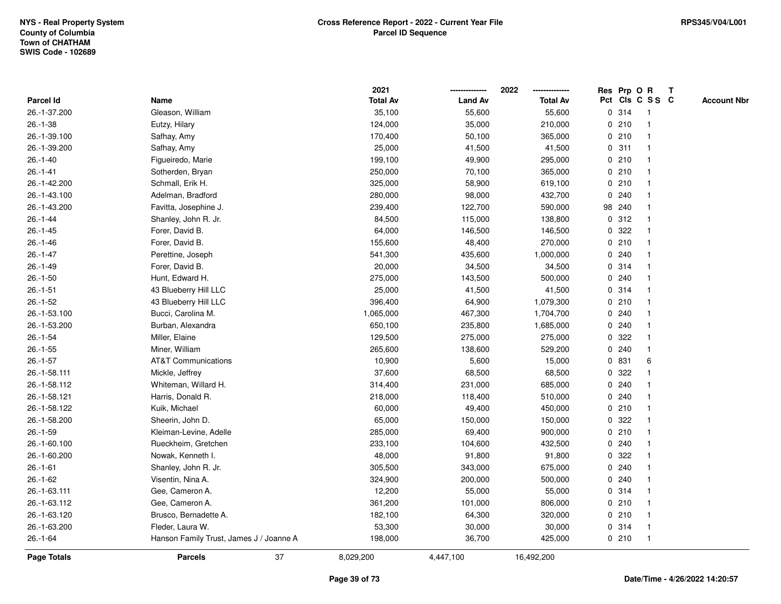|                |                                         | 2021            |                | 2022            |              |        | Res Prp O R     | Т |                    |
|----------------|-----------------------------------------|-----------------|----------------|-----------------|--------------|--------|-----------------|---|--------------------|
| Parcel Id      | Name                                    | <b>Total Av</b> | <b>Land Av</b> | <b>Total Av</b> |              |        | Pct Cls C S S C |   | <b>Account Nbr</b> |
| 26.-1-37.200   | Gleason, William                        | 35,100          | 55,600         | 55,600          |              | 0.314  | $\mathbf{1}$    |   |                    |
| $26.-1-38$     | Eutzy, Hilary                           | 124,000         | 35,000         | 210,000         | 0            | 210    | -1              |   |                    |
| 26.-1-39.100   | Safhay, Amy                             | 170,400         | 50,100         | 365,000         |              | 0210   | $\mathbf{1}$    |   |                    |
| 26.-1-39.200   | Safhay, Amy                             | 25,000          | 41,500         | 41,500          |              | 0.311  | -1              |   |                    |
| $26.-1-40$     | Figueiredo, Marie                       | 199,100         | 49,900         | 295,000         |              | 0210   |                 |   |                    |
| $26.-1-41$     | Sotherden, Bryan                        | 250,000         | 70,100         | 365,000         |              | 0210   |                 |   |                    |
| 26.-1-42.200   | Schmall, Erik H.                        | 325,000         | 58,900         | 619,100         |              | 0210   | $\mathbf 1$     |   |                    |
| 26.-1-43.100   | Adelman, Bradford                       | 280,000         | 98,000         | 432,700         | 0            | 240    | $\overline{1}$  |   |                    |
| 26.-1-43.200   | Favitta, Josephine J.                   | 239,400         | 122,700        | 590,000         |              | 98 240 | -1              |   |                    |
| $26.-1-44$     | Shanley, John R. Jr.                    | 84,500          | 115,000        | 138,800         |              | 0.312  | -1              |   |                    |
| $26.-1-45$     | Forer, David B.                         | 64,000          | 146,500        | 146,500         |              | 0.322  |                 |   |                    |
| $26.-1-46$     | Forer, David B.                         | 155,600         | 48,400         | 270,000         |              | 0210   |                 |   |                    |
| $26.-1-47$     | Perettine, Joseph                       | 541,300         | 435,600        | 1,000,000       |              | 0.240  |                 |   |                    |
| $26.-1-49$     | Forer, David B.                         | 20,000          | 34,500         | 34,500          |              | 0.314  |                 |   |                    |
| $26.-1-50$     | Hunt, Edward H.                         | 275,000         | 143,500        | 500,000         | 0            | 240    | $\overline{1}$  |   |                    |
| $26.-1-51$     | 43 Blueberry Hill LLC                   | 25,000          | 41,500         | 41,500          |              | 0.314  | $\overline{1}$  |   |                    |
| $26.-1-52$     | 43 Blueberry Hill LLC                   | 396,400         | 64,900         | 1,079,300       |              | 0210   | $\mathbf{1}$    |   |                    |
| 26.-1-53.100   | Bucci, Carolina M.                      | 1,065,000       | 467,300        | 1,704,700       |              | 0.240  |                 |   |                    |
| 26.-1-53.200   | Burban, Alexandra                       | 650,100         | 235,800        | 1,685,000       |              | 0.240  |                 |   |                    |
| $26.-1-54$     | Miller, Elaine                          | 129,500         | 275,000        | 275,000         | 0            | 322    |                 |   |                    |
| $26.-1-55$     | Miner, William                          | 265,600         | 138,600        | 529,200         |              | 0.240  |                 |   |                    |
| $26.-1-57$     | <b>AT&amp;T Communications</b>          | 10,900          | 5,600          | 15,000          | 0            | 831    | 6               |   |                    |
| 26.-1-58.111   | Mickle, Jeffrey                         | 37,600          | 68,500         | 68,500          | 0            | 322    |                 |   |                    |
| 26.-1-58.112   | Whiteman, Willard H.                    | 314,400         | 231,000        | 685,000         | $\mathbf{0}$ | 240    | -1              |   |                    |
| 26.-1-58.121   | Harris, Donald R.                       | 218,000         | 118,400        | 510,000         |              | 0.240  |                 |   |                    |
| 26.-1-58.122   | Kuik, Michael                           | 60,000          | 49,400         | 450,000         |              | 0210   |                 |   |                    |
| 26.-1-58.200   | Sheerin, John D.                        | 65,000          | 150,000        | 150,000         |              | 0.322  |                 |   |                    |
| $26.-1-59$     | Kleiman-Levine, Adelle                  | 285,000         | 69,400         | 900,000         |              | 0210   |                 |   |                    |
| 26.-1-60.100   | Rueckheim, Gretchen                     | 233,100         | 104,600        | 432,500         | 0            | 240    |                 |   |                    |
| 26.-1-60.200   | Nowak, Kenneth I.                       | 48,000          | 91,800         | 91,800          | 0            | 322    |                 |   |                    |
| $26.-1-61$     | Shanley, John R. Jr.                    | 305,500         | 343,000        | 675,000         | 0            | 240    | $\mathbf 1$     |   |                    |
| $26.-1-62$     | Visentin, Nina A.                       | 324,900         | 200,000        | 500,000         |              | 0.240  | $\mathbf 1$     |   |                    |
| 26.-1-63.111   | Gee, Cameron A.                         | 12,200          | 55,000         | 55,000          |              | 0.314  |                 |   |                    |
| 26.-1-63.112   | Gee, Cameron A.                         | 361,200         | 101,000        | 806,000         |              | 0210   |                 |   |                    |
| 26.-1-63.120   | Brusco, Bernadette A.                   | 182,100         | 64,300         | 320,000         |              | 0210   | 1               |   |                    |
| 26.-1-63.200   | Fleder, Laura W.                        | 53,300          | 30,000         | 30,000          |              | 0.314  | -1              |   |                    |
| $26. - 1 - 64$ | Hanson Family Trust, James J / Joanne A | 198,000         | 36,700         | 425,000         |              | 0210   | $\overline{1}$  |   |                    |
| Page Totals    | 37<br><b>Parcels</b>                    | 8,029,200       | 4,447,100      | 16,492,200      |              |        |                 |   |                    |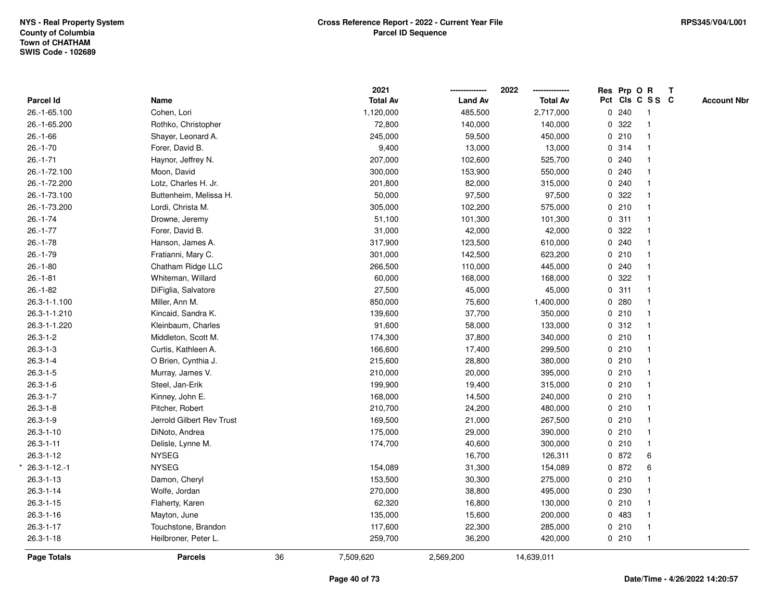|                     |                           |    | 2021            |                | 2022            |   | Res Prp O R |                 | $\mathbf{T}$ |                    |
|---------------------|---------------------------|----|-----------------|----------------|-----------------|---|-------------|-----------------|--------------|--------------------|
| Parcel Id           | Name                      |    | <b>Total Av</b> | <b>Land Av</b> | <b>Total Av</b> |   |             | Pct Cls C S S C |              | <b>Account Nbr</b> |
| 26.-1-65.100        | Cohen, Lori               |    | 1,120,000       | 485,500        | 2,717,000       |   | 0.240       | $\mathbf{1}$    |              |                    |
| 26.-1-65.200        | Rothko, Christopher       |    | 72,800          | 140,000        | 140,000         | 0 | 322         | $\mathbf{1}$    |              |                    |
| $26.-1-66$          | Shayer, Leonard A.        |    | 245,000         | 59,500         | 450,000         |   | 0210        | $\mathbf{1}$    |              |                    |
| $26.-1-70$          | Forer, David B.           |    | 9,400           | 13,000         | 13,000          |   | 0.314       |                 |              |                    |
| $26. - 1 - 71$      | Haynor, Jeffrey N.        |    | 207,000         | 102,600        | 525,700         |   | 0.240       |                 |              |                    |
| 26.-1-72.100        | Moon, David               |    | 300,000         | 153,900        | 550,000         |   | 0.240       |                 |              |                    |
| 26.-1-72.200        | Lotz, Charles H. Jr.      |    | 201,800         | 82,000         | 315,000         |   | 0.240       |                 |              |                    |
| 26.-1-73.100        | Buttenheim, Melissa H.    |    | 50,000          | 97,500         | 97,500          | 0 | 322         | $\mathbf 1$     |              |                    |
| 26.-1-73.200        | Lordi, Christa M.         |    | 305,000         | 102,200        | 575,000         |   | 0210        | $\mathbf{1}$    |              |                    |
| $26.-1-74$          | Drowne, Jeremy            |    | 51,100          | 101,300        | 101,300         |   | 0.311       | $\mathbf{1}$    |              |                    |
| $26.-1-77$          | Forer, David B.           |    | 31,000          | 42,000         | 42,000          |   | 0.322       |                 |              |                    |
| $26.-1-78$          | Hanson, James A.          |    | 317,900         | 123,500        | 610,000         |   | 0.240       |                 |              |                    |
| $26.-1-79$          | Fratianni, Mary C.        |    | 301,000         | 142,500        | 623,200         |   | 0210        |                 |              |                    |
| $26.-1-80$          | Chatham Ridge LLC         |    | 266,500         | 110,000        | 445,000         |   | 0.240       |                 |              |                    |
| $26.-1-81$          | Whiteman, Willard         |    | 60,000          | 168,000        | 168,000         | 0 | 322         | $\mathbf{1}$    |              |                    |
| $26 - 1 - 82$       | DiFiglia, Salvatore       |    | 27,500          | 45,000         | 45,000          |   | 0.311       | $\mathbf{1}$    |              |                    |
| 26.3-1-1.100        | Miller, Ann M.            |    | 850,000         | 75,600         | 1,400,000       |   | 0.280       | $\mathbf{1}$    |              |                    |
| 26.3-1-1.210        | Kincaid, Sandra K.        |    | 139,600         | 37,700         | 350,000         |   | 0210        | 1               |              |                    |
| 26.3-1-1.220        | Kleinbaum, Charles        |    | 91,600          | 58,000         | 133,000         |   | 0.312       |                 |              |                    |
| $26.3 - 1 - 2$      | Middleton, Scott M.       |    | 174,300         | 37,800         | 340,000         |   | 0210        |                 |              |                    |
| $26.3 - 1 - 3$      | Curtis, Kathleen A.       |    | 166,600         | 17,400         | 299,500         |   | 0210        | -1              |              |                    |
| $26.3 - 1 - 4$      | O Brien, Cynthia J.       |    | 215,600         | 28,800         | 380,000         |   | 0210        | $\mathbf{1}$    |              |                    |
| $26.3 - 1 - 5$      | Murray, James V.          |    | 210,000         | 20,000         | 395,000         |   | 0210        | $\mathbf{1}$    |              |                    |
| $26.3 - 1 - 6$      | Steel, Jan-Erik           |    | 199,900         | 19,400         | 315,000         |   | 0210        | $\mathbf{1}$    |              |                    |
| $26.3 - 1 - 7$      | Kinney, John E.           |    | 168,000         | 14,500         | 240,000         |   | 0210        | 1               |              |                    |
| $26.3 - 1 - 8$      | Pitcher, Robert           |    | 210,700         | 24,200         | 480,000         |   | 0210        |                 |              |                    |
| $26.3 - 1 - 9$      | Jerrold Gilbert Rev Trust |    | 169,500         | 21,000         | 267,500         |   | 0210        |                 |              |                    |
| $26.3 - 1 - 10$     | DiNoto, Andrea            |    | 175,000         | 29,000         | 390,000         |   | 0210        |                 |              |                    |
| $26.3 - 1 - 11$     | Delisle, Lynne M.         |    | 174,700         | 40,600         | 300,000         |   | 0210        | $\mathbf{1}$    |              |                    |
| $26.3 - 1 - 12$     | <b>NYSEG</b>              |    |                 | 16,700         | 126,311         |   | 0 872       | 6               |              |                    |
| $26.3 - 1 - 12 - 1$ | <b>NYSEG</b>              |    | 154,089         | 31,300         | 154,089         |   | 0 872       | 6               |              |                    |
| $26.3 - 1 - 13$     | Damon, Cheryl             |    | 153,500         | 30,300         | 275,000         |   | 0210        |                 |              |                    |
| $26.3 - 1 - 14$     | Wolfe, Jordan             |    | 270,000         | 38,800         | 495,000         |   | 0 230       |                 |              |                    |
| $26.3 - 1 - 15$     | Flaherty, Karen           |    | 62,320          | 16,800         | 130,000         |   | 0210        |                 |              |                    |
| $26.3 - 1 - 16$     | Mayton, June              |    | 135,000         | 15,600         | 200,000         |   | 0 483       | $\mathbf{1}$    |              |                    |
| $26.3 - 1 - 17$     | Touchstone, Brandon       |    | 117,600         | 22,300         | 285,000         |   | 0210        | $\mathbf{1}$    |              |                    |
| $26.3 - 1 - 18$     | Heilbroner, Peter L.      |    | 259,700         | 36,200         | 420,000         |   | 0210        | $\mathbf{1}$    |              |                    |
| Page Totals         | <b>Parcels</b>            | 36 | 7,509,620       | 2,569,200      | 14,639,011      |   |             |                 |              |                    |
|                     |                           |    |                 |                |                 |   |             |                 |              |                    |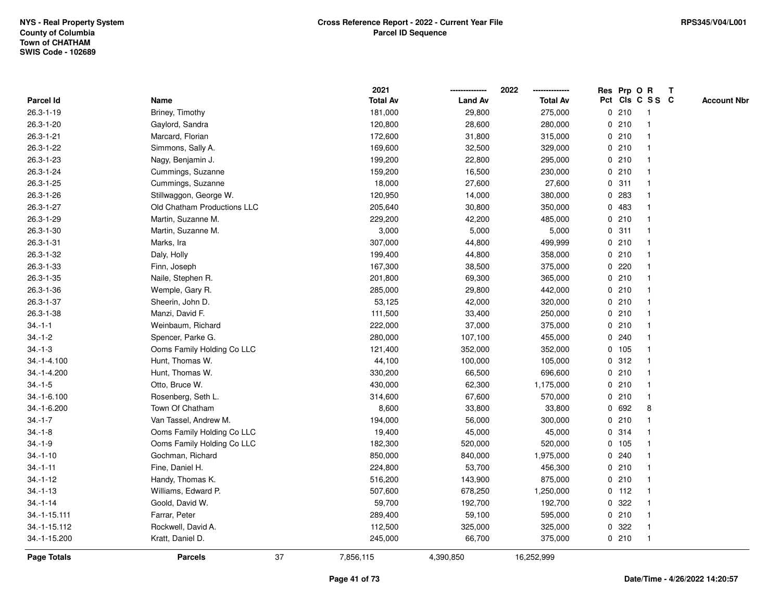|                 |                             |    | 2021            |                | 2022            |   | Res Prp O R |                 | T |                    |
|-----------------|-----------------------------|----|-----------------|----------------|-----------------|---|-------------|-----------------|---|--------------------|
| Parcel Id       | Name                        |    | <b>Total Av</b> | <b>Land Av</b> | <b>Total Av</b> |   |             | Pct Cls C S S C |   | <b>Account Nbr</b> |
| $26.3 - 1 - 19$ | Briney, Timothy             |    | 181,000         | 29,800         | 275,000         |   | 0210        | $\mathbf{1}$    |   |                    |
| 26.3-1-20       | Gaylord, Sandra             |    | 120,800         | 28,600         | 280,000         |   | 0210        | $\overline{1}$  |   |                    |
| $26.3 - 1 - 21$ | Marcard, Florian            |    | 172,600         | 31,800         | 315,000         |   | 0210        | $\mathbf{1}$    |   |                    |
| 26.3-1-22       | Simmons, Sally A.           |    | 169,600         | 32,500         | 329,000         |   | 0210        |                 |   |                    |
| 26.3-1-23       | Nagy, Benjamin J.           |    | 199,200         | 22,800         | 295,000         |   | 0210        |                 |   |                    |
| 26.3-1-24       | Cummings, Suzanne           |    | 159,200         | 16,500         | 230,000         |   | 0210        |                 |   |                    |
| 26.3-1-25       | Cummings, Suzanne           |    | 18,000          | 27,600         | 27,600          |   | 0.311       | $\mathbf{1}$    |   |                    |
| 26.3-1-26       | Stillwaggon, George W.      |    | 120,950         | 14,000         | 380,000         | 0 | 283         |                 |   |                    |
| 26.3-1-27       | Old Chatham Productions LLC |    | 205,640         | 30,800         | 350,000         |   | 0 483       | -1              |   |                    |
| 26.3-1-29       | Martin, Suzanne M.          |    | 229,200         | 42,200         | 485,000         |   | 0210        | $\mathbf 1$     |   |                    |
| 26.3-1-30       | Martin, Suzanne M.          |    | 3,000           | 5,000          | 5,000           |   | 0.311       |                 |   |                    |
| $26.3 - 1 - 31$ | Marks, Ira                  |    | 307,000         | 44,800         | 499,999         |   | 0210        |                 |   |                    |
| 26.3-1-32       | Daly, Holly                 |    | 199,400         | 44,800         | 358,000         |   | 0210        |                 |   |                    |
| 26.3-1-33       | Finn, Joseph                |    | 167,300         | 38,500         | 375,000         |   | 0.220       |                 |   |                    |
| 26.3-1-35       | Naile, Stephen R.           |    | 201,800         | 69,300         | 365,000         |   | 0210        |                 |   |                    |
| 26.3-1-36       | Wemple, Gary R.             |    | 285,000         | 29,800         | 442,000         |   | 0210        | $\overline{1}$  |   |                    |
| 26.3-1-37       | Sheerin, John D.            |    | 53,125          | 42,000         | 320,000         |   | 0210        |                 |   |                    |
| 26.3-1-38       | Manzi, David F.             |    | 111,500         | 33,400         | 250,000         |   | 0210        |                 |   |                    |
| $34.-1-1$       | Weinbaum, Richard           |    | 222,000         | 37,000         | 375,000         |   | 0210        |                 |   |                    |
| $34.-1-2$       | Spencer, Parke G.           |    | 280,000         | 107,100        | 455,000         |   | 0.240       |                 |   |                    |
| $34.-1-3$       | Ooms Family Holding Co LLC  |    | 121,400         | 352,000        | 352,000         |   | 0 105       |                 |   |                    |
| 34.-1-4.100     | Hunt, Thomas W.             |    | 44,100          | 100,000        | 105,000         |   | 0.312       |                 |   |                    |
| 34.-1-4.200     | Hunt, Thomas W.             |    | 330,200         | 66,500         | 696,600         |   | 0210        | $\overline{1}$  |   |                    |
| $34.-1-5$       | Otto, Bruce W.              |    | 430,000         | 62,300         | 1,175,000       |   | 0210        |                 |   |                    |
| 34.-1-6.100     | Rosenberg, Seth L.          |    | 314,600         | 67,600         | 570,000         |   | 0210        | 1               |   |                    |
| 34.-1-6.200     | Town Of Chatham             |    | 8,600           | 33,800         | 33,800          |   | 0 692       | 8               |   |                    |
| $34.-1-7$       | Van Tassel, Andrew M.       |    | 194,000         | 56,000         | 300,000         |   | 0210        |                 |   |                    |
| $34.-1-8$       | Ooms Family Holding Co LLC  |    | 19,400          | 45,000         | 45,000          |   | 0.314       |                 |   |                    |
| $34.-1-9$       | Ooms Family Holding Co LLC  |    | 182,300         | 520,000        | 520,000         |   | 0 105       |                 |   |                    |
| $34.-1-10$      | Gochman, Richard            |    | 850,000         | 840,000        | 1,975,000       | 0 | 240         | 1               |   |                    |
| $34.-1-11$      | Fine, Daniel H.             |    | 224,800         | 53,700         | 456,300         |   | 0210        | 1               |   |                    |
| $34.-1-12$      | Handy, Thomas K.            |    | 516,200         | 143,900        | 875,000         |   | 0210        | $\mathbf 1$     |   |                    |
| $34.-1-13$      | Williams, Edward P.         |    | 507,600         | 678,250        | 1,250,000       |   | $0$ 112     |                 |   |                    |
| $34.-1-14$      | Goold, David W.             |    | 59,700          | 192,700        | 192,700         |   | 0.322       |                 |   |                    |
| 34.-1-15.111    | Farrar, Peter               |    | 289,400         | 59,100         | 595,000         |   | 0210        | 1               |   |                    |
| 34.-1-15.112    | Rockwell, David A.          |    | 112,500         | 325,000        | 325,000         | 0 | 322         | -1              |   |                    |
| 34.-1-15.200    | Kratt, Daniel D.            |    | 245,000         | 66,700         | 375,000         |   | 0210        | $\overline{1}$  |   |                    |
| Page Totals     | <b>Parcels</b>              | 37 | 7,856,115       | 4,390,850      | 16,252,999      |   |             |                 |   |                    |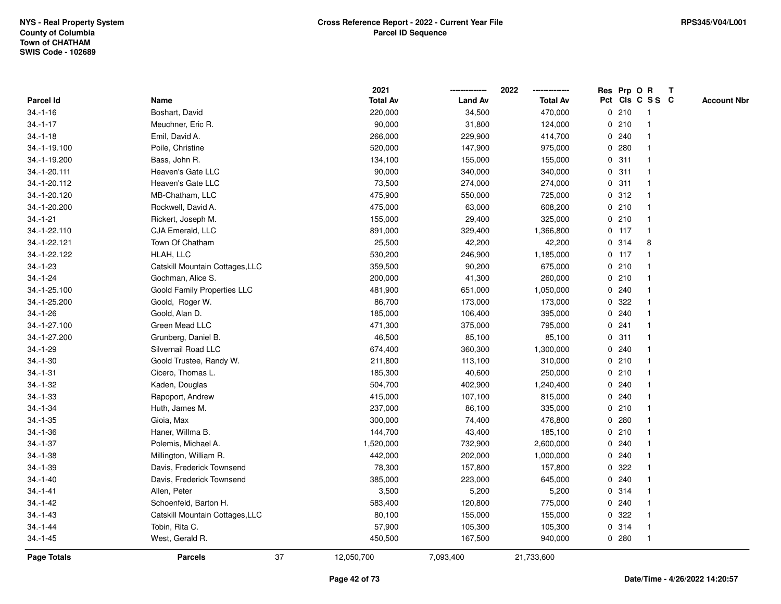|                    |                                 |    | 2021            |                | 2022            |             |         | Res Prp O R     | T |                    |
|--------------------|---------------------------------|----|-----------------|----------------|-----------------|-------------|---------|-----------------|---|--------------------|
| Parcel Id          | Name                            |    | <b>Total Av</b> | <b>Land Av</b> | <b>Total Av</b> |             |         | Pct Cls C S S C |   | <b>Account Nbr</b> |
| $34.-1-16$         | Boshart, David                  |    | 220,000         | 34,500         | 470,000         |             | 0210    | -1              |   |                    |
| $34.-1-17$         | Meuchner, Eric R.               |    | 90,000          | 31,800         | 124,000         | 0           | 210     | $\mathbf 1$     |   |                    |
| $34.-1-18$         | Emil, David A.                  |    | 266,000         | 229,900        | 414,700         |             | 0.240   | 1               |   |                    |
| 34.-1-19.100       | Poile, Christine                |    | 520,000         | 147,900        | 975,000         |             | 0.280   |                 |   |                    |
| 34.-1-19.200       | Bass, John R.                   |    | 134,100         | 155,000        | 155,000         |             | 0.311   |                 |   |                    |
| 34.-1-20.111       | <b>Heaven's Gate LLC</b>        |    | 90,000          | 340,000        | 340,000         |             | 0.311   |                 |   |                    |
| 34.-1-20.112       | Heaven's Gate LLC               |    | 73,500          | 274,000        | 274,000         |             | 0.311   |                 |   |                    |
| 34.-1-20.120       | MB-Chatham, LLC                 |    | 475,900         | 550,000        | 725,000         | 0           | 312     | -1              |   |                    |
| 34.-1-20.200       | Rockwell, David A.              |    | 475,000         | 63,000         | 608,200         |             | 0210    |                 |   |                    |
| $34.-1-21$         | Rickert, Joseph M.              |    | 155,000         | 29,400         | 325,000         |             | 0210    | $\mathbf 1$     |   |                    |
| 34.-1-22.110       | CJA Emerald, LLC                |    | 891,000         | 329,400        | 1,366,800       |             | $0$ 117 |                 |   |                    |
| 34.-1-22.121       | Town Of Chatham                 |    | 25,500          | 42,200         | 42,200          |             | 0 314   | 8               |   |                    |
| 34.-1-22.122       | HLAH, LLC                       |    | 530,200         | 246,900        | 1,185,000       |             | $0$ 117 |                 |   |                    |
| $34.-1-23$         | Catskill Mountain Cottages, LLC |    | 359,500         | 90,200         | 675,000         |             | 0210    |                 |   |                    |
| $34.-1-24$         | Gochman, Alice S.               |    | 200,000         | 41,300         | 260,000         | 0           | 210     |                 |   |                    |
| 34.-1-25.100       | Goold Family Properties LLC     |    | 481,900         | 651,000        | 1,050,000       | 0           | 240     |                 |   |                    |
| 34.-1-25.200       | Goold, Roger W.                 |    | 86,700          | 173,000        | 173,000         |             | 0 322   |                 |   |                    |
| $34.-1-26$         | Goold, Alan D.                  |    | 185,000         | 106,400        | 395,000         |             | 0.240   |                 |   |                    |
| 34.-1-27.100       | Green Mead LLC                  |    | 471,300         | 375,000        | 795,000         |             | 0.241   |                 |   |                    |
| 34.-1-27.200       | Grunberg, Daniel B.             |    | 46,500          | 85,100         | 85,100          |             | 0.311   |                 |   |                    |
| $34.-1-29$         | Silvernail Road LLC             |    | 674,400         | 360,300        | 1,300,000       |             | 0.240   |                 |   |                    |
| $34.-1-30$         | Goold Trustee, Randy W.         |    | 211,800         | 113,100        | 310,000         | $\mathbf 0$ | 210     |                 |   |                    |
| $34.-1-31$         | Cicero, Thomas L.               |    | 185,300         | 40,600         | 250,000         |             | 0210    | 1               |   |                    |
| $34.-1-32$         | Kaden, Douglas                  |    | 504,700         | 402,900        | 1,240,400       |             | 0.240   |                 |   |                    |
| $34.-1-33$         | Rapoport, Andrew                |    | 415,000         | 107,100        | 815,000         |             | 0.240   |                 |   |                    |
| $34.-1-34$         | Huth, James M.                  |    | 237,000         | 86,100         | 335,000         |             | 0210    |                 |   |                    |
| $34.-1-35$         | Gioia, Max                      |    | 300,000         | 74,400         | 476,800         |             | 0.280   |                 |   |                    |
| $34.-1-36$         | Haner, Willma B.                |    | 144,700         | 43,400         | 185,100         |             | 0210    |                 |   |                    |
| $34.-1-37$         | Polemis, Michael A.             |    | 1,520,000       | 732,900        | 2,600,000       | 0           | 240     |                 |   |                    |
| $34.-1-38$         | Millington, William R.          |    | 442,000         | 202,000        | 1,000,000       | 0           | 240     |                 |   |                    |
| $34.-1-39$         | Davis, Frederick Townsend       |    | 78,300          | 157,800        | 157,800         | $\mathbf 0$ | 322     |                 |   |                    |
| $34.-1-40$         | Davis, Frederick Townsend       |    | 385,000         | 223,000        | 645,000         |             | 0.240   |                 |   |                    |
| $34.-1-41$         | Allen, Peter                    |    | 3,500           | 5,200          | 5,200           |             | 0.314   |                 |   |                    |
| $34 - 1 - 42$      | Schoenfeld, Barton H.           |    | 583,400         | 120,800        | 775,000         |             | 0.240   |                 |   |                    |
| $34.-1-43$         | Catskill Mountain Cottages, LLC |    | 80,100          | 155,000        | 155,000         |             | 0.322   |                 |   |                    |
| $34.-1-44$         | Tobin, Rita C.                  |    | 57,900          | 105,300        | 105,300         | 0           | 314     | -1              |   |                    |
| $34.-1-45$         | West, Gerald R.                 |    | 450,500         | 167,500        | 940,000         |             | 0.280   | $\overline{1}$  |   |                    |
| <b>Page Totals</b> | <b>Parcels</b>                  | 37 | 12,050,700      | 7,093,400      | 21,733,600      |             |         |                 |   |                    |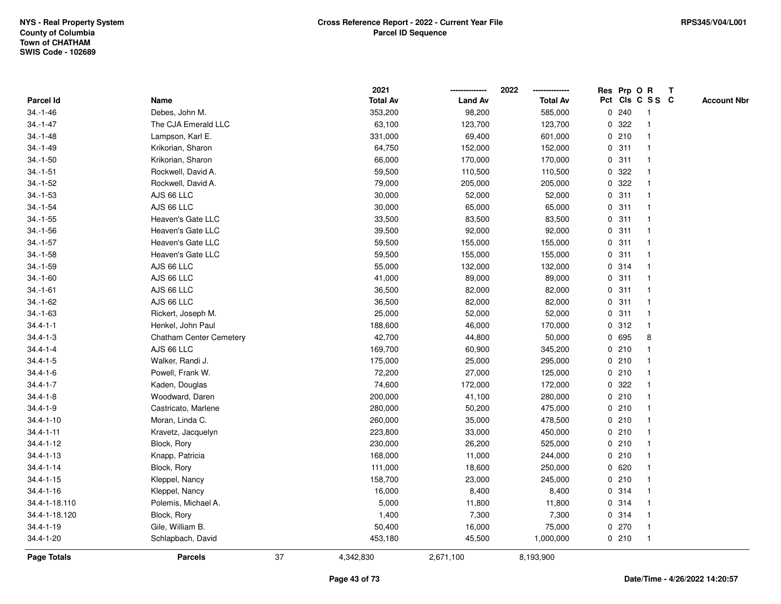|                    |                                |    | 2021            |                | 2022            |             |       | Res Prp O R    | Т               |                    |
|--------------------|--------------------------------|----|-----------------|----------------|-----------------|-------------|-------|----------------|-----------------|--------------------|
| Parcel Id          | Name                           |    | <b>Total Av</b> | <b>Land Av</b> | <b>Total Av</b> |             |       |                | Pct Cls C S S C | <b>Account Nbr</b> |
| $34.-1-46$         | Debes, John M.                 |    | 353,200         | 98,200         | 585,000         | 0           | 240   | -1             |                 |                    |
| $34. - 1 - 47$     | The CJA Emerald LLC            |    | 63,100          | 123,700        | 123,700         | 0           | 322   | -1             |                 |                    |
| $34.-1-48$         | Lampson, Karl E.               |    | 331,000         | 69,400         | 601,000         |             | 0210  | -1             |                 |                    |
| $34.-1-49$         | Krikorian, Sharon              |    | 64,750          | 152,000        | 152,000         |             | 0.311 |                |                 |                    |
| $34.-1-50$         | Krikorian, Sharon              |    | 66,000          | 170,000        | 170,000         |             | 0.311 |                |                 |                    |
| $34.-1-51$         | Rockwell, David A.             |    | 59,500          | 110,500        | 110,500         | 0           | 322   |                |                 |                    |
| $34.-1-52$         | Rockwell, David A.             |    | 79,000          | 205,000        | 205,000         |             | 0.322 |                |                 |                    |
| $34.-1-53$         | AJS 66 LLC                     |    | 30,000          | 52,000         | 52,000          | 0           | 311   | $\overline{1}$ |                 |                    |
| $34.-1-54$         | AJS 66 LLC                     |    | 30,000          | 65,000         | 65,000          | 0           | 311   | -1             |                 |                    |
| $34.-1-55$         | Heaven's Gate LLC              |    | 33,500          | 83,500         | 83,500          |             | 0.311 | $\overline{1}$ |                 |                    |
| $34.-1-56$         | Heaven's Gate LLC              |    | 39,500          | 92,000         | 92,000          |             | 0.311 |                |                 |                    |
| $34.-1-57$         | Heaven's Gate LLC              |    | 59,500          | 155,000        | 155,000         |             | 0.311 |                |                 |                    |
| $34.-1-58$         | Heaven's Gate LLC              |    | 59,500          | 155,000        | 155,000         |             | 0.311 |                |                 |                    |
| $34.-1-59$         | AJS 66 LLC                     |    | 55,000          | 132,000        | 132,000         |             | 0.314 | $\overline{1}$ |                 |                    |
| $34.-1-60$         | AJS 66 LLC                     |    | 41,000          | 89,000         | 89,000          | 0           | 311   | $\overline{1}$ |                 |                    |
| $34.-1-61$         | AJS 66 LLC                     |    | 36,500          | 82,000         | 82,000          | 0           | 311   | -1             |                 |                    |
| $34.-1-62$         | AJS 66 LLC                     |    | 36,500          | 82,000         | 82,000          |             | 0.311 | $\overline{1}$ |                 |                    |
| $34.-1-63$         | Rickert, Joseph M.             |    | 25,000          | 52,000         | 52,000          |             | 0.311 |                |                 |                    |
| $34.4 - 1 - 1$     | Henkel, John Paul              |    | 188,600         | 46,000         | 170,000         |             | 0.312 |                |                 |                    |
| $34.4 - 1 - 3$     | <b>Chatham Center Cemetery</b> |    | 42,700          | 44,800         | 50,000          |             | 0 695 | 8              |                 |                    |
| $34.4 - 1 - 4$     | AJS 66 LLC                     |    | 169,700         | 60,900         | 345,200         |             | 0210  |                |                 |                    |
| $34.4 - 1 - 5$     | Walker, Randi J.               |    | 175,000         | 25,000         | 295,000         | 0           | 210   | $\overline{1}$ |                 |                    |
| $34.4 - 1 - 6$     | Powell, Frank W.               |    | 72,200          | 27,000         | 125,000         |             | 0210  | $\overline{1}$ |                 |                    |
| $34.4 - 1 - 7$     | Kaden, Douglas                 |    | 74,600          | 172,000        | 172,000         |             | 0 322 | -1             |                 |                    |
| $34.4 - 1 - 8$     | Woodward, Daren                |    | 200,000         | 41,100         | 280,000         |             | 0210  |                |                 |                    |
| $34.4 - 1 - 9$     | Castricato, Marlene            |    | 280,000         | 50,200         | 475,000         |             | 0210  |                |                 |                    |
| $34.4 - 1 - 10$    | Moran, Linda C.                |    | 260,000         | 35,000         | 478,500         |             | 0210  |                |                 |                    |
| $34.4 - 1 - 11$    | Kravetz, Jacquelyn             |    | 223,800         | 33,000         | 450,000         |             | 0210  | -1             |                 |                    |
| $34.4 - 1 - 12$    | Block, Rory                    |    | 230,000         | 26,200         | 525,000         | $\mathbf 0$ | 210   |                |                 |                    |
| $34.4 - 1 - 13$    | Knapp, Patricia                |    | 168,000         | 11,000         | 244,000         |             | 0210  | $\overline{1}$ |                 |                    |
| $34.4 - 1 - 14$    | Block, Rory                    |    | 111,000         | 18,600         | 250,000         |             | 0620  | $\mathbf{1}$   |                 |                    |
| $34.4 - 1 - 15$    | Kleppel, Nancy                 |    | 158,700         | 23,000         | 245,000         |             | 0210  |                |                 |                    |
| $34.4 - 1 - 16$    | Kleppel, Nancy                 |    | 16,000          | 8,400          | 8,400           |             | 0.314 |                |                 |                    |
| 34.4-1-18.110      | Polemis, Michael A.            |    | 5,000           | 11,800         | 11,800          |             | 0 314 |                |                 |                    |
| 34.4-1-18.120      | Block, Rory                    |    | 1,400           | 7,300          | 7,300           |             | 0 314 |                |                 |                    |
| $34.4 - 1 - 19$    | Gile, William B.               |    | 50,400          | 16,000         | 75,000          |             | 0270  | -1             |                 |                    |
| 34.4-1-20          | Schlapbach, David              |    | 453,180         | 45,500         | 1,000,000       |             | 0210  | $\mathbf{1}$   |                 |                    |
| <b>Page Totals</b> | <b>Parcels</b>                 | 37 | 4,342,830       | 2,671,100      | 8,193,900       |             |       |                |                 |                    |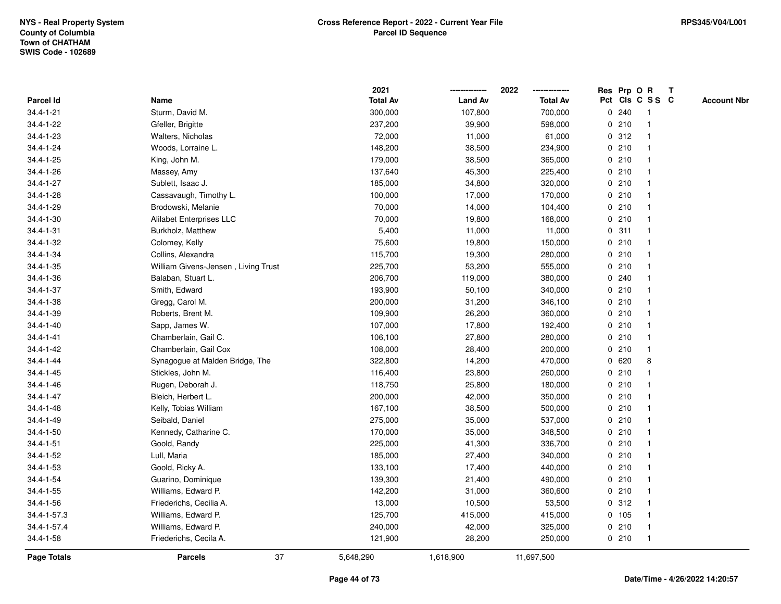|                    |                                     | 2021            |                | 2022            |   |       | Res Prp O R     | T |                    |
|--------------------|-------------------------------------|-----------------|----------------|-----------------|---|-------|-----------------|---|--------------------|
| Parcel Id          | Name                                | <b>Total Av</b> | <b>Land Av</b> | <b>Total Av</b> |   |       | Pct Cls C S S C |   | <b>Account Nbr</b> |
| $34.4 - 1 - 21$    | Sturm, David M.                     | 300,000         | 107,800        | 700,000         | 0 | 240   | $\mathbf{1}$    |   |                    |
| 34.4-1-22          | Gfeller, Brigitte                   | 237,200         | 39,900         | 598,000         | 0 | 210   |                 |   |                    |
| 34.4-1-23          | Walters, Nicholas                   | 72,000          | 11,000         | 61,000          |   | 0.312 | $\mathbf 1$     |   |                    |
| $34.4 - 1 - 24$    | Woods, Lorraine L.                  | 148,200         | 38,500         | 234,900         |   | 0210  |                 |   |                    |
| 34.4-1-25          | King, John M.                       | 179,000         | 38,500         | 365,000         |   | 0210  |                 |   |                    |
| 34.4-1-26          | Massey, Amy                         | 137,640         | 45,300         | 225,400         |   | 0210  |                 |   |                    |
| 34.4-1-27          | Sublett, Isaac J.                   | 185,000         | 34,800         | 320,000         |   | 0210  |                 |   |                    |
| 34.4-1-28          | Cassavaugh, Timothy L.              | 100,000         | 17,000         | 170,000         | 0 | 210   |                 |   |                    |
| 34.4-1-29          | Brodowski, Melanie                  | 70,000          | 14,000         | 104,400         |   | 0210  |                 |   |                    |
| $34.4 - 1 - 30$    | <b>Alilabet Enterprises LLC</b>     | 70,000          | 19,800         | 168,000         |   | 0210  |                 |   |                    |
| 34.4-1-31          | Burkholz, Matthew                   | 5,400           | 11,000         | 11,000          |   | 0.311 |                 |   |                    |
| 34.4-1-32          | Colomey, Kelly                      | 75,600          | 19,800         | 150,000         |   | 0210  |                 |   |                    |
| 34.4-1-34          | Collins, Alexandra                  | 115,700         | 19,300         | 280,000         |   | 0210  |                 |   |                    |
| 34.4-1-35          | William Givens-Jensen, Living Trust | 225,700         | 53,200         | 555,000         |   | 0210  |                 |   |                    |
| 34.4-1-36          | Balaban, Stuart L.                  | 206,700         | 119,000        | 380,000         | 0 | 240   |                 |   |                    |
| 34.4-1-37          | Smith, Edward                       | 193,900         | 50,100         | 340,000         |   | 0210  |                 |   |                    |
| 34.4-1-38          | Gregg, Carol M.                     | 200,000         | 31,200         | 346,100         |   | 0210  |                 |   |                    |
| 34.4-1-39          | Roberts, Brent M.                   | 109,900         | 26,200         | 360,000         |   | 0210  |                 |   |                    |
| $34.4 - 1 - 40$    | Sapp, James W.                      | 107,000         | 17,800         | 192,400         |   | 0210  |                 |   |                    |
| $34.4 - 1 - 41$    | Chamberlain, Gail C.                | 106,100         | 27,800         | 280,000         |   | 0210  |                 |   |                    |
| 34.4-1-42          | Chamberlain, Gail Cox               | 108,000         | 28,400         | 200,000         |   | 0210  | $\mathbf 1$     |   |                    |
| 34.4-1-44          | Synagogue at Malden Bridge, The     | 322,800         | 14,200         | 470,000         | 0 | 620   | 8               |   |                    |
| $34.4 - 1 - 45$    | Stickles, John M.                   | 116,400         | 23,800         | 260,000         | 0 | 210   |                 |   |                    |
| $34.4 - 1 - 46$    | Rugen, Deborah J.                   | 118,750         | 25,800         | 180,000         |   | 0210  |                 |   |                    |
| $34.4 - 1 - 47$    | Bleich, Herbert L.                  | 200,000         | 42,000         | 350,000         |   | 0210  |                 |   |                    |
| $34.4 - 1 - 48$    | Kelly, Tobias William               | 167,100         | 38,500         | 500,000         |   | 0210  |                 |   |                    |
| 34.4-1-49          | Seibald, Daniel                     | 275,000         | 35,000         | 537,000         |   | 0210  |                 |   |                    |
| $34.4 - 1 - 50$    | Kennedy, Catharine C.               | 170,000         | 35,000         | 348,500         |   | 0210  |                 |   |                    |
| $34.4 - 1 - 51$    | Goold, Randy                        | 225,000         | 41,300         | 336,700         |   | 0210  |                 |   |                    |
| 34.4-1-52          | Lull, Maria                         | 185,000         | 27,400         | 340,000         | 0 | 210   | -1              |   |                    |
| $34.4 - 1 - 53$    | Goold, Ricky A.                     | 133,100         | 17,400         | 440,000         |   | 0210  |                 |   |                    |
| 34.4-1-54          | Guarino, Dominique                  | 139,300         | 21,400         | 490,000         |   | 0210  |                 |   |                    |
| 34.4-1-55          | Williams, Edward P.                 | 142,200         | 31,000         | 360,600         |   | 0210  |                 |   |                    |
| 34.4-1-56          | Friederichs, Cecilia A.             | 13,000          | 10,500         | 53,500          |   | 0.312 |                 |   |                    |
| 34.4-1-57.3        | Williams, Edward P.                 | 125,700         | 415,000        | 415,000         |   | 0 105 |                 |   |                    |
| 34.4-1-57.4        | Williams, Edward P.                 | 240,000         | 42,000         | 325,000         |   | 0210  | $\mathbf{1}$    |   |                    |
| 34.4-1-58          | Friederichs, Cecila A.              | 121,900         | 28,200         | 250,000         |   | 0210  | $\mathbf{1}$    |   |                    |
| <b>Page Totals</b> | 37<br><b>Parcels</b>                | 5,648,290       | 1,618,900      | 11,697,500      |   |       |                 |   |                    |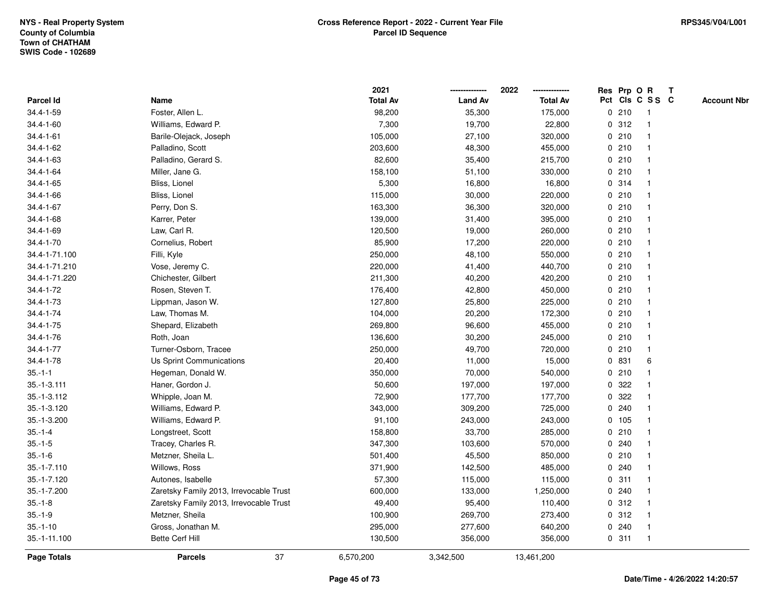|                 |                                         |    | 2021            |                | 2022            | Res Prp O R |                         | T |                    |
|-----------------|-----------------------------------------|----|-----------------|----------------|-----------------|-------------|-------------------------|---|--------------------|
| Parcel Id       | Name                                    |    | <b>Total Av</b> | <b>Land Av</b> | <b>Total Av</b> |             | Pct Cls C S S C         |   | <b>Account Nbr</b> |
| 34.4-1-59       | Foster, Allen L.                        |    | 98,200          | 35,300         | 175,000         | 0210        | $\overline{1}$          |   |                    |
| 34.4-1-60       | Williams, Edward P.                     |    | 7,300           | 19,700         | 22,800          | 0.312       | -1                      |   |                    |
| $34.4 - 1 - 61$ | Barile-Olejack, Joseph                  |    | 105,000         | 27,100         | 320,000         | 0210        | -1                      |   |                    |
| 34.4-1-62       | Palladino, Scott                        |    | 203,600         | 48,300         | 455,000         | 0210        |                         |   |                    |
| $34.4 - 1 - 63$ | Palladino, Gerard S.                    |    | 82,600          | 35,400         | 215,700         | 0210        |                         |   |                    |
| 34.4-1-64       | Miller, Jane G.                         |    | 158,100         | 51,100         | 330,000         | 0210        |                         |   |                    |
| 34.4-1-65       | Bliss, Lionel                           |    | 5,300           | 16,800         | 16,800          | 0.314       |                         |   |                    |
| 34.4-1-66       | Bliss, Lionel                           |    | 115,000         | 30,000         | 220,000         | 0210        | $\overline{\mathbf{1}}$ |   |                    |
| 34.4-1-67       | Perry, Don S.                           |    | 163,300         | 36,300         | 320,000         | 0210        | -1                      |   |                    |
| 34.4-1-68       | Karrer, Peter                           |    | 139,000         | 31,400         | 395,000         | 0210        | -1                      |   |                    |
| 34.4-1-69       | Law, Carl R.                            |    | 120,500         | 19,000         | 260,000         | 0210        |                         |   |                    |
| $34.4 - 1 - 70$ | Cornelius, Robert                       |    | 85,900          | 17,200         | 220,000         | 0210        |                         |   |                    |
| 34.4-1-71.100   | Filli, Kyle                             |    | 250,000         | 48,100         | 550,000         | 0210        |                         |   |                    |
| 34.4-1-71.210   | Vose, Jeremy C.                         |    | 220,000         | 41,400         | 440,700         | 0210        |                         |   |                    |
| 34.4-1-71.220   | Chichester, Gilbert                     |    | 211,300         | 40,200         | 420,200         | 0210        | -1                      |   |                    |
| 34.4-1-72       | Rosen, Steven T.                        |    | 176,400         | 42,800         | 450,000         | 0210        | $\overline{\mathbf{1}}$ |   |                    |
| 34.4-1-73       | Lippman, Jason W.                       |    | 127,800         | 25,800         | 225,000         | 0210        | -1                      |   |                    |
| 34.4-1-74       | Law, Thomas M.                          |    | 104,000         | 20,200         | 172,300         | 0210        |                         |   |                    |
| 34.4-1-75       | Shepard, Elizabeth                      |    | 269,800         | 96,600         | 455,000         | 0210        |                         |   |                    |
| 34.4-1-76       | Roth, Joan                              |    | 136,600         | 30,200         | 245,000         | 0210        |                         |   |                    |
| 34.4-1-77       | Turner-Osborn, Tracee                   |    | 250,000         | 49,700         | 720,000         | 0210        |                         |   |                    |
| $34.4 - 1 - 78$ | Us Sprint Communications                |    | 20,400          | 11,000         | 15,000          | 0 831       | 6                       |   |                    |
| $35.-1-1$       | Hegeman, Donald W.                      |    | 350,000         | 70,000         | 540,000         | 0210        |                         |   |                    |
| 35.-1-3.111     | Haner, Gordon J.                        |    | 50,600          | 197,000        | 197,000         | 0.322       |                         |   |                    |
| 35.-1-3.112     | Whipple, Joan M.                        |    | 72,900          | 177,700        | 177,700         | 0 322       |                         |   |                    |
| 35.-1-3.120     | Williams, Edward P.                     |    | 343,000         | 309,200        | 725,000         | 0.240       |                         |   |                    |
| 35.-1-3.200     | Williams, Edward P.                     |    | 91,100          | 243,000        | 243,000         | 0 105       |                         |   |                    |
| $35.-1-4$       | Longstreet, Scott                       |    | 158,800         | 33,700         | 285,000         | 0210        |                         |   |                    |
| $35.-1-5$       | Tracey, Charles R.                      |    | 347,300         | 103,600        | 570,000         | 0.240       |                         |   |                    |
| $35.-1-6$       | Metzner, Sheila L.                      |    | 501,400         | 45,500         | 850,000         | 0210        | -1                      |   |                    |
| $35.-1-7.110$   | Willows, Ross                           |    | 371,900         | 142,500        | 485,000         | 0.240       | -1                      |   |                    |
| 35.-1-7.120     | Autones, Isabelle                       |    | 57,300          | 115,000        | 115,000         | 0.311       |                         |   |                    |
| 35.-1-7.200     | Zaretsky Family 2013, Irrevocable Trust |    | 600,000         | 133,000        | 1,250,000       | 0.240       |                         |   |                    |
| $35.-1-8$       | Zaretsky Family 2013, Irrevocable Trust |    | 49,400          | 95,400         | 110,400         | 0.312       |                         |   |                    |
| $35.-1-9$       | Metzner, Sheila                         |    | 100,900         | 269,700        | 273,400         | 0.312       |                         |   |                    |
| $35.-1-10$      | Gross, Jonathan M.                      |    | 295,000         | 277,600        | 640,200         | 0.240       | -1                      |   |                    |
| 35.-1-11.100    | <b>Bette Cerf Hill</b>                  |    | 130,500         | 356,000        | 356,000         | 0.311       | $\overline{1}$          |   |                    |
| Page Totals     | <b>Parcels</b>                          | 37 | 6,570,200       | 3,342,500      | 13,461,200      |             |                         |   |                    |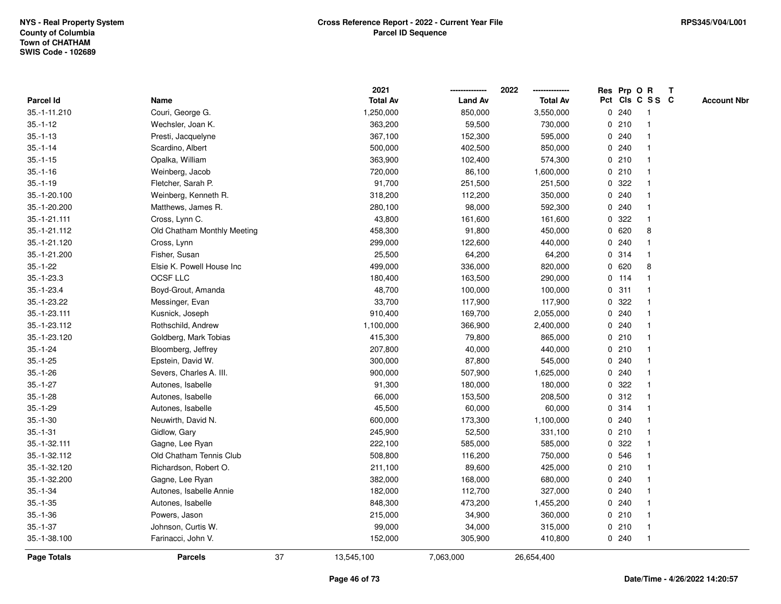|              |                             |    | 2021            |                | 2022            |             | Res Prp O R |                 | Т |                    |
|--------------|-----------------------------|----|-----------------|----------------|-----------------|-------------|-------------|-----------------|---|--------------------|
| Parcel Id    | Name                        |    | <b>Total Av</b> | <b>Land Av</b> | <b>Total Av</b> |             |             | Pct Cls C S S C |   | <b>Account Nbr</b> |
| 35.-1-11.210 | Couri, George G.            |    | 1,250,000       | 850,000        | 3,550,000       |             | 0.240       | -1              |   |                    |
| $35.-1-12$   | Wechsler, Joan K.           |    | 363,200         | 59,500         | 730,000         | 0           | 210         | -1              |   |                    |
| $35.-1-13$   | Presti, Jacquelyne          |    | 367,100         | 152,300        | 595,000         |             | 0.240       | $\mathbf 1$     |   |                    |
| $35.-1-14$   | Scardino, Albert            |    | 500,000         | 402,500        | 850,000         |             | 0.240       |                 |   |                    |
| $35.-1-15$   | Opalka, William             |    | 363,900         | 102,400        | 574,300         |             | 0210        |                 |   |                    |
| $35.-1-16$   | Weinberg, Jacob             |    | 720,000         | 86,100         | 1,600,000       |             | 0210        |                 |   |                    |
| $35.-1-19$   | Fletcher, Sarah P.          |    | 91,700          | 251,500        | 251,500         |             | 0.322       |                 |   |                    |
| 35.-1-20.100 | Weinberg, Kenneth R.        |    | 318,200         | 112,200        | 350,000         |             | 0.240       |                 |   |                    |
| 35.-1-20.200 | Matthews, James R.          |    | 280,100         | 98,000         | 592,300         |             | 0.240       | -1              |   |                    |
| 35.-1-21.111 | Cross, Lynn C.              |    | 43,800          | 161,600        | 161,600         | 0           | 322         | $\mathbf 1$     |   |                    |
| 35.-1-21.112 | Old Chatham Monthly Meeting |    | 458,300         | 91,800         | 450,000         |             | 0620        | 8               |   |                    |
| 35.-1-21.120 | Cross, Lynn                 |    | 299,000         | 122,600        | 440,000         |             | 0.240       |                 |   |                    |
| 35.-1-21.200 | Fisher, Susan               |    | 25,500          | 64,200         | 64,200          |             | 0.314       |                 |   |                    |
| $35.-1-22$   | Elsie K. Powell House Inc   |    | 499,000         | 336,000        | 820,000         | 0           | 620         | 8               |   |                    |
| $35.-1-23.3$ | OCSF LLC                    |    | 180,400         | 163,500        | 290,000         |             | $0$ 114     |                 |   |                    |
| $35.-1-23.4$ | Boyd-Grout, Amanda          |    | 48,700          | 100,000        | 100,000         | $\mathbf 0$ | 311         | -1              |   |                    |
| 35.-1-23.22  | Messinger, Evan             |    | 33,700          | 117,900        | 117,900         | $\mathbf 0$ | 322         |                 |   |                    |
| 35.-1-23.111 | Kusnick, Joseph             |    | 910,400         | 169,700        | 2,055,000       |             | 0.240       |                 |   |                    |
| 35.-1-23.112 | Rothschild, Andrew          |    | 1,100,000       | 366,900        | 2,400,000       |             | 0.240       |                 |   |                    |
| 35.-1-23.120 | Goldberg, Mark Tobias       |    | 415,300         | 79,800         | 865,000         |             | 0210        |                 |   |                    |
| $35.-1-24$   | Bloomberg, Jeffrey          |    | 207,800         | 40,000         | 440,000         |             | 0210        |                 |   |                    |
| $35.-1-25$   | Epstein, David W.           |    | 300,000         | 87,800         | 545,000         |             | 0.240       |                 |   |                    |
| $35.-1-26$   | Severs, Charles A. III.     |    | 900,000         | 507,900        | 1,625,000       | 0           | 240         |                 |   |                    |
| $35.-1-27$   | Autones, Isabelle           |    | 91,300          | 180,000        | 180,000         | 0           | 322         |                 |   |                    |
| $35.-1-28$   | Autones, Isabelle           |    | 66,000          | 153,500        | 208,500         |             | 0.312       |                 |   |                    |
| $35.-1-29$   | Autones, Isabelle           |    | 45,500          | 60,000         | 60,000          |             | 0.314       |                 |   |                    |
| $35.-1-30$   | Neuwirth, David N.          |    | 600,000         | 173,300        | 1,100,000       |             | 0.240       |                 |   |                    |
| $35.-1-31$   | Gidlow, Gary                |    | 245,900         | 52,500         | 331,100         |             | 0210        |                 |   |                    |
| 35.-1-32.111 | Gagne, Lee Ryan             |    | 222,100         | 585,000        | 585,000         | 0           | 322         |                 |   |                    |
| 35.-1-32.112 | Old Chatham Tennis Club     |    | 508,800         | 116,200        | 750,000         | $\mathbf 0$ | 546         | -1              |   |                    |
| 35.-1-32.120 | Richardson, Robert O.       |    | 211,100         | 89,600         | 425,000         |             | 0210        |                 |   |                    |
| 35.-1-32.200 | Gagne, Lee Ryan             |    | 382,000         | 168,000        | 680,000         |             | 0.240       |                 |   |                    |
| $35.-1-34$   | Autones, Isabelle Annie     |    | 182,000         | 112,700        | 327,000         |             | 0.240       |                 |   |                    |
| $35.-1-35$   | Autones, Isabelle           |    | 848,300         | 473,200        | 1,455,200       |             | 0.240       |                 |   |                    |
| $35.-1-36$   | Powers, Jason               |    | 215,000         | 34,900         | 360,000         |             | 0210        |                 |   |                    |
| $35.-1-37$   | Johnson, Curtis W.          |    | 99,000          | 34,000         | 315,000         |             | 0210        | -1              |   |                    |
| 35.-1-38.100 | Farinacci, John V.          |    | 152,000         | 305,900        | 410,800         |             | 0.240       | $\mathbf{1}$    |   |                    |
| Page Totals  | <b>Parcels</b>              | 37 | 13,545,100      | 7,063,000      | 26,654,400      |             |             |                 |   |                    |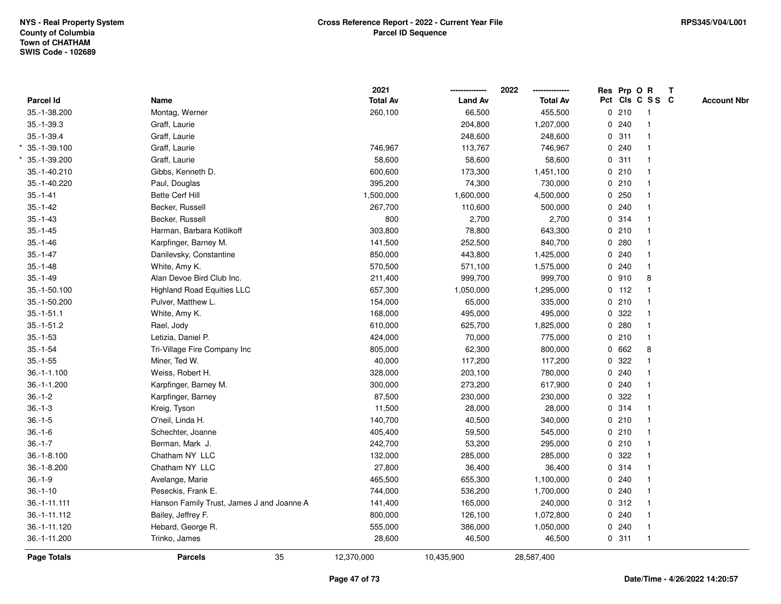|                  |                                           | 2021            |                | 2022            |   | Res Prp O R     |                |   | T |                    |
|------------------|-------------------------------------------|-----------------|----------------|-----------------|---|-----------------|----------------|---|---|--------------------|
| Parcel Id        | Name                                      | <b>Total Av</b> | <b>Land Av</b> | <b>Total Av</b> |   | Pct Cls C S S C |                |   |   | <b>Account Nbr</b> |
| 35.-1-38.200     | Montag, Werner                            | 260,100         | 66,500         | 455,500         |   | 0210            | $\overline{1}$ |   |   |                    |
| 35.-1-39.3       | Graff, Laurie                             |                 | 204,800        | 1,207,000       | 0 | 240             | $\overline{1}$ |   |   |                    |
| $35. - 1 - 39.4$ | Graff, Laurie                             |                 | 248,600        | 248,600         |   | 0.311           | $\mathbf{1}$   |   |   |                    |
| 35.-1-39.100     | Graff, Laurie                             | 746,967         | 113,767        | 746,967         |   | 0.240           |                |   |   |                    |
| 35.-1-39.200     | Graff, Laurie                             | 58,600          | 58,600         | 58,600          |   | 0.311           |                |   |   |                    |
| 35.-1-40.210     | Gibbs, Kenneth D.                         | 600,600         | 173,300        | 1,451,100       |   | 0210            |                |   |   |                    |
| 35.-1-40.220     | Paul, Douglas                             | 395,200         | 74,300         | 730,000         |   | 0210            | $\mathbf{1}$   |   |   |                    |
| $35.-1-41$       | Bette Cerf Hill                           | 1,500,000       | 1,600,000      | 4,500,000       |   | 0.250           | $\mathbf{1}$   |   |   |                    |
| $35.-1-42$       | Becker, Russell                           | 267,700         | 110,600        | 500,000         |   | 0.240           | -1             |   |   |                    |
| $35.-1-43$       | Becker, Russell                           | 800             | 2,700          | 2,700           |   | 0.314           | $\mathbf{1}$   |   |   |                    |
| $35.-1-45$       | Harman, Barbara Kotlikoff                 | 303,800         | 78,800         | 643,300         |   | 0210            |                |   |   |                    |
| $35.-1-46$       | Karpfinger, Barney M.                     | 141,500         | 252,500        | 840,700         |   | 0.280           |                |   |   |                    |
| $35.-1-47$       | Danilevsky, Constantine                   | 850,000         | 443,800        | 1,425,000       |   | 0.240           |                |   |   |                    |
| $35.-1-48$       | White, Amy K.                             | 570,500         | 571,100        | 1,575,000       |   | 0.240           |                |   |   |                    |
| $35.-1-49$       | Alan Devoe Bird Club Inc.                 | 211,400         | 999,700        | 999,700         |   | 0.910           |                | 8 |   |                    |
| 35.-1-50.100     | <b>Highland Road Equities LLC</b>         | 657,300         | 1,050,000      | 1,295,000       |   | $0$ 112         | $\overline{1}$ |   |   |                    |
| 35.-1-50.200     | Pulver, Matthew L.                        | 154,000         | 65,000         | 335,000         |   | 0210            | $\mathbf{1}$   |   |   |                    |
| $35.-1-51.1$     | White, Amy K.                             | 168,000         | 495,000        | 495,000         |   | 0 322           |                |   |   |                    |
| $35.-1-51.2$     | Rael, Jody                                | 610,000         | 625,700        | 1,825,000       |   | 0.280           |                |   |   |                    |
| $35.-1-53$       | Letizia, Daniel P.                        | 424,000         | 70,000         | 775,000         |   | 0210            |                |   |   |                    |
| $35.-1-54$       | Tri-Village Fire Company Inc              | 805,000         | 62,300         | 800,000         |   | 0 662           |                | 8 |   |                    |
| $35.-1-55$       | Miner, Ted W.                             | 40,000          | 117,200        | 117,200         |   | 0 322           |                |   |   |                    |
| $36.-1-1.100$    | Weiss, Robert H.                          | 328,000         | 203,100        | 780,000         | 0 | 240             | $\mathbf{1}$   |   |   |                    |
| 36.-1-1.200      | Karpfinger, Barney M.                     | 300,000         | 273,200        | 617,900         |   | 0.240           | $\mathbf{1}$   |   |   |                    |
| $36.-1-2$        | Karpfinger, Barney                        | 87,500          | 230,000        | 230,000         |   | 0 322           |                |   |   |                    |
| $36.-1-3$        | Kreig, Tyson                              | 11,500          | 28,000         | 28,000          |   | 0.314           |                |   |   |                    |
| $36.-1-5$        | O'neil, Linda H.                          | 140,700         | 40,500         | 340,000         |   | 0210            |                |   |   |                    |
| $36.-1-6$        | Schechter, Joanne                         | 405,400         | 59,500         | 545,000         |   | 0210            |                |   |   |                    |
| $36.-1-7$        | Berman, Mark J.                           | 242,700         | 53,200         | 295,000         |   | 0210            | $\mathbf{1}$   |   |   |                    |
| 36.-1-8.100      | Chatham NY LLC                            | 132,000         | 285,000        | 285,000         | 0 | 322             | $\overline{1}$ |   |   |                    |
| 36.-1-8.200      | Chatham NY LLC                            | 27,800          | 36,400         | 36,400          |   | 0.314           | $\mathbf{1}$   |   |   |                    |
| $36.-1-9$        | Avelange, Marie                           | 465,500         | 655,300        | 1,100,000       |   | 0.240           |                |   |   |                    |
| $36.-1-10$       | Peseckis, Frank E.                        | 744,000         | 536,200        | 1,700,000       |   | 0.240           |                |   |   |                    |
| 36.-1-11.111     | Hanson Family Trust, James J and Joanne A | 141,400         | 165,000        | 240,000         |   | 0.312           |                |   |   |                    |
| 36.-1-11.112     | Bailey, Jeffrey F.                        | 800,000         | 126,100        | 1,072,800       |   | 0.240           |                |   |   |                    |
| 36.-1-11.120     | Hebard, George R.                         | 555,000         | 386,000        | 1,050,000       |   | 0.240           | $\overline{1}$ |   |   |                    |
| 36.-1-11.200     | Trinko, James                             | 28,600          | 46,500         | 46,500          |   | 0.311           | $\overline{1}$ |   |   |                    |
| Page Totals      | 35<br><b>Parcels</b>                      | 12,370,000      | 10,435,900     | 28,587,400      |   |                 |                |   |   |                    |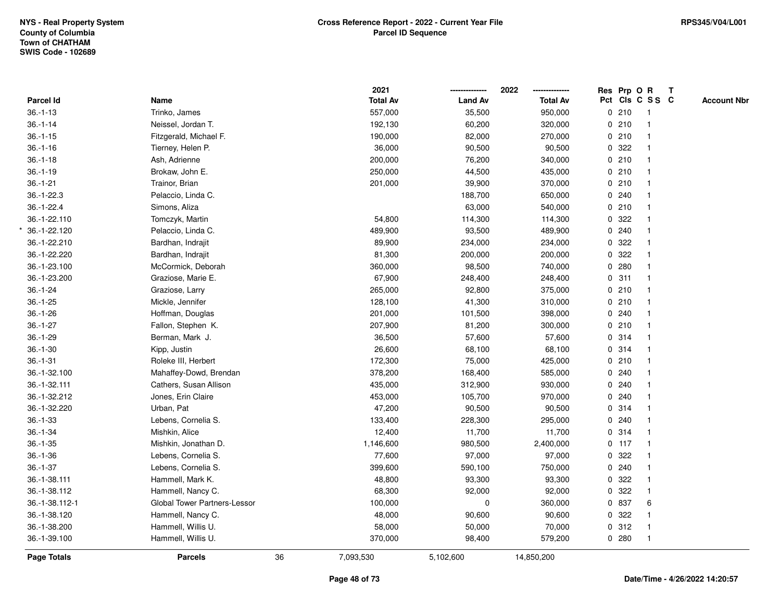|                |                              |    | 2021            |                | 2022            |   | Res Prp O R |                 | $\mathbf{T}$ |                    |
|----------------|------------------------------|----|-----------------|----------------|-----------------|---|-------------|-----------------|--------------|--------------------|
| Parcel Id      | Name                         |    | <b>Total Av</b> | <b>Land Av</b> | <b>Total Av</b> |   |             | Pct Cls C S S C |              | <b>Account Nbr</b> |
| $36.-1-13$     | Trinko, James                |    | 557,000         | 35,500         | 950,000         |   | 0210        | $\overline{1}$  |              |                    |
| $36.-1-14$     | Neissel, Jordan T.           |    | 192,130         | 60,200         | 320,000         |   | 0210        | $\mathbf{1}$    |              |                    |
| $36.-1-15$     | Fitzgerald, Michael F.       |    | 190,000         | 82,000         | 270,000         |   | 0210        | $\mathbf{1}$    |              |                    |
| $36.-1-16$     | Tierney, Helen P.            |    | 36,000          | 90,500         | 90,500          |   | 0.322       |                 |              |                    |
| $36.-1-18$     | Ash, Adrienne                |    | 200,000         | 76,200         | 340,000         |   | 0210        |                 |              |                    |
| $36.-1-19$     | Brokaw, John E.              |    | 250,000         | 44,500         | 435,000         |   | 0210        |                 |              |                    |
| $36.-1-21$     | Trainor, Brian               |    | 201,000         | 39,900         | 370,000         |   | 0210        | $\mathbf{1}$    |              |                    |
| 36.-1-22.3     | Pelaccio, Linda C.           |    |                 | 188,700        | 650,000         |   | 0.240       |                 |              |                    |
| $36.-1-22.4$   | Simons, Aliza                |    |                 | 63,000         | 540,000         |   | 0210        | $\mathbf{1}$    |              |                    |
| 36.-1-22.110   | Tomczyk, Martin              |    | 54,800          | 114,300        | 114,300         |   | 0.322       |                 |              |                    |
| 36.-1-22.120   | Pelaccio, Linda C.           |    | 489,900         | 93,500         | 489,900         |   | 0.240       |                 |              |                    |
| 36.-1-22.210   | Bardhan, Indrajit            |    | 89,900          | 234,000        | 234,000         |   | 0.322       |                 |              |                    |
| 36.-1-22.220   | Bardhan, Indrajit            |    | 81,300          | 200,000        | 200,000         |   | 0.322       |                 |              |                    |
| 36.-1-23.100   | McCormick, Deborah           |    | 360,000         | 98,500         | 740,000         |   | 0.280       |                 |              |                    |
| 36.-1-23.200   | Graziose, Marie E.           |    | 67,900          | 248,400        | 248,400         |   | 0.311       | $\mathbf{1}$    |              |                    |
| $36.-1-24$     | Graziose, Larry              |    | 265,000         | 92,800         | 375,000         |   | 0210        | $\mathbf{1}$    |              |                    |
| $36.-1-25$     | Mickle, Jennifer             |    | 128,100         | 41,300         | 310,000         |   | 0210        | $\mathbf{1}$    |              |                    |
| $36.-1-26$     | Hoffman, Douglas             |    | 201,000         | 101,500        | 398,000         |   | 0.240       |                 |              |                    |
| $36.-1-27$     | Fallon, Stephen K.           |    | 207,900         | 81,200         | 300,000         |   | 0210        |                 |              |                    |
| $36.-1-29$     | Berman, Mark J.              |    | 36,500          | 57,600         | 57,600          |   | 0.314       |                 |              |                    |
| $36.-1-30$     | Kipp, Justin                 |    | 26,600          | 68,100         | 68,100          |   | 0.314       |                 |              |                    |
| $36. - 1 - 31$ | Roleke III, Herbert          |    | 172,300         | 75,000         | 425,000         |   | 0210        | $\mathbf{1}$    |              |                    |
| 36.-1-32.100   | Mahaffey-Dowd, Brendan       |    | 378,200         | 168,400        | 585,000         |   | 0.240       |                 |              |                    |
| 36.-1-32.111   | Cathers, Susan Allison       |    | 435,000         | 312,900        | 930,000         |   | 0.240       |                 |              |                    |
| 36.-1-32.212   | Jones, Erin Claire           |    | 453,000         | 105,700        | 970,000         |   | 0.240       |                 |              |                    |
| 36.-1-32.220   | Urban, Pat                   |    | 47,200          | 90,500         | 90,500          |   | 0.314       |                 |              |                    |
| $36.-1-33$     | Lebens, Cornelia S.          |    | 133,400         | 228,300        | 295,000         |   | 0.240       |                 |              |                    |
| $36.-1-34$     | Mishkin, Alice               |    | 12,400          | 11,700         | 11,700          |   | 0.314       |                 |              |                    |
| $36.-1-35$     | Mishkin, Jonathan D.         |    | 1,146,600       | 980,500        | 2,400,000       |   | $0$ 117     | $\mathbf{1}$    |              |                    |
| $36. - 1 - 36$ | Lebens, Cornelia S.          |    | 77,600          | 97,000         | 97,000          | 0 | 322         | $\mathbf{1}$    |              |                    |
| $36.-1-37$     | Lebens, Cornelia S.          |    | 399,600         | 590,100        | 750,000         |   | 0.240       | $\mathbf{1}$    |              |                    |
| 36.-1-38.111   | Hammell, Mark K.             |    | 48,800          | 93,300         | 93,300          |   | 0 322       | 1               |              |                    |
| 36.-1-38.112   | Hammell, Nancy C.            |    | 68,300          | 92,000         | 92,000          |   | 0.322       |                 |              |                    |
| 36.-1-38.112-1 | Global Tower Partners-Lessor |    | 100,000         | 0              | 360,000         |   | 0 837       | 6               |              |                    |
| 36.-1-38.120   | Hammell, Nancy C.            |    | 48,000          | 90,600         | 90,600          |   | 0.322       |                 |              |                    |
| 36.-1-38.200   | Hammell, Willis U.           |    | 58,000          | 50,000         | 70,000          |   | 0.312       | $\mathbf{1}$    |              |                    |
| 36.-1-39.100   | Hammell, Willis U.           |    | 370,000         | 98,400         | 579,200         |   | 0.280       | $\mathbf{1}$    |              |                    |
| Page Totals    | <b>Parcels</b>               | 36 | 7,093,530       | 5,102,600      | 14,850,200      |   |             |                 |              |                    |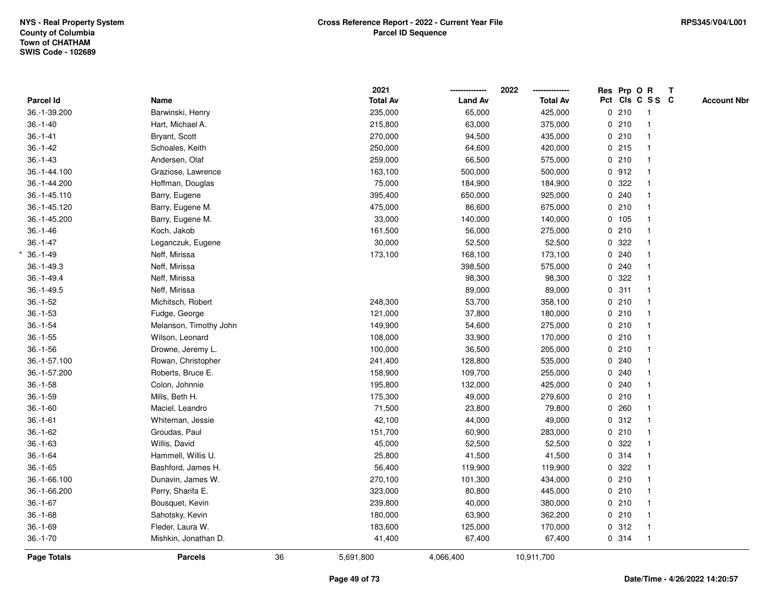|                  |                        |    | 2021            |                | 2022            |             | Res Prp O R |                         | Т |                    |
|------------------|------------------------|----|-----------------|----------------|-----------------|-------------|-------------|-------------------------|---|--------------------|
| <b>Parcel Id</b> | Name                   |    | <b>Total Av</b> | <b>Land Av</b> | <b>Total Av</b> |             |             | Pct Cls C S S C         |   | <b>Account Nbr</b> |
| 36.-1-39.200     | Barwinski, Henry       |    | 235,000         | 65,000         | 425,000         |             | 0210        | $\overline{1}$          |   |                    |
| $36.-1-40$       | Hart, Michael A.       |    | 215,800         | 63,000         | 375,000         |             | 0210        | $\mathbf{1}$            |   |                    |
| $36.-1-41$       | Bryant, Scott          |    | 270,000         | 94,500         | 435,000         |             | 0210        | $\mathbf{1}$            |   |                    |
| $36 - 1 - 42$    | Schoales, Keith        |    | 250,000         | 64,600         | 420,000         |             | 0215        |                         |   |                    |
| $36. - 1 - 43$   | Andersen, Olaf         |    | 259,000         | 66,500         | 575,000         |             | 0210        |                         |   |                    |
| 36.-1-44.100     | Graziose, Lawrence     |    | 163,100         | 500,000        | 500,000         |             | 0.912       |                         |   |                    |
| 36.-1-44.200     | Hoffman, Douglas       |    | 75,000          | 184,900        | 184,900         |             | 0.322       |                         |   |                    |
| 36.-1-45.110     | Barry, Eugene          |    | 395,400         | 650,000        | 925,000         |             | 0.240       |                         |   |                    |
| 36.-1-45.120     | Barry, Eugene M.       |    | 475,000         | 86,600         | 675,000         |             | 0210        |                         |   |                    |
| 36.-1-45.200     | Barry, Eugene M.       |    | 33,000          | 140,000        | 140,000         |             | 0 105       | $\mathbf{1}$            |   |                    |
| $36.-1-46$       | Koch, Jakob            |    | 161,500         | 56,000         | 275,000         |             | 0210        |                         |   |                    |
| $36.-1-47$       | Leganczuk, Eugene      |    | 30,000          | 52,500         | 52,500          |             | 0.322       |                         |   |                    |
| $36. - 1 - 49$   | Neff, Mirissa          |    | 173,100         | 168,100        | 173,100         |             | 0.240       |                         |   |                    |
| $36.-1-49.3$     | Neff, Mirissa          |    |                 | 398,500        | 575,000         |             | 0.240       |                         |   |                    |
| $36. - 1 - 49.4$ | Neff, Mirissa          |    |                 | 98,300         | 98,300          |             | 0.322       |                         |   |                    |
| $36.-1-49.5$     | Neff, Mirissa          |    |                 | 89,000         | 89,000          | $\mathbf 0$ | 311         | $\mathbf{1}$            |   |                    |
| $36.-1-52$       | Michitsch, Robert      |    | 248,300         | 53,700         | 358,100         |             | 0210        | $\overline{1}$          |   |                    |
| $36.-1-53$       | Fudge, George          |    | 121,000         | 37,800         | 180,000         |             | 0210        |                         |   |                    |
| $36.-1-54$       | Melanson, Timothy John |    | 149,900         | 54,600         | 275,000         |             | 0210        |                         |   |                    |
| $36.-1-55$       | Wilson, Leonard        |    | 108,000         | 33,900         | 170,000         |             | 0210        |                         |   |                    |
| $36.-1-56$       | Drowne, Jeremy L.      |    | 100,000         | 36,500         | 205,000         |             | 0210        |                         |   |                    |
| 36.-1-57.100     | Rowan, Christopher     |    | 241,400         | 128,800        | 535,000         |             | 0.240       |                         |   |                    |
| 36.-1-57.200     | Roberts, Bruce E.      |    | 158,900         | 109,700        | 255,000         |             | 0.240       |                         |   |                    |
| $36.-1-58$       | Colon, Johnnie         |    | 195,800         | 132,000        | 425,000         |             | 0.240       |                         |   |                    |
| $36.-1-59$       | Mills, Beth H.         |    | 175,300         | 49,000         | 279,600         |             | 0210        |                         |   |                    |
| $36.-1-60$       | Maciel, Leandro        |    | 71,500          | 23,800         | 79,800          |             | 0.260       |                         |   |                    |
| $36.-1-61$       | Whiteman, Jessie       |    | 42,100          | 44,000         | 49,000          |             | 0.312       |                         |   |                    |
| $36.-1-62$       | Groudas, Paul          |    | 151,700         | 60,900         | 283,000         |             | 0210        |                         |   |                    |
| $36. -1 - 63$    | Willis, David          |    | 45,000          | 52,500         | 52,500          |             | 0.322       |                         |   |                    |
| $36.-1-64$       | Hammell, Willis U.     |    | 25,800          | 41,500         | 41,500          |             | 0.314       | $\overline{1}$          |   |                    |
| $36.-1-65$       | Bashford, James H.     |    | 56,400          | 119,900        | 119,900         |             | 0.322       |                         |   |                    |
| 36.-1-66.100     | Dunavin, James W.      |    | 270,100         | 101,300        | 434,000         |             | 0210        |                         |   |                    |
| 36.-1-66.200     | Perry, Sharifa E.      |    | 323,000         | 80,800         | 445,000         |             | 0210        |                         |   |                    |
| $36.-1-67$       | Bousquet, Kevin        |    | 239,800         | 40,000         | 380,000         |             | 0210        |                         |   |                    |
| $36.-1-68$       | Sahotsky, Kevin        |    | 180,000         | 63,900         | 362,200         |             | 0210        |                         |   |                    |
| $36.-1-69$       | Fleder, Laura W.       |    | 183,600         | 125,000        | 170,000         |             | 0.312       | $\overline{\mathbf{1}}$ |   |                    |
| $36.-1-70$       | Mishkin, Jonathan D.   |    | 41,400          | 67,400         | 67,400          |             | 0.314       | $\overline{1}$          |   |                    |
| Page Totals      | <b>Parcels</b>         | 36 | 5,691,800       | 4,066,400      | 10,911,700      |             |             |                         |   |                    |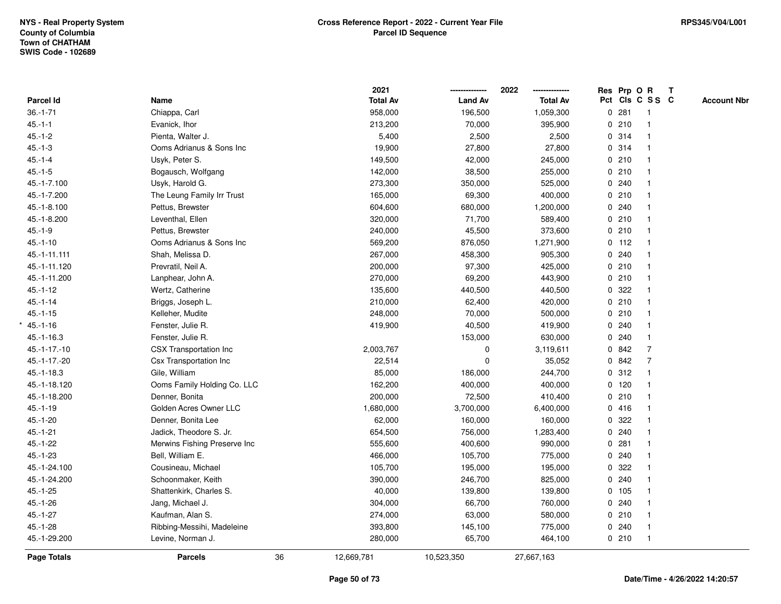|                  |                               |    | 2021            |                | 2022<br>-------------- | Res Prp O R |                         | $\mathbf{T}$ |                    |
|------------------|-------------------------------|----|-----------------|----------------|------------------------|-------------|-------------------------|--------------|--------------------|
| <b>Parcel Id</b> | Name                          |    | <b>Total Av</b> | <b>Land Av</b> | <b>Total Av</b>        |             | Pct Cls C S S C         |              | <b>Account Nbr</b> |
| $36. - 1 - 71$   | Chiappa, Carl                 |    | 958,000         | 196,500        | 1,059,300              | 0.281       | -1                      |              |                    |
| $45.-1-1$        | Evanick, Ihor                 |    | 213,200         | 70,000         | 395,900                | 0210        |                         |              |                    |
| $45.-1-2$        | Pienta, Walter J.             |    | 5,400           | 2,500          | 2,500                  | 0.314       | -1                      |              |                    |
| $45.-1-3$        | Ooms Adrianus & Sons Inc      |    | 19,900          | 27,800         | 27,800                 | 0.314       | $\mathbf{1}$            |              |                    |
| $45.-1-4$        | Usyk, Peter S.                |    | 149,500         | 42,000         | 245,000                | 0210        | $\overline{1}$          |              |                    |
| $45.-1-5$        | Bogausch, Wolfgang            |    | 142,000         | 38,500         | 255,000                | 0210        |                         |              |                    |
| 45.-1-7.100      | Usyk, Harold G.               |    | 273,300         | 350,000        | 525,000                | 0.240       |                         |              |                    |
| 45.-1-7.200      | The Leung Family Irr Trust    |    | 165,000         | 69,300         | 400,000                | 0210        |                         |              |                    |
| 45.-1-8.100      | Pettus, Brewster              |    | 604,600         | 680,000        | 1,200,000              | 0.240       |                         |              |                    |
| 45.-1-8.200      | Leventhal, Ellen              |    | 320,000         | 71,700         | 589,400                | 0210        | $\overline{\mathbf{1}}$ |              |                    |
| $45.-1-9$        | Pettus, Brewster              |    | 240,000         | 45,500         | 373,600                | 0210        | $\mathbf{1}$            |              |                    |
| $45.-1-10$       | Ooms Adrianus & Sons Inc      |    | 569,200         | 876,050        | 1,271,900              | $0$ 112     | $\mathbf{1}$            |              |                    |
| 45.-1-11.111     | Shah, Melissa D.              |    | 267,000         | 458,300        | 905,300                | 0.240       |                         |              |                    |
| 45.-1-11.120     | Prevratil, Neil A.            |    | 200,000         | 97,300         | 425,000                | 0210        |                         |              |                    |
| 45.-1-11.200     | Lanphear, John A.             |    | 270,000         | 69,200         | 443,900                | 0210        |                         |              |                    |
| $45.-1-12$       | Wertz, Catherine              |    | 135,600         | 440,500        | 440,500                | 0.322       |                         |              |                    |
| $45.-1-14$       | Briggs, Joseph L.             |    | 210,000         | 62,400         | 420,000                | 0210        | $\overline{\mathbf{1}}$ |              |                    |
| $45.-1-15$       | Kelleher, Mudite              |    | 248,000         | 70,000         | 500,000                | 0210        | $\mathbf{1}$            |              |                    |
| $45.-1-16$       | Fenster, Julie R.             |    | 419,900         | 40,500         | 419,900                | 0.240       | $\mathbf{1}$            |              |                    |
| 45.-1-16.3       | Fenster, Julie R.             |    |                 | 153,000        | 630,000                | 0.240       |                         |              |                    |
| 45.-1-17.-10     | <b>CSX Transportation Inc</b> |    | 2,003,767       | 0              | 3,119,611              | 0.842       | $\overline{7}$          |              |                    |
| 45.-1-17.-20     | Csx Transportation Inc        |    | 22,514          | 0              | 35,052                 | 0842        | $\overline{7}$          |              |                    |
| $45. - 1 - 18.3$ | Gile, William                 |    | 85,000          | 186,000        | 244,700                | 0.312       |                         |              |                    |
| 45.-1-18.120     | Ooms Family Holding Co. LLC   |    | 162,200         | 400,000        | 400,000                | $0$ 120     | $\overline{1}$          |              |                    |
| 45.-1-18.200     | Denner, Bonita                |    | 200,000         | 72,500         | 410,400                | 0210        | $\mathbf{1}$            |              |                    |
| $45.-1-19$       | Golden Acres Owner LLC        |    | 1,680,000       | 3,700,000      | 6,400,000              | 0416        |                         |              |                    |
| $45.-1-20$       | Denner, Bonita Lee            |    | 62,000          | 160,000        | 160,000                | 0.322       |                         |              |                    |
| $45.-1-21$       | Jadick, Theodore S. Jr.       |    | 654,500         | 756,000        | 1,283,400              | 0.240       |                         |              |                    |
| $45.-1-22$       | Merwins Fishing Preserve Inc  |    | 555,600         | 400,600        | 990,000                | 0.281       |                         |              |                    |
| $45.-1-23$       | Bell, William E.              |    | 466,000         | 105,700        | 775,000                | 0.240       | $\mathbf{1}$            |              |                    |
| 45.-1-24.100     | Cousineau, Michael            |    | 105,700         | 195,000        | 195,000                | 0.322       |                         |              |                    |
| 45.-1-24.200     | Schoonmaker, Keith            |    | 390,000         | 246,700        | 825,000                | 0.240       | $\mathbf{1}$            |              |                    |
| $45.-1-25$       | Shattenkirk, Charles S.       |    | 40,000          | 139,800        | 139,800                | 0 105       |                         |              |                    |
| $45.-1-26$       | Jang, Michael J.              |    | 304,000         | 66,700         | 760,000                | 0.240       |                         |              |                    |
| $45.-1-27$       | Kaufman, Alan S.              |    | 274,000         | 63,000         | 580,000                | 0210        |                         |              |                    |
| $45.-1-28$       | Ribbing-Messihi, Madeleine    |    | 393,800         | 145,100        | 775,000                | 0.240       | $\overline{\mathbf{1}}$ |              |                    |
| 45.-1-29.200     | Levine, Norman J.             |    | 280,000         | 65,700         | 464,100                | 0210        | $\overline{1}$          |              |                    |
| Page Totals      | <b>Parcels</b>                | 36 | 12,669,781      | 10,523,350     | 27,667,163             |             |                         |              |                    |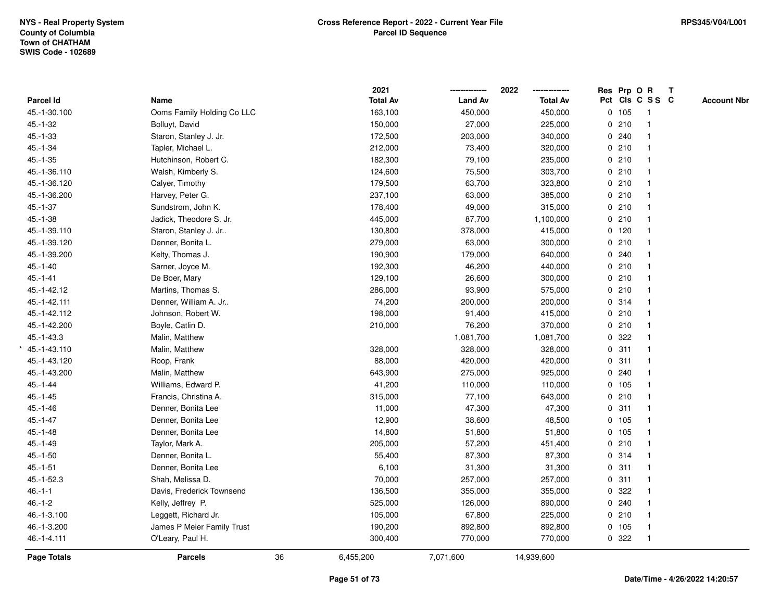|                  |                            |    | 2021            |                | 2022            | Res Prp O R     |                | $\mathbf{T}$ |                    |
|------------------|----------------------------|----|-----------------|----------------|-----------------|-----------------|----------------|--------------|--------------------|
| <b>Parcel Id</b> | Name                       |    | <b>Total Av</b> | <b>Land Av</b> | <b>Total Av</b> | Pct Cls C S S C |                |              | <b>Account Nbr</b> |
| 45.-1-30.100     | Ooms Family Holding Co LLC |    | 163,100         | 450,000        | 450,000         | 0 105           | $\overline{1}$ |              |                    |
| $45.-1-32$       | Bolluyt, David             |    | 150,000         | 27,000         | 225,000         | 0210            | $\mathbf{1}$   |              |                    |
| $45.-1-33$       | Staron, Stanley J. Jr.     |    | 172,500         | 203,000        | 340,000         | 0.240           | $\mathbf{1}$   |              |                    |
| $45.-1-34$       | Tapler, Michael L.         |    | 212,000         | 73,400         | 320,000         | 0210            | $\mathbf{1}$   |              |                    |
| $45.-1-35$       | Hutchinson, Robert C.      |    | 182,300         | 79,100         | 235,000         | 0210            |                |              |                    |
| 45.-1-36.110     | Walsh, Kimberly S.         |    | 124,600         | 75,500         | 303,700         | 0210            |                |              |                    |
| 45.-1-36.120     | Calyer, Timothy            |    | 179,500         | 63,700         | 323,800         | 0210            | $\mathbf{1}$   |              |                    |
| 45.-1-36.200     | Harvey, Peter G.           |    | 237,100         | 63,000         | 385,000         | 0210            | $\mathbf{1}$   |              |                    |
| $45.-1-37$       | Sundstrom, John K.         |    | 178,400         | 49,000         | 315,000         | 0210            | $\mathbf{1}$   |              |                    |
| $45.-1-38$       | Jadick, Theodore S. Jr.    |    | 445,000         | 87,700         | 1,100,000       | 0210            | $\mathbf{1}$   |              |                    |
| 45.-1-39.110     | Staron, Stanley J. Jr      |    | 130,800         | 378,000        | 415,000         | $0$ 120         |                |              |                    |
| 45.-1-39.120     | Denner, Bonita L.          |    | 279,000         | 63,000         | 300,000         | 0210            |                |              |                    |
| 45.-1-39.200     | Kelty, Thomas J.           |    | 190,900         | 179,000        | 640,000         | 0.240           |                |              |                    |
| $45.-1-40$       | Sarner, Joyce M.           |    | 192,300         | 46,200         | 440,000         | 0210            | $\mathbf{1}$   |              |                    |
| $45.-1-41$       | De Boer, Mary              |    | 129,100         | 26,600         | 300,000         | 0210            | $\mathbf{1}$   |              |                    |
| 45.-1-42.12      | Martins, Thomas S.         |    | 286,000         | 93,900         | 575,000         | 0210            | $\mathbf{1}$   |              |                    |
| 45.-1-42.111     | Denner, William A. Jr      |    | 74,200          | 200,000        | 200,000         | 0.314           | $\mathbf{1}$   |              |                    |
| 45.-1-42.112     | Johnson, Robert W.         |    | 198,000         | 91,400         | 415,000         | 0210            | $\mathbf{1}$   |              |                    |
| 45.-1-42.200     | Boyle, Catlin D.           |    | 210,000         | 76,200         | 370,000         | 0210            | $\mathbf 1$    |              |                    |
| 45.-1-43.3       | Malin, Matthew             |    |                 | 1,081,700      | 1,081,700       | 0.322           |                |              |                    |
| $*$ 45.-1-43.110 | Malin, Matthew             |    | 328,000         | 328,000        | 328,000         | 0.311           | $\mathbf{1}$   |              |                    |
| 45.-1-43.120     | Roop, Frank                |    | 88,000          | 420,000        | 420,000         | 0.311           | $\mathbf{1}$   |              |                    |
| 45.-1-43.200     | Malin, Matthew             |    | 643,900         | 275,000        | 925,000         | 0.240           | $\mathbf{1}$   |              |                    |
| $45.-1-44$       | Williams, Edward P.        |    | 41,200          | 110,000        | 110,000         | 0 105           | $\mathbf{1}$   |              |                    |
| $45.-1-45$       | Francis, Christina A.      |    | 315,000         | 77,100         | 643,000         | 0210            | $\mathbf{1}$   |              |                    |
| $45.-1-46$       | Denner, Bonita Lee         |    | 11,000          | 47,300         | 47,300          | 0.311           |                |              |                    |
| $45.-1-47$       | Denner, Bonita Lee         |    | 12,900          | 38,600         | 48,500          | 0 105           |                |              |                    |
| $45.-1-48$       | Denner, Bonita Lee         |    | 14,800          | 51,800         | 51,800          | 0 105           | $\mathbf{1}$   |              |                    |
| $45.-1-49$       | Taylor, Mark A.            |    | 205,000         | 57,200         | 451,400         | 0210            | $\mathbf{1}$   |              |                    |
| $45.-1-50$       | Denner, Bonita L.          |    | 55,400          | 87,300         | 87,300          | 0.314           | $\mathbf{1}$   |              |                    |
| $45.-1-51$       | Denner, Bonita Lee         |    | 6,100           | 31,300         | 31,300          | 0.311           | $\mathbf{1}$   |              |                    |
| 45.-1-52.3       | Shah, Melissa D.           |    | 70,000          | 257,000        | 257,000         | 0.311           | $\mathbf{1}$   |              |                    |
| $46.-1-1$        | Davis, Frederick Townsend  |    | 136,500         | 355,000        | 355,000         | 0.322           | $\mathbf 1$    |              |                    |
| $46.-1-2$        | Kelly, Jeffrey P.          |    | 525,000         | 126,000        | 890,000         | 0.240           |                |              |                    |
| 46.-1-3.100      | Leggett, Richard Jr.       |    | 105,000         | 67,800         | 225,000         | 0210            | $\mathbf{1}$   |              |                    |
| 46.-1-3.200      | James P Meier Family Trust |    | 190,200         | 892,800        | 892,800         | 0 105           | $\mathbf{1}$   |              |                    |
| 46.-1-4.111      | O'Leary, Paul H.           |    | 300,400         | 770,000        | 770,000         | 0 322           | $\overline{1}$ |              |                    |
| Page Totals      | <b>Parcels</b>             | 36 | 6,455,200       | 7,071,600      | 14,939,600      |                 |                |              |                    |
|                  |                            |    |                 |                |                 |                 |                |              |                    |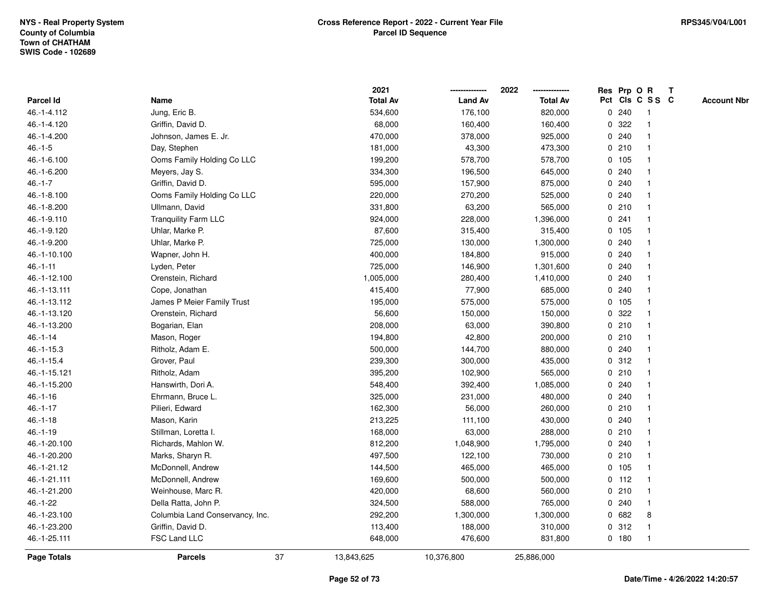|              |                                 |    | 2021            |                | 2022            |             |         | Res Prp O R     | Т |                    |
|--------------|---------------------------------|----|-----------------|----------------|-----------------|-------------|---------|-----------------|---|--------------------|
| Parcel Id    | Name                            |    | <b>Total Av</b> | <b>Land Av</b> | <b>Total Av</b> |             |         | Pct Cls C S S C |   | <b>Account Nbr</b> |
| 46.-1-4.112  | Jung, Eric B.                   |    | 534,600         | 176,100        | 820,000         | 0           | 240     | $\mathbf{1}$    |   |                    |
| 46.-1-4.120  | Griffin, David D.               |    | 68,000          | 160,400        | 160,400         | 0           | 322     | -1              |   |                    |
| 46.-1-4.200  | Johnson, James E. Jr.           |    | 470,000         | 378,000        | 925,000         |             | 0.240   | $\mathbf{1}$    |   |                    |
| $46.-1-5$    | Day, Stephen                    |    | 181,000         | 43,300         | 473,300         |             | 0210    | $\mathbf{1}$    |   |                    |
| 46.-1-6.100  | Ooms Family Holding Co LLC      |    | 199,200         | 578,700        | 578,700         |             | 0, 105  |                 |   |                    |
| 46.-1-6.200  | Meyers, Jay S.                  |    | 334,300         | 196,500        | 645,000         |             | 0.240   |                 |   |                    |
| $46.-1-7$    | Griffin, David D.               |    | 595,000         | 157,900        | 875,000         |             | 0.240   |                 |   |                    |
| 46.-1-8.100  | Ooms Family Holding Co LLC      |    | 220,000         | 270,200        | 525,000         | 0           | 240     | $\mathbf{1}$    |   |                    |
| 46.-1-8.200  | Ullmann, David                  |    | 331,800         | 63,200         | 565,000         | $\mathbf 0$ | 210     | $\mathbf{1}$    |   |                    |
| 46.-1-9.110  | <b>Tranquility Farm LLC</b>     |    | 924,000         | 228,000        | 1,396,000       |             | 0.241   | $\mathbf{1}$    |   |                    |
| 46.-1-9.120  | Uhlar, Marke P.                 |    | 87,600          | 315,400        | 315,400         |             | 0 105   |                 |   |                    |
| 46.-1-9.200  | Uhlar, Marke P.                 |    | 725,000         | 130,000        | 1,300,000       |             | 0.240   |                 |   |                    |
| 46.-1-10.100 | Wapner, John H.                 |    | 400,000         | 184,800        | 915,000         | 0           | 240     |                 |   |                    |
| $46.-1-11$   | Lyden, Peter                    |    | 725,000         | 146,900        | 1,301,600       | 0           | 240     |                 |   |                    |
| 46.-1-12.100 | Orenstein, Richard              |    | 1,005,000       | 280,400        | 1,410,000       | 0           | 240     | $\mathbf 1$     |   |                    |
| 46.-1-13.111 | Cope, Jonathan                  |    | 415,400         | 77,900         | 685,000         | 0           | 240     | $\mathbf 1$     |   |                    |
| 46.-1-13.112 | James P Meier Family Trust      |    | 195,000         | 575,000        | 575,000         |             | 0 105   | $\mathbf{1}$    |   |                    |
| 46.-1-13.120 | Orenstein, Richard              |    | 56,600          | 150,000        | 150,000         |             | 0.322   |                 |   |                    |
| 46.-1-13.200 | Bogarian, Elan                  |    | 208,000         | 63,000         | 390,800         |             | 0210    |                 |   |                    |
| $46.-1-14$   | Mason, Roger                    |    | 194,800         | 42,800         | 200,000         |             | 0210    |                 |   |                    |
| $46.-1-15.3$ | Ritholz, Adam E.                |    | 500,000         | 144,700        | 880,000         |             | 0.240   | $\mathbf{1}$    |   |                    |
| 46.-1-15.4   | Grover, Paul                    |    | 239,300         | 300,000        | 435,000         | 0           | 312     | $\mathbf{1}$    |   |                    |
| 46.-1-15.121 | Ritholz, Adam                   |    | 395,200         | 102,900        | 565,000         |             | 0210    | -1              |   |                    |
| 46.-1-15.200 | Hanswirth, Dori A.              |    | 548,400         | 392,400        | 1,085,000       |             | 0.240   | $\mathbf{1}$    |   |                    |
| $46.-1-16$   | Ehrmann, Bruce L.               |    | 325,000         | 231,000        | 480,000         |             | 0.240   |                 |   |                    |
| $46.-1-17$   | Pilieri, Edward                 |    | 162,300         | 56,000         | 260,000         |             | 0210    |                 |   |                    |
| $46.-1-18$   | Mason, Karin                    |    | 213,225         | 111,100        | 430,000         | 0           | 240     |                 |   |                    |
| $46.-1-19$   | Stillman, Loretta I.            |    | 168,000         | 63,000         | 288,000         |             | 0210    | $\mathbf{1}$    |   |                    |
| 46.-1-20.100 | Richards, Mahlon W.             |    | 812,200         | 1,048,900      | 1,795,000       | 0           | 240     | $\mathbf 1$     |   |                    |
| 46.-1-20.200 | Marks, Sharyn R.                |    | 497,500         | 122,100        | 730,000         | 0           | 210     | $\mathbf{1}$    |   |                    |
| 46.-1-21.12  | McDonnell, Andrew               |    | 144,500         | 465,000        | 465,000         |             | 0 105   | $\mathbf{1}$    |   |                    |
| 46.-1-21.111 | McDonnell, Andrew               |    | 169,600         | 500,000        | 500,000         |             | $0$ 112 | -1              |   |                    |
| 46.-1-21.200 | Weinhouse, Marc R.              |    | 420,000         | 68,600         | 560,000         |             | 0210    |                 |   |                    |
| $46.-1-22$   | Della Ratta, John P.            |    | 324,500         | 588,000        | 765,000         |             | 0.240   |                 |   |                    |
| 46.-1-23.100 | Columbia Land Conservancy, Inc. |    | 292,200         | 1,300,000      | 1,300,000       |             | 0682    | 8               |   |                    |
| 46.-1-23.200 | Griffin, David D.               |    | 113,400         | 188,000        | 310,000         | 0           | 312     | $\mathbf{1}$    |   |                    |
| 46.-1-25.111 | FSC Land LLC                    |    | 648,000         | 476,600        | 831,800         |             | 0 180   | $\mathbf{1}$    |   |                    |
| Page Totals  | <b>Parcels</b>                  | 37 | 13,843,625      | 10,376,800     | 25,886,000      |             |         |                 |   |                    |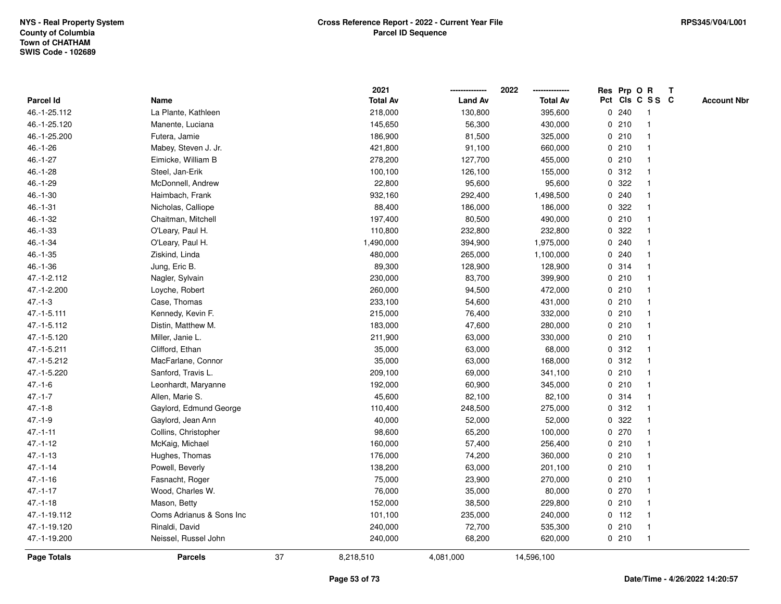|                    |                          |    | 2021            |                | 2022            |   |         | Res Prp O R     | $\mathsf{T}$ |                    |
|--------------------|--------------------------|----|-----------------|----------------|-----------------|---|---------|-----------------|--------------|--------------------|
| Parcel Id          | Name                     |    | <b>Total Av</b> | <b>Land Av</b> | <b>Total Av</b> |   |         | Pct Cls C S S C |              | <b>Account Nbr</b> |
| 46.-1-25.112       | La Plante, Kathleen      |    | 218,000         | 130,800        | 395,600         |   | 0.240   | -1              |              |                    |
| 46.-1-25.120       | Manente, Luciana         |    | 145,650         | 56,300         | 430,000         |   | 0210    |                 |              |                    |
| 46.-1-25.200       | Futera, Jamie            |    | 186,900         | 81,500         | 325,000         |   | 0210    | $\mathbf 1$     |              |                    |
| $46.-1-26$         | Mabey, Steven J. Jr.     |    | 421,800         | 91,100         | 660,000         |   | 0210    | $\mathbf{1}$    |              |                    |
| $46.-1-27$         | Eimicke, William B       |    | 278,200         | 127,700        | 455,000         |   | 0210    | $\mathbf{1}$    |              |                    |
| 46.-1-28           | Steel, Jan-Erik          |    | 100,100         | 126,100        | 155,000         |   | 0.312   | $\mathbf 1$     |              |                    |
| 46.-1-29           | McDonnell, Andrew        |    | 22,800          | 95,600         | 95,600          |   | 0.322   |                 |              |                    |
| $46.-1-30$         | Haimbach, Frank          |    | 932,160         | 292,400        | 1,498,500       |   | 0.240   |                 |              |                    |
| $46.-1-31$         | Nicholas, Calliope       |    | 88,400          | 186,000        | 186,000         |   | 0.322   | $\mathbf{1}$    |              |                    |
| $46.-1-32$         | Chaitman, Mitchell       |    | 197,400         | 80,500         | 490,000         |   | 0210    | $\mathbf{1}$    |              |                    |
| $46.-1-33$         | O'Leary, Paul H.         |    | 110,800         | 232,800        | 232,800         | 0 | 322     | $\mathbf{1}$    |              |                    |
| $46.-1-34$         | O'Leary, Paul H.         |    | 1,490,000       | 394,900        | 1,975,000       |   | 0.240   | $\mathbf{1}$    |              |                    |
| $46.-1-35$         | Ziskind, Linda           |    | 480,000         | 265,000        | 1,100,000       |   | 0.240   | 1               |              |                    |
| $46.-1-36$         | Jung, Eric B.            |    | 89,300          | 128,900        | 128,900         |   | 0.314   |                 |              |                    |
| 47.-1-2.112        | Nagler, Sylvain          |    | 230,000         | 83,700         | 399,900         |   | 0210    |                 |              |                    |
| 47.-1-2.200        | Loyche, Robert           |    | 260,000         | 94,500         | 472,000         |   | 0210    | $\mathbf 1$     |              |                    |
| $47.-1-3$          | Case, Thomas             |    | 233,100         | 54,600         | 431,000         |   | 0210    | $\mathbf{1}$    |              |                    |
| 47.-1-5.111        | Kennedy, Kevin F.        |    | 215,000         | 76,400         | 332,000         |   | 0210    | 1               |              |                    |
| 47.-1-5.112        | Distin, Matthew M.       |    | 183,000         | 47,600         | 280,000         |   | 0210    | $\mathbf{1}$    |              |                    |
| 47.-1-5.120        | Miller, Janie L.         |    | 211,900         | 63,000         | 330,000         |   | 0210    |                 |              |                    |
| 47.-1-5.211        | Clifford, Ethan          |    | 35,000          | 63,000         | 68,000          |   | 0.312   |                 |              |                    |
| 47.-1-5.212        | MacFarlane, Connor       |    | 35,000          | 63,000         | 168,000         |   | 0.312   |                 |              |                    |
| 47.-1-5.220        | Sanford, Travis L.       |    | 209,100         | 69,000         | 341,100         |   | 0210    | $\mathbf 1$     |              |                    |
| $47 - 1 - 6$       | Leonhardt, Maryanne      |    | 192,000         | 60,900         | 345,000         |   | 0210    | $\mathbf{1}$    |              |                    |
| $47 - 1 - 7$       | Allen, Marie S.          |    | 45,600          | 82,100         | 82,100          |   | 0.314   | 1               |              |                    |
| $47.-1-8$          | Gaylord, Edmund George   |    | 110,400         | 248,500        | 275,000         |   | 0.312   | $\mathbf 1$     |              |                    |
| $47.-1-9$          | Gaylord, Jean Ann        |    | 40,000          | 52,000         | 52,000          |   | 0.322   | -1              |              |                    |
| $47 - 1 - 11$      | Collins, Christopher     |    | 98,600          | 65,200         | 100,000         |   | 0270    |                 |              |                    |
| $47.-1-12$         | McKaig, Michael          |    | 160,000         | 57,400         | 256,400         |   | 0210    | $\mathbf{1}$    |              |                    |
| $47. - 1 - 13$     | Hughes, Thomas           |    | 176,000         | 74,200         | 360,000         |   | 0210    | 1               |              |                    |
| $47 - 1 - 14$      | Powell, Beverly          |    | 138,200         | 63,000         | 201,100         |   | 0210    | $\mathbf{1}$    |              |                    |
| $47 - 1 - 16$      | Fasnacht, Roger          |    | 75,000          | 23,900         | 270,000         |   | 0210    | 1               |              |                    |
| $47 - 1 - 17$      | Wood, Charles W.         |    | 76,000          | 35,000         | 80,000          |   | 0270    | $\mathbf 1$     |              |                    |
| $47.-1-18$         | Mason, Betty             |    | 152,000         | 38,500         | 229,800         |   | 0210    |                 |              |                    |
| 47.-1-19.112       | Ooms Adrianus & Sons Inc |    | 101,100         | 235,000        | 240,000         |   | $0$ 112 | $\mathbf 1$     |              |                    |
| 47.-1-19.120       | Rinaldi, David           |    | 240,000         | 72,700         | 535,300         |   | 0210    | $\mathbf{1}$    |              |                    |
| 47.-1-19.200       | Neissel, Russel John     |    | 240,000         | 68,200         | 620,000         |   | 0210    | $\mathbf{1}$    |              |                    |
| <b>Page Totals</b> | <b>Parcels</b>           | 37 | 8,218,510       | 4,081,000      | 14,596,100      |   |         |                 |              |                    |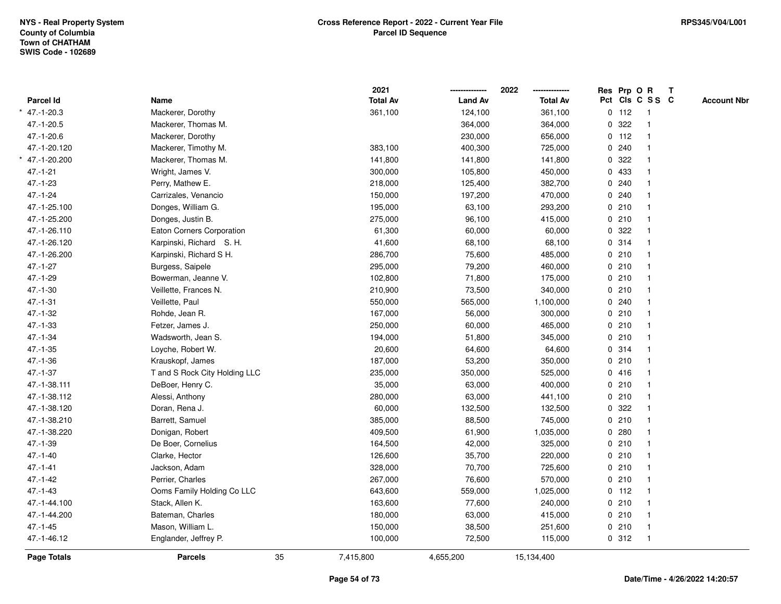|                  |                               |    | 2021            |                | 2022            | Res Prp O R |                 | $\mathbf{T}$ |                    |
|------------------|-------------------------------|----|-----------------|----------------|-----------------|-------------|-----------------|--------------|--------------------|
| <b>Parcel Id</b> | Name                          |    | <b>Total Av</b> | <b>Land Av</b> | <b>Total Av</b> |             | Pct Cls C S S C |              | <b>Account Nbr</b> |
| $*$ 47.-1-20.3   | Mackerer, Dorothy             |    | 361,100         | 124,100        | 361,100         | $0$ 112     | $\mathbf{1}$    |              |                    |
| 47.-1-20.5       | Mackerer, Thomas M.           |    |                 | 364,000        | 364,000         | 0.322       |                 |              |                    |
| 47.-1-20.6       | Mackerer, Dorothy             |    |                 | 230,000        | 656,000         | $0$ 112     | -1              |              |                    |
| 47.-1-20.120     | Mackerer, Timothy M.          |    | 383,100         | 400,300        | 725,000         | 0.240       | $\overline{1}$  |              |                    |
| * 47.-1-20.200   | Mackerer, Thomas M.           |    | 141,800         | 141,800        | 141,800         | 0.322       |                 |              |                    |
| $47.-1-21$       | Wright, James V.              |    | 300,000         | 105,800        | 450,000         | 0 433       | $\mathbf 1$     |              |                    |
| $47.-1-23$       | Perry, Mathew E.              |    | 218,000         | 125,400        | 382,700         | 0.240       |                 |              |                    |
| $47. - 1 - 24$   | Carrizales, Venancio          |    | 150,000         | 197,200        | 470,000         | 0.240       |                 |              |                    |
| 47.-1-25.100     | Donges, William G.            |    | 195,000         | 63,100         | 293,200         | 0210        |                 |              |                    |
| 47.-1-25.200     | Donges, Justin B.             |    | 275,000         | 96,100         | 415,000         | 0210        |                 |              |                    |
| 47.-1-26.110     | Eaton Corners Corporation     |    | 61,300          | 60,000         | 60,000          | 0.322       |                 |              |                    |
| 47.-1-26.120     | Karpinski, Richard S. H.      |    | 41,600          | 68,100         | 68,100          | 0.314       | $\mathbf{1}$    |              |                    |
| 47.-1-26.200     | Karpinski, Richard S H.       |    | 286,700         | 75,600         | 485,000         | 0210        |                 |              |                    |
| 47.-1-27         | Burgess, Saipele              |    | 295,000         | 79,200         | 460,000         | 0210        |                 |              |                    |
| 47.-1-29         | Bowerman, Jeanne V.           |    | 102,800         | 71,800         | 175,000         | 0210        |                 |              |                    |
| $47.-1-30$       | Veillette, Frances N.         |    | 210,900         | 73,500         | 340,000         | 0210        |                 |              |                    |
| $47.-1-31$       | Veillette, Paul               |    | 550,000         | 565,000        | 1,100,000       | 0.240       |                 |              |                    |
| 47.-1-32         | Rohde, Jean R.                |    | 167,000         | 56,000         | 300,000         | 0210        | $\overline{1}$  |              |                    |
| $47. - 1 - 33$   | Fetzer, James J.              |    | 250,000         | 60,000         | 465,000         | 0210        |                 |              |                    |
| $47 - 1 - 34$    | Wadsworth, Jean S.            |    | 194,000         | 51,800         | 345,000         | 0210        |                 |              |                    |
| $47.-1-35$       | Loyche, Robert W.             |    | 20,600          | 64,600         | 64,600          | 0.314       |                 |              |                    |
| $47.-1-36$       | Krauskopf, James              |    | 187,000         | 53,200         | 350,000         | 0210        |                 |              |                    |
| $47 - 1 - 37$    | T and S Rock City Holding LLC |    | 235,000         | 350,000        | 525,000         | 0416        |                 |              |                    |
| 47.-1-38.111     | DeBoer, Henry C.              |    | 35,000          | 63,000         | 400,000         | 0210        | $\overline{1}$  |              |                    |
| 47.-1-38.112     | Alessi, Anthony               |    | 280,000         | 63,000         | 441,100         | 0210        |                 |              |                    |
| 47.-1-38.120     | Doran, Rena J.                |    | 60,000          | 132,500        | 132,500         | 0.322       |                 |              |                    |
| 47.-1-38.210     | Barrett, Samuel               |    | 385,000         | 88,500         | 745,000         | 0210        |                 |              |                    |
| 47.-1-38.220     | Donigan, Robert               |    | 409,500         | 61,900         | 1,035,000       | 0.280       |                 |              |                    |
| 47.-1-39         | De Boer, Cornelius            |    | 164,500         | 42,000         | 325,000         | 0210        |                 |              |                    |
| $47.-1-40$       | Clarke, Hector                |    | 126,600         | 35,700         | 220,000         | 0210        |                 |              |                    |
| $47 - 1 - 41$    | Jackson, Adam                 |    | 328,000         | 70,700         | 725,600         | 0210        | $\mathbf{1}$    |              |                    |
| $47. - 1 - 42$   | Perrier, Charles              |    | 267,000         | 76,600         | 570,000         | 0210        | $\mathbf{1}$    |              |                    |
| 47.-1-43         | Ooms Family Holding Co LLC    |    | 643,600         | 559,000        | 1,025,000       | $0$ 112     |                 |              |                    |
| 47.-1-44.100     | Stack, Allen K.               |    | 163,600         | 77,600         | 240,000         | 0210        |                 |              |                    |
| 47.-1-44.200     | Bateman, Charles              |    | 180,000         | 63,000         | 415,000         | 0210        |                 |              |                    |
| $47.-1-45$       | Mason, William L.             |    | 150,000         | 38,500         | 251,600         | 0210        | $\mathbf{1}$    |              |                    |
| 47.-1-46.12      | Englander, Jeffrey P.         |    | 100,000         | 72,500         | 115,000         | 0.312       | $\overline{1}$  |              |                    |
| Page Totals      | <b>Parcels</b>                | 35 | 7,415,800       | 4,655,200      | 15,134,400      |             |                 |              |                    |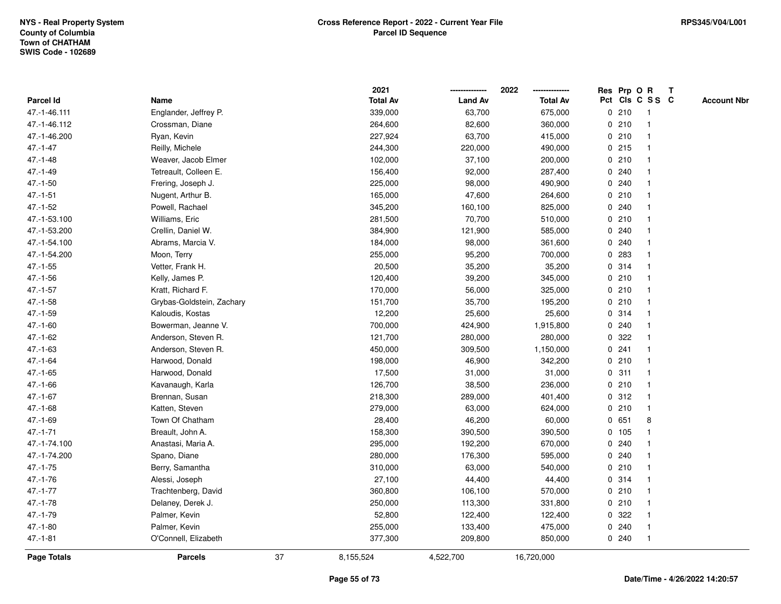|               |                           |    | 2021            |                | 2022            |   |        | Res Prp O R     | $\mathbf{T}$ |                    |
|---------------|---------------------------|----|-----------------|----------------|-----------------|---|--------|-----------------|--------------|--------------------|
| Parcel Id     | Name                      |    | <b>Total Av</b> | <b>Land Av</b> | <b>Total Av</b> |   |        | Pct Cls C S S C |              | <b>Account Nbr</b> |
| 47.-1-46.111  | Englander, Jeffrey P.     |    | 339,000         | 63,700         | 675,000         |   | 0210   | -1              |              |                    |
| 47.-1-46.112  | Crossman, Diane           |    | 264,600         | 82,600         | 360,000         |   | 0210   |                 |              |                    |
| 47.-1-46.200  | Ryan, Kevin               |    | 227,924         | 63,700         | 415,000         |   | 0210   | $\mathbf 1$     |              |                    |
| $47 - 1 - 47$ | Reilly, Michele           |    | 244,300         | 220,000        | 490,000         |   | 0.215  | $\mathbf{1}$    |              |                    |
| $47.-1-48$    | Weaver, Jacob Elmer       |    | 102,000         | 37,100         | 200,000         |   | 0210   | 1               |              |                    |
| $47 - 1 - 49$ | Tetreault, Colleen E.     |    | 156,400         | 92,000         | 287,400         |   | 0.240  | $\mathbf 1$     |              |                    |
| $47.-1-50$    | Frering, Joseph J.        |    | 225,000         | 98,000         | 490,900         |   | 0.240  |                 |              |                    |
| $47.-1-51$    | Nugent, Arthur B.         |    | 165,000         | 47,600         | 264,600         |   | 0210   |                 |              |                    |
| $47.-1-52$    | Powell, Rachael           |    | 345,200         | 160,100        | 825,000         |   | 0.240  | $\mathbf 1$     |              |                    |
| 47.-1-53.100  | Williams, Eric            |    | 281,500         | 70,700         | 510,000         |   | 0210   | $\mathbf 1$     |              |                    |
| 47.-1-53.200  | Crellin, Daniel W.        |    | 384,900         | 121,900        | 585,000         |   | 0.240  | 1               |              |                    |
| 47.-1-54.100  | Abrams, Marcia V.         |    | 184,000         | 98,000         | 361,600         |   | 0.240  | $\mathbf 1$     |              |                    |
| 47.-1-54.200  | Moon, Terry               |    | 255,000         | 95,200         | 700,000         |   | 0.283  | $\mathbf 1$     |              |                    |
| $47.-1-55$    | Vetter, Frank H.          |    | 20,500          | 35,200         | 35,200          |   | 0.314  |                 |              |                    |
| 47.-1-56      | Kelly, James P.           |    | 120,400         | 39,200         | 345,000         |   | 0210   |                 |              |                    |
| $47.-1-57$    | Kratt, Richard F.         |    | 170,000         | 56,000         | 325,000         |   | 0210   | $\mathbf 1$     |              |                    |
| $47.-1-58$    | Grybas-Goldstein, Zachary |    | 151,700         | 35,700         | 195,200         | 0 | 210    | $\mathbf{1}$    |              |                    |
| $47.-1-59$    | Kaloudis, Kostas          |    | 12,200          | 25,600         | 25,600          |   | 0.314  | $\mathbf{1}$    |              |                    |
| $47.-1-60$    | Bowerman, Jeanne V.       |    | 700,000         | 424,900        | 1,915,800       |   | 0.240  | 1               |              |                    |
| $47 - 1 - 62$ | Anderson, Steven R.       |    | 121,700         | 280,000        | 280,000         |   | 0.322  |                 |              |                    |
| $47.-1-63$    | Anderson, Steven R.       |    | 450,000         | 309,500        | 1,150,000       |   | 0.241  |                 |              |                    |
| 47.-1-64      | Harwood, Donald           |    | 198,000         | 46,900         | 342,200         |   | 0210   | $\mathbf{1}$    |              |                    |
| $47.-1-65$    | Harwood, Donald           |    | 17,500          | 31,000         | 31,000          |   | 0.311  | $\mathbf{1}$    |              |                    |
| $47 - 1 - 66$ | Kavanaugh, Karla          |    | 126,700         | 38,500         | 236,000         |   | 0210   | $\mathbf{1}$    |              |                    |
| $47.-1-67$    | Brennan, Susan            |    | 218,300         | 289,000        | 401,400         |   | 0.312  | $\mathbf{1}$    |              |                    |
| $47.-1-68$    | Katten, Steven            |    | 279,000         | 63,000         | 624,000         |   | 0210   | 1               |              |                    |
| $47.-1-69$    | Town Of Chatham           |    | 28,400          | 46,200         | 60,000          |   | 0651   | 8               |              |                    |
| $47 - 1 - 71$ | Breault, John A.          |    | 158,300         | 390,500        | 390,500         |   | 0, 105 |                 |              |                    |
| 47.-1-74.100  | Anastasi, Maria A.        |    | 295,000         | 192,200        | 670,000         |   | 0.240  |                 |              |                    |
| 47.-1-74.200  | Spano, Diane              |    | 280,000         | 176,300        | 595,000         | 0 | 240    | $\mathbf{1}$    |              |                    |
| $47.-1-75$    | Berry, Samantha           |    | 310,000         | 63,000         | 540,000         | 0 | 210    | 1               |              |                    |
| $47.-1-76$    | Alessi, Joseph            |    | 27,100          | 44,400         | 44,400          |   | 0.314  | $\mathbf{1}$    |              |                    |
| $47.-1-77$    | Trachtenberg, David       |    | 360,800         | 106,100        | 570,000         |   | 0210   |                 |              |                    |
| $47.-1-78$    | Delaney, Derek J.         |    | 250,000         | 113,300        | 331,800         |   | 0210   |                 |              |                    |
| 47.-1-79      | Palmer, Kevin             |    | 52,800          | 122,400        | 122,400         |   | 0.322  |                 |              |                    |
| $47.-1-80$    | Palmer, Kevin             |    | 255,000         | 133,400        | 475,000         |   | 0.240  | $\mathbf{1}$    |              |                    |
| $47.-1-81$    | O'Connell, Elizabeth      |    | 377,300         | 209,800        | 850,000         |   | 0.240  | $\mathbf{1}$    |              |                    |
| Page Totals   | <b>Parcels</b>            | 37 | 8,155,524       | 4,522,700      | 16,720,000      |   |        |                 |              |                    |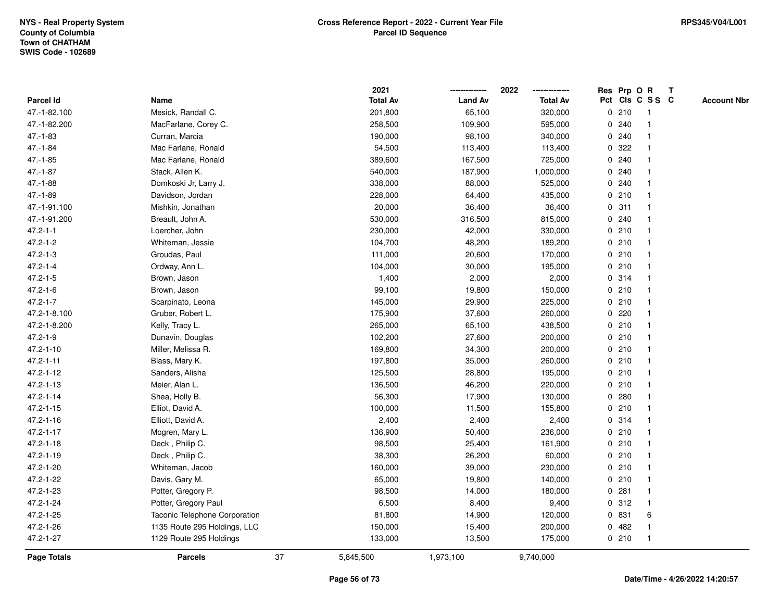|                 |                               |    | 2021            |                | 2022            |   | Res Prp O R |                 | Т |                    |
|-----------------|-------------------------------|----|-----------------|----------------|-----------------|---|-------------|-----------------|---|--------------------|
| Parcel Id       | Name                          |    | <b>Total Av</b> | <b>Land Av</b> | <b>Total Av</b> |   |             | Pct Cls C S S C |   | <b>Account Nbr</b> |
| 47.-1-82.100    | Mesick, Randall C.            |    | 201,800         | 65,100         | 320,000         |   | 0210        | $\mathbf{1}$    |   |                    |
| 47.-1-82.200    | MacFarlane, Corey C.          |    | 258,500         | 109,900        | 595,000         | 0 | 240         | 1               |   |                    |
| $47.-1-83$      | Curran, Marcia                |    | 190,000         | 98,100         | 340,000         |   | 0.240       | $\mathbf{1}$    |   |                    |
| $47.-1-84$      | Mac Farlane, Ronald           |    | 54,500          | 113,400        | 113,400         |   | 0.322       |                 |   |                    |
| $47 - 1 - 85$   | Mac Farlane, Ronald           |    | 389,600         | 167,500        | 725,000         |   | 0.240       |                 |   |                    |
| $47.-1-87$      | Stack, Allen K.               |    | 540,000         | 187,900        | 1,000,000       |   | 0.240       |                 |   |                    |
| $47.-1-88$      | Domkoski Jr, Larry J.         |    | 338,000         | 88,000         | 525,000         |   | 0.240       |                 |   |                    |
| $47.-1-89$      | Davidson, Jordan              |    | 228,000         | 64,400         | 435,000         |   | 0210        | $\mathbf{1}$    |   |                    |
| 47.-1-91.100    | Mishkin, Jonathan             |    | 20,000          | 36,400         | 36,400          |   | 0.311       | 1               |   |                    |
| 47.-1-91.200    | Breault, John A.              |    | 530,000         | 316,500        | 815,000         |   | 0.240       | $\mathbf{1}$    |   |                    |
| $47.2 - 1 - 1$  | Loercher, John                |    | 230,000         | 42,000         | 330,000         |   | 0210        | 1               |   |                    |
| $47.2 - 1 - 2$  | Whiteman, Jessie              |    | 104,700         | 48,200         | 189,200         |   | 0210        |                 |   |                    |
| $47.2 - 1 - 3$  | Groudas, Paul                 |    | 111,000         | 20,600         | 170,000         |   | 0210        |                 |   |                    |
| $47.2 - 1 - 4$  | Ordway, Ann L.                |    | 104,000         | 30,000         | 195,000         |   | 0210        | 1               |   |                    |
| $47.2 - 1 - 5$  | Brown, Jason                  |    | 1,400           | 2,000          | 2,000           | 0 | 314         | $\mathbf{1}$    |   |                    |
| $47.2 - 1 - 6$  | Brown, Jason                  |    | 99,100          | 19,800         | 150,000         |   | 0210        | 1               |   |                    |
| $47.2 - 1 - 7$  | Scarpinato, Leona             |    | 145,000         | 29,900         | 225,000         |   | 0210        | 1               |   |                    |
| 47.2-1-8.100    | Gruber, Robert L.             |    | 175,900         | 37,600         | 260,000         |   | 0220        | 1               |   |                    |
| 47.2-1-8.200    | Kelly, Tracy L.               |    | 265,000         | 65,100         | 438,500         |   | 0210        |                 |   |                    |
| $47.2 - 1 - 9$  | Dunavin, Douglas              |    | 102,200         | 27,600         | 200,000         |   | 0210        |                 |   |                    |
| 47.2-1-10       | Miller, Melissa R.            |    | 169,800         | 34,300         | 200,000         |   | 0210        | $\mathbf 1$     |   |                    |
| $47.2 - 1 - 11$ | Blass, Mary K.                |    | 197,800         | 35,000         | 260,000         |   | 0210        | $\mathbf{1}$    |   |                    |
| 47.2-1-12       | Sanders, Alisha               |    | 125,500         | 28,800         | 195,000         |   | 0210        | $\mathbf{1}$    |   |                    |
| 47.2-1-13       | Meier, Alan L.                |    | 136,500         | 46,200         | 220,000         |   | 0210        | 1               |   |                    |
| 47.2-1-14       | Shea, Holly B.                |    | 56,300          | 17,900         | 130,000         |   | 0.280       | $\mathbf 1$     |   |                    |
| $47.2 - 1 - 15$ | Elliot, David A.              |    | 100,000         | 11,500         | 155,800         |   | 0210        | 1               |   |                    |
| $47.2 - 1 - 16$ | Elliott, David A.             |    | 2,400           | 2,400          | 2,400           |   | 0.314       |                 |   |                    |
| 47.2-1-17       | Mogren, Mary L.               |    | 136,900         | 50,400         | 236,000         |   | 0210        | 1               |   |                    |
| 47.2-1-18       | Deck, Philip C.               |    | 98,500          | 25,400         | 161,900         |   | 0210        | 1               |   |                    |
| 47.2-1-19       | Deck, Philip C.               |    | 38,300          | 26,200         | 60,000          |   | 0210        | $\mathbf{1}$    |   |                    |
| 47.2-1-20       | Whiteman, Jacob               |    | 160,000         | 39,000         | 230,000         |   | 0210        | $\mathbf{1}$    |   |                    |
| 47.2-1-22       | Davis, Gary M.                |    | 65,000          | 19,800         | 140,000         |   | 0210        | 1               |   |                    |
| 47.2-1-23       | Potter, Gregory P.            |    | 98,500          | 14,000         | 180,000         |   | 0.281       | -1              |   |                    |
| 47.2-1-24       | Potter, Gregory Paul          |    | 6,500           | 8,400          | 9,400           |   | 0.312       | $\mathbf 1$     |   |                    |
| 47.2-1-25       | Taconic Telephone Corporation |    | 81,800          | 14,900         | 120,000         |   | 0 831       | 6               |   |                    |
| 47.2-1-26       | 1135 Route 295 Holdings, LLC  |    | 150,000         | 15,400         | 200,000         | 0 | 482         | 1               |   |                    |
| 47.2-1-27       | 1129 Route 295 Holdings       |    | 133,000         | 13,500         | 175,000         |   | 0210        | $\mathbf{1}$    |   |                    |
| Page Totals     | <b>Parcels</b>                | 37 | 5,845,500       | 1,973,100      | 9,740,000       |   |             |                 |   |                    |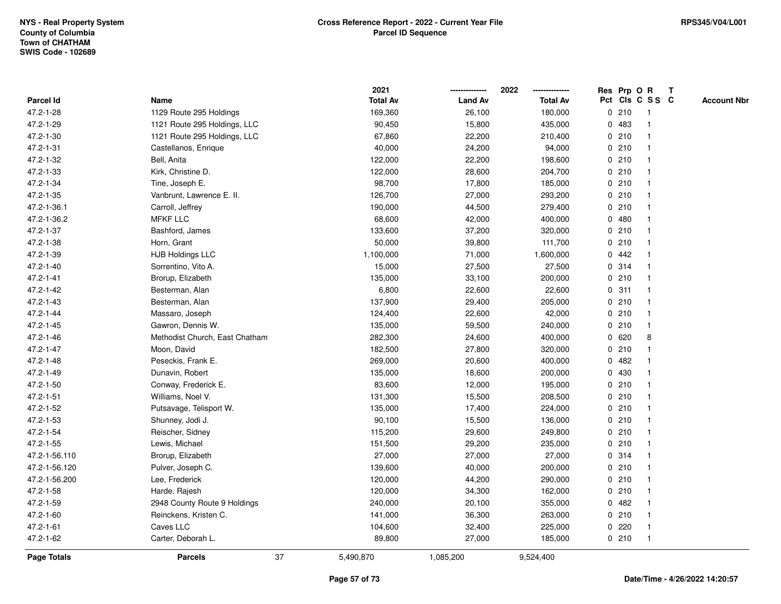|                 |                                |    | 2021            |                | 2022            |             |         | Res Prp O R     | $\mathbf{T}$ |                    |
|-----------------|--------------------------------|----|-----------------|----------------|-----------------|-------------|---------|-----------------|--------------|--------------------|
| Parcel Id       | Name                           |    | <b>Total Av</b> | <b>Land Av</b> | <b>Total Av</b> |             |         | Pct Cls C S S C |              | <b>Account Nbr</b> |
| 47.2-1-28       | 1129 Route 295 Holdings        |    | 169,360         | 26,100         | 180,000         |             | 0210    |                 |              |                    |
| 47.2-1-29       | 1121 Route 295 Holdings, LLC   |    | 90,450          | 15,800         | 435,000         | 0           | 483     |                 |              |                    |
| 47.2-1-30       | 1121 Route 295 Holdings, LLC   |    | 67,860          | 22,200         | 210,400         |             | 0210    |                 |              |                    |
| 47.2-1-31       | Castellanos, Enrique           |    | 40,000          | 24,200         | 94,000          | $\mathbf 0$ | 210     |                 |              |                    |
| 47.2-1-32       | Bell, Anita                    |    | 122,000         | 22,200         | 198,600         |             | 0210    |                 |              |                    |
| 47.2-1-33       | Kirk, Christine D.             |    | 122,000         | 28,600         | 204,700         |             | 0210    |                 |              |                    |
| 47.2-1-34       | Tine, Joseph E.                |    | 98,700          | 17,800         | 185,000         |             | 0210    |                 |              |                    |
| 47.2-1-35       | Vanbrunt, Lawrence E. II.      |    | 126,700         | 27,000         | 293,200         |             | 0210    |                 |              |                    |
| 47.2-1-36.1     | Carroll, Jeffrey               |    | 190,000         | 44,500         | 279,400         |             | 0210    |                 |              |                    |
| 47.2-1-36.2     | <b>MFKF LLC</b>                |    | 68,600          | 42,000         | 400,000         |             | 0480    |                 |              |                    |
| 47.2-1-37       | Bashford, James                |    | 133,600         | 37,200         | 320,000         |             | 0210    | -1              |              |                    |
| 47.2-1-38       | Horn, Grant                    |    | 50,000          | 39,800         | 111,700         |             | 0210    |                 |              |                    |
| 47.2-1-39       | <b>HJB Holdings LLC</b>        |    | 1,100,000       | 71,000         | 1,600,000       |             | 0.442   |                 |              |                    |
| 47.2-1-40       | Sorrentino, Vito A.            |    | 15,000          | 27,500         | 27,500          |             | 0.314   |                 |              |                    |
| $47.2 - 1 - 41$ | Brorup, Elizabeth              |    | 135,000         | 33,100         | 200,000         |             | 0210    |                 |              |                    |
| 47.2-1-42       | Besterman, Alan                |    | 6,800           | 22,600         | 22,600          |             | 0.311   |                 |              |                    |
| 47.2-1-43       | Besterman, Alan                |    | 137,900         | 29,400         | 205,000         | $\mathbf 0$ | 210     |                 |              |                    |
| 47.2-1-44       | Massaro, Joseph                |    | 124,400         | 22,600         | 42,000          |             | 0210    |                 |              |                    |
| 47.2-1-45       | Gawron, Dennis W.              |    | 135,000         | 59,500         | 240,000         |             | 0210    | $\mathbf 1$     |              |                    |
| 47.2-1-46       | Methodist Church, East Chatham |    | 282,300         | 24,600         | 400,000         |             | 0620    | 8               |              |                    |
| 47.2-1-47       | Moon, David                    |    | 182,500         | 27,800         | 320,000         |             | 0210    |                 |              |                    |
| 47.2-1-48       | Peseckis, Frank E.             |    | 269,000         | 20,600         | 400,000         |             | 0.482   |                 |              |                    |
| 47.2-1-49       | Dunavin, Robert                |    | 135,000         | 18,600         | 200,000         |             | 0 430   |                 |              |                    |
| 47.2-1-50       | Conway, Frederick E.           |    | 83,600          | 12,000         | 195,000         | $\mathbf 0$ | 210     | $\mathbf{1}$    |              |                    |
| 47.2-1-51       | Williams, Noel V.              |    | 131,300         | 15,500         | 208,500         |             | 0210    |                 |              |                    |
| 47.2-1-52       | Putsavage, Telisport W.        |    | 135,000         | 17,400         | 224,000         |             | 0210    |                 |              |                    |
| 47.2-1-53       | Shunney, Jodi J.               |    | 90,100          | 15,500         | 136,000         |             | 0210    |                 |              |                    |
| 47.2-1-54       | Reischer, Sidney               |    | 115,200         | 29,600         | 249,800         |             | 0210    |                 |              |                    |
| 47.2-1-55       | Lewis, Michael                 |    | 151,500         | 29,200         | 235,000         |             | 0210    |                 |              |                    |
| 47.2-1-56.110   | Brorup, Elizabeth              |    | 27,000          | 27,000         | 27,000          | 0           | 314     |                 |              |                    |
| 47.2-1-56.120   | Pulver, Joseph C.              |    | 139,600         | 40,000         | 200,000         |             | 0210    |                 |              |                    |
| 47.2-1-56.200   | Lee, Frederick                 |    | 120,000         | 44,200         | 290,000         |             | 0210    |                 |              |                    |
| 47.2-1-58       | Harde, Rajesh                  |    | 120,000         | 34,300         | 162,000         |             | 0210    |                 |              |                    |
| 47.2-1-59       | 2948 County Route 9 Holdings   |    | 240,000         | 20,100         | 355,000         |             | 0.482   |                 |              |                    |
| 47.2-1-60       | Reinckens, Kristen C.          |    | 141,000         | 36,300         | 263,000         |             | 0210    |                 |              |                    |
| $47.2 - 1 - 61$ | Caves LLC                      |    | 104,600         | 32,400         | 225,000         |             | $0$ 220 | -1              |              |                    |
| 47.2-1-62       | Carter, Deborah L.             |    | 89,800          | 27,000         | 185,000         |             | 0210    | $\mathbf 1$     |              |                    |
| Page Totals     | <b>Parcels</b>                 | 37 | 5,490,870       | 1,085,200      | 9,524,400       |             |         |                 |              |                    |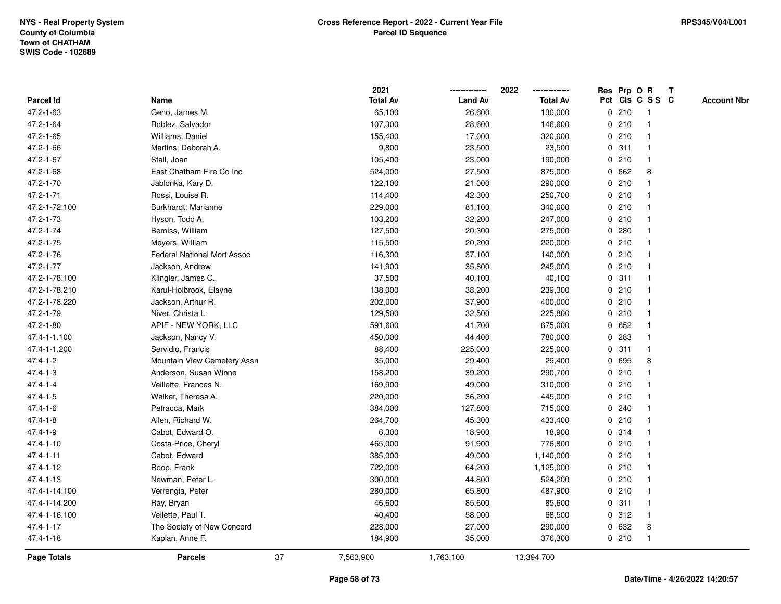|                 |                                    |    | 2021            |                | 2022<br>-------------- |             |       | Res Prp O R             | $\mathbf{T}$ |                    |
|-----------------|------------------------------------|----|-----------------|----------------|------------------------|-------------|-------|-------------------------|--------------|--------------------|
| Parcel Id       | Name                               |    | <b>Total Av</b> | <b>Land Av</b> | <b>Total Av</b>        |             |       | Pct Cls C S S C         |              | <b>Account Nbr</b> |
| 47.2-1-63       | Geno, James M.                     |    | 65,100          | 26,600         | 130,000                |             | 0210  | -1                      |              |                    |
| 47.2-1-64       | Roblez, Salvador                   |    | 107,300         | 28,600         | 146,600                |             | 0210  |                         |              |                    |
| 47.2-1-65       | Williams, Daniel                   |    | 155,400         | 17,000         | 320,000                |             | 0210  | -1                      |              |                    |
| 47.2-1-66       | Martins, Deborah A.                |    | 9,800           | 23,500         | 23,500                 | $\mathbf 0$ | 311   | -1                      |              |                    |
| 47.2-1-67       | Stall, Joan                        |    | 105,400         | 23,000         | 190,000                |             | 0210  | $\mathbf{1}$            |              |                    |
| 47.2-1-68       | East Chatham Fire Co Inc           |    | 524,000         | 27,500         | 875,000                |             | 0 662 | 8                       |              |                    |
| 47.2-1-70       | Jablonka, Kary D.                  |    | 122,100         | 21,000         | 290,000                |             | 0210  |                         |              |                    |
| 47.2-1-71       | Rossi, Louise R.                   |    | 114,400         | 42,300         | 250,700                |             | 0210  |                         |              |                    |
| 47.2-1-72.100   | Burkhardt, Marianne                |    | 229,000         | 81,100         | 340,000                |             | 0210  |                         |              |                    |
| 47.2-1-73       | Hyson, Todd A.                     |    | 103,200         | 32,200         | 247,000                |             | 0210  |                         |              |                    |
| 47.2-1-74       | Bemiss, William                    |    | 127,500         | 20,300         | 275,000                | 0           | 280   | $\mathbf{1}$            |              |                    |
| 47.2-1-75       | Meyers, William                    |    | 115,500         | 20,200         | 220,000                |             | 0210  | $\mathbf{1}$            |              |                    |
| 47.2-1-76       | <b>Federal National Mort Assoc</b> |    | 116,300         | 37,100         | 140,000                |             | 0210  |                         |              |                    |
| 47.2-1-77       | Jackson, Andrew                    |    | 141,900         | 35,800         | 245,000                |             | 0210  |                         |              |                    |
| 47.2-1-78.100   | Klingler, James C.                 |    | 37,500          | 40,100         | 40,100                 |             | 0.311 |                         |              |                    |
| 47.2-1-78.210   | Karul-Holbrook, Elayne             |    | 138,000         | 38,200         | 239,300                |             | 0210  |                         |              |                    |
| 47.2-1-78.220   | Jackson, Arthur R.                 |    | 202,000         | 37,900         | 400,000                | 0           | 210   | $\overline{\mathbf{1}}$ |              |                    |
| 47.2-1-79       | Niver, Christa L.                  |    | 129,500         | 32,500         | 225,800                | 0           | 210   | $\mathbf{1}$            |              |                    |
| 47.2-1-80       | APIF - NEW YORK, LLC               |    | 591,600         | 41,700         | 675,000                |             | 0652  | $\mathbf 1$             |              |                    |
| 47.4-1-1.100    | Jackson, Nancy V.                  |    | 450,000         | 44,400         | 780,000                |             | 0 283 |                         |              |                    |
| 47.4-1-1.200    | Servidio, Francis                  |    | 88,400          | 225,000        | 225,000                |             | 0.311 |                         |              |                    |
| $47.4 - 1 - 2$  | Mountain View Cemetery Assn        |    | 35,000          | 29,400         | 29,400                 |             | 0 695 | 8                       |              |                    |
| $47.4 - 1 - 3$  | Anderson, Susan Winne              |    | 158,200         | 39,200         | 290,700                |             | 0210  |                         |              |                    |
| $47.4 - 1 - 4$  | Veillette, Frances N.              |    | 169,900         | 49,000         | 310,000                | $\mathbf 0$ | 210   | -1                      |              |                    |
| $47.4 - 1 - 5$  | Walker, Theresa A.                 |    | 220,000         | 36,200         | 445,000                |             | 0210  | -1                      |              |                    |
| $47.4 - 1 - 6$  | Petracca, Mark                     |    | 384,000         | 127,800        | 715,000                |             | 0.240 |                         |              |                    |
| $47.4 - 1 - 8$  | Allen, Richard W.                  |    | 264,700         | 45,300         | 433,400                |             | 0210  |                         |              |                    |
| $47.4 - 1 - 9$  | Cabot, Edward O.                   |    | 6,300           | 18,900         | 18,900                 |             | 0.314 |                         |              |                    |
| $47.4 - 1 - 10$ | Costa-Price, Cheryl                |    | 465,000         | 91,900         | 776,800                |             | 0210  |                         |              |                    |
| $47.4 - 1 - 11$ | Cabot, Edward                      |    | 385,000         | 49,000         | 1,140,000              |             | 0210  |                         |              |                    |
| 47.4-1-12       | Roop, Frank                        |    | 722,000         | 64,200         | 1,125,000              |             | 0210  | $\mathbf{1}$            |              |                    |
| $47.4 - 1 - 13$ | Newman, Peter L.                   |    | 300,000         | 44,800         | 524,200                |             | 0210  | $\mathbf{1}$            |              |                    |
| 47.4-1-14.100   | Verrengia, Peter                   |    | 280,000         | 65,800         | 487,900                |             | 0210  |                         |              |                    |
| 47.4-1-14.200   | Ray, Bryan                         |    | 46,600          | 85,600         | 85,600                 |             | 0.311 |                         |              |                    |
| 47.4-1-16.100   | Veilette, Paul T.                  |    | 40,400          | 58,000         | 68,500                 |             | 0.312 | $\overline{\mathbf{1}}$ |              |                    |
| 47.4-1-17       | The Society of New Concord         |    | 228,000         | 27,000         | 290,000                |             | 0 632 | 8                       |              |                    |
| 47.4-1-18       | Kaplan, Anne F.                    |    | 184,900         | 35,000         | 376,300                |             | 0210  | $\mathbf{1}$            |              |                    |
| Page Totals     | <b>Parcels</b>                     | 37 | 7,563,900       | 1,763,100      | 13,394,700             |             |       |                         |              |                    |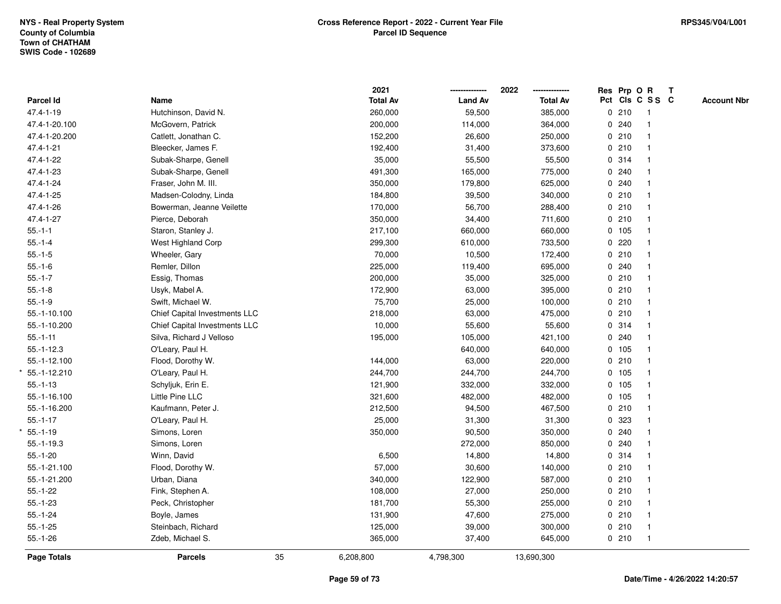|                    |                               |    | 2021            |                | 2022<br>-------------- | Res Prp O R |                 | $\mathbf{T}$ |                    |
|--------------------|-------------------------------|----|-----------------|----------------|------------------------|-------------|-----------------|--------------|--------------------|
| <b>Parcel Id</b>   | Name                          |    | <b>Total Av</b> | <b>Land Av</b> | <b>Total Av</b>        |             | Pct Cls C S S C |              | <b>Account Nbr</b> |
| 47.4-1-19          | Hutchinson, David N.          |    | 260,000         | 59,500         | 385,000                | 0210        |                 |              |                    |
| 47.4-1-20.100      | McGovern, Patrick             |    | 200,000         | 114,000        | 364,000                | 0.240       |                 |              |                    |
| 47.4-1-20.200      | Catlett, Jonathan C.          |    | 152,200         | 26,600         | 250,000                | 0210        |                 |              |                    |
| 47.4-1-21          | Bleecker, James F.            |    | 192,400         | 31,400         | 373,600                | 0210        | $\mathbf{1}$    |              |                    |
| 47.4-1-22          | Subak-Sharpe, Genell          |    | 35,000          | 55,500         | 55,500                 | 0.314       |                 |              |                    |
| 47.4-1-23          | Subak-Sharpe, Genell          |    | 491,300         | 165,000        | 775,000                | 0.240       |                 |              |                    |
| 47.4-1-24          | Fraser, John M. III.          |    | 350,000         | 179,800        | 625,000                | 0.240       |                 |              |                    |
| 47.4-1-25          | Madsen-Colodny, Linda         |    | 184,800         | 39,500         | 340,000                | 0210        |                 |              |                    |
| 47.4-1-26          | Bowerman, Jeanne Veilette     |    | 170,000         | 56,700         | 288,400                | 0210        |                 |              |                    |
| 47.4-1-27          | Pierce, Deborah               |    | 350,000         | 34,400         | 711,600                | 0210        |                 |              |                    |
| $55.-1-1$          | Staron, Stanley J.            |    | 217,100         | 660,000        | 660,000                | 0 105       |                 |              |                    |
| $55.-1-4$          | West Highland Corp            |    | 299,300         | 610,000        | 733,500                | 0220        |                 |              |                    |
| $55.-1-5$          | Wheeler, Gary                 |    | 70,000          | 10,500         | 172,400                | 0210        |                 |              |                    |
| $55.-1-6$          | Remler, Dillon                |    | 225,000         | 119,400        | 695,000                | 0.240       |                 |              |                    |
| $55.-1-7$          | Essig, Thomas                 |    | 200,000         | 35,000         | 325,000                | 0210        |                 |              |                    |
| $55.-1-8$          | Usyk, Mabel A.                |    | 172,900         | 63,000         | 395,000                | 0210        |                 |              |                    |
| $55.-1-9$          | Swift, Michael W.             |    | 75,700          | 25,000         | 100,000                | 0210        |                 |              |                    |
| 55.-1-10.100       | Chief Capital Investments LLC |    | 218,000         | 63,000         | 475,000                | 0210        |                 |              |                    |
| 55.-1-10.200       | Chief Capital Investments LLC |    | 10,000          | 55,600         | 55,600                 | 0.314       |                 |              |                    |
| $55.-1-11$         | Silva, Richard J Velloso      |    | 195,000         | 105,000        | 421,100                | 0.240       |                 |              |                    |
| $55.-1-12.3$       | O'Leary, Paul H.              |    |                 | 640,000        | 640,000                | 0 105       |                 |              |                    |
| 55.-1-12.100       | Flood, Dorothy W.             |    | 144,000         | 63,000         | 220,000                | 0210        |                 |              |                    |
| 55.-1-12.210       | O'Leary, Paul H.              |    | 244,700         | 244,700        | 244,700                | 0 105       |                 |              |                    |
| $55.-1-13$         | Schyljuk, Erin E.             |    | 121,900         | 332,000        | 332,000                | 0 105       |                 |              |                    |
| 55.-1-16.100       | Little Pine LLC               |    | 321,600         | 482,000        | 482,000                | 0 105       |                 |              |                    |
| 55.-1-16.200       | Kaufmann, Peter J.            |    | 212,500         | 94,500         | 467,500                | 0210        |                 |              |                    |
| $55.-1-17$         | O'Leary, Paul H.              |    | 25,000          | 31,300         | 31,300                 | 0 323       |                 |              |                    |
| $55.-1-19$         | Simons, Loren                 |    | 350,000         | 90,500         | 350,000                | 0.240       |                 |              |                    |
| $55.-1-19.3$       | Simons, Loren                 |    |                 | 272,000        | 850,000                | 0.240       |                 |              |                    |
| $55.-1-20$         | Winn, David                   |    | 6,500           | 14,800         | 14,800                 | 0 314       |                 |              |                    |
| 55.-1-21.100       | Flood, Dorothy W.             |    | 57,000          | 30,600         | 140,000                | 0210        |                 |              |                    |
| 55.-1-21.200       | Urban, Diana                  |    | 340,000         | 122,900        | 587,000                | 0210        |                 |              |                    |
| $55.-1-22$         | Fink, Stephen A.              |    | 108,000         | 27,000         | 250,000                | 0210        |                 |              |                    |
| $55.-1-23$         | Peck, Christopher             |    | 181,700         | 55,300         | 255,000                | 0210        |                 |              |                    |
| $55.-1-24$         | Boyle, James                  |    | 131,900         | 47,600         | 275,000                | 0210        |                 |              |                    |
| $55.-1-25$         | Steinbach, Richard            |    | 125,000         | 39,000         | 300,000                | 0210        | $\mathbf{1}$    |              |                    |
| $55.-1-26$         | Zdeb, Michael S.              |    | 365,000         | 37,400         | 645,000                | 0210        | $\overline{1}$  |              |                    |
| <b>Page Totals</b> | <b>Parcels</b>                | 35 | 6,208,800       | 4,798,300      | 13,690,300             |             |                 |              |                    |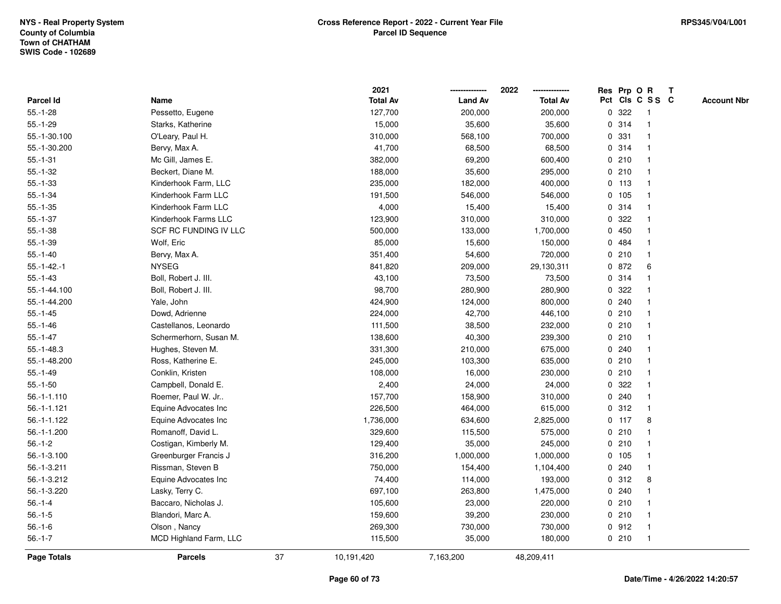|                    |                        |    | 2021            |                | 2022            | Res Prp O R |         |                 | $\mathbf{T}$ |                    |
|--------------------|------------------------|----|-----------------|----------------|-----------------|-------------|---------|-----------------|--------------|--------------------|
| Parcel Id          | Name                   |    | <b>Total Av</b> | <b>Land Av</b> | <b>Total Av</b> |             |         | Pct Cls C S S C |              | <b>Account Nbr</b> |
| $55.-1-28$         | Pessetto, Eugene       |    | 127,700         | 200,000        | 200,000         | 0           | 322     |                 |              |                    |
| $55.-1-29$         | Starks, Katherine      |    | 15,000          | 35,600         | 35,600          |             | 0.314   |                 |              |                    |
| 55.-1-30.100       | O'Leary, Paul H.       |    | 310,000         | 568,100        | 700,000         | 0           | 331     |                 |              |                    |
| 55.-1-30.200       | Bervy, Max A.          |    | 41,700          | 68,500         | 68,500          | 0           | 314     | -1              |              |                    |
| $55.-1-31$         | Mc Gill, James E.      |    | 382,000         | 69,200         | 600,400         | 0           | 210     | $\mathbf{1}$    |              |                    |
| $55.-1-32$         | Beckert, Diane M.      |    | 188,000         | 35,600         | 295,000         |             | 0210    | -1              |              |                    |
| $55. - 1 - 33$     | Kinderhook Farm, LLC   |    | 235,000         | 182,000        | 400,000         |             | 0, 113  |                 |              |                    |
| $55.-1-34$         | Kinderhook Farm LLC    |    | 191,500         | 546,000        | 546,000         |             | 0 105   |                 |              |                    |
| $55.-1-35$         | Kinderhook Farm LLC    |    | 4,000           | 15,400         | 15,400          |             | 0 314   |                 |              |                    |
| $55.-1-37$         | Kinderhook Farms LLC   |    | 123,900         | 310,000        | 310,000         | 0           | 322     |                 |              |                    |
| $55.-1-38$         | SCF RC FUNDING IV LLC  |    | 500,000         | 133,000        | 1,700,000       | 0           | 450     | -1              |              |                    |
| $55.-1-39$         | Wolf, Eric             |    | 85,000          | 15,600         | 150,000         | $\mathbf 0$ | 484     | $\overline{1}$  |              |                    |
| $55.-1-40$         | Bervy, Max A.          |    | 351,400         | 54,600         | 720,000         |             | 0210    |                 |              |                    |
| $55.-1-42.-1$      | <b>NYSEG</b>           |    | 841,820         | 209,000        | 29,130,311      |             | 0 872   | 6               |              |                    |
| $55.-1-43$         | Boll, Robert J. III.   |    | 43,100          | 73,500         | 73,500          |             | 0 314   |                 |              |                    |
| 55.-1-44.100       | Boll, Robert J. III.   |    | 98,700          | 280,900        | 280,900         |             | 0.322   |                 |              |                    |
| 55.-1-44.200       | Yale, John             |    | 424,900         | 124,000        | 800,000         | 0           | 240     |                 |              |                    |
| $55.-1-45$         | Dowd, Adrienne         |    | 224,000         | 42,700         | 446,100         | 0           | 210     | -1              |              |                    |
| $55.-1-46$         | Castellanos, Leonardo  |    | 111,500         | 38,500         | 232,000         |             | 0210    | -1              |              |                    |
| $55.-1-47$         | Schermerhorn, Susan M. |    | 138,600         | 40,300         | 239,300         |             | 0210    |                 |              |                    |
| $55.-1-48.3$       | Hughes, Steven M.      |    | 331,300         | 210,000        | 675,000         |             | 0.240   |                 |              |                    |
| 55.-1-48.200       | Ross, Katherine E.     |    | 245,000         | 103,300        | 635,000         |             | 0210    |                 |              |                    |
| $55.-1-49$         | Conklin, Kristen       |    | 108,000         | 16,000         | 230,000         |             | 0210    |                 |              |                    |
| $55.-1-50$         | Campbell, Donald E.    |    | 2,400           | 24,000         | 24,000          | $\mathbf 0$ | 322     |                 |              |                    |
| 56.-1-1.110        | Roemer, Paul W. Jr     |    | 157,700         | 158,900        | 310,000         | 0           | 240     | -1              |              |                    |
| $56. - 1 - 1.121$  | Equine Advocates Inc   |    | 226,500         | 464,000        | 615,000         |             | 0.312   | -1              |              |                    |
| 56.-1-1.122        | Equine Advocates Inc   |    | 1,736,000       | 634,600        | 2,825,000       |             | $0$ 117 | 8               |              |                    |
| 56.-1-1.200        | Romanoff, David L.     |    | 329,600         | 115,500        | 575,000         |             | 0210    |                 |              |                    |
| $56.-1-2$          | Costigan, Kimberly M.  |    | 129,400         | 35,000         | 245,000         |             | 0210    |                 |              |                    |
| 56.-1-3.100        | Greenburger Francis J  |    | 316,200         | 1,000,000      | 1,000,000       |             | 0, 105  |                 |              |                    |
| 56.-1-3.211        | Rissman, Steven B      |    | 750,000         | 154,400        | 1,104,400       | 0           | 240     | $\mathbf{1}$    |              |                    |
| 56.-1-3.212        | Equine Advocates Inc   |    | 74,400          | 114,000        | 193,000         |             | 0.312   | 8               |              |                    |
| 56.-1-3.220        | Lasky, Terry C.        |    | 697,100         | 263,800        | 1,475,000       |             | 0.240   |                 |              |                    |
| $56.-1-4$          | Baccaro, Nicholas J.   |    | 105,600         | 23,000         | 220,000         |             | 0210    |                 |              |                    |
| $56.-1-5$          | Blandori, Marc A.      |    | 159,600         | 39,200         | 230,000         |             | 0210    |                 |              |                    |
| $56.-1-6$          | Olson, Nancy           |    | 269,300         | 730,000        | 730,000         |             | 0.912   | -1              |              |                    |
| $56.-1-7$          | MCD Highland Farm, LLC |    | 115,500         | 35,000         | 180,000         |             | 0210    | $\overline{1}$  |              |                    |
| <b>Page Totals</b> | <b>Parcels</b>         | 37 | 10,191,420      | 7,163,200      | 48,209,411      |             |         |                 |              |                    |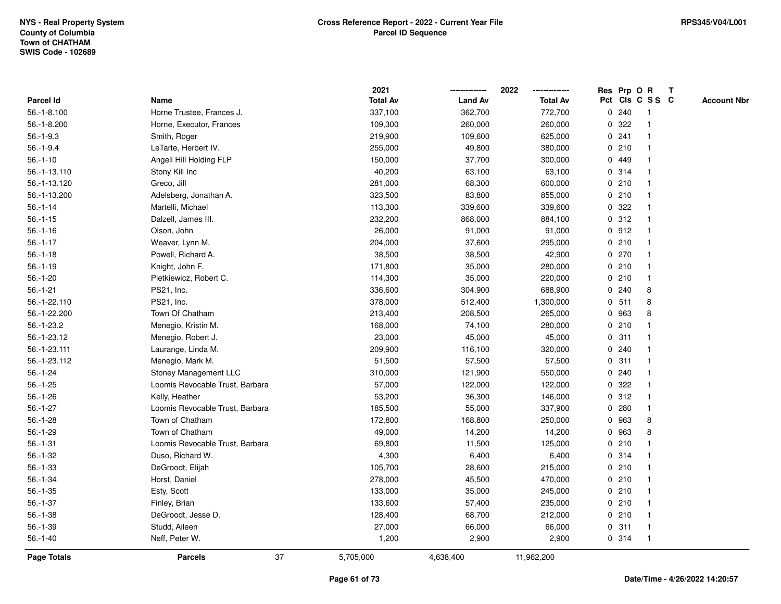|                    |                                 |    | 2021            |                | 2022            | Res Prp O R |       |                 | $\mathbf{T}$ |                    |
|--------------------|---------------------------------|----|-----------------|----------------|-----------------|-------------|-------|-----------------|--------------|--------------------|
| <b>Parcel Id</b>   | Name                            |    | <b>Total Av</b> | <b>Land Av</b> | <b>Total Av</b> |             |       | Pct Cls C S S C |              | <b>Account Nbr</b> |
| 56.-1-8.100        | Horne Trustee, Frances J.       |    | 337,100         | 362,700        | 772,700         |             | 0.240 |                 |              |                    |
| 56.-1-8.200        | Horne, Executor, Frances        |    | 109,300         | 260,000        | 260,000         | 0           | 322   |                 |              |                    |
| $56.-1-9.3$        | Smith, Roger                    |    | 219,900         | 109,600        | 625,000         |             | 0.241 |                 |              |                    |
| $56.-1-9.4$        | LeTarte, Herbert IV.            |    | 255,000         | 49,800         | 380,000         |             | 0210  | -1              |              |                    |
| $56.-1-10$         | Angell Hill Holding FLP         |    | 150,000         | 37,700         | 300,000         |             | 0 449 | $\mathbf 1$     |              |                    |
| 56.-1-13.110       | Stony Kill Inc                  |    | 40,200          | 63,100         | 63,100          |             | 0.314 |                 |              |                    |
| 56.-1-13.120       | Greco, Jill                     |    | 281,000         | 68,300         | 600,000         |             | 0210  |                 |              |                    |
| 56.-1-13.200       | Adelsberg, Jonathan A.          |    | 323,500         | 83,800         | 855,000         |             | 0210  |                 |              |                    |
| $56.-1-14$         | Martelli, Michael               |    | 113,300         | 339,600        | 339,600         |             | 0 322 | -1              |              |                    |
| $56.-1-15$         | Dalzell, James III.             |    | 232,200         | 868,000        | 884,100         |             | 0.312 | $\mathbf{1}$    |              |                    |
| $56.-1-16$         | Olson, John                     |    | 26,000          | 91,000         | 91,000          |             | 0.912 | $\mathbf{1}$    |              |                    |
| $56.-1-17$         | Weaver, Lynn M.                 |    | 204,000         | 37,600         | 295,000         |             | 0210  | $\mathbf 1$     |              |                    |
| $56.-1-18$         | Powell, Richard A.              |    | 38,500          | 38,500         | 42,900          |             | 0270  |                 |              |                    |
| $56.-1-19$         | Knight, John F.                 |    | 171,800         | 35,000         | 280,000         |             | 0210  |                 |              |                    |
| $56.-1-20$         | Pietkiewicz, Robert C.          |    | 114,300         | 35,000         | 220,000         |             | 0210  | -1              |              |                    |
| $56.-1-21$         | PS21, Inc.                      |    | 336,600         | 304,900        | 688,900         |             | 0.240 | 8               |              |                    |
| 56.-1-22.110       | PS21, Inc.                      |    | 378,000         | 512,400        | 1,300,000       | $\mathbf 0$ | 511   | 8               |              |                    |
| 56.-1-22.200       | Town Of Chatham                 |    | 213,400         | 208,500        | 265,000         | 0           | 963   | 8               |              |                    |
| 56.-1-23.2         | Menegio, Kristin M.             |    | 168,000         | 74,100         | 280,000         |             | 0210  |                 |              |                    |
| 56.-1-23.12        | Menegio, Robert J.              |    | 23,000          | 45,000         | 45,000          |             | 0.311 |                 |              |                    |
| 56.-1-23.111       | Laurange, Linda M.              |    | 209,900         | 116,100        | 320,000         |             | 0.240 |                 |              |                    |
| 56.-1-23.112       | Menegio, Mark M.                |    | 51,500          | 57,500         | 57,500          |             | 0.311 | -1              |              |                    |
| $56.-1-24$         | Stoney Management LLC           |    | 310,000         | 121,900        | 550,000         |             | 0.240 |                 |              |                    |
| $56.-1-25$         | Loomis Revocable Trust, Barbara |    | 57,000          | 122,000        | 122,000         | 0           | 322   | -1              |              |                    |
| $56.-1-26$         | Kelly, Heather                  |    | 53,200          | 36,300         | 146,000         |             | 0.312 | $\mathbf{1}$    |              |                    |
| $56.-1-27$         | Loomis Revocable Trust, Barbara |    | 185,500         | 55,000         | 337,900         |             | 0.280 | -1              |              |                    |
| $56.-1-28$         | Town of Chatham                 |    | 172,800         | 168,800        | 250,000         |             | 0 963 | 8               |              |                    |
| $56.-1-29$         | Town of Chatham                 |    | 49,000          | 14,200         | 14,200          | 0           | 963   | 8               |              |                    |
| $56.-1-31$         | Loomis Revocable Trust, Barbara |    | 69,800          | 11,500         | 125,000         |             | 0210  |                 |              |                    |
| $56.-1-32$         | Duso, Richard W.                |    | 4,300           | 6,400          | 6,400           | 0           | 314   | -1              |              |                    |
| $56.-1-33$         | DeGroodt, Elijah                |    | 105,700         | 28,600         | 215,000         |             | 0210  | -1              |              |                    |
| $56.-1-34$         | Horst, Daniel                   |    | 278,000         | 45,500         | 470,000         |             | 0210  | $\mathbf 1$     |              |                    |
| $56.-1-35$         | Esty, Scott                     |    | 133,000         | 35,000         | 245,000         |             | 0210  |                 |              |                    |
| $56.-1-37$         | Finley, Brian                   |    | 133,600         | 57,400         | 235,000         |             | 0210  |                 |              |                    |
| $56.-1-38$         | DeGroodt, Jesse D.              |    | 128,400         | 68,700         | 212,000         |             | 0210  |                 |              |                    |
| $56.-1-39$         | Studd, Aileen                   |    | 27,000          | 66,000         | 66,000          |             | 0.311 | $\mathbf{1}$    |              |                    |
| $56.-1-40$         | Neff, Peter W.                  |    | 1,200           | 2,900          | 2,900           |             | 0.314 | -1              |              |                    |
| <b>Page Totals</b> | <b>Parcels</b>                  | 37 | 5,705,000       | 4,638,400      | 11,962,200      |             |       |                 |              |                    |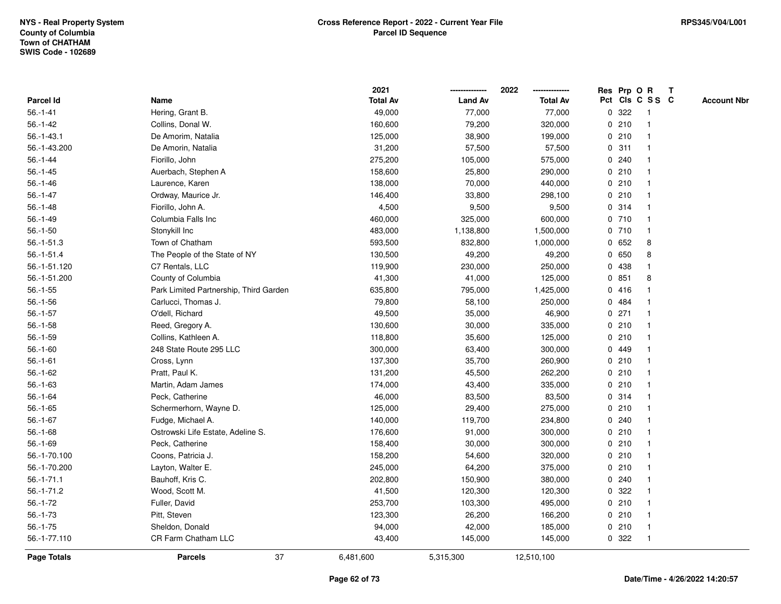|                    |                                        | 2021            |                | 2022            | Res Prp O R |       |                 | $\mathbf{T}$ |                    |
|--------------------|----------------------------------------|-----------------|----------------|-----------------|-------------|-------|-----------------|--------------|--------------------|
| Parcel Id          | Name                                   | <b>Total Av</b> | <b>Land Av</b> | <b>Total Av</b> |             |       | Pct Cls C S S C |              | <b>Account Nbr</b> |
| $56.-1-41$         | Hering, Grant B.                       | 49,000          | 77,000         | 77,000          | 0           | 322   |                 |              |                    |
| $56.-1-42$         | Collins, Donal W.                      | 160,600         | 79,200         | 320,000         | 0           | 210   |                 |              |                    |
| $56.-1-43.1$       | De Amorim, Natalia                     | 125,000         | 38,900         | 199,000         |             | 0210  |                 |              |                    |
| 56.-1-43.200       | De Amorin, Natalia                     | 31,200          | 57,500         | 57,500          | $\mathbf 0$ | 311   | -1              |              |                    |
| $56.-1-44$         | Fiorillo, John                         | 275,200         | 105,000        | 575,000         | 0           | 240   | -1              |              |                    |
| $56.-1-45$         | Auerbach, Stephen A                    | 158,600         | 25,800         | 290,000         |             | 0210  | -1              |              |                    |
| $56.-1-46$         | Laurence, Karen                        | 138,000         | 70,000         | 440,000         |             | 0210  |                 |              |                    |
| $56.-1-47$         | Ordway, Maurice Jr.                    | 146,400         | 33,800         | 298,100         |             | 0210  |                 |              |                    |
| $56.-1-48$         | Fiorillo, John A.                      | 4,500           | 9,500          | 9,500           |             | 0.314 |                 |              |                    |
| $56.-1-49$         | Columbia Falls Inc                     | 460,000         | 325,000        | 600,000         |             | 0710  |                 |              |                    |
| $56.-1-50$         | Stonykill Inc                          | 483,000         | 1,138,800      | 1,500,000       |             | 0710  | $\mathbf{1}$    |              |                    |
| $56.-1-51.3$       | Town of Chatham                        | 593,500         | 832,800        | 1,000,000       |             | 0.652 | 8               |              |                    |
| $56.-1-51.4$       | The People of the State of NY          | 130,500         | 49,200         | 49,200          |             | 0 650 | 8               |              |                    |
| 56.-1-51.120       | C7 Rentals, LLC                        | 119,900         | 230,000        | 250,000         |             | 0 438 |                 |              |                    |
| 56.-1-51.200       | County of Columbia                     | 41,300          | 41,000         | 125,000         |             | 0851  | 8               |              |                    |
| $56.-1-55$         | Park Limited Partnership, Third Garden | 635,800         | 795,000        | 1,425,000       |             | 0416  |                 |              |                    |
| $56.-1-56$         | Carlucci, Thomas J.                    | 79,800          | 58,100         | 250,000         | 0           | 484   |                 |              |                    |
| $56.-1-57$         | O'dell, Richard                        | 49,500          | 35,000         | 46,900          | 0           | 271   |                 |              |                    |
| $56.-1-58$         | Reed, Gregory A.                       | 130,600         | 30,000         | 335,000         |             | 0210  | -1              |              |                    |
| $56.-1-59$         | Collins, Kathleen A.                   | 118,800         | 35,600         | 125,000         |             | 0210  |                 |              |                    |
| $56.-1-60$         | 248 State Route 295 LLC                | 300,000         | 63,400         | 300,000         |             | 0 449 |                 |              |                    |
| $56.-1-61$         | Cross, Lynn                            | 137,300         | 35,700         | 260,900         | 0           | 210   |                 |              |                    |
| $56.-1-62$         | Pratt, Paul K.                         | 131,200         | 45,500         | 262,200         |             | 0210  |                 |              |                    |
| $56.-1-63$         | Martin, Adam James                     | 174,000         | 43,400         | 335,000         | $\mathbf 0$ | 210   |                 |              |                    |
| $56.-1-64$         | Peck, Catherine                        | 46,000          | 83,500         | 83,500          |             | 0.314 | -1              |              |                    |
| $56.-1-65$         | Schermerhorn, Wayne D.                 | 125,000         | 29,400         | 275,000         |             | 0210  |                 |              |                    |
| $56.-1-67$         | Fudge, Michael A.                      | 140,000         | 119,700        | 234,800         |             | 0.240 |                 |              |                    |
| $56.-1-68$         | Ostrowski Life Estate, Adeline S.      | 176,600         | 91,000         | 300,000         |             | 0210  |                 |              |                    |
| $56.-1-69$         | Peck, Catherine                        | 158,400         | 30,000         | 300,000         |             | 0210  |                 |              |                    |
| 56.-1-70.100       | Coons, Patricia J.                     | 158,200         | 54,600         | 320,000         | 0           | 210   |                 |              |                    |
| 56.-1-70.200       | Layton, Walter E.                      | 245,000         | 64,200         | 375,000         | 0           | 210   | -1              |              |                    |
| $56.-1-71.1$       | Bauhoff, Kris C.                       | 202,800         | 150,900        | 380,000         | 0           | 240   | -1              |              |                    |
| 56.-1-71.2         | Wood, Scott M.                         | 41,500          | 120,300        | 120,300         |             | 0.322 |                 |              |                    |
| $56.-1-72$         | Fuller, David                          | 253,700         | 103,300        | 495,000         |             | 0210  |                 |              |                    |
| $56.-1-73$         | Pitt, Steven                           | 123,300         | 26,200         | 166,200         |             | 0210  |                 |              |                    |
| $56.-1-75$         | Sheldon, Donald                        | 94,000          | 42,000         | 185,000         |             | 0210  | -1              |              |                    |
| 56.-1-77.110       | CR Farm Chatham LLC                    | 43,400          | 145,000        | 145,000         | 0           | 322   | -1              |              |                    |
| <b>Page Totals</b> | 37<br><b>Parcels</b>                   | 6,481,600       | 5,315,300      | 12,510,100      |             |       |                 |              |                    |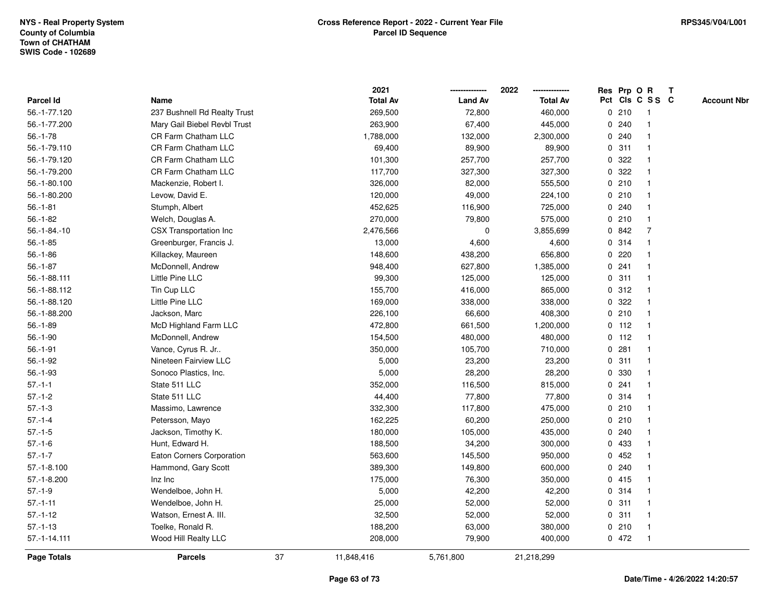|                      |                              |    | 2021            |                | 2022            |   |         | Res Prp O R     | $\mathbf{T}$ |                    |
|----------------------|------------------------------|----|-----------------|----------------|-----------------|---|---------|-----------------|--------------|--------------------|
| Parcel Id            | Name                         |    | <b>Total Av</b> | <b>Land Av</b> | <b>Total Av</b> |   |         | Pct Cls C S S C |              | <b>Account Nbr</b> |
| 56.-1-77.120         | 237 Bushnell Rd Realty Trust |    | 269,500         | 72,800         | 460,000         |   | 0210    | -1              |              |                    |
| 56.-1-77.200         | Mary Gail Biebel Revbl Trust |    | 263,900         | 67,400         | 445,000         |   | 0.240   |                 |              |                    |
| $56.-1-78$           | CR Farm Chatham LLC          |    | 1,788,000       | 132,000        | 2,300,000       |   | 0.240   | -1              |              |                    |
| 56.-1-79.110         | <b>CR Farm Chatham LLC</b>   |    | 69,400          | 89,900         | 89,900          | 0 | 311     | $\mathbf{1}$    |              |                    |
| 56.-1-79.120         | CR Farm Chatham LLC          |    | 101,300         | 257,700        | 257,700         | 0 | 322     | $\mathbf{1}$    |              |                    |
| 56.-1-79.200         | CR Farm Chatham LLC          |    | 117,700         | 327,300        | 327,300         |   | 0.322   | 1               |              |                    |
| 56.-1-80.100         | Mackenzie, Robert I.         |    | 326,000         | 82,000         | 555,500         |   | 0210    | $\mathbf 1$     |              |                    |
| 56.-1-80.200         | Levow, David E.              |    | 120,000         | 49,000         | 224,100         |   | 0210    |                 |              |                    |
| $56.-1-81$           | Stumph, Albert               |    | 452,625         | 116,900        | 725,000         |   | 0.240   | $\mathbf{1}$    |              |                    |
| $56.-1-82$           | Welch, Douglas A.            |    | 270,000         | 79,800         | 575,000         |   | 0210    | $\mathbf{1}$    |              |                    |
| $56. - 1 - 84. - 10$ | CSX Transportation Inc       |    | 2,476,566       | $\mathbf 0$    | 3,855,699       |   | 0 842   | 7               |              |                    |
| $56.-1-85$           | Greenburger, Francis J.      |    | 13,000          | 4,600          | 4,600           |   | 0.314   | $\mathbf{1}$    |              |                    |
| $56.-1-86$           | Killackey, Maureen           |    | 148,600         | 438,200        | 656,800         |   | 0220    | 1               |              |                    |
| $56.-1-87$           | McDonnell, Andrew            |    | 948,400         | 627,800        | 1,385,000       |   | 0.241   |                 |              |                    |
| 56.-1-88.111         | Little Pine LLC              |    | 99,300          | 125,000        | 125,000         |   | 0.311   |                 |              |                    |
| 56.-1-88.112         | Tin Cup LLC                  |    | 155,700         | 416,000        | 865,000         |   | 0.312   | $\mathbf 1$     |              |                    |
| 56.-1-88.120         | Little Pine LLC              |    | 169,000         | 338,000        | 338,000         | 0 | 322     | $\mathbf{1}$    |              |                    |
| 56.-1-88.200         | Jackson, Marc                |    | 226,100         | 66,600         | 408,300         | 0 | 210     | 1               |              |                    |
| $56.-1-89$           | McD Highland Farm LLC        |    | 472,800         | 661,500        | 1,200,000       |   | $0$ 112 | $\mathbf{1}$    |              |                    |
| $56.-1-90$           | McDonnell, Andrew            |    | 154,500         | 480,000        | 480,000         |   | $0$ 112 |                 |              |                    |
| $56.-1-91$           | Vance, Cyrus R. Jr           |    | 350,000         | 105,700        | 710,000         |   | 0.281   |                 |              |                    |
| $56.-1-92$           | Nineteen Fairview LLC        |    | 5,000           | 23,200         | 23,200          |   | 0.311   |                 |              |                    |
| $56.-1-93$           | Sonoco Plastics, Inc.        |    | 5,000           | 28,200         | 28,200          | 0 | 330     | $\mathbf 1$     |              |                    |
| $57.-1-1$            | State 511 LLC                |    | 352,000         | 116,500        | 815,000         | 0 | 241     | $\mathbf{1}$    |              |                    |
| $57.-1-2$            | State 511 LLC                |    | 44,400          | 77,800         | 77,800          |   | 0.314   | $\mathbf 1$     |              |                    |
| $57.-1-3$            | Massimo, Lawrence            |    | 332,300         | 117,800        | 475,000         |   | 0210    | $\mathbf 1$     |              |                    |
| $57.-1-4$            | Petersson, Mayo              |    | 162,225         | 60,200         | 250,000         |   | 0210    | -1              |              |                    |
| $57 - 1 - 5$         | Jackson, Timothy K.          |    | 180,000         | 105,000        | 435,000         |   | 0.240   |                 |              |                    |
| $57.-1-6$            | Hunt, Edward H.              |    | 188,500         | 34,200         | 300,000         | 0 | 433     | $\mathbf{1}$    |              |                    |
| $57 - 1 - 7$         | Eaton Corners Corporation    |    | 563,600         | 145,500        | 950,000         | 0 | 452     |                 |              |                    |
| $57. - 1 - 8.100$    | Hammond, Gary Scott          |    | 389,300         | 149,800        | 600,000         | 0 | 240     | $\mathbf{1}$    |              |                    |
| $57.-1-8.200$        | Inz Inc                      |    | 175,000         | 76,300         | 350,000         |   | 0415    | 1               |              |                    |
| $57.-1-9$            | Wendelboe, John H.           |    | 5,000           | 42,200         | 42,200          |   | 0.314   | 1               |              |                    |
| $57.-1-11$           | Wendelboe, John H.           |    | 25,000          | 52,000         | 52,000          |   | 0.311   |                 |              |                    |
| $57.-1-12$           | Watson, Ernest A. III.       |    | 32,500          | 52,000         | 52,000          |   | 0.311   | $\mathbf 1$     |              |                    |
| $57.-1-13$           | Toelke, Ronald R.            |    | 188,200         | 63,000         | 380,000         |   | 0210    | $\mathbf{1}$    |              |                    |
| 57.-1-14.111         | Wood Hill Realty LLC         |    | 208,000         | 79,900         | 400,000         |   | 0 472   | 1               |              |                    |
| Page Totals          | <b>Parcels</b>               | 37 | 11,848,416      | 5,761,800      | 21,218,299      |   |         |                 |              |                    |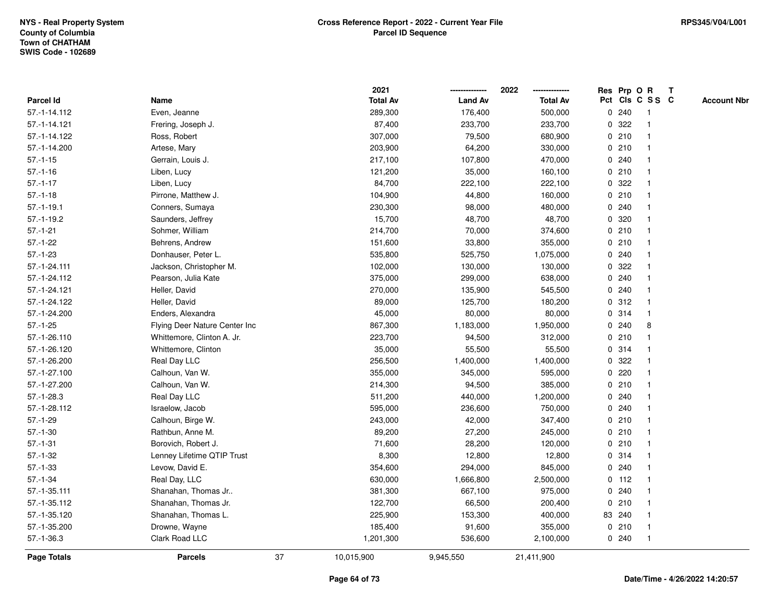|                    |                               |    | 2021            |                | 2022            |   |         | Res Prp O R     | $\mathbf{T}$ |                    |
|--------------------|-------------------------------|----|-----------------|----------------|-----------------|---|---------|-----------------|--------------|--------------------|
| Parcel Id          | Name                          |    | <b>Total Av</b> | <b>Land Av</b> | <b>Total Av</b> |   |         | Pct Cls C S S C |              | <b>Account Nbr</b> |
| 57.-1-14.112       | Even, Jeanne                  |    | 289,300         | 176,400        | 500,000         |   | 0.240   |                 |              |                    |
| 57.-1-14.121       | Frering, Joseph J.            |    | 87,400          | 233,700        | 233,700         | 0 | 322     |                 |              |                    |
| 57.-1-14.122       | Ross, Robert                  |    | 307,000         | 79,500         | 680,900         |   | 0210    | -1              |              |                    |
| 57.-1-14.200       | Artese, Mary                  |    | 203,900         | 64,200         | 330,000         |   | 0210    | $\mathbf{1}$    |              |                    |
| $57.-1-15$         | Gerrain, Louis J.             |    | 217,100         | 107,800        | 470,000         |   | 0.240   | -1              |              |                    |
| $57.-1-16$         | Liben, Lucy                   |    | 121,200         | 35,000         | 160,100         |   | 0210    | -1              |              |                    |
| $57.-1-17$         | Liben, Lucy                   |    | 84,700          | 222,100        | 222,100         |   | 0.322   |                 |              |                    |
| $57.-1-18$         | Pirrone, Matthew J.           |    | 104,900         | 44,800         | 160,000         |   | 0210    |                 |              |                    |
| $57.-1-19.1$       | Conners, Sumaya               |    | 230,300         | 98,000         | 480,000         |   | 0.240   |                 |              |                    |
| $57.-1-19.2$       | Saunders, Jeffrey             |    | 15,700          | 48,700         | 48,700          |   | 0 320   |                 |              |                    |
| $57.-1-21$         | Sohmer, William               |    | 214,700         | 70,000         | 374,600         |   | 0210    | -1              |              |                    |
| $57.-1-22$         | Behrens, Andrew               |    | 151,600         | 33,800         | 355,000         |   | 0210    | -1              |              |                    |
| $57.-1-23$         | Donhauser, Peter L.           |    | 535,800         | 525,750        | 1,075,000       |   | 0.240   | -1              |              |                    |
| 57.-1-24.111       | Jackson, Christopher M.       |    | 102,000         | 130,000        | 130,000         |   | 0.322   |                 |              |                    |
| 57.-1-24.112       | Pearson, Julia Kate           |    | 375,000         | 299,000        | 638,000         |   | 0.240   |                 |              |                    |
| 57.-1-24.121       | Heller, David                 |    | 270,000         | 135,900        | 545,500         |   | 0.240   |                 |              |                    |
| 57.-1-24.122       | Heller, David                 |    | 89,000          | 125,700        | 180,200         | 0 | 312     | $\overline{1}$  |              |                    |
| 57.-1-24.200       | Enders, Alexandra             |    | 45,000          | 80,000         | 80,000          |   | 0.314   | $\mathbf 1$     |              |                    |
| $57.-1-25$         | Flying Deer Nature Center Inc |    | 867,300         | 1,183,000      | 1,950,000       |   | 0.240   | 8               |              |                    |
| 57.-1-26.110       | Whittemore, Clinton A. Jr.    |    | 223,700         | 94,500         | 312,000         |   | 0210    |                 |              |                    |
| 57.-1-26.120       | Whittemore, Clinton           |    | 35,000          | 55,500         | 55,500          |   | 0.314   |                 |              |                    |
| 57.-1-26.200       | Real Day LLC                  |    | 256,500         | 1,400,000      | 1,400,000       |   | 0.322   |                 |              |                    |
| 57.-1-27.100       | Calhoun, Van W.               |    | 355,000         | 345,000        | 595,000         |   | 0220    |                 |              |                    |
| 57.-1-27.200       | Calhoun, Van W.               |    | 214,300         | 94,500         | 385,000         |   | 0210    | $\mathbf{1}$    |              |                    |
| $57.-1-28.3$       | Real Day LLC                  |    | 511,200         | 440,000        | 1,200,000       |   | 0.240   |                 |              |                    |
| 57.-1-28.112       | Israelow, Jacob               |    | 595,000         | 236,600        | 750,000         |   | 0.240   |                 |              |                    |
| $57.-1-29$         | Calhoun, Birge W.             |    | 243,000         | 42,000         | 347,400         |   | 0210    |                 |              |                    |
| $57.-1-30$         | Rathbun, Anne M.              |    | 89,200          | 27,200         | 245,000         |   | 0210    |                 |              |                    |
| $57.-1-31$         | Borovich, Robert J.           |    | 71,600          | 28,200         | 120,000         |   | 0210    |                 |              |                    |
| $57.-1-32$         | Lenney Lifetime QTIP Trust    |    | 8,300           | 12,800         | 12,800          |   | 0.314   |                 |              |                    |
| $57. - 1 - 33$     | Levow, David E.               |    | 354,600         | 294,000        | 845,000         |   | 0.240   | -1              |              |                    |
| $57.-1-34$         | Real Day, LLC                 |    | 630,000         | 1,666,800      | 2,500,000       |   | $0$ 112 | -1              |              |                    |
| 57.-1-35.111       | Shanahan, Thomas Jr           |    | 381,300         | 667,100        | 975,000         |   | 0.240   |                 |              |                    |
| 57.-1-35.112       | Shanahan, Thomas Jr.          |    | 122,700         | 66,500         | 200,400         |   | 0210    |                 |              |                    |
| 57.-1-35.120       | Shanahan, Thomas L.           |    | 225,900         | 153,300        | 400,000         |   | 83 240  |                 |              |                    |
| 57.-1-35.200       | Drowne, Wayne                 |    | 185,400         | 91,600         | 355,000         |   | 0210    | -1              |              |                    |
| $57.-1-36.3$       | Clark Road LLC                |    | 1,201,300       | 536,600        | 2,100,000       |   | 0.240   | -1              |              |                    |
| <b>Page Totals</b> | <b>Parcels</b>                | 37 | 10,015,900      | 9,945,550      | 21,411,900      |   |         |                 |              |                    |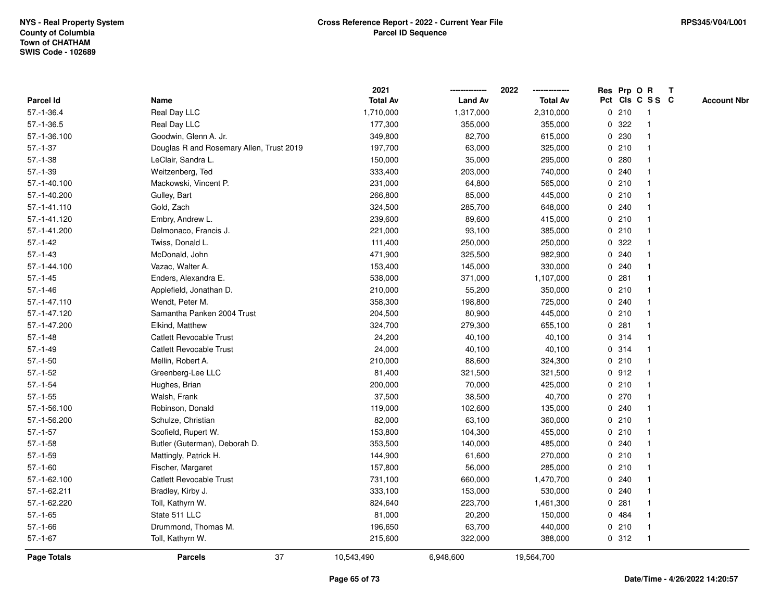|                 |                                          | 2021            |                | 2022            | Res Prp O R  |       |                 | T |                    |
|-----------------|------------------------------------------|-----------------|----------------|-----------------|--------------|-------|-----------------|---|--------------------|
| Parcel Id       | Name                                     | <b>Total Av</b> | <b>Land Av</b> | <b>Total Av</b> |              |       | Pct Cls C S S C |   | <b>Account Nbr</b> |
| $57.-1-36.4$    | Real Day LLC                             | 1,710,000       | 1,317,000      | 2,310,000       |              | 0210  | -1              |   |                    |
| $57 - 1 - 36.5$ | Real Day LLC                             | 177,300         | 355,000        | 355,000         | 0            | 322   |                 |   |                    |
| 57.-1-36.100    | Goodwin, Glenn A. Jr.                    | 349,800         | 82,700         | 615,000         |              | 0 230 | 1               |   |                    |
| $57.-1-37$      | Douglas R and Rosemary Allen, Trust 2019 | 197,700         | 63,000         | 325,000         |              | 0210  |                 |   |                    |
| $57.-1-38$      | LeClair, Sandra L.                       | 150,000         | 35,000         | 295,000         |              | 0.280 |                 |   |                    |
| $57.-1-39$      | Weitzenberg, Ted                         | 333,400         | 203,000        | 740,000         |              | 0.240 |                 |   |                    |
| 57.-1-40.100    | Mackowski, Vincent P.                    | 231,000         | 64,800         | 565,000         |              | 0210  |                 |   |                    |
| 57.-1-40.200    | Gulley, Bart                             | 266,800         | 85,000         | 445,000         |              | 0210  |                 |   |                    |
| 57.-1-41.110    | Gold, Zach                               | 324,500         | 285,700        | 648,000         |              | 0.240 |                 |   |                    |
| 57.-1-41.120    | Embry, Andrew L.                         | 239,600         | 89,600         | 415,000         |              | 0210  | $\mathbf 1$     |   |                    |
| 57.-1-41.200    | Delmonaco, Francis J.                    | 221,000         | 93,100         | 385,000         |              | 0210  |                 |   |                    |
| $57.-1-42$      | Twiss, Donald L.                         | 111,400         | 250,000        | 250,000         |              | 0 322 |                 |   |                    |
| $57. - 1 - 43$  | McDonald, John                           | 471,900         | 325,500        | 982,900         | $\mathbf{0}$ | 240   |                 |   |                    |
| 57.-1-44.100    | Vazac, Walter A.                         | 153,400         | 145,000        | 330,000         |              | 0.240 |                 |   |                    |
| $57.-1-45$      | Enders, Alexandra E.                     | 538,000         | 371,000        | 1,107,000       | $\mathbf 0$  | 281   |                 |   |                    |
| $57. - 1 - 46$  | Applefield, Jonathan D.                  | 210,000         | 55,200         | 350,000         |              | 0210  | $\mathbf{1}$    |   |                    |
| 57.-1-47.110    | Wendt, Peter M.                          | 358,300         | 198,800        | 725,000         |              | 0.240 |                 |   |                    |
| 57.-1-47.120    | Samantha Panken 2004 Trust               | 204,500         | 80,900         | 445,000         |              | 0210  |                 |   |                    |
| 57.-1-47.200    | Elkind, Matthew                          | 324,700         | 279,300        | 655,100         |              | 0.281 |                 |   |                    |
| $57.-1-48$      | Catlett Revocable Trust                  | 24,200          | 40,100         | 40,100          |              | 0.314 |                 |   |                    |
| $57.-1-49$      | <b>Catlett Revocable Trust</b>           | 24,000          | 40,100         | 40,100          |              | 0.314 |                 |   |                    |
| $57.-1-50$      | Mellin, Robert A.                        | 210,000         | 88,600         | 324,300         |              | 0210  |                 |   |                    |
| $57.-1-52$      | Greenberg-Lee LLC                        | 81,400          | 321,500        | 321,500         |              | 0.912 | -1              |   |                    |
| $57.-1-54$      | Hughes, Brian                            | 200,000         | 70,000         | 425,000         |              | 0210  | $\mathbf{1}$    |   |                    |
| $57.-1-55$      | Walsh, Frank                             | 37,500          | 38,500         | 40,700          |              | 0270  |                 |   |                    |
| 57.-1-56.100    | Robinson, Donald                         | 119,000         | 102,600        | 135,000         |              | 0.240 |                 |   |                    |
| 57.-1-56.200    | Schulze, Christian                       | 82,000          | 63,100         | 360,000         |              | 0210  |                 |   |                    |
| $57.-1-57$      | Scofield, Rupert W.                      | 153,800         | 104,300        | 455,000         |              | 0210  |                 |   |                    |
| $57.-1-58$      | Butler (Guterman), Deborah D.            | 353,500         | 140,000        | 485,000         |              | 0.240 |                 |   |                    |
| $57.-1-59$      | Mattingly, Patrick H.                    | 144,900         | 61,600         | 270,000         | $\mathbf 0$  | 210   |                 |   |                    |
| $57.-1-60$      | Fischer, Margaret                        | 157,800         | 56,000         | 285,000         |              | 0210  | $\mathbf 1$     |   |                    |
| 57.-1-62.100    | <b>Catlett Revocable Trust</b>           | 731,100         | 660,000        | 1,470,700       |              | 0.240 | 1               |   |                    |
| 57.-1-62.211    | Bradley, Kirby J.                        | 333,100         | 153,000        | 530,000         |              | 0.240 |                 |   |                    |
| 57.-1-62.220    | Toll, Kathyrn W.                         | 824,640         | 223,700        | 1,461,300       |              | 0.281 |                 |   |                    |
| $57.-1-65$      | State 511 LLC                            | 81,000          | 20,200         | 150,000         |              | 0 484 |                 |   |                    |
| $57.-1-66$      | Drummond, Thomas M.                      | 196,650         | 63,700         | 440,000         |              | 0210  |                 |   |                    |
| $57.-1-67$      | Toll, Kathyrn W.                         | 215,600         | 322,000        | 388,000         |              | 0.312 | -1              |   |                    |
| Page Totals     | 37<br><b>Parcels</b>                     | 10,543,490      | 6,948,600      | 19,564,700      |              |       |                 |   |                    |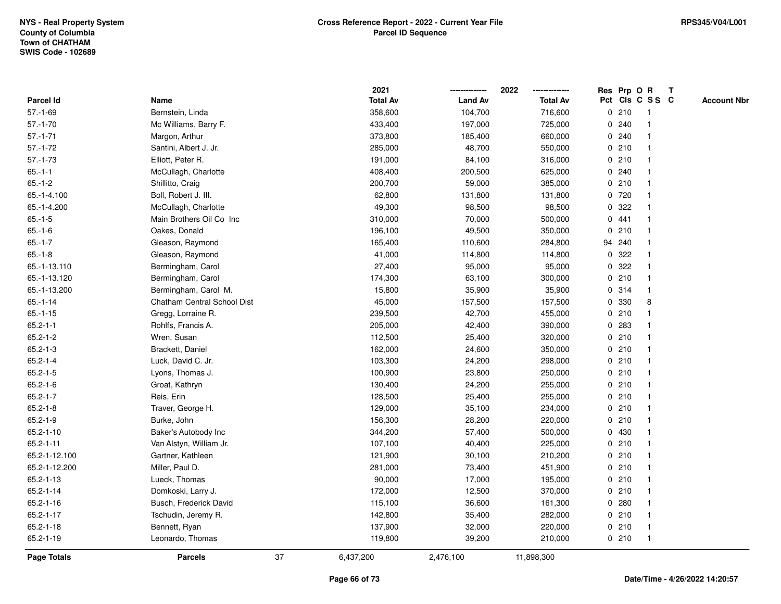|                  |                             |    | 2021            |                | 2022            |   |        | Res Prp O R     | $\mathbf{T}$ |                    |
|------------------|-----------------------------|----|-----------------|----------------|-----------------|---|--------|-----------------|--------------|--------------------|
| <b>Parcel Id</b> | Name                        |    | <b>Total Av</b> | <b>Land Av</b> | <b>Total Av</b> |   |        | Pct Cls C S S C |              | <b>Account Nbr</b> |
| $57.-1-69$       | Bernstein, Linda            |    | 358,600         | 104,700        | 716,600         |   | 0210   | -1              |              |                    |
| $57.-1-70$       | Mc Williams, Barry F.       |    | 433,400         | 197,000        | 725,000         |   | 0.240  |                 |              |                    |
| $57.-1-71$       | Margon, Arthur              |    | 373,800         | 185,400        | 660,000         |   | 0.240  | -1              |              |                    |
| $57.-1-72$       | Santini, Albert J. Jr.      |    | 285,000         | 48,700         | 550,000         |   | 0210   | $\mathbf{1}$    |              |                    |
| $57.-1-73$       | Elliott, Peter R.           |    | 191,000         | 84,100         | 316,000         |   | 0210   | $\mathbf 1$     |              |                    |
| $65.-1-1$        | McCullagh, Charlotte        |    | 408,400         | 200,500        | 625,000         |   | 0.240  | 1               |              |                    |
| $65.-1-2$        | Shillitto, Craig            |    | 200,700         | 59,000         | 385,000         |   | 0210   |                 |              |                    |
| 65.-1-4.100      | Boll, Robert J. III.        |    | 62,800          | 131,800        | 131,800         |   | 0 720  |                 |              |                    |
| 65.-1-4.200      | McCullagh, Charlotte        |    | 49,300          | 98,500         | 98,500          |   | 0.322  | $\mathbf 1$     |              |                    |
| $65.-1-5$        | Main Brothers Oil Co Inc    |    | 310,000         | 70,000         | 500,000         |   | 0441   | $\mathbf{1}$    |              |                    |
| $65.-1-6$        | Oakes, Donald               |    | 196,100         | 49,500         | 350,000         |   | 0210   | $\mathbf{1}$    |              |                    |
| $65.-1-7$        | Gleason, Raymond            |    | 165,400         | 110,600        | 284,800         |   | 94 240 | $\mathbf{1}$    |              |                    |
| $65.-1-8$        | Gleason, Raymond            |    | 41,000          | 114,800        | 114,800         | 0 | 322    | -1              |              |                    |
| 65.-1-13.110     | Bermingham, Carol           |    | 27,400          | 95,000         | 95,000          |   | 0.322  |                 |              |                    |
| 65.-1-13.120     | Bermingham, Carol           |    | 174,300         | 63,100         | 300,000         |   | 0210   |                 |              |                    |
| 65.-1-13.200     | Bermingham, Carol M.        |    | 15,800          | 35,900         | 35,900          |   | 0.314  | $\mathbf 1$     |              |                    |
| $65.-1-14$       | Chatham Central School Dist |    | 45,000          | 157,500        | 157,500         | 0 | 330    | 8               |              |                    |
| $65.-1-15$       | Gregg, Lorraine R.          |    | 239,500         | 42,700         | 455,000         | 0 | 210    | 1               |              |                    |
| $65.2 - 1 - 1$   | Rohlfs, Francis A.          |    | 205,000         | 42,400         | 390,000         |   | 0.283  | $\mathbf 1$     |              |                    |
| $65.2 - 1 - 2$   | Wren, Susan                 |    | 112,500         | 25,400         | 320,000         |   | 0210   |                 |              |                    |
| $65.2 - 1 - 3$   | Brackett, Daniel            |    | 162,000         | 24,600         | 350,000         |   | 0210   |                 |              |                    |
| $65.2 - 1 - 4$   | Luck, David C. Jr.          |    | 103,300         | 24,200         | 298,000         |   | 0210   |                 |              |                    |
| $65.2 - 1 - 5$   | Lyons, Thomas J.            |    | 100,900         | 23,800         | 250,000         |   | 0210   | $\mathbf 1$     |              |                    |
| $65.2 - 1 - 6$   | Groat, Kathryn              |    | 130,400         | 24,200         | 255,000         |   | 0210   | $\mathbf{1}$    |              |                    |
| $65.2 - 1 - 7$   | Reis, Erin                  |    | 128,500         | 25,400         | 255,000         |   | 0210   | $\mathbf 1$     |              |                    |
| $65.2 - 1 - 8$   | Traver, George H.           |    | 129,000         | 35,100         | 234,000         |   | 0210   | $\mathbf 1$     |              |                    |
| $65.2 - 1 - 9$   | Burke, John                 |    | 156,300         | 28,200         | 220,000         |   | 0210   | -1              |              |                    |
| $65.2 - 1 - 10$  | Baker's Autobody Inc        |    | 344,200         | 57,400         | 500,000         |   | 0 430  |                 |              |                    |
| $65.2 - 1 - 11$  | Van Alstyn, William Jr.     |    | 107,100         | 40,400         | 225,000         |   | 0210   | $\mathbf{1}$    |              |                    |
| 65.2-1-12.100    | Gartner, Kathleen           |    | 121,900         | 30,100         | 210,200         |   | 0210   | $\mathbf 1$     |              |                    |
| 65.2-1-12.200    | Miller, Paul D.             |    | 281,000         | 73,400         | 451,900         |   | 0210   | $\mathbf{1}$    |              |                    |
| $65.2 - 1 - 13$  | Lueck, Thomas               |    | 90,000          | 17,000         | 195,000         |   | 0210   | 1               |              |                    |
| $65.2 - 1 - 14$  | Domkoski, Larry J.          |    | 172,000         | 12,500         | 370,000         |   | 0210   | $\mathbf 1$     |              |                    |
| $65.2 - 1 - 16$  | Busch, Frederick David      |    | 115,100         | 36,600         | 161,300         |   | 0.280  |                 |              |                    |
| 65.2-1-17        | Tschudin, Jeremy R.         |    | 142,800         | 35,400         | 282,000         |   | 0210   |                 |              |                    |
| $65.2 - 1 - 18$  | Bennett, Ryan               |    | 137,900         | 32,000         | 220,000         |   | 0210   | $\mathbf{1}$    |              |                    |
| 65.2-1-19        | Leonardo, Thomas            |    | 119,800         | 39,200         | 210,000         |   | 0210   | $\mathbf{1}$    |              |                    |
| Page Totals      | <b>Parcels</b>              | 37 | 6,437,200       | 2,476,100      | 11,898,300      |   |        |                 |              |                    |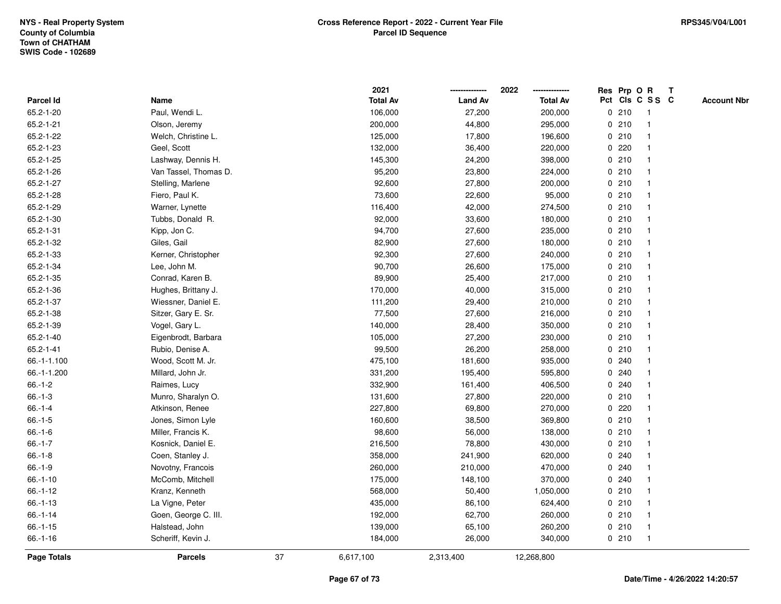|             |                       |    | 2021            |                | 2022            |             |       | Res Prp O R     | Т |                    |
|-------------|-----------------------|----|-----------------|----------------|-----------------|-------------|-------|-----------------|---|--------------------|
| Parcel Id   | Name                  |    | <b>Total Av</b> | <b>Land Av</b> | <b>Total Av</b> |             |       | Pct Cls C S S C |   | <b>Account Nbr</b> |
| 65.2-1-20   | Paul, Wendi L.        |    | 106,000         | 27,200         | 200,000         | 0           | 210   | $\mathbf{1}$    |   |                    |
| 65.2-1-21   | Olson, Jeremy         |    | 200,000         | 44,800         | 295,000         | 0           | 210   | -1              |   |                    |
| 65.2-1-22   | Welch, Christine L.   |    | 125,000         | 17,800         | 196,600         |             | 0210  | -1              |   |                    |
| 65.2-1-23   | Geel, Scott           |    | 132,000         | 36,400         | 220,000         |             | 0.220 |                 |   |                    |
| 65.2-1-25   | Lashway, Dennis H.    |    | 145,300         | 24,200         | 398,000         |             | 0210  |                 |   |                    |
| 65.2-1-26   | Van Tassel, Thomas D. |    | 95,200          | 23,800         | 224,000         |             | 0210  |                 |   |                    |
| 65.2-1-27   | Stelling, Marlene     |    | 92,600          | 27,800         | 200,000         |             | 0210  |                 |   |                    |
| 65.2-1-28   | Fiero, Paul K.        |    | 73,600          | 22,600         | 95,000          | 0           | 210   | -1              |   |                    |
| 65.2-1-29   | Warner, Lynette       |    | 116,400         | 42,000         | 274,500         |             | 0210  | -1              |   |                    |
| 65.2-1-30   | Tubbs, Donald R.      |    | 92,000          | 33,600         | 180,000         |             | 0210  | -1              |   |                    |
| 65.2-1-31   | Kipp, Jon C.          |    | 94,700          | 27,600         | 235,000         |             | 0210  |                 |   |                    |
| 65.2-1-32   | Giles, Gail           |    | 82,900          | 27,600         | 180,000         |             | 0210  |                 |   |                    |
| 65.2-1-33   | Kerner, Christopher   |    | 92,300          | 27,600         | 240,000         |             | 0210  |                 |   |                    |
| 65.2-1-34   | Lee, John M.          |    | 90,700          | 26,600         | 175,000         |             | 0210  | -1              |   |                    |
| 65.2-1-35   | Conrad, Karen B.      |    | 89,900          | 25,400         | 217,000         | 0           | 210   |                 |   |                    |
| 65.2-1-36   | Hughes, Brittany J.   |    | 170,000         | 40,000         | 315,000         | 0           | 210   | -1              |   |                    |
| 65.2-1-37   | Wiessner, Daniel E.   |    | 111,200         | 29,400         | 210,000         |             | 0210  | -1              |   |                    |
| 65.2-1-38   | Sitzer, Gary E. Sr.   |    | 77,500          | 27,600         | 216,000         |             | 0210  |                 |   |                    |
| 65.2-1-39   | Vogel, Gary L.        |    | 140,000         | 28,400         | 350,000         |             | 0210  |                 |   |                    |
| 65.2-1-40   | Eigenbrodt, Barbara   |    | 105,000         | 27,200         | 230,000         |             | 0210  |                 |   |                    |
| 65.2-1-41   | Rubio, Denise A.      |    | 99,500          | 26,200         | 258,000         |             | 0210  |                 |   |                    |
| 66.-1-1.100 | Wood, Scott M. Jr.    |    | 475,100         | 181,600        | 935,000         | 0           | 240   |                 |   |                    |
| 66.-1-1.200 | Millard, John Jr.     |    | 331,200         | 195,400        | 595,800         | 0           | 240   |                 |   |                    |
| $66.-1-2$   | Raimes, Lucy          |    | 332,900         | 161,400        | 406,500         |             | 0.240 | -1              |   |                    |
| $66.-1-3$   | Munro, Sharalyn O.    |    | 131,600         | 27,800         | 220,000         |             | 0210  |                 |   |                    |
| $66.-1-4$   | Atkinson, Renee       |    | 227,800         | 69,800         | 270,000         |             | 0.220 |                 |   |                    |
| $66.-1-5$   | Jones, Simon Lyle     |    | 160,600         | 38,500         | 369,800         |             | 0210  |                 |   |                    |
| $66.-1-6$   | Miller, Francis K.    |    | 98,600          | 56,000         | 138,000         |             | 0210  |                 |   |                    |
| $66.-1-7$   | Kosnick, Daniel E.    |    | 216,500         | 78,800         | 430,000         | 0           | 210   |                 |   |                    |
| $66.-1-8$   | Coen, Stanley J.      |    | 358,000         | 241,900        | 620,000         | 0           | 240   | -1              |   |                    |
| $66.-1-9$   | Novotny, Francois     |    | 260,000         | 210,000        | 470,000         | $\mathbf 0$ | 240   |                 |   |                    |
| $66.-1-10$  | McComb, Mitchell      |    | 175,000         | 148,100        | 370,000         |             | 0.240 |                 |   |                    |
| $66.-1-12$  | Kranz, Kenneth        |    | 568,000         | 50,400         | 1,050,000       |             | 0210  |                 |   |                    |
| $66.-1-13$  | La Vigne, Peter       |    | 435,000         | 86,100         | 624,400         |             | 0210  |                 |   |                    |
| $66.-1-14$  | Goen, George C. III.  |    | 192,000         | 62,700         | 260,000         |             | 0210  |                 |   |                    |
| $66.-1-15$  | Halstead, John        |    | 139,000         | 65,100         | 260,200         |             | 0210  | $\mathbf{1}$    |   |                    |
| $66.-1-16$  | Scheriff, Kevin J.    |    | 184,000         | 26,000         | 340,000         |             | 0210  | $\mathbf{1}$    |   |                    |
| Page Totals | <b>Parcels</b>        | 37 | 6,617,100       | 2,313,400      | 12,268,800      |             |       |                 |   |                    |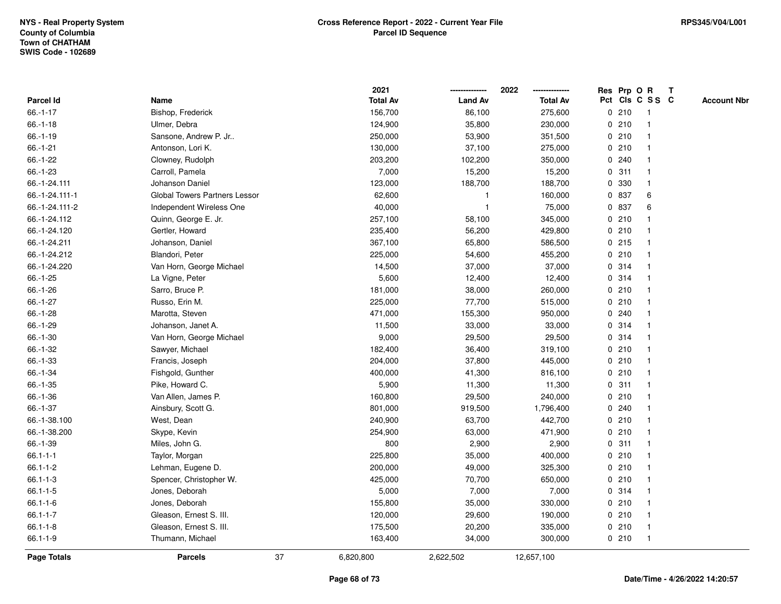|                  |                               |    | 2021            |                | 2022            |             |       | Res Prp O R             | $\mathbf{T}$ |                    |
|------------------|-------------------------------|----|-----------------|----------------|-----------------|-------------|-------|-------------------------|--------------|--------------------|
| <b>Parcel Id</b> | Name                          |    | <b>Total Av</b> | <b>Land Av</b> | <b>Total Av</b> |             |       | Pct Cls C S S C         |              | <b>Account Nbr</b> |
| $66.-1-17$       | Bishop, Frederick             |    | 156,700         | 86,100         | 275,600         |             | 0210  |                         |              |                    |
| $66.-1-18$       | Ulmer, Debra                  |    | 124,900         | 35,800         | 230,000         |             | 0210  |                         |              |                    |
| $66.-1-19$       | Sansone, Andrew P. Jr         |    | 250,000         | 53,900         | 351,500         |             | 0210  |                         |              |                    |
| $66.-1-21$       | Antonson, Lori K.             |    | 130,000         | 37,100         | 275,000         |             | 0210  | -1                      |              |                    |
| 66.-1-22         | Clowney, Rudolph              |    | 203,200         | 102,200        | 350,000         |             | 0.240 | $\mathbf 1$             |              |                    |
| 66.-1-23         | Carroll, Pamela               |    | 7,000           | 15,200         | 15,200          |             | 0.311 |                         |              |                    |
| 66.-1-24.111     | Johanson Daniel               |    | 123,000         | 188,700        | 188,700         |             | 0 330 |                         |              |                    |
| 66.-1-24.111-1   | Global Towers Partners Lessor |    | 62,600          |                | 160,000         |             | 0 837 | 6                       |              |                    |
| 66.-1-24.111-2   | Independent Wireless One      |    | 40,000          | $\overline{1}$ | 75,000          |             | 0 837 | 6                       |              |                    |
| 66.-1-24.112     | Quinn, George E. Jr.          |    | 257,100         | 58,100         | 345,000         | 0           | 210   | -1                      |              |                    |
| 66.-1-24.120     | Gertler, Howard               |    | 235,400         | 56,200         | 429,800         |             | 0210  |                         |              |                    |
| 66.-1-24.211     | Johanson, Daniel              |    | 367,100         | 65,800         | 586,500         |             | 0215  | -1                      |              |                    |
| 66.-1-24.212     | Blandori, Peter               |    | 225,000         | 54,600         | 455,200         |             | 0210  |                         |              |                    |
| 66.-1-24.220     | Van Horn, George Michael      |    | 14,500          | 37,000         | 37,000          |             | 0.314 |                         |              |                    |
| $66.-1-25$       | La Vigne, Peter               |    | 5,600           | 12,400         | 12,400          |             | 0.314 |                         |              |                    |
| 66.-1-26         | Sarro, Bruce P.               |    | 181,000         | 38,000         | 260,000         |             | 0210  |                         |              |                    |
| $66.-1-27$       | Russo, Erin M.                |    | 225,000         | 77,700         | 515,000         | $\mathbf 0$ | 210   | $\overline{\mathbf{1}}$ |              |                    |
| 66.-1-28         | Marotta, Steven               |    | 471,000         | 155,300        | 950,000         | 0           | 240   |                         |              |                    |
| $66.-1-29$       | Johanson, Janet A.            |    | 11,500          | 33,000         | 33,000          |             | 0.314 |                         |              |                    |
| 66.-1-30         | Van Horn, George Michael      |    | 9,000           | 29,500         | 29,500          |             | 0.314 |                         |              |                    |
| 66.-1-32         | Sawyer, Michael               |    | 182,400         | 36,400         | 319,100         |             | 0210  |                         |              |                    |
| 66.-1-33         | Francis, Joseph               |    | 204,000         | 37,800         | 445,000         |             | 0210  |                         |              |                    |
| 66.-1-34         | Fishgold, Gunther             |    | 400,000         | 41,300         | 816,100         |             | 0210  |                         |              |                    |
| $66.-1-35$       | Pike, Howard C.               |    | 5,900           | 11,300         | 11,300          | 0           | 311   | $\mathbf 1$             |              |                    |
| 66.-1-36         | Van Allen, James P.           |    | 160,800         | 29,500         | 240,000         |             | 0210  |                         |              |                    |
| 66.-1-37         | Ainsbury, Scott G.            |    | 801,000         | 919,500        | 1,796,400       |             | 0.240 |                         |              |                    |
| 66.-1-38.100     | West, Dean                    |    | 240,900         | 63,700         | 442,700         |             | 0210  |                         |              |                    |
| 66.-1-38.200     | Skype, Kevin                  |    | 254,900         | 63,000         | 471,900         |             | 0210  |                         |              |                    |
| 66.-1-39         | Miles, John G.                |    | 800             | 2,900          | 2,900           |             | 0.311 |                         |              |                    |
| $66.1 - 1 - 1$   | Taylor, Morgan                |    | 225,800         | 35,000         | 400,000         |             | 0210  |                         |              |                    |
| 66.1-1-2         | Lehman, Eugene D.             |    | 200,000         | 49,000         | 325,300         |             | 0210  | -1                      |              |                    |
| $66.1 - 1 - 3$   | Spencer, Christopher W.       |    | 425,000         | 70,700         | 650,000         |             | 0210  | $\mathbf 1$             |              |                    |
| $66.1 - 1 - 5$   | Jones, Deborah                |    | 5,000           | 7,000          | 7,000           |             | 0.314 |                         |              |                    |
| $66.1 - 1 - 6$   | Jones, Deborah                |    | 155,800         | 35,000         | 330,000         |             | 0210  |                         |              |                    |
| $66.1 - 1 - 7$   | Gleason, Ernest S. III.       |    | 120,000         | 29,600         | 190,000         |             | 0210  |                         |              |                    |
| $66.1 - 1 - 8$   | Gleason, Ernest S. III.       |    | 175,500         | 20,200         | 335,000         |             | 0210  | $\mathbf{1}$            |              |                    |
| 66.1-1-9         | Thumann, Michael              |    | 163,400         | 34,000         | 300,000         |             | 0210  | $\mathbf 1$             |              |                    |
| Page Totals      | <b>Parcels</b>                | 37 | 6,820,800       | 2,622,502      | 12,657,100      |             |       |                         |              |                    |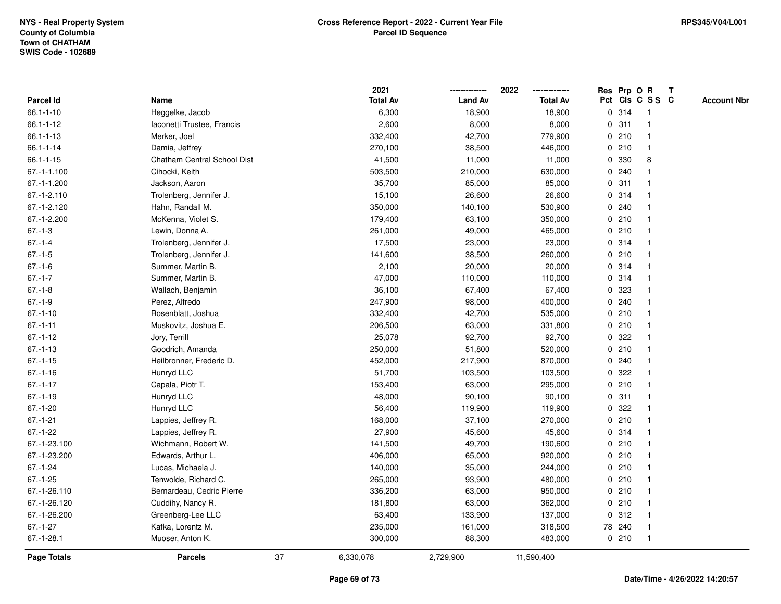|                    |                             |    | 2021            |                | 2022            |   | Res Prp O R |                         | T |                    |
|--------------------|-----------------------------|----|-----------------|----------------|-----------------|---|-------------|-------------------------|---|--------------------|
| Parcel Id          | Name                        |    | <b>Total Av</b> | <b>Land Av</b> | <b>Total Av</b> |   |             | Pct Cls C S S C         |   | <b>Account Nbr</b> |
| $66.1 - 1 - 10$    | Heggelke, Jacob             |    | 6,300           | 18,900         | 18,900          |   | 0.314       | $\overline{\mathbf{1}}$ |   |                    |
| 66.1-1-12          | Iaconetti Trustee, Francis  |    | 2,600           | 8,000          | 8,000           |   | 0.311       | $\overline{1}$          |   |                    |
| $66.1 - 1 - 13$    | Merker, Joel                |    | 332,400         | 42,700         | 779,900         |   | 0210        | $\mathbf{1}$            |   |                    |
| 66.1-1-14          | Damia, Jeffrey              |    | 270,100         | 38,500         | 446,000         |   | 0210        | 1                       |   |                    |
| $66.1 - 1 - 15$    | Chatham Central School Dist |    | 41,500          | 11,000         | 11,000          |   | 0 330       | 8                       |   |                    |
| $67 - 1 - 1.100$   | Cihocki, Keith              |    | 503,500         | 210,000        | 630,000         |   | 0.240       |                         |   |                    |
| 67.-1-1.200        | Jackson, Aaron              |    | 35,700          | 85,000         | 85,000          |   | 0.311       |                         |   |                    |
| 67.-1-2.110        | Trolenberg, Jennifer J.     |    | 15,100          | 26,600         | 26,600          | 0 | 314         | -1                      |   |                    |
| 67.-1-2.120        | Hahn, Randall M.            |    | 350,000         | 140,100        | 530,900         |   | 0.240       | $\overline{\mathbf{1}}$ |   |                    |
| 67.-1-2.200        | McKenna, Violet S.          |    | 179,400         | 63,100         | 350,000         |   | 0210        | 1                       |   |                    |
| $67.-1-3$          | Lewin, Donna A.             |    | 261,000         | 49,000         | 465,000         |   | 0210        |                         |   |                    |
| $67 - 1 - 4$       | Trolenberg, Jennifer J.     |    | 17,500          | 23,000         | 23,000          |   | 0.314       |                         |   |                    |
| $67 - 1 - 5$       | Trolenberg, Jennifer J.     |    | 141,600         | 38,500         | 260,000         |   | 0210        |                         |   |                    |
| $67.-1-6$          | Summer, Martin B.           |    | 2,100           | 20,000         | 20,000          |   | 0.314       |                         |   |                    |
| $67 - 1 - 7$       | Summer, Martin B.           |    | 47,000          | 110,000        | 110,000         | 0 | 314         | -1                      |   |                    |
| $67 - 1 - 8$       | Wallach, Benjamin           |    | 36,100          | 67,400         | 67,400          | 0 | 323         | 1                       |   |                    |
| $67.-1-9$          | Perez, Alfredo              |    | 247,900         | 98,000         | 400,000         |   | 0.240       | 1                       |   |                    |
| $67.-1-10$         | Rosenblatt, Joshua          |    | 332,400         | 42,700         | 535,000         |   | 0210        |                         |   |                    |
| $67 - 1 - 11$      | Muskovitz, Joshua E.        |    | 206,500         | 63,000         | 331,800         |   | 0210        |                         |   |                    |
| $67 - 1 - 12$      | Jory, Terrill               |    | 25,078          | 92,700         | 92,700          |   | 0.322       |                         |   |                    |
| $67.-1-13$         | Goodrich, Amanda            |    | 250,000         | 51,800         | 520,000         |   | 0210        | -1                      |   |                    |
| $67.-1-15$         | Heilbronner, Frederic D.    |    | 452,000         | 217,900        | 870,000         | 0 | 240         | -1                      |   |                    |
| $67 - 1 - 16$      | Hunryd LLC                  |    | 51,700          | 103,500        | 103,500         | 0 | 322         | -1                      |   |                    |
| $67 - 1 - 17$      | Capala, Piotr T.            |    | 153,400         | 63,000         | 295,000         |   | 0210        | $\mathbf{1}$            |   |                    |
| $67.-1-19$         | Hunryd LLC                  |    | 48,000          | 90,100         | 90,100          |   | 0.311       |                         |   |                    |
| $67.-1-20$         | Hunryd LLC                  |    | 56,400          | 119,900        | 119,900         |   | 0.322       |                         |   |                    |
| $67.-1-21$         | Lappies, Jeffrey R.         |    | 168,000         | 37,100         | 270,000         |   | 0210        |                         |   |                    |
| $67.-1-22$         | Lappies, Jeffrey R.         |    | 27,900          | 45,600         | 45,600          |   | 0.314       | -1                      |   |                    |
| 67.-1-23.100       | Wichmann, Robert W.         |    | 141,500         | 49,700         | 190,600         | 0 | 210         | -1                      |   |                    |
| 67.-1-23.200       | Edwards, Arthur L.          |    | 406,000         | 65,000         | 920,000         |   | 0210        | $\overline{1}$          |   |                    |
| $67 - 1 - 24$      | Lucas, Michaela J.          |    | 140,000         | 35,000         | 244,000         |   | 0210        | $\mathbf{1}$            |   |                    |
| $67.-1-25$         | Tenwolde, Richard C.        |    | 265,000         | 93,900         | 480,000         |   | 0210        |                         |   |                    |
| 67.-1-26.110       | Bernardeau, Cedric Pierre   |    | 336,200         | 63,000         | 950,000         |   | 0210        |                         |   |                    |
| 67.-1-26.120       | Cuddihy, Nancy R.           |    | 181,800         | 63,000         | 362,000         |   | 0210        |                         |   |                    |
| 67.-1-26.200       | Greenberg-Lee LLC           |    | 63,400          | 133,900        | 137,000         |   | 0.312       | $\mathbf{1}$            |   |                    |
| $67.-1-27$         | Kafka, Lorentz M.           |    | 235,000         | 161,000        | 318,500         |   | 78 240      | $\overline{\mathbf{1}}$ |   |                    |
| $67 - 1 - 28.1$    | Muoser, Anton K.            |    | 300,000         | 88,300         | 483,000         |   | 0210        | $\overline{1}$          |   |                    |
| <b>Page Totals</b> | <b>Parcels</b>              | 37 | 6,330,078       | 2,729,900      | 11,590,400      |   |             |                         |   |                    |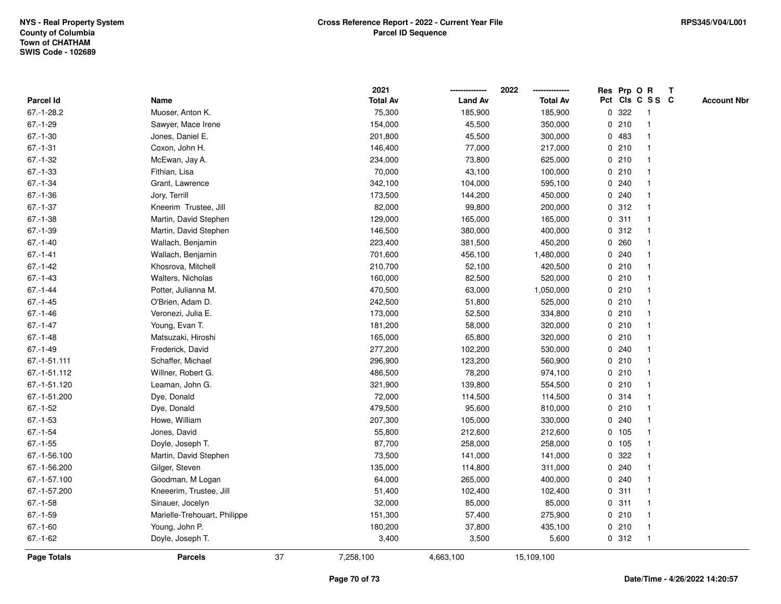|               |                              |    | 2021            |                | 2022            |   | Res Prp O R |                         | T |                    |
|---------------|------------------------------|----|-----------------|----------------|-----------------|---|-------------|-------------------------|---|--------------------|
| Parcel Id     | Name                         |    | <b>Total Av</b> | <b>Land Av</b> | <b>Total Av</b> |   |             | Pct Cls C S S C         |   | <b>Account Nbr</b> |
| $67.-1-28.2$  | Muoser, Anton K.             |    | 75,300          | 185,900        | 185,900         | 0 | 322         | $\overline{\mathbf{1}}$ |   |                    |
| $67.-1-29$    | Sawyer, Mace Irene           |    | 154,000         | 45,500         | 350,000         |   | 0210        | $\overline{\mathbf{1}}$ |   |                    |
| $67.-1-30$    | Jones, Daniel E.             |    | 201,800         | 45,500         | 300,000         |   | 0 483       | 1                       |   |                    |
| $67.-1-31$    | Coxon, John H.               |    | 146,400         | 77,000         | 217,000         |   | 0210        | -1                      |   |                    |
| $67.-1-32$    | McEwan, Jay A.               |    | 234,000         | 73,800         | 625,000         |   | 0210        |                         |   |                    |
| 67.-1-33      | Fithian, Lisa                |    | 70,000          | 43,100         | 100,000         |   | 0210        |                         |   |                    |
| $67.-1-34$    | Grant, Lawrence              |    | 342,100         | 104,000        | 595,100         |   | 0.240       |                         |   |                    |
| 67.-1-36      | Jory, Terrill                |    | 173,500         | 144,200        | 450,000         |   | 0.240       | -1                      |   |                    |
| $67.-1-37$    | Kneerim Trustee, Jill        |    | 82,000          | 99,800         | 200,000         |   | 0.312       | $\overline{\mathbf{1}}$ |   |                    |
| $67.-1-38$    | Martin, David Stephen        |    | 129,000         | 165,000        | 165,000         |   | 0.311       | $\mathbf{1}$            |   |                    |
| $67.-1-39$    | Martin, David Stephen        |    | 146,500         | 380,000        | 400,000         |   | 0.312       |                         |   |                    |
| $67 - 1 - 40$ | Wallach, Benjamin            |    | 223,400         | 381,500        | 450,200         |   | 0.260       |                         |   |                    |
| $67 - 1 - 41$ | Wallach, Benjamin            |    | 701,600         | 456,100        | 1,480,000       |   | 0.240       |                         |   |                    |
| $67 - 1 - 42$ | Khosrova, Mitchell           |    | 210,700         | 52,100         | 420,500         |   | 0210        |                         |   |                    |
| $67.-1-43$    | Walters, Nicholas            |    | 160,000         | 82,500         | 520,000         |   | 0210        | -1                      |   |                    |
| $67 - 1 - 44$ | Potter, Julianna M.          |    | 470,500         | 63,000         | 1,050,000       |   | 0210        | -1                      |   |                    |
| $67 - 1 - 45$ | O'Brien, Adam D.             |    | 242,500         | 51,800         | 525,000         |   | 0210        | -1                      |   |                    |
| 67.-1-46      | Veronezi, Julia E.           |    | 173,000         | 52,500         | 334,800         |   | 0210        |                         |   |                    |
| $67 - 1 - 47$ | Young, Evan T.               |    | 181,200         | 58,000         | 320,000         |   | 0210        |                         |   |                    |
| $67.-1-48$    | Matsuzaki, Hiroshi           |    | 165,000         | 65,800         | 320,000         |   | 0210        |                         |   |                    |
| $67 - 1 - 49$ | Frederick, David             |    | 277,200         | 102,200        | 530,000         |   | 0.240       | -1                      |   |                    |
| 67.-1-51.111  | Schaffer, Michael            |    | 296,900         | 123,200        | 560,900         |   | 0210        | -1                      |   |                    |
| 67.-1-51.112  | Willner, Robert G.           |    | 486,500         | 78,200         | 974,100         |   | 0210        | $\overline{\mathbf{1}}$ |   |                    |
| 67.-1-51.120  | Leaman, John G.              |    | 321,900         | 139,800        | 554,500         |   | 0210        | -1                      |   |                    |
| 67.-1-51.200  | Dye, Donald                  |    | 72,000          | 114,500        | 114,500         |   | 0.314       |                         |   |                    |
| $67.-1-52$    | Dye, Donald                  |    | 479,500         | 95,600         | 810,000         |   | 0210        |                         |   |                    |
| $67.-1-53$    | Howe, William                |    | 207,300         | 105,000        | 330,000         |   | 0.240       |                         |   |                    |
| $67.-1-54$    | Jones, David                 |    | 55,800          | 212,600        | 212,600         |   | 0 105       |                         |   |                    |
| $67.-1-55$    | Doyle, Joseph T.             |    | 87,700          | 258,000        | 258,000         |   | 0 105       | -1                      |   |                    |
| 67.-1-56.100  | Martin, David Stephen        |    | 73,500          | 141,000        | 141,000         | 0 | 322         | -1                      |   |                    |
| 67.-1-56.200  | Gilger, Steven               |    | 135,000         | 114,800        | 311,000         | 0 | 240         | -1                      |   |                    |
| 67.-1-57.100  | Goodman, M Logan             |    | 64,000          | 265,000        | 400,000         |   | 0.240       | -1                      |   |                    |
| 67.-1-57.200  | Kneeerim, Trustee, Jill      |    | 51,400          | 102,400        | 102,400         |   | 0.311       |                         |   |                    |
| $67 - 1 - 58$ | Sinauer, Jocelyn             |    | 32,000          | 85,000         | 85,000          |   | 0.311       |                         |   |                    |
| $67.-1-59$    | Marielle-Trehouart, Philippe |    | 151,300         | 57,400         | 275,900         |   | 0210        | -1                      |   |                    |
| $67.-1-60$    | Young, John P.               |    | 180,200         | 37,800         | 435,100         |   | 0210        | -1                      |   |                    |
| $67 - 1 - 62$ | Doyle, Joseph T.             |    | 3,400           | 3,500          | 5,600           |   | 0.312       | $\overline{\mathbf{1}}$ |   |                    |
| Page Totals   | <b>Parcels</b>               | 37 | 7,258,100       | 4,663,100      | 15,109,100      |   |             |                         |   |                    |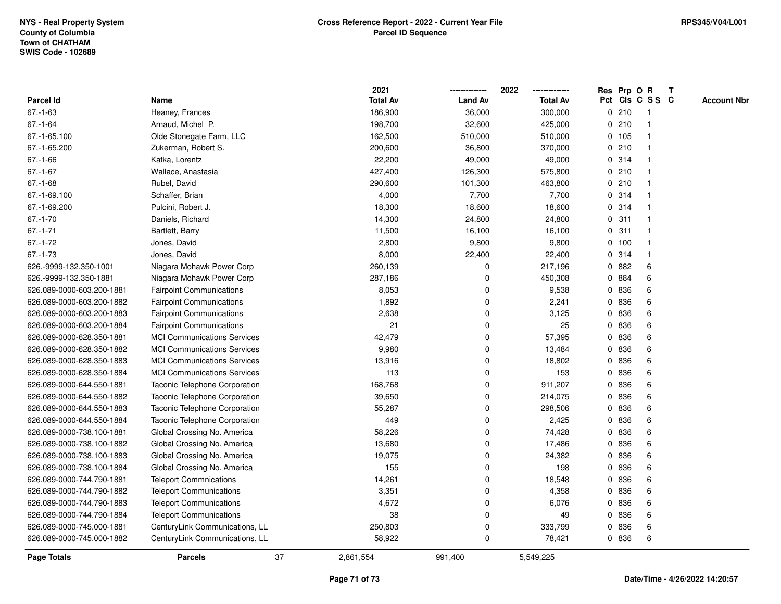|                           |                                    |    | 2021            |                | 2022            | Res Prp O R |                 |                |   | T |                    |
|---------------------------|------------------------------------|----|-----------------|----------------|-----------------|-------------|-----------------|----------------|---|---|--------------------|
| <b>Parcel Id</b>          | Name                               |    | <b>Total Av</b> | <b>Land Av</b> | <b>Total Av</b> |             | Pct Cls C S S C |                |   |   | <b>Account Nbr</b> |
| $67 - 1 - 63$             | Heaney, Frances                    |    | 186,900         | 36,000         | 300,000         |             | 0210            | -1             |   |   |                    |
| 67.-1-64                  | Arnaud, Michel P.                  |    | 198,700         | 32,600         | 425,000         | 0           | 210             | 1              |   |   |                    |
| 67.-1-65.100              | Olde Stonegate Farm, LLC           |    | 162,500         | 510,000        | 510,000         |             | 0, 105          | $\overline{1}$ |   |   |                    |
| 67.-1-65.200              | Zukerman, Robert S.                |    | 200,600         | 36,800         | 370,000         | 0           | 210             | $\mathbf{1}$   |   |   |                    |
| $67 - 1 - 66$             | Kafka, Lorentz                     |    | 22,200          | 49,000         | 49,000          |             | 0.314           | 1              |   |   |                    |
| $67 - 1 - 67$             | Wallace, Anastasia                 |    | 427,400         | 126,300        | 575,800         |             | 0210            |                |   |   |                    |
| $67 - 1 - 68$             | Rubel, David                       |    | 290,600         | 101,300        | 463,800         |             | 0210            |                |   |   |                    |
| 67.-1-69.100              | Schaffer, Brian                    |    | 4,000           | 7,700          | 7,700           |             | 0.314           | 1              |   |   |                    |
| 67.-1-69.200              | Pulcini, Robert J.                 |    | 18,300          | 18,600         | 18,600          | 0           | 314             | -1             |   |   |                    |
| $67.-1-70$                | Daniels, Richard                   |    | 14,300          | 24,800         | 24,800          | 0           | 311             | $\overline{1}$ |   |   |                    |
| $67 - 1 - 71$             | Bartlett, Barry                    |    | 11,500          | 16,100         | 16,100          | 0           | 311             | 1              |   |   |                    |
| $67 - 1 - 72$             | Jones, David                       |    | 2,800           | 9,800          | 9,800           |             | 0, 100          | 1              |   |   |                    |
| $67.-1-73$                | Jones, David                       |    | 8,000           | 22,400         | 22,400          |             | 0.314           |                |   |   |                    |
| 626.-9999-132.350-1001    | Niagara Mohawk Power Corp          |    | 260,139         | 0              | 217,196         |             | 0882            | 6              |   |   |                    |
| 626.-9999-132.350-1881    | Niagara Mohawk Power Corp          |    | 287,186         | 0              | 450,308         | 0           | 884             |                | 6 |   |                    |
| 626.089-0000-603.200-1881 | <b>Fairpoint Communications</b>    |    | 8,053           | 0              | 9,538           | 0           | 836             |                | 6 |   |                    |
| 626.089-0000-603.200-1882 | <b>Fairpoint Communications</b>    |    | 1,892           | 0              | 2,241           | 0           | 836             |                | 6 |   |                    |
| 626.089-0000-603.200-1883 | <b>Fairpoint Communications</b>    |    | 2,638           | 0              | 3,125           | 0           | 836             |                | 6 |   |                    |
| 626.089-0000-603.200-1884 | <b>Fairpoint Communications</b>    |    | 21              | 0              | 25              | 0           | 836             | 6              |   |   |                    |
| 626.089-0000-628.350-1881 | <b>MCI Communications Services</b> |    | 42,479          | $\Omega$       | 57,395          |             | 0 836           | 6              |   |   |                    |
| 626.089-0000-628.350-1882 | <b>MCI Communications Services</b> |    | 9,980           | 0              | 13,484          | 0           | 836             | 6              |   |   |                    |
| 626.089-0000-628.350-1883 | <b>MCI Communications Services</b> |    | 13,916          | 0              | 18,802          | 0           | 836             | 6              |   |   |                    |
| 626.089-0000-628.350-1884 | <b>MCI Communications Services</b> |    | 113             | 0              | 153             | 0           | 836             | 6              |   |   |                    |
| 626.089-0000-644.550-1881 | Taconic Telephone Corporation      |    | 168,768         | 0              | 911,207         | 0           | 836             | 6              |   |   |                    |
| 626.089-0000-644.550-1882 | Taconic Telephone Corporation      |    | 39,650          | 0              | 214,075         | 0           | 836             | 6              |   |   |                    |
| 626.089-0000-644.550-1883 | Taconic Telephone Corporation      |    | 55,287          | $\mathbf 0$    | 298,506         |             | 0 836           | 6              |   |   |                    |
| 626.089-0000-644.550-1884 | Taconic Telephone Corporation      |    | 449             | $\mathbf 0$    | 2,425           |             | 0 836           | 6              |   |   |                    |
| 626.089-0000-738.100-1881 | Global Crossing No. America        |    | 58,226          | $\mathbf 0$    | 74,428          | 0           | 836             | 6              |   |   |                    |
| 626.089-0000-738.100-1882 | Global Crossing No. America        |    | 13,680          | 0              | 17,486          | 0           | 836             | 6              |   |   |                    |
| 626.089-0000-738.100-1883 | Global Crossing No. America        |    | 19,075          | 0              | 24,382          | 0           | 836             | 6              |   |   |                    |
| 626.089-0000-738.100-1884 | Global Crossing No. America        |    | 155             | 0              | 198             | 0           | 836             |                | 6 |   |                    |
| 626.089-0000-744.790-1881 | <b>Teleport Commnications</b>      |    | 14,261          | 0              | 18,548          | 0           | 836             |                | 6 |   |                    |
| 626.089-0000-744.790-1882 | <b>Teleport Communications</b>     |    | 3,351           | 0              | 4,358           |             | 0 836           |                | 6 |   |                    |
| 626.089-0000-744.790-1883 | <b>Teleport Communications</b>     |    | 4,672           | 0              | 6,076           |             | 0 836           | 6              |   |   |                    |
| 626.089-0000-744.790-1884 | <b>Teleport Communications</b>     |    | 38              | $\mathbf 0$    | 49              | 0           | 836             |                | 6 |   |                    |
| 626.089-0000-745.000-1881 | CenturyLink Communications, LL     |    | 250,803         | 0              | 333,799         | 0           | 836             | 6              |   |   |                    |
| 626.089-0000-745.000-1882 | CenturyLink Communications, LL     |    | 58,922          | 0              | 78,421          |             | 0 836           |                | 6 |   |                    |
| <b>Page Totals</b>        | <b>Parcels</b>                     | 37 | 2,861,554       | 991,400        | 5,549,225       |             |                 |                |   |   |                    |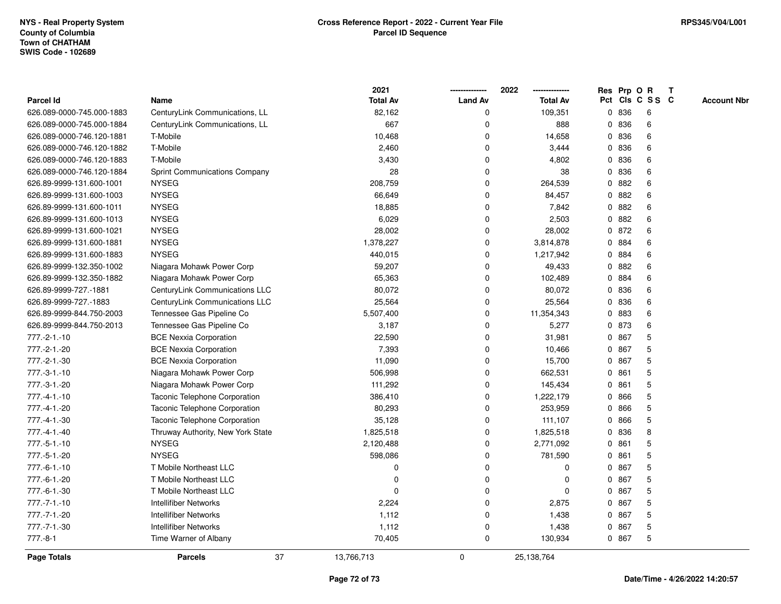|                           |                                      | 2021             |                | 2022            |              |       | Res Prp O R     | T |                    |
|---------------------------|--------------------------------------|------------------|----------------|-----------------|--------------|-------|-----------------|---|--------------------|
| Parcel Id                 | Name                                 | <b>Total Av</b>  | <b>Land Av</b> | <b>Total Av</b> |              |       | Pct Cls C S S C |   | <b>Account Nbr</b> |
| 626.089-0000-745.000-1883 | CenturyLink Communications, LL       | 82,162           | 0              | 109,351         |              | 0 836 | 6               |   |                    |
| 626.089-0000-745.000-1884 | CenturyLink Communications, LL       | 667              | 0              | 888             | 0            | 836   | 6               |   |                    |
| 626.089-0000-746.120-1881 | T-Mobile                             | 10,468           | $\Omega$       | 14,658          |              | 0 836 | 6               |   |                    |
| 626.089-0000-746.120-1882 | T-Mobile                             | 2,460            | 0              | 3,444           |              | 0 836 | 6               |   |                    |
| 626.089-0000-746.120-1883 | T-Mobile                             | 3,430            | 0              | 4,802           |              | 0 836 | 6               |   |                    |
| 626.089-0000-746.120-1884 | <b>Sprint Communications Company</b> | 28               | 0              | 38              | $\mathbf{0}$ | 836   | 6               |   |                    |
| 626.89-9999-131.600-1001  | <b>NYSEG</b>                         | 208,759          | 0              | 264,539         | $\mathbf{0}$ | 882   | 6               |   |                    |
| 626.89-9999-131.600-1003  | <b>NYSEG</b>                         | 66,649           | 0              | 84,457          | 0            | 882   | 6               |   |                    |
| 626.89-9999-131.600-1011  | <b>NYSEG</b>                         | 18,885           | 0              | 7,842           | $\mathbf{0}$ | 882   | 6               |   |                    |
| 626.89-9999-131.600-1013  | <b>NYSEG</b>                         | 6,029            | 0              | 2,503           | $\mathbf{0}$ | 882   | 6               |   |                    |
| 626.89-9999-131.600-1021  | <b>NYSEG</b>                         | 28,002           | 0              | 28,002          |              | 0 872 | 6               |   |                    |
| 626.89-9999-131.600-1881  | <b>NYSEG</b>                         | 1,378,227        | 0              | 3,814,878       |              | 0 884 | 6               |   |                    |
| 626.89-9999-131.600-1883  | <b>NYSEG</b>                         | 440,015          | $\mathbf 0$    | 1,217,942       | $\mathbf{0}$ | 884   | 6               |   |                    |
| 626.89-9999-132.350-1002  | Niagara Mohawk Power Corp            | 59,207           | 0              | 49,433          | $\mathbf{0}$ | 882   | 6               |   |                    |
| 626.89-9999-132.350-1882  | Niagara Mohawk Power Corp            | 65,363           | $\mathbf 0$    | 102,489         | 0            | 884   | 6               |   |                    |
| 626.89-9999-727.-1881     | CenturyLink Communications LLC       | 80,072           | 0              | 80,072          | $\mathbf{0}$ | 836   | 6               |   |                    |
| 626.89-9999-727.-1883     | CenturyLink Communications LLC       | 25,564           | $\mathbf 0$    | 25,564          | 0            | 836   | 6               |   |                    |
| 626.89-9999-844.750-2003  | Tennessee Gas Pipeline Co            | 5,507,400        | 0              | 11,354,343      | $\mathbf{0}$ | 883   | 6               |   |                    |
| 626.89-9999-844.750-2013  | Tennessee Gas Pipeline Co            | 3,187            | 0              | 5,277           |              | 0 873 | 6               |   |                    |
| 777.-2-1.-10              | <b>BCE Nexxia Corporation</b>        | 22,590           | 0              | 31,981          |              | 0 867 | 5               |   |                    |
| 777.-2-1.-20              | <b>BCE Nexxia Corporation</b>        | 7,393            | $\mathbf 0$    | 10,466          |              | 0 867 | 5               |   |                    |
| 777.-2-1.-30              | <b>BCE Nexxia Corporation</b>        | 11,090           | 0              | 15,700          | $\mathbf{0}$ | 867   | 5               |   |                    |
| 777.-3-1.-10              | Niagara Mohawk Power Corp            | 506,998          | 0              | 662,531         |              | 0861  | 5               |   |                    |
| 777.-3-1.-20              | Niagara Mohawk Power Corp            | 111,292          | $\mathbf 0$    | 145,434         | $\mathbf{0}$ | 861   | 5               |   |                    |
| $777. -4 - 1. -10$        | Taconic Telephone Corporation        | 386,410          | 0              | 1,222,179       |              | 0 866 | 5               |   |                    |
| 777.-4-1.-20              | Taconic Telephone Corporation        | 80,293           | 0              | 253,959         | 0            | 866   | 5               |   |                    |
| 777.-4-1.-30              | Taconic Telephone Corporation        | 35,128           | 0              | 111,107         | $\mathbf{0}$ | 866   | 5               |   |                    |
| 777.-4-1.-40              | Thruway Authority, New York State    | 1,825,518        | $\mathbf 0$    | 1,825,518       | 0            | 836   | 8               |   |                    |
| $777.-5-1.-10$            | <b>NYSEG</b>                         | 2,120,488        | 0              | 2,771,092       | 0            | 861   | 5               |   |                    |
| 777.-5-1.-20              | <b>NYSEG</b>                         | 598,086          | $\mathbf 0$    | 781,590         | $\mathbf{0}$ | 861   | 5               |   |                    |
| 777.-6-1.-10              | T Mobile Northeast LLC               | 0                | 0              | 0               | $\mathbf{0}$ | 867   | 5               |   |                    |
| 777.-6-1.-20              | T Mobile Northeast LLC               | $\Omega$         | 0              | 0               |              | 0 867 | 5               |   |                    |
| 777.-6-1.-30              | T Mobile Northeast LLC               | $\Omega$         | $\Omega$       | $\Omega$        |              | 0 867 | 5               |   |                    |
| $777. - 7 - 1. - 10$      | <b>Intellifiber Networks</b>         | 2,224            | $\Omega$       | 2,875           |              | 0 867 | 5               |   |                    |
| 777.-7-1.-20              | <b>Intellifiber Networks</b>         | 1,112            | 0              | 1,438           | $\mathbf{0}$ | 867   | 5               |   |                    |
| 777.-7-1.-30              | <b>Intellifiber Networks</b>         | 1,112            | 0              | 1,438           | 0            | 867   | 5               |   |                    |
| $777.-8-1$                | Time Warner of Albany                | 70,405           | $\mathbf 0$    | 130,934         |              | 0 867 | 5               |   |                    |
| Page Totals               | <b>Parcels</b>                       | 37<br>13,766,713 | $\mathbf 0$    | 25,138,764      |              |       |                 |   |                    |